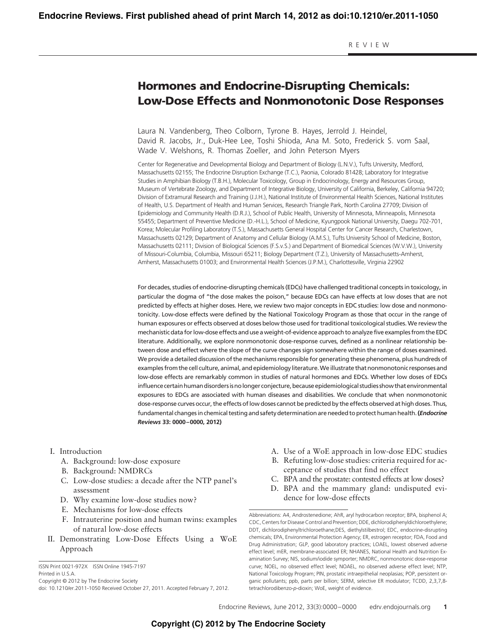REVIEW

# Hormones and Endocrine-Disrupting Chemicals: Low-Dose Effects and Nonmonotonic Dose Responses

Laura N. Vandenberg, Theo Colborn, Tyrone B. Hayes, Jerrold J. Heindel, David R. Jacobs, Jr., Duk-Hee Lee, Toshi Shioda, Ana M. Soto, Frederick S. vom Saal, Wade V. Welshons, R. Thomas Zoeller, and John Peterson Myers

Center for Regenerative and Developmental Biology and Department of Biology (L.N.V.), Tufts University, Medford, Massachusetts 02155; The Endocrine Disruption Exchange (T.C.), Paonia, Colorado 81428; Laboratory for Integrative Studies in Amphibian Biology (T.B.H.), Molecular Toxicology, Group in Endocrinology, Energy and Resources Group, Museum of Vertebrate Zoology, and Department of Integrative Biology, University of California, Berkeley, California 94720; Division of Extramural Research and Training (J.J.H.), National Institute of Environmental Health Sciences, National Institutes of Health, U.S. Department of Health and Human Services, Research Triangle Park, North Carolina 27709; Division of Epidemiology and Community Health (D.R.J.), School of Public Health, University of Minnesota, Minneapolis, Minnesota 55455; Department of Preventive Medicine (D.-H.L.), School of Medicine, Kyungpook National University, Daegu 702-701, Korea; Molecular Profiling Laboratory (T.S.), Massachusetts General Hospital Center for Cancer Research, Charlestown, Massachusetts 02129; Department of Anatomy and Cellular Biology (A.M.S.), Tufts University School of Medicine, Boston, Massachusetts 02111; Division of Biological Sciences (F.S.v.S.) and Department of Biomedical Sciences (W.V.W.), University of Missouri-Columbia, Columbia, Missouri 65211; Biology Department (T.Z.), University of Massachusetts-Amherst, Amherst, Massachusetts 01003; and Environmental Health Sciences (J.P.M.), Charlottesville, Virginia 22902

For decades, studies of endocrine-disrupting chemicals (EDCs) have challenged traditional concepts in toxicology, in particular the dogma of "the dose makes the poison," because EDCs can have effects at low doses that are not predicted by effects at higher doses. Here, we review two major concepts in EDC studies: low dose and nonmonotonicity. Low-dose effects were defined by the National Toxicology Program as those that occur in the range of human exposures or effects observed at doses below those used for traditional toxicological studies. We review the mechanistic data for low-dose effects and use a weight-of-evidence approach to analyze five examples from the EDC literature. Additionally, we explore nonmonotonic dose-response curves, defined as a nonlinear relationship between dose and effect where the slope of the curve changes sign somewhere within the range of doses examined. We provide a detailed discussion of the mechanisms responsible for generating these phenomena, plus hundreds of examples from the cell culture, animal, and epidemiologyliterature.Weillustrate that nonmonotonic responses and low-dose effects are remarkably common in studies of natural hormones and EDCs. Whether low doses of EDCs influence certain human disorders is no longer conjecture, because epidemiological studies show that environmental exposures to EDCs are associated with human diseases and disabilities. We conclude that when nonmonotonic dose-response curves occur, the effects of low doses cannot be predicted by the effects observed at high doses. Thus, fundamental changes in chemical testing and safety determination are needed to protect human health.**(***Endocrine Reviews* **33: 0000 –0000, 2012)**

#### I. Introduction

- A. Background: low-dose exposure
- B. Background: NMDRCs
- C. Low-dose studies: a decade after the NTP panel's assessment
- D. Why examine low-dose studies now?
- E. Mechanisms for low-dose effects
- F. Intrauterine position and human twins: examples of natural low-dose effects
- II. Demonstrating Low-Dose Effects Using a WoE Approach
- A. Use of a WoE approach in low-dose EDC studies
- B. Refuting low-dose studies: criteria required for acceptance of studies that find no effect
- C. BPA and the prostate: contested effects at low doses?
- D. BPA and the mammary gland: undisputed evidence for low-dose effects

ISSN Print 0021-972X ISSN Online 1945-7197 Printed in U.S.A.

Copyright © 2012 by The Endocrine Society

doi: 10.1210/er.2011-1050 Received October 27, 2011. Accepted February 7, 2012.

Abbreviations: A4, Androstenedione; AhR, aryl hydrocarbon receptor; BPA, bisphenol A; CDC, Centers for Disease Control and Prevention; DDE, dichlorodiphenyldichloroethylene; DDT, dichlorodiphenyltrichloroethane;DES, diethylstilbestrol; EDC, endocrine-disrupting chemicals; EPA, Environmental Protection Agency; ER, estrogen receptor; FDA, Food and Drug Administration; GLP, good laboratory practices; LOAEL, lowest observed adverse effect level; mER, membrane-associated ER; NHANES, National Health and Nutrition Examination Survey; NIS, sodium/iodide symporter; NMDRC, nonmonotonic dose-response curve; NOEL, no observed effect level; NOAEL, no observed adverse effect level; NTP, National Toxicology Program; PIN, prostatic intraepithelial neoplasias; POP, persistent organic pollutants; ppb, parts per billion; SERM, selective ER modulator; TCDD, 2,3,7,8 tetrachlorodibenzo-*p*-dioxin; WoE, weight of evidence.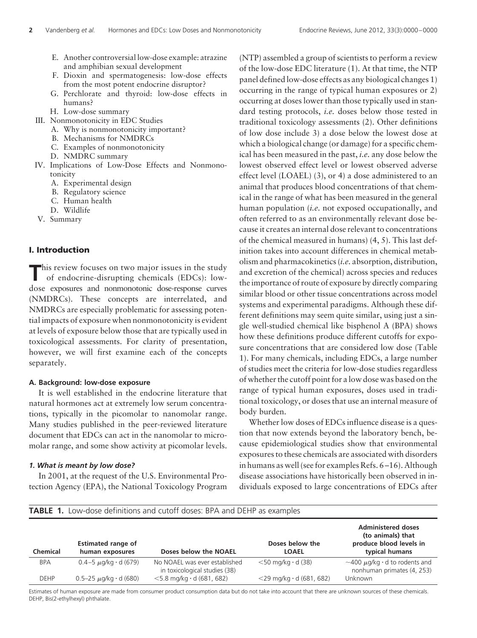- E. Another controversial low-dose example: atrazine and amphibian sexual development
- F. Dioxin and spermatogenesis: low-dose effects from the most potent endocrine disruptor?
- G. Perchlorate and thyroid: low-dose effects in humans?
- H. Low-dose summary
- III. Nonmonotonicity in EDC Studies
	- A. Why is nonmonotonicity important?
	- B. Mechanisms for NMDRCs
	- C. Examples of nonmonotonicity
	- D. NMDRC summary
- IV. Implications of Low-Dose Effects and Nonmonotonicity
	- A. Experimental design
	- B. Regulatory science
	- C. Human health
	- D. Wildlife
- V. Summary

### I. Introduction

This review focuses on two major issues in the study of endocrine-disrupting chemicals (EDCs): lowdose exposures and nonmonotonic dose-response curves (NMDRCs). These concepts are interrelated, and NMDRCs are especially problematic for assessing potential impacts of exposure when nonmonotonicity is evident at levels of exposure below those that are typically used in toxicological assessments. For clarity of presentation, however, we will first examine each of the concepts separately.

#### **A. Background: low-dose exposure**

It is well established in the endocrine literature that natural hormones act at extremely low serum concentrations, typically in the picomolar to nanomolar range. Many studies published in the peer-reviewed literature document that EDCs can act in the nanomolar to micromolar range, and some show activity at picomolar levels.

#### *1. What is meant by low dose?*

In 2001, at the request of the U.S. Environmental Protection Agency (EPA), the National Toxicology Program

(NTP) assembled a group of scientists to perform a review of the low-dose EDC literature (1). At that time, the NTP panel defined low-dose effects as any biological changes 1) occurring in the range of typical human exposures or 2) occurring at doses lower than those typically used in standard testing protocols, *i.e.* doses below those tested in traditional toxicology assessments (2). Other definitions of low dose include 3) a dose below the lowest dose at which a biological change (or damage) for a specific chemical has been measured in the past, *i.e.* any dose below the lowest observed effect level or lowest observed adverse effect level (LOAEL) (3), or 4) a dose administered to an animal that produces blood concentrations of that chemical in the range of what has been measured in the general human population (*i.e.* not exposed occupationally, and often referred to as an environmentally relevant dose because it creates an internal dose relevant to concentrations of the chemical measured in humans) (4, 5). This last definition takes into account differences in chemical metabolism and pharmacokinetics (*i.e.* absorption, distribution, and excretion of the chemical) across species and reduces the importance of route of exposure by directly comparing similar blood or other tissue concentrations across model systems and experimental paradigms. Although these different definitions may seem quite similar, using just a single well-studied chemical like bisphenol A (BPA) shows how these definitions produce different cutoffs for exposure concentrations that are considered low dose (Table 1). For many chemicals, including EDCs, a large number of studies meet the criteria for low-dose studies regardless of whether the cutoff point for a low dose was based on the range of typical human exposures, doses used in traditional toxicology, or doses that use an internal measure of body burden.

Whether low doses of EDCs influence disease is a question that now extends beyond the laboratory bench, because epidemiological studies show that environmental exposures to these chemicals are associated with disorders in humans as well (see for examples Refs. 6 –16). Although disease associations have historically been observed in individuals exposed to large concentrations of EDCs after

### **TABLE 1.** Low-dose definitions and cutoff doses: BPA and DEHP as examples

| <b>Chemical</b> | <b>Estimated range of</b><br>human exposures | Doses below the NOAEL                                          | Doses below the<br><b>LOAEL</b>   | <b>Administered doses</b><br>(to animals) that<br>produce blood levels in<br>typical humans |
|-----------------|----------------------------------------------|----------------------------------------------------------------|-----------------------------------|---------------------------------------------------------------------------------------------|
| <b>BPA</b>      | $0.4 - 5 \mu q/kg \cdot d (679)$             | No NOAEL was ever established<br>in toxicological studies (38) | $<$ 50 mg/kg $\cdot$ d (38)       | $\sim$ 400 $\mu$ g/kg · d to rodents and<br>nonhuman primates (4, 253)                      |
| <b>DEHP</b>     | $0.5 - 25 \mu q/kg \cdot d (680)$            | $<$ 5.8 mg/kg $\cdot$ d (681, 682)                             | $<$ 29 mg/kg $\cdot$ d (681, 682) | <b>Unknown</b>                                                                              |

Estimates of human exposure are made from consumer product consumption data but do not take into account that there are unknown sources of these chemicals. DEHP, Bis(2-ethylhexyl) phthalate.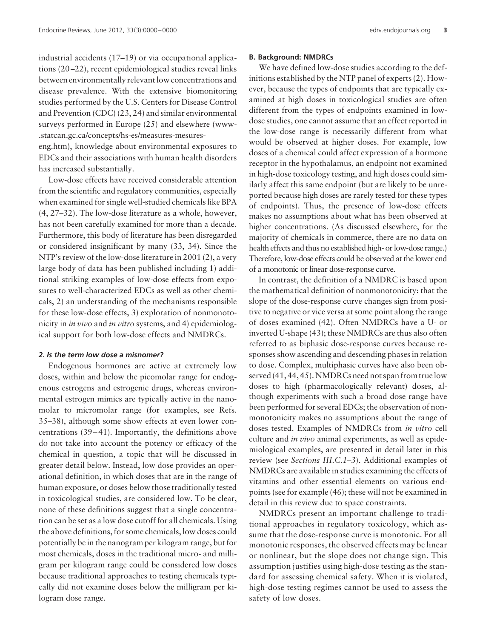industrial accidents (17–19) or via occupational applications (20 –22), recent epidemiological studies reveal links between environmentally relevant low concentrations and disease prevalence. With the extensive biomonitoring studies performed by the U.S. Centers for Disease Control and Prevention (CDC) (23, 24) and similar environmental surveys performed in Europe (25) and elsewhere (www- .statcan.gc.ca/concepts/hs-es/measures-mesures-

eng.htm), knowledge about environmental exposures to EDCs and their associations with human health disorders has increased substantially.

Low-dose effects have received considerable attention from the scientific and regulatory communities, especially when examined for single well-studied chemicals like BPA (4, 27–32). The low-dose literature as a whole, however, has not been carefully examined for more than a decade. Furthermore, this body of literature has been disregarded or considered insignificant by many (33, 34). Since the NTP's review of the low-dose literature in 2001 (2), a very large body of data has been published including 1) additional striking examples of low-dose effects from exposures to well-characterized EDCs as well as other chemicals, 2) an understanding of the mechanisms responsible for these low-dose effects, 3) exploration of nonmonotonicity in *in vivo* and *in vitro* systems, and 4) epidemiological support for both low-dose effects and NMDRCs.

#### *2. Is the term low dose a misnomer?*

Endogenous hormones are active at extremely low doses, within and below the picomolar range for endogenous estrogens and estrogenic drugs, whereas environmental estrogen mimics are typically active in the nanomolar to micromolar range (for examples, see Refs. 35–38), although some show effects at even lower concentrations (39 – 41). Importantly, the definitions above do not take into account the potency or efficacy of the chemical in question, a topic that will be discussed in greater detail below. Instead, low dose provides an operational definition, in which doses that are in the range of human exposure, or doses below those traditionally tested in toxicological studies, are considered low. To be clear, none of these definitions suggest that a single concentration can be set as a low dose cutoff for all chemicals. Using the above definitions, for some chemicals, low doses could potentially be in the nanogram per kilogram range, but for most chemicals, doses in the traditional micro- and milligram per kilogram range could be considered low doses because traditional approaches to testing chemicals typically did not examine doses below the milligram per kilogram dose range.

### **B. Background: NMDRCs**

We have defined low-dose studies according to the definitions established by the NTP panel of experts (2). However, because the types of endpoints that are typically examined at high doses in toxicological studies are often different from the types of endpoints examined in lowdose studies, one cannot assume that an effect reported in the low-dose range is necessarily different from what would be observed at higher doses. For example, low doses of a chemical could affect expression of a hormone receptor in the hypothalamus, an endpoint not examined in high-dose toxicology testing, and high doses could similarly affect this same endpoint (but are likely to be unreported because high doses are rarely tested for these types of endpoints). Thus, the presence of low-dose effects makes no assumptions about what has been observed at higher concentrations. (As discussed elsewhere, for the majority of chemicals in commerce, there are no data on health effects and thus no established high- or low-dose range.) Therefore, low-dose effects could be observed at the lower end of a monotonic or linear dose-response curve.

In contrast, the definition of a NMDRC is based upon the mathematical definition of nonmonotonicity: that the slope of the dose-response curve changes sign from positive to negative or vice versa at some point along the range of doses examined (42). Often NMDRCs have a U- or inverted U-shape (43); these NMDRCs are thus also often referred to as biphasic dose-response curves because responses show ascending and descending phases in relation to dose. Complex, multiphasic curves have also been observed (41, 44, 45). NMDRCs need not span from true low doses to high (pharmacologically relevant) doses, although experiments with such a broad dose range have been performed for several EDCs; the observation of nonmonotonicity makes no assumptions about the range of doses tested. Examples of NMDRCs from *in vitro* cell culture and *in vivo* animal experiments, as well as epidemiological examples, are presented in detail later in this review (see *Sections III.C.1–3*). Additional examples of NMDRCs are available in studies examining the effects of vitamins and other essential elements on various endpoints (see for example (46); these will not be examined in detail in this review due to space constraints.

NMDRCs present an important challenge to traditional approaches in regulatory toxicology, which assume that the dose-response curve is monotonic. For all monotonic responses, the observed effects may be linear or nonlinear, but the slope does not change sign. This assumption justifies using high-dose testing as the standard for assessing chemical safety. When it is violated, high-dose testing regimes cannot be used to assess the safety of low doses.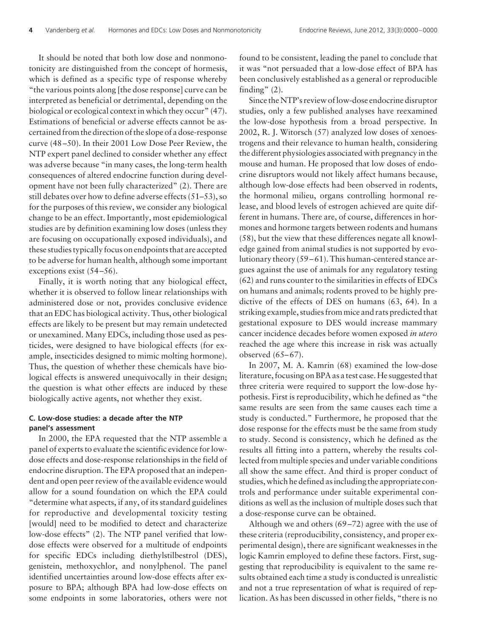It should be noted that both low dose and nonmonotonicity are distinguished from the concept of hormesis, which is defined as a specific type of response whereby "the various points along [the dose response] curve can be interpreted as beneficial or detrimental, depending on the biological or ecological context in which they occur" (47). Estimations of beneficial or adverse effects cannot be ascertained from the direction of the slope of a dose-response curve (48 –50). In their 2001 Low Dose Peer Review, the NTP expert panel declined to consider whether any effect was adverse because "in many cases, the long-term health consequences of altered endocrine function during development have not been fully characterized" (2). There are still debates over how to define adverse effects (51–53), so for the purposes of this review, we consider any biological change to be an effect. Importantly, most epidemiological studies are by definition examining low doses (unless they are focusing on occupationally exposed individuals), and these studies typically focus on endpoints that are accepted to be adverse for human health, although some important exceptions exist (54–56).

Finally, it is worth noting that any biological effect, whether it is observed to follow linear relationships with administered dose or not, provides conclusive evidence that an EDC has biological activity. Thus, other biological effects are likely to be present but may remain undetected or unexamined. Many EDCs, including those used as pesticides, were designed to have biological effects (for example, insecticides designed to mimic molting hormone). Thus, the question of whether these chemicals have biological effects is answered unequivocally in their design; the question is what other effects are induced by these biologically active agents, not whether they exist.

### **C. Low-dose studies: a decade after the NTP panel's assessment**

In 2000, the EPA requested that the NTP assemble a panel of experts to evaluate the scientific evidence for lowdose effects and dose-response relationships in the field of endocrine disruption. The EPA proposed that an independent and open peer review of the available evidence would allow for a sound foundation on which the EPA could "determine what aspects, if any, of its standard guidelines for reproductive and developmental toxicity testing [would] need to be modified to detect and characterize low-dose effects" (2). The NTP panel verified that lowdose effects were observed for a multitude of endpoints for specific EDCs including diethylstilbestrol (DES), genistein, methoxychlor, and nonylphenol. The panel identified uncertainties around low-dose effects after exposure to BPA; although BPA had low-dose effects on some endpoints in some laboratories, others were not found to be consistent, leading the panel to conclude that it was "not persuaded that a low-dose effect of BPA has been conclusively established as a general or reproducible finding"  $(2)$ .

Since the NTP's review of low-dose endocrine disruptor studies, only a few published analyses have reexamined the low-dose hypothesis from a broad perspective. In 2002, R. J. Witorsch (57) analyzed low doses of xenoestrogens and their relevance to human health, considering the different physiologies associated with pregnancy in the mouse and human. He proposed that low doses of endocrine disruptors would not likely affect humans because, although low-dose effects had been observed in rodents, the hormonal milieu, organs controlling hormonal release, and blood levels of estrogen achieved are quite different in humans. There are, of course, differences in hormones and hormone targets between rodents and humans (58), but the view that these differences negate all knowledge gained from animal studies is not supported by evolutionary theory (59–61). This human-centered stance argues against the use of animals for any regulatory testing (62) and runs counter to the similarities in effects of EDCs on humans and animals; rodents proved to be highly predictive of the effects of DES on humans (63, 64). In a striking example, studies from mice and rats predicted that gestational exposure to DES would increase mammary cancer incidence decades before women exposed *in utero* reached the age where this increase in risk was actually observed  $(65-67)$ .

In 2007, M. A. Kamrin (68) examined the low-dose literature, focusing on BPA as a test case. He suggested that three criteria were required to support the low-dose hypothesis. First is reproducibility, which he defined as "the same results are seen from the same causes each time a study is conducted." Furthermore, he proposed that the dose response for the effects must be the same from study to study. Second is consistency, which he defined as the results all fitting into a pattern, whereby the results collected from multiple species and under variable conditions all show the same effect. And third is proper conduct of studies, which he defined as including the appropriate controls and performance under suitable experimental conditions as well as the inclusion of multiple doses such that a dose-response curve can be obtained.

Although we and others (69 –72) agree with the use of these criteria (reproducibility, consistency, and proper experimental design), there are significant weaknesses in the logic Kamrin employed to define these factors. First, suggesting that reproducibility is equivalent to the same results obtained each time a study is conducted is unrealistic and not a true representation of what is required of replication. As has been discussed in other fields, "there is no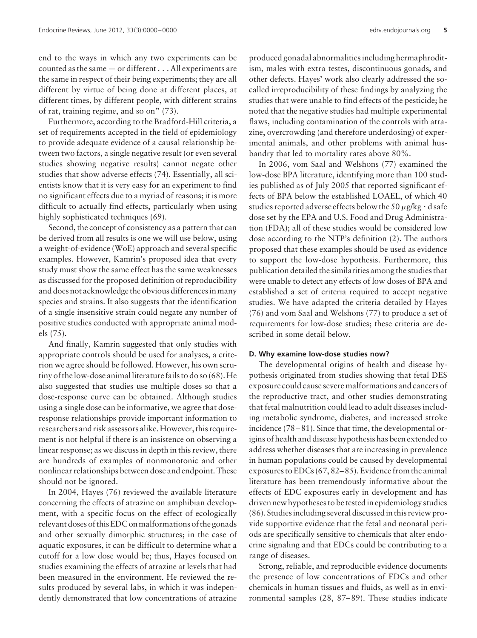end to the ways in which any two experiments can be counted as the same— or different . . . All experiments are the same in respect of their being experiments; they are all different by virtue of being done at different places, at different times, by different people, with different strains of rat, training regime, and so on" (73).

Furthermore, according to the Bradford-Hill criteria, a set of requirements accepted in the field of epidemiology to provide adequate evidence of a causal relationship between two factors, a single negative result (or even several studies showing negative results) cannot negate other studies that show adverse effects (74). Essentially, all scientists know that it is very easy for an experiment to find no significant effects due to a myriad of reasons; it is more difficult to actually find effects, particularly when using highly sophisticated techniques (69).

Second, the concept of consistency as a pattern that can be derived from all results is one we will use below, using a weight-of-evidence (WoE) approach and several specific examples. However, Kamrin's proposed idea that every study must show the same effect has the same weaknesses as discussed for the proposed definition of reproducibility and does not acknowledge the obvious differences in many species and strains. It also suggests that the identification of a single insensitive strain could negate any number of positive studies conducted with appropriate animal models (75).

And finally, Kamrin suggested that only studies with appropriate controls should be used for analyses, a criterion we agree should be followed. However, his own scrutiny of the low-dose animal literature fails to do so (68). He also suggested that studies use multiple doses so that a dose-response curve can be obtained. Although studies using a single dose can be informative, we agree that doseresponse relationships provide important information to researchers and risk assessors alike. However, this requirement is not helpful if there is an insistence on observing a linear response; as we discuss in depth in this review, there are hundreds of examples of nonmonotonic and other nonlinear relationships between dose and endpoint. These should not be ignored.

In 2004, Hayes (76) reviewed the available literature concerning the effects of atrazine on amphibian development, with a specific focus on the effect of ecologically relevant doses of this EDC on malformations of the gonads and other sexually dimorphic structures; in the case of aquatic exposures, it can be difficult to determine what a cutoff for a low dose would be; thus, Hayes focused on studies examining the effects of atrazine at levels that had been measured in the environment. He reviewed the results produced by several labs, in which it was independently demonstrated that low concentrations of atrazine

produced gonadal abnormalities including hermaphroditism, males with extra testes, discontinuous gonads, and other defects. Hayes' work also clearly addressed the socalled irreproducibility of these findings by analyzing the studies that were unable to find effects of the pesticide; he noted that the negative studies had multiple experimental flaws, including contamination of the controls with atrazine, overcrowding (and therefore underdosing) of experimental animals, and other problems with animal husbandry that led to mortality rates above 80%.

In 2006, vom Saal and Welshons (77) examined the low-dose BPA literature, identifying more than 100 studies published as of July 2005 that reported significant effects of BPA below the established LOAEL, of which 40 studies reported adverse effects below the 50  $\mu$ g/kg  $\cdot$  d safe dose set by the EPA and U.S. Food and Drug Administration (FDA); all of these studies would be considered low dose according to the NTP's definition (2). The authors proposed that these examples should be used as evidence to support the low-dose hypothesis. Furthermore, this publication detailed the similarities among the studies that were unable to detect any effects of low doses of BPA and established a set of criteria required to accept negative studies. We have adapted the criteria detailed by Hayes (76) and vom Saal and Welshons (77) to produce a set of requirements for low-dose studies; these criteria are described in some detail below.

#### **D. Why examine low-dose studies now?**

The developmental origins of health and disease hypothesis originated from studies showing that fetal DES exposure could cause severe malformations and cancers of the reproductive tract, and other studies demonstrating that fetal malnutrition could lead to adult diseases including metabolic syndrome, diabetes, and increased stroke incidence (78 – 81). Since that time, the developmental origins of health and disease hypothesis has been extended to address whether diseases that are increasing in prevalence in human populations could be caused by developmental exposures to EDCs (67, 82– 85). Evidence from the animal literature has been tremendously informative about the effects of EDC exposures early in development and has driven new hypotheses to be tested in epidemiology studies (86). Studies including several discussed in this review provide supportive evidence that the fetal and neonatal periods are specifically sensitive to chemicals that alter endocrine signaling and that EDCs could be contributing to a range of diseases.

Strong, reliable, and reproducible evidence documents the presence of low concentrations of EDCs and other chemicals in human tissues and fluids, as well as in environmental samples (28, 87– 89). These studies indicate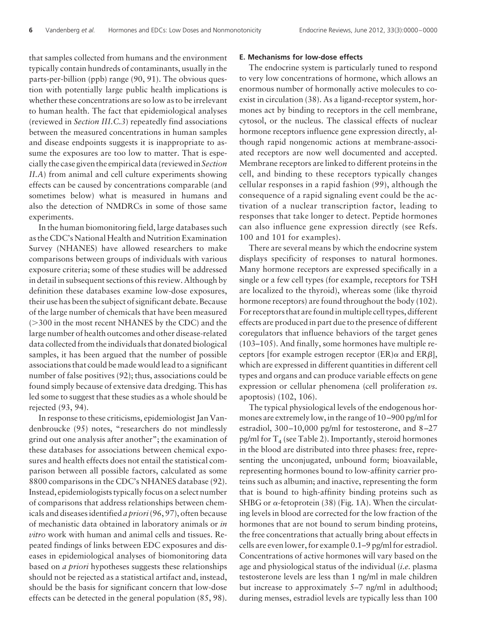that samples collected from humans and the environment typically contain hundreds of contaminants, usually in the parts-per-billion (ppb) range (90, 91). The obvious question with potentially large public health implications is whether these concentrations are so low as to be irrelevant to human health. The fact that epidemiological analyses (reviewed in *Section III.C.3*) repeatedly find associations between the measured concentrations in human samples and disease endpoints suggests it is inappropriate to assume the exposures are too low to matter. That is especially the case given the empirical data (reviewed in *Section II.A*) from animal and cell culture experiments showing effects can be caused by concentrations comparable (and sometimes below) what is measured in humans and also the detection of NMDRCs in some of those same experiments.

In the human biomonitoring field, large databases such as the CDC's National Health and Nutrition Examination Survey (NHANES) have allowed researchers to make comparisons between groups of individuals with various exposure criteria; some of these studies will be addressed in detail in subsequent sections of this review. Although by definition these databases examine low-dose exposures, their use has been the subject of significant debate. Because of the large number of chemicals that have been measured ( $>$ 300 in the most recent NHANES by the CDC) and the large number of health outcomes and other disease-related data collected from the individuals that donated biological samples, it has been argued that the number of possible associations that could be made would lead to a significant number of false positives (92); thus, associations could be found simply because of extensive data dredging. This has led some to suggest that these studies as a whole should be rejected (93, 94).

In response to these criticisms, epidemiologist Jan Vandenbroucke (95) notes, "researchers do not mindlessly grind out one analysis after another"; the examination of these databases for associations between chemical exposures and health effects does not entail the statistical comparison between all possible factors, calculated as some 8800 comparisons in the CDC's NHANES database (92). Instead, epidemiologists typically focus on a select number of comparisons that address relationships between chemicals and diseases identified *a priori*(96, 97), often because of mechanistic data obtained in laboratory animals or *in vitro* work with human and animal cells and tissues. Repeated findings of links between EDC exposures and diseases in epidemiological analyses of biomonitoring data based on *a priori* hypotheses suggests these relationships should not be rejected as a statistical artifact and, instead, should be the basis for significant concern that low-dose effects can be detected in the general population (85, 98).

### **E. Mechanisms for low-dose effects**

The endocrine system is particularly tuned to respond to very low concentrations of hormone, which allows an enormous number of hormonally active molecules to coexist in circulation (38). As a ligand-receptor system, hormones act by binding to receptors in the cell membrane, cytosol, or the nucleus. The classical effects of nuclear hormone receptors influence gene expression directly, although rapid nongenomic actions at membrane-associated receptors are now well documented and accepted. Membrane receptors are linked to different proteins in the cell, and binding to these receptors typically changes cellular responses in a rapid fashion (99), although the consequence of a rapid signaling event could be the activation of a nuclear transcription factor, leading to responses that take longer to detect. Peptide hormones can also influence gene expression directly (see Refs. 100 and 101 for examples).

There are several means by which the endocrine system displays specificity of responses to natural hormones. Many hormone receptors are expressed specifically in a single or a few cell types (for example, receptors for TSH are localized to the thyroid), whereas some (like thyroid hormone receptors) are found throughout the body (102). For receptors that are found in multiple cell types, different effects are produced in part due to the presence of different coregulators that influence behaviors of the target genes (103–105). And finally, some hormones have multiple receptors [for example estrogen receptor  $(ER)\alpha$  and  $ER\beta$ ], which are expressed in different quantities in different cell types and organs and can produce variable effects on gene expression or cellular phenomena (cell proliferation *vs.* apoptosis) (102, 106).

The typical physiological levels of the endogenous hormones are extremely low, in the range of 10 –900 pg/ml for estradiol, 300–10,000 pg/ml for testosterone, and 8–27 pg/ml for  $T_4$  (see Table 2). Importantly, steroid hormones in the blood are distributed into three phases: free, representing the unconjugated, unbound form; bioavailable, representing hormones bound to low-affinity carrier proteins such as albumin; and inactive, representing the form that is bound to high-affinity binding proteins such as SHBG or  $\alpha$ -fetoprotein (38) (Fig. 1A). When the circulating levels in blood are corrected for the low fraction of the hormones that are not bound to serum binding proteins, the free concentrations that actually bring about effects in cells are even lower, for example 0.1–9 pg/ml for estradiol. Concentrations of active hormones will vary based on the age and physiological status of the individual (*i.e.* plasma testosterone levels are less than 1 ng/ml in male children but increase to approximately 5–7 ng/ml in adulthood; during menses, estradiol levels are typically less than 100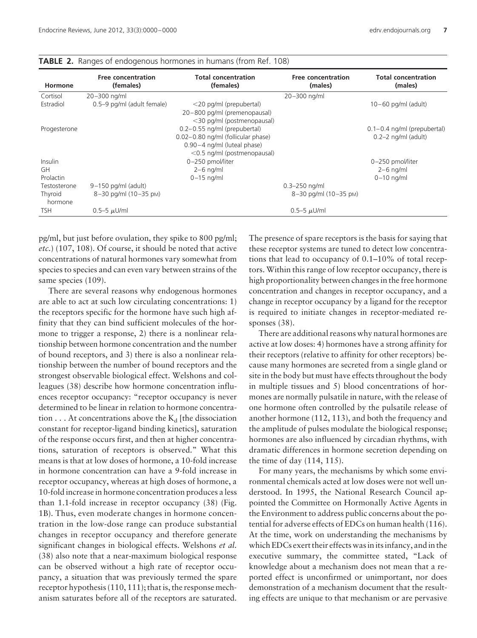| Hormone            | <b>Free concentration</b><br>(females) | <b>Total concentration</b><br>(females) | <b>Free concentration</b><br>(males) | <b>Total concentration</b><br>(males) |
|--------------------|----------------------------------------|-----------------------------------------|--------------------------------------|---------------------------------------|
| Cortisol           | 20-300 ng/ml                           |                                         | 20-300 ng/ml                         |                                       |
| Estradiol          | 0.5-9 pg/ml (adult female)             | $<$ 20 pg/ml (prepubertal)              |                                      | $10-60$ pg/ml (adult)                 |
|                    |                                        | 20-800 pg/ml (premenopausal)            |                                      |                                       |
|                    |                                        | <30 pg/ml (postmenopausal)              |                                      |                                       |
| Progesterone       |                                        | 0.2-0.55 ng/ml (prepubertal)            |                                      | $0.1 - 0.4$ ng/ml (prepubertal)       |
|                    |                                        | 0.02-0.80 ng/ml (follicular phase)      |                                      | $0.2 - 2$ ng/ml (adult)               |
|                    |                                        | 0.90-4 ng/ml (luteal phase)             |                                      |                                       |
|                    |                                        | <0.5 ng/ml (postmenopausal)             |                                      |                                       |
| Insulin            |                                        | 0-250 pmol/liter                        |                                      | 0-250 pmol/liter                      |
| GH                 |                                        | $2-6$ ng/ml                             |                                      | $2-6$ ng/ml                           |
| Prolactin          |                                        | $0-15$ ng/ml                            |                                      | $0-10$ ng/ml                          |
| Testosterone       | $9-150$ pg/ml (adult)                  |                                         | $0.3 - 250$ ng/ml                    |                                       |
| Thyroid<br>hormone | 8-30 pg/ml (10-35 pm)                  |                                         | 8-30 pg/ml (10-35 pm)                |                                       |
| <b>TSH</b>         | $0.5 - 5 \mu$ U/ml                     |                                         | $0.5 - 5 \mu$ U/ml                   |                                       |

|  | <b>TABLE 2.</b> Ranges of endogenous hormones in humans (from Ref. 108) |  |  |
|--|-------------------------------------------------------------------------|--|--|
|  |                                                                         |  |  |

pg/ml, but just before ovulation, they spike to 800 pg/ml; *etc.*) (107, 108). Of course, it should be noted that active concentrations of natural hormones vary somewhat from species to species and can even vary between strains of the same species (109).

There are several reasons why endogenous hormones are able to act at such low circulating concentrations: 1) the receptors specific for the hormone have such high affinity that they can bind sufficient molecules of the hormone to trigger a response, 2) there is a nonlinear relationship between hormone concentration and the number of bound receptors, and 3) there is also a nonlinear relationship between the number of bound receptors and the strongest observable biological effect. Welshons and colleagues (38) describe how hormone concentration influences receptor occupancy: "receptor occupancy is never determined to be linear in relation to hormone concentration  $\dots$  At concentrations above the  $K_d$  [the dissociation constant for receptor-ligand binding kinetics], saturation of the response occurs first, and then at higher concentrations, saturation of receptors is observed." What this means is that at low doses of hormone, a 10-fold increase in hormone concentration can have a 9-fold increase in receptor occupancy, whereas at high doses of hormone, a 10-fold increase in hormone concentration produces a less than 1.1-fold increase in receptor occupancy (38) (Fig. 1B). Thus, even moderate changes in hormone concentration in the low-dose range can produce substantial changes in receptor occupancy and therefore generate significant changes in biological effects. Welshons *et al.* (38) also note that a near-maximum biological response can be observed without a high rate of receptor occupancy, a situation that was previously termed the spare receptor hypothesis (110, 111); that is, the response mechanism saturates before all of the receptors are saturated. The presence of spare receptors is the basis for saying that these receptor systems are tuned to detect low concentrations that lead to occupancy of 0.1–10% of total receptors. Within this range of low receptor occupancy, there is high proportionality between changes in the free hormone concentration and changes in receptor occupancy, and a change in receptor occupancy by a ligand for the receptor is required to initiate changes in receptor-mediated responses (38).

There are additional reasons why natural hormones are active at low doses: 4) hormones have a strong affinity for their receptors (relative to affinity for other receptors) because many hormones are secreted from a single gland or site in the body but must have effects throughout the body in multiple tissues and 5) blood concentrations of hormones are normally pulsatile in nature, with the release of one hormone often controlled by the pulsatile release of another hormone (112, 113), and both the frequency and the amplitude of pulses modulate the biological response; hormones are also influenced by circadian rhythms, with dramatic differences in hormone secretion depending on the time of day (114, 115).

For many years, the mechanisms by which some environmental chemicals acted at low doses were not well understood. In 1995, the National Research Council appointed the Committee on Hormonally Active Agents in the Environment to address public concerns about the potential for adverse effects of EDCs on human health (116). At the time, work on understanding the mechanisms by which EDCs exert their effects was in its infancy, and in the executive summary, the committee stated, "Lack of knowledge about a mechanism does not mean that a reported effect is unconfirmed or unimportant, nor does demonstration of a mechanism document that the resulting effects are unique to that mechanism or are pervasive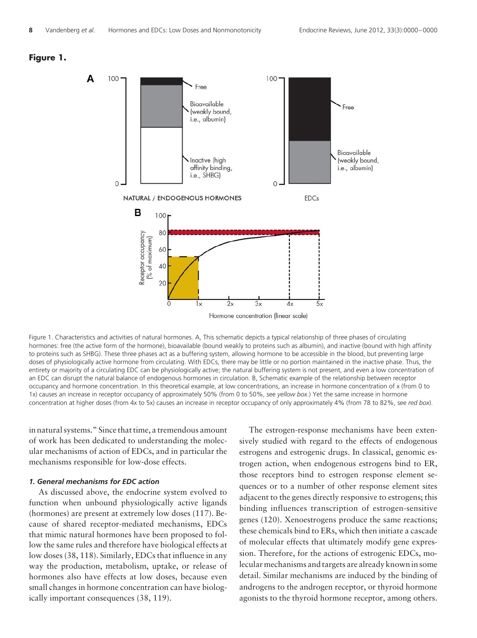### **Figure 1.**



Figure 1. Characteristics and activities of natural hormones. A, This schematic depicts a typical relationship of three phases of circulating hormones: free (the active form of the hormone), bioavailable (bound weakly to proteins such as albumin), and inactive (bound with high affinity to proteins such as SHBG). These three phases act as a buffering system, allowing hormone to be accessible in the blood, but preventing large doses of physiologically active hormone from circulating. With EDCs, there may be little or no portion maintained in the inactive phase. Thus, the entirety or majority of a circulating EDC can be physiologically active; the natural buffering system is not present, and even a low concentration of an EDC can disrupt the natural balance of endogenous hormones in circulation. B, Schematic example of the relationship between receptor occupancy and hormone concentration. In this theoretical example, at low concentrations, an increase in hormone concentration of x (from 0 to 1x) causes an increase in receptor occupancy of approximately 50% (from 0 to 50%, see *yellow box*.) Yet the same increase in hormone concentration at higher doses (from 4x to 5x) causes an increase in receptor occupancy of only approximately 4% (from 78 to 82%, see *red box*).

in natural systems." Since that time, a tremendous amount of work has been dedicated to understanding the molecular mechanisms of action of EDCs, and in particular the mechanisms responsible for low-dose effects.

### *1. General mechanisms for EDC action*

As discussed above, the endocrine system evolved to function when unbound physiologically active ligands (hormones) are present at extremely low doses (117). Because of shared receptor-mediated mechanisms, EDCs that mimic natural hormones have been proposed to follow the same rules and therefore have biological effects at low doses (38, 118). Similarly, EDCs that influence in any way the production, metabolism, uptake, or release of hormones also have effects at low doses, because even small changes in hormone concentration can have biologically important consequences (38, 119).

The estrogen-response mechanisms have been extensively studied with regard to the effects of endogenous estrogens and estrogenic drugs. In classical, genomic estrogen action, when endogenous estrogens bind to ER, those receptors bind to estrogen response element sequences or to a number of other response element sites adjacent to the genes directly responsive to estrogens; this binding influences transcription of estrogen-sensitive genes (120). Xenoestrogens produce the same reactions; these chemicals bind to ERs, which then initiate a cascade of molecular effects that ultimately modify gene expression. Therefore, for the actions of estrogenic EDCs, molecular mechanisms and targets are already known in some detail. Similar mechanisms are induced by the binding of androgens to the androgen receptor, or thyroid hormone agonists to the thyroid hormone receptor, among others.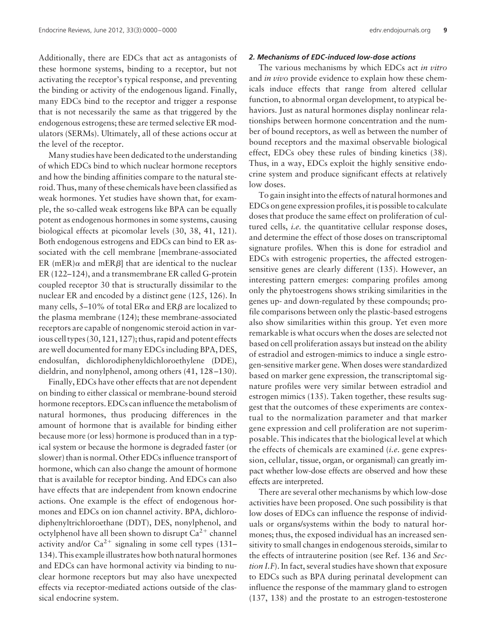Additionally, there are EDCs that act as antagonists of these hormone systems, binding to a receptor, but not activating the receptor's typical response, and preventing the binding or activity of the endogenous ligand. Finally, many EDCs bind to the receptor and trigger a response that is not necessarily the same as that triggered by the endogenous estrogens; these are termed selective ER modulators (SERMs). Ultimately, all of these actions occur at the level of the receptor.

Many studies have been dedicated to the understanding of which EDCs bind to which nuclear hormone receptors and how the binding affinities compare to the natural steroid. Thus, many of these chemicals have been classified as weak hormones. Yet studies have shown that, for example, the so-called weak estrogens like BPA can be equally potent as endogenous hormones in some systems, causing biological effects at picomolar levels (30, 38, 41, 121). Both endogenous estrogens and EDCs can bind to ER associated with the cell membrane [membrane-associated ER (mER) $\alpha$  and mER $\beta$ ] that are identical to the nuclear ER (122–124), and a transmembrane ER called G-protein coupled receptor 30 that is structurally dissimilar to the nuclear ER and encoded by a distinct gene (125, 126). In many cells, 5–10% of total ER $\alpha$  and ER $\beta$  are localized to the plasma membrane (124); these membrane-associated receptors are capable of nongenomic steroid action in various cell types (30, 121, 127); thus, rapid and potent effects are well documented for many EDCs including BPA, DES, endosulfan, dichlorodiphenyldichloroethylene (DDE), dieldrin, and nonylphenol, among others (41, 128–130).

Finally, EDCs have other effects that are not dependent on binding to either classical or membrane-bound steroid hormone receptors. EDCs can influence the metabolism of natural hormones, thus producing differences in the amount of hormone that is available for binding either because more (or less) hormone is produced than in a typical system or because the hormone is degraded faster (or slower) than is normal. Other EDCs influence transport of hormone, which can also change the amount of hormone that is available for receptor binding. And EDCs can also have effects that are independent from known endocrine actions. One example is the effect of endogenous hormones and EDCs on ion channel activity. BPA, dichlorodiphenyltrichloroethane (DDT), DES, nonylphenol, and octylphenol have all been shown to disrupt  $Ca^{2+}$  channel activity and/or  $Ca^{2+}$  signaling in some cell types (131– 134). This example illustrates how both natural hormones and EDCs can have hormonal activity via binding to nuclear hormone receptors but may also have unexpected effects via receptor-mediated actions outside of the classical endocrine system.

### *2. Mechanisms of EDC-induced low-dose actions*

The various mechanisms by which EDCs act *in vitro* and *in vivo* provide evidence to explain how these chemicals induce effects that range from altered cellular function, to abnormal organ development, to atypical behaviors. Just as natural hormones display nonlinear relationships between hormone concentration and the number of bound receptors, as well as between the number of bound receptors and the maximal observable biological effect, EDCs obey these rules of binding kinetics (38). Thus, in a way, EDCs exploit the highly sensitive endocrine system and produce significant effects at relatively low doses.

To gain insight into the effects of natural hormones and EDCs on gene expression profiles, it is possible to calculate doses that produce the same effect on proliferation of cultured cells, *i.e.* the quantitative cellular response doses, and determine the effect of those doses on transcriptomal signature profiles. When this is done for estradiol and EDCs with estrogenic properties, the affected estrogensensitive genes are clearly different (135). However, an interesting pattern emerges: comparing profiles among only the phytoestrogens shows striking similarities in the genes up- and down-regulated by these compounds; profile comparisons between only the plastic-based estrogens also show similarities within this group. Yet even more remarkable is what occurs when the doses are selected not based on cell proliferation assays but instead on the ability of estradiol and estrogen-mimics to induce a single estrogen-sensitive marker gene. When doses were standardized based on marker gene expression, the transcriptomal signature profiles were very similar between estradiol and estrogen mimics (135). Taken together, these results suggest that the outcomes of these experiments are contextual to the normalization parameter and that marker gene expression and cell proliferation are not superimposable. This indicates that the biological level at which the effects of chemicals are examined (*i.e.* gene expression, cellular, tissue, organ, or organismal) can greatly impact whether low-dose effects are observed and how these effects are interpreted.

There are several other mechanisms by which low-dose activities have been proposed. One such possibility is that low doses of EDCs can influence the response of individuals or organs/systems within the body to natural hormones; thus, the exposed individual has an increased sensitivity to small changes in endogenous steroids, similar to the effects of intrauterine position (see Ref. 136 and *Section I.F*). In fact, several studies have shown that exposure to EDCs such as BPA during perinatal development can influence the response of the mammary gland to estrogen (137, 138) and the prostate to an estrogen-testosterone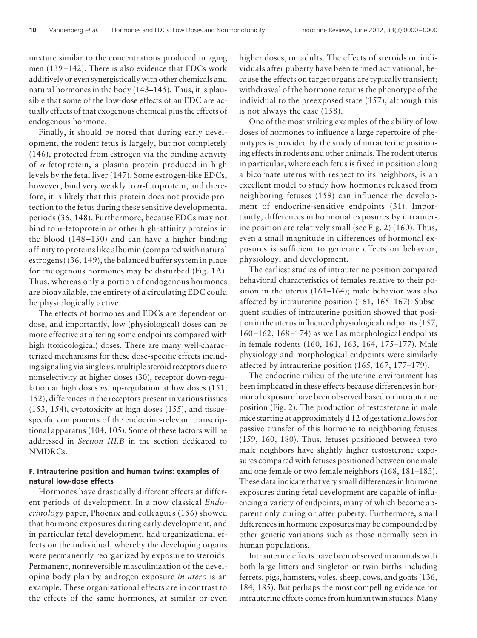mixture similar to the concentrations produced in aging men (139 –142). There is also evidence that EDCs work additively or even synergistically with other chemicals and natural hormones in the body (143–145). Thus, it is plausible that some of the low-dose effects of an EDC are actually effects of that exogenous chemical plus the effects of endogenous hormone.

Finally, it should be noted that during early development, the rodent fetus is largely, but not completely (146), protected from estrogen via the binding activity of  $\alpha$ -fetoprotein, a plasma protein produced in high levels by the fetal liver (147). Some estrogen-like EDCs, however, bind very weakly to  $\alpha$ -fetoprotein, and therefore, it is likely that this protein does not provide protection to the fetus during these sensitive developmental periods (36, 148). Furthermore, because EDCs may not bind to  $\alpha$ -fetoprotein or other high-affinity proteins in the blood  $(148-150)$  and can have a higher binding affinity to proteins like albumin (compared with natural estrogens) (36, 149), the balanced buffer system in place for endogenous hormones may be disturbed (Fig. 1A). Thus, whereas only a portion of endogenous hormones are bioavailable, the entirety of a circulating EDC could be physiologically active.

The effects of hormones and EDCs are dependent on dose, and importantly, low (physiological) doses can be more effective at altering some endpoints compared with high (toxicological) doses. There are many well-characterized mechanisms for these dose-specific effects including signaling via single *vs.* multiple steroid receptors due to nonselectivity at higher doses (30), receptor down-regulation at high doses *vs.* up-regulation at low doses (151, 152), differences in the receptors present in various tissues (153, 154), cytotoxicity at high doses (155), and tissuespecific components of the endocrine-relevant transcriptional apparatus (104, 105). Some of these factors will be addressed in *Section III.B* in the section dedicated to NMDRCs.

### **F. Intrauterine position and human twins: examples of natural low-dose effects**

Hormones have drastically different effects at different periods of development. In a now classical *Endocrinology* paper, Phoenix and colleagues (156) showed that hormone exposures during early development, and in particular fetal development, had organizational effects on the individual, whereby the developing organs were permanently reorganized by exposure to steroids. Permanent, nonreversible masculinization of the developing body plan by androgen exposure *in utero* is an example. These organizational effects are in contrast to the effects of the same hormones, at similar or even

higher doses, on adults. The effects of steroids on individuals after puberty have been termed activational, because the effects on target organs are typically transient; withdrawal of the hormone returns the phenotype of the individual to the preexposed state (157), although this is not always the case (158).

One of the most striking examples of the ability of low doses of hormones to influence a large repertoire of phenotypes is provided by the study of intrauterine positioning effects in rodents and other animals. The rodent uterus in particular, where each fetus is fixed in position along a bicornate uterus with respect to its neighbors, is an excellent model to study how hormones released from neighboring fetuses (159) can influence the development of endocrine-sensitive endpoints (31). Importantly, differences in hormonal exposures by intrauterine position are relatively small (see Fig. 2) (160). Thus, even a small magnitude in differences of hormonal exposures is sufficient to generate effects on behavior, physiology, and development.

The earliest studies of intrauterine position compared behavioral characteristics of females relative to their position in the uterus (161–164); male behavior was also affected by intrauterine position (161, 165–167). Subsequent studies of intrauterine position showed that position in the uterus influenced physiological endpoints (157, 160 –162, 168 –174) as well as morphological endpoints in female rodents (160, 161, 163, 164, 175–177). Male physiology and morphological endpoints were similarly affected by intrauterine position (165, 167, 177–179).

The endocrine milieu of the uterine environment has been implicated in these effects because differences in hormonal exposure have been observed based on intrauterine position (Fig. 2). The production of testosterone in male mice starting at approximately d 12 of gestation allows for passive transfer of this hormone to neighboring fetuses (159, 160, 180). Thus, fetuses positioned between two male neighbors have slightly higher testosterone exposures compared with fetuses positioned between one male and one female or two female neighbors (168, 181–183). These data indicate that very small differences in hormone exposures during fetal development are capable of influencing a variety of endpoints, many of which become apparent only during or after puberty. Furthermore, small differences in hormone exposures may be compounded by other genetic variations such as those normally seen in human populations.

Intrauterine effects have been observed in animals with both large litters and singleton or twin births including ferrets, pigs, hamsters, voles, sheep, cows, and goats (136, 184, 185). But perhaps the most compelling evidence for intrauterine effects comes from human twin studies. Many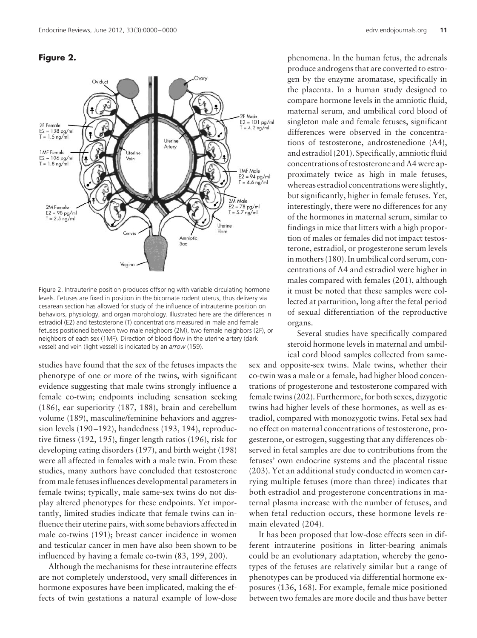### **Figure 2.**



Figure 2. Intrauterine position produces offspring with variable circulating hormone levels. Fetuses are fixed in position in the bicornate rodent uterus, thus delivery via cesarean section has allowed for study of the influence of intrauterine position on behaviors, physiology, and organ morphology. Illustrated here are the differences in estradiol (E2) and testosterone (T) concentrations measured in male and female fetuses positioned between two male neighbors (2M), two female neighbors (2F), or neighbors of each sex (1MF). Direction of blood flow in the uterine artery (dark vessel) and vein (light vessel) is indicated by an *arrow* (159).

studies have found that the sex of the fetuses impacts the phenotype of one or more of the twins, with significant evidence suggesting that male twins strongly influence a female co-twin; endpoints including sensation seeking (186), ear superiority (187, 188), brain and cerebellum volume (189), masculine/feminine behaviors and aggression levels (190–192), handedness (193, 194), reproductive fitness (192, 195), finger length ratios (196), risk for developing eating disorders (197), and birth weight (198) were all affected in females with a male twin. From these studies, many authors have concluded that testosterone from male fetuses influences developmental parameters in female twins; typically, male same-sex twins do not display altered phenotypes for these endpoints. Yet importantly, limited studies indicate that female twins can influence their uterine pairs, with some behaviors affected in male co-twins (191); breast cancer incidence in women and testicular cancer in men have also been shown to be influenced by having a female co-twin (83, 199, 200).

Although the mechanisms for these intrauterine effects are not completely understood, very small differences in hormone exposures have been implicated, making the effects of twin gestations a natural example of low-dose

phenomena. In the human fetus, the adrenals produce androgens that are converted to estrogen by the enzyme aromatase, specifically in the placenta. In a human study designed to compare hormone levels in the amniotic fluid, maternal serum, and umbilical cord blood of singleton male and female fetuses, significant differences were observed in the concentrations of testosterone, androstenedione (A4), and estradiol (201). Specifically, amniotic fluid concentrations of testosterone and A4 were approximately twice as high in male fetuses, whereas estradiol concentrations were slightly, but significantly, higher in female fetuses. Yet, interestingly, there were no differences for any of the hormones in maternal serum, similar to findings in mice that litters with a high proportion of males or females did not impact testosterone, estradiol, or progesterone serum levels in mothers (180). In umbilical cord serum, concentrations of A4 and estradiol were higher in males compared with females (201), although it must be noted that these samples were collected at parturition, long after the fetal period of sexual differentiation of the reproductive organs.

Several studies have specifically compared steroid hormone levels in maternal and umbilical cord blood samples collected from same-

sex and opposite-sex twins. Male twins, whether their co-twin was a male or a female, had higher blood concentrations of progesterone and testosterone compared with female twins (202). Furthermore, for both sexes, dizygotic twins had higher levels of these hormones, as well as estradiol, compared with monozygotic twins. Fetal sex had no effect on maternal concentrations of testosterone, progesterone, or estrogen, suggesting that any differences observed in fetal samples are due to contributions from the fetuses' own endocrine systems and the placental tissue (203). Yet an additional study conducted in women carrying multiple fetuses (more than three) indicates that both estradiol and progesterone concentrations in maternal plasma increase with the number of fetuses, and when fetal reduction occurs, these hormone levels remain elevated (204).

It has been proposed that low-dose effects seen in different intrauterine positions in litter-bearing animals could be an evolutionary adaptation, whereby the genotypes of the fetuses are relatively similar but a range of phenotypes can be produced via differential hormone exposures (136, 168). For example, female mice positioned between two females are more docile and thus have better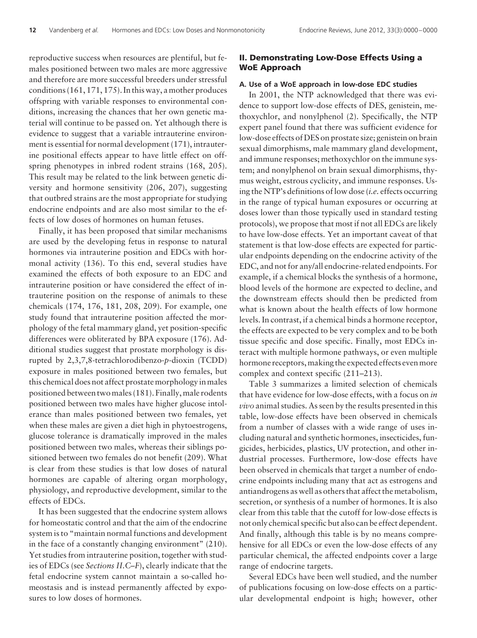reproductive success when resources are plentiful, but females positioned between two males are more aggressive and therefore are more successful breeders under stressful conditions (161, 171, 175). In this way, a mother produces offspring with variable responses to environmental conditions, increasing the chances that her own genetic material will continue to be passed on. Yet although there is evidence to suggest that a variable intrauterine environment is essential for normal development (171), intrauterine positional effects appear to have little effect on offspring phenotypes in inbred rodent strains (168, 205). This result may be related to the link between genetic diversity and hormone sensitivity (206, 207), suggesting that outbred strains are the most appropriate for studying endocrine endpoints and are also most similar to the effects of low doses of hormones on human fetuses.

Finally, it has been proposed that similar mechanisms are used by the developing fetus in response to natural hormones via intrauterine position and EDCs with hormonal activity (136). To this end, several studies have examined the effects of both exposure to an EDC and intrauterine position or have considered the effect of intrauterine position on the response of animals to these chemicals (174, 176, 181, 208, 209). For example, one study found that intrauterine position affected the morphology of the fetal mammary gland, yet position-specific differences were obliterated by BPA exposure (176). Additional studies suggest that prostate morphology is disrupted by 2,3,7,8-tetrachlorodibenzo-*p*-dioxin (TCDD) exposure in males positioned between two females, but this chemical does not affect prostate morphology in males positioned between two males (181). Finally, male rodents positioned between two males have higher glucose intolerance than males positioned between two females, yet when these males are given a diet high in phytoestrogens, glucose tolerance is dramatically improved in the males positioned between two males, whereas their siblings positioned between two females do not benefit (209). What is clear from these studies is that low doses of natural hormones are capable of altering organ morphology, physiology, and reproductive development, similar to the effects of EDCs.

It has been suggested that the endocrine system allows for homeostatic control and that the aim of the endocrine system is to "maintain normal functions and development in the face of a constantly changing environment" (210). Yet studies from intrauterine position, together with studies of EDCs (see *Sections II.C–F*), clearly indicate that the fetal endocrine system cannot maintain a so-called homeostasis and is instead permanently affected by exposures to low doses of hormones.

### II. Demonstrating Low-Dose Effects Using a WoE Approach

### **A. Use of a WoE approach in low-dose EDC studies**

In 2001, the NTP acknowledged that there was evidence to support low-dose effects of DES, genistein, methoxychlor, and nonylphenol (2). Specifically, the NTP expert panel found that there was sufficient evidence for low-dose effects of DES on prostate size; genistein on brain sexual dimorphisms, male mammary gland development, and immune responses; methoxychlor on the immune system; and nonylphenol on brain sexual dimorphisms, thymus weight, estrous cyclicity, and immune responses. Using the NTP's definitions of low dose (*i.e.* effects occurring in the range of typical human exposures or occurring at doses lower than those typically used in standard testing protocols), we propose that most if not all EDCs are likely to have low-dose effects. Yet an important caveat of that statement is that low-dose effects are expected for particular endpoints depending on the endocrine activity of the EDC, and not for any/all endocrine-related endpoints. For example, if a chemical blocks the synthesis of a hormone, blood levels of the hormone are expected to decline, and the downstream effects should then be predicted from what is known about the health effects of low hormone levels. In contrast, if a chemical binds a hormone receptor, the effects are expected to be very complex and to be both tissue specific and dose specific. Finally, most EDCs interact with multiple hormone pathways, or even multiple hormone receptors, making the expected effects even more complex and context specific (211–213).

Table 3 summarizes a limited selection of chemicals that have evidence for low-dose effects, with a focus on *in vivo* animal studies. As seen by the results presented in this table, low-dose effects have been observed in chemicals from a number of classes with a wide range of uses including natural and synthetic hormones, insecticides, fungicides, herbicides, plastics, UV protection, and other industrial processes. Furthermore, low-dose effects have been observed in chemicals that target a number of endocrine endpoints including many that act as estrogens and antiandrogens as well as others that affect the metabolism, secretion, or synthesis of a number of hormones. It is also clear from this table that the cutoff for low-dose effects is not only chemical specific but also can be effect dependent. And finally, although this table is by no means comprehensive for all EDCs or even the low-dose effects of any particular chemical, the affected endpoints cover a large range of endocrine targets.

Several EDCs have been well studied, and the number of publications focusing on low-dose effects on a particular developmental endpoint is high; however, other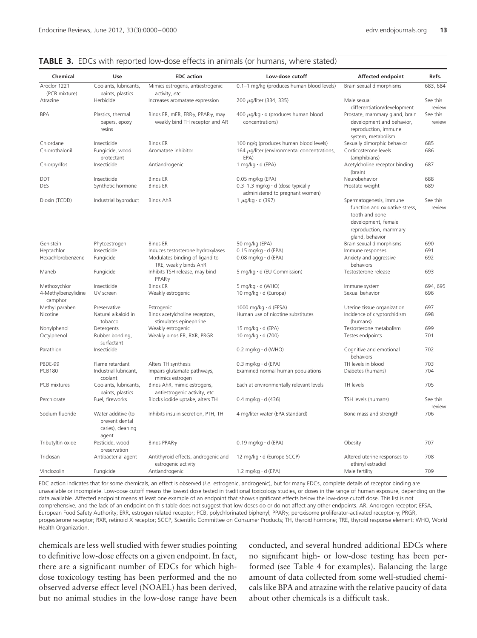### **TABLE 3.** EDCs with reported low-dose effects in animals (or humans, where stated)

| Chemical                        | Use                                                                | <b>EDC</b> action                                                                            | Low-dose cutoff                                                                                    | <b>Affected endpoint</b>                                                                                                                       | Refs.              |
|---------------------------------|--------------------------------------------------------------------|----------------------------------------------------------------------------------------------|----------------------------------------------------------------------------------------------------|------------------------------------------------------------------------------------------------------------------------------------------------|--------------------|
| Aroclor 1221                    | Coolants, lubricants,                                              | Mimics estrogens, antiestrogenic                                                             | 0.1-1 mg/kg (produces human blood levels)                                                          | Brain sexual dimorphisms                                                                                                                       | 683, 684           |
| (PCB mixture)<br>Atrazine       | paints, plastics<br>Herbicide                                      | activity, etc.<br>Increases aromatase expression                                             | 200 μg/liter (334, 335)                                                                            | Male sexual<br>differentiation/development                                                                                                     | See this<br>review |
| <b>BPA</b>                      | Plastics, thermal<br>papers, epoxy<br>resins                       | Binds ER, mER, ERRy, PPARy, may<br>weakly bind TH receptor and AR                            | 400 $\mu$ g/kg · d (produces human blood<br>concentrations)                                        | Prostate, mammary gland, brain<br>development and behavior,<br>reproduction, immune<br>system, metabolism                                      | See this<br>review |
| Chlordane<br>Chlorothalonil     | Insecticide<br>Fungicide, wood<br>protectant                       | <b>Binds ER</b><br>Aromatase inhibitor                                                       | 100 ng/g (produces human blood levels)<br>164 $\mu$ g/liter (environmental concentrations,<br>EPA) | Sexually dimorphic behavior<br>Corticosterone levels<br>(amphibians)                                                                           | 685<br>686         |
| Chlorpyrifos                    | Insecticide                                                        | Antiandrogenic                                                                               | 1 mg/kg $\cdot$ d (EPA)                                                                            | Acetylcholine receptor binding<br>(brain)                                                                                                      | 687                |
| DDT                             | Insecticide                                                        | Binds ER                                                                                     | 0.05 mg/kg (EPA)                                                                                   | Neurobehavior                                                                                                                                  | 688                |
| <b>DES</b>                      | Synthetic hormone                                                  | <b>Binds ER</b>                                                                              | 0.3-1.3 mg/kg · d (dose typically<br>administered to pregnant women)                               | Prostate weight                                                                                                                                | 689                |
| Dioxin (TCDD)                   | Industrial byproduct                                               | Binds AhR                                                                                    | 1 $\mu$ g/kg · d (397)                                                                             | Spermatogenesis, immune<br>function and oxidative stress,<br>tooth and bone<br>development, female<br>reproduction, mammary<br>gland, behavior | See this<br>review |
| Genistein                       | Phytoestrogen                                                      | Binds ER                                                                                     | 50 mg/kg (EPA)                                                                                     | Brain sexual dimorphisms                                                                                                                       | 690                |
| Heptachlor<br>Hexachlorobenzene | Insecticide<br>Fungicide                                           | Induces testosterone hydroxylases<br>Modulates binding of ligand to<br>TRE, weakly binds AhR | $0.15$ mg/kg $\cdot$ d (EPA)<br>$0.08$ mg/kg $\cdot$ d (EPA)                                       | Immune responses<br>Anxiety and aggressive<br>behaviors                                                                                        | 691<br>692         |
| Maneb                           | Fungicide                                                          | Inhibits TSH release, may bind<br>PPAR <sub>Y</sub>                                          | 5 mg/kg · d (EU Commission)                                                                        | Testosterone release                                                                                                                           | 693                |
| Methoxychlor                    | Insecticide                                                        | Binds ER                                                                                     | 5 mg/kg $\cdot$ d (WHO)                                                                            | Immune system                                                                                                                                  | 694, 695           |
| 4-Methylbenzylidine<br>camphor  | UV screen                                                          | Weakly estrogenic                                                                            | 10 mg/kg $\cdot$ d (Europa)                                                                        | Sexual behavior                                                                                                                                | 696                |
| Methyl paraben<br>Nicotine      | Preservative<br>Natural alkaloid in<br>tobacco                     | Estrogenic<br>Binds acetylcholine receptors,<br>stimulates epinephrine                       | 1000 mg/kg $\cdot$ d (EFSA)<br>Human use of nicotine substitutes                                   | Uterine tissue organization<br>Incidence of cryptorchidism<br>(humans)                                                                         | 697<br>698         |
| Nonylphenol<br>Octylphenol      | Detergents<br>Rubber bonding,<br>surfactant                        | Weakly estrogenic<br>Weakly binds ER, RXR, PRGR                                              | 15 mg/kg $\cdot$ d (EPA)<br>10 mg/kg · d (700)                                                     | Testosterone metabolism<br>Testes endpoints                                                                                                    | 699<br>701         |
| Parathion                       | Insecticide                                                        |                                                                                              | $0.2$ mg/kg $\cdot$ d (WHO)                                                                        | Cognitive and emotional<br>behaviors                                                                                                           | 702                |
| PBDE-99                         | Flame retardant                                                    | Alters TH synthesis                                                                          | $0.3$ mg/kg $\cdot$ d (EPA)                                                                        | TH levels in blood                                                                                                                             | 703                |
| <b>PCB180</b>                   | Industrial lubricant,<br>coolant                                   | Impairs glutamate pathways,<br>mimics estrogen                                               | Examined normal human populations                                                                  | Diabetes (humans)                                                                                                                              | 704                |
| PCB mixtures                    | Coolants, lubricants,<br>paints, plastics                          | Binds AhR, mimic estrogens,<br>antiestrogenic activity, etc.                                 | Each at environmentally relevant levels                                                            | TH levels                                                                                                                                      | 705                |
| Perchlorate                     | Fuel, fireworks                                                    | Blocks iodide uptake, alters TH                                                              | $0.4$ mg/kg $\cdot$ d (436)                                                                        | TSH levels (humans)                                                                                                                            | See this<br>review |
| Sodium fluoride                 | Water additive (to<br>prevent dental<br>caries), cleaning<br>agent | Inhibits insulin secretion, PTH, TH                                                          | 4 mg/liter water (EPA standard)                                                                    | Bone mass and strength                                                                                                                         | 706                |
| Tributyltin oxide               | Pesticide, wood<br>preservation                                    | Binds PPAR <sub>y</sub>                                                                      | $0.19$ mg/kg $\cdot$ d (EPA)                                                                       | Obesity                                                                                                                                        | 707                |
| Triclosan                       | Antibacterial agent                                                | Antithyroid effects, androgenic and<br>estrogenic activity                                   | 12 mg/kg · d (Europe SCCP)                                                                         | Altered uterine responses to<br>ethinyl estradiol                                                                                              | 708                |
| Vinclozolin                     | Fungicide                                                          | Antiandrogenic                                                                               | 1.2 mg/kg $\cdot$ d (EPA)                                                                          | Male fertility                                                                                                                                 | 709                |

EDC action indicates that for some chemicals, an effect is observed (*i.e.* estrogenic, androgenic), but for many EDCs, complete details of receptor binding are unavailable or incomplete. Low-dose cutoff means the lowest dose tested in traditional toxicology studies, or doses in the range of human exposure, depending on the data available. Affected endpoint means at least one example of an endpoint that shows significant effects below the low-dose cutoff dose. This list is not comprehensive, and the lack of an endpoint on this table does not suggest that low doses do or do not affect any other endpoints. AR, Androgen receptor; EFSA, European Food Safety Authority; ERR, estrogen related receptor; PCB, polychlorinated biphenyl; PPARy, peroxisome proliferator-activated receptor-y; PRGR, progesterone receptor; RXR, retinoid X receptor; SCCP, Scientific Committee on Consumer Products; TH, thyroid hormone; TRE, thyroid response element; WHO, World Health Organization.

chemicals are less well studied with fewer studies pointing to definitive low-dose effects on a given endpoint. In fact, there are a significant number of EDCs for which highdose toxicology testing has been performed and the no observed adverse effect level (NOAEL) has been derived, but no animal studies in the low-dose range have been

conducted, and several hundred additional EDCs where no significant high- or low-dose testing has been performed (see Table 4 for examples). Balancing the large amount of data collected from some well-studied chemicals like BPA and atrazine with the relative paucity of data about other chemicals is a difficult task.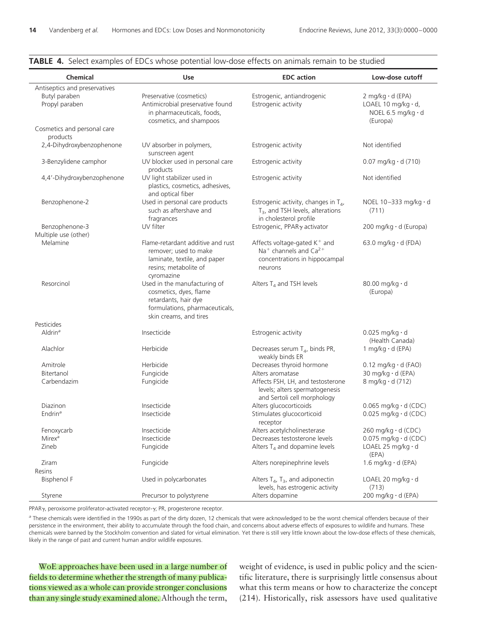| <b>Chemical</b>                         | Use                                                                                                                                        | <b>EDC</b> action                                                                                                 | Low-dose cutoff                                                                        |
|-----------------------------------------|--------------------------------------------------------------------------------------------------------------------------------------------|-------------------------------------------------------------------------------------------------------------------|----------------------------------------------------------------------------------------|
| Antiseptics and preservatives           |                                                                                                                                            |                                                                                                                   |                                                                                        |
| Butyl paraben<br>Propyl paraben         | Preservative (cosmetics)<br>Antimicrobial preservative found<br>in pharmaceuticals, foods,<br>cosmetics, and shampoos                      | Estrogenic, antiandrogenic<br>Estrogenic activity                                                                 | 2 mg/kg $\cdot$ d (EPA)<br>LOAEL 10 mg/kg $\cdot$ d,<br>NOEL 6.5 mg/kg · d<br>(Europa) |
| Cosmetics and personal care<br>products |                                                                                                                                            |                                                                                                                   |                                                                                        |
| 2,4-Dihydroxybenzophenone               | UV absorber in polymers,<br>sunscreen agent                                                                                                | Estrogenic activity                                                                                               | Not identified                                                                         |
| 3-Benzylidene camphor                   | UV blocker used in personal care<br>products                                                                                               | Estrogenic activity                                                                                               | $0.07$ mg/kg $\cdot$ d (710)                                                           |
| 4,4'-Dihydroxybenzophenone              | UV light stabilizer used in<br>plastics, cosmetics, adhesives,<br>and optical fiber                                                        | Estrogenic activity                                                                                               | Not identified                                                                         |
| Benzophenone-2                          | Used in personal care products<br>such as aftershave and<br>fragrances                                                                     | Estrogenic activity, changes in $T_4$ ,<br>$T_3$ , and TSH levels, alterations<br>in cholesterol profile          | NOEL 10-333 mg/kg $\cdot$ d<br>(711)                                                   |
| Benzophenone-3<br>Multiple use (other)  | UV filter                                                                                                                                  | Estrogenic, PPAR <sub>y</sub> activator                                                                           | 200 mg/kg $\cdot$ d (Europa)                                                           |
| Melamine                                | Flame-retardant additive and rust<br>remover; used to make<br>laminate, textile, and paper<br>resins; metabolite of<br>cyromazine          | Affects voltage-gated K <sup>+</sup> and<br>$Na+$ channels and $Ca2+$<br>concentrations in hippocampal<br>neurons | 63.0 mg/kg $\cdot$ d (FDA)                                                             |
| Resorcinol                              | Used in the manufacturing of<br>cosmetics, dyes, flame<br>retardants, hair dye<br>formulations, pharmaceuticals,<br>skin creams, and tires | Alters $T_4$ and TSH levels                                                                                       | 80.00 mg/kg · d<br>(Europa)                                                            |
| Pesticides                              |                                                                                                                                            |                                                                                                                   |                                                                                        |
| Aldrin <sup>a</sup>                     | Insecticide                                                                                                                                | Estrogenic activity                                                                                               | $0.025$ mg/kg $\cdot$ d<br>(Health Canada)                                             |
| Alachlor                                | Herbicide                                                                                                                                  | Decreases serum $T_{4}$ , binds PR,<br>weakly binds ER                                                            | 1 mg/kg $\cdot$ d (EPA)                                                                |
| Amitrole                                | Herbicide                                                                                                                                  | Decreases thyroid hormone                                                                                         | $0.12$ mg/kg $\cdot$ d (FAO)                                                           |
| Bitertanol                              | Fungicide                                                                                                                                  | Alters aromatase                                                                                                  | 30 mg/kg · d (EPA)                                                                     |
| Carbendazim                             | Fungicide                                                                                                                                  | Affects FSH, LH, and testosterone<br>levels; alters spermatogenesis<br>and Sertoli cell morphology                | 8 mg/kg $\cdot$ d (712)                                                                |
| Diazinon                                | Insecticide                                                                                                                                | Alters glucocorticoids                                                                                            | $0.065$ mg/kg $\cdot$ d (CDC)                                                          |
| Endrin <sup>a</sup>                     | Insecticide                                                                                                                                | Stimulates glucocorticoid<br>receptor                                                                             | $0.025$ mg/kg $\cdot$ d (CDC)                                                          |
| Fenoxycarb                              | Insecticide                                                                                                                                | Alters acetylcholinesterase                                                                                       | 260 mg/kg $\cdot$ d (CDC)                                                              |
| Mirex <sup>a</sup>                      | Insecticide                                                                                                                                | Decreases testosterone levels                                                                                     | $0.075$ mg/kg $\cdot$ d (CDC)                                                          |
| Zineb                                   | Fungicide                                                                                                                                  | Alters $T_4$ and dopamine levels                                                                                  | LOAEL 25 mg/kg · d<br>(EPA)                                                            |
| Ziram                                   | Fungicide                                                                                                                                  | Alters norepinephrine levels                                                                                      | 1.6 mg/kg $\cdot$ d (EPA)                                                              |
| Resins                                  |                                                                                                                                            |                                                                                                                   |                                                                                        |
| <b>Bisphenol F</b>                      | Used in polycarbonates                                                                                                                     | Alters $T_4$ , $T_3$ , and adiponectin<br>levels, has estrogenic activity                                         | LOAEL 20 mg/kg · d<br>(713)                                                            |
| Styrene                                 | Precursor to polystyrene                                                                                                                   | Alters dopamine                                                                                                   | 200 mg/kg · d (EPA)                                                                    |

### **TABLE 4.** Select examples of EDCs whose potential low-dose effects on animals remain to be studied

PPAR $\gamma$ , peroxisome proliferator-activated receptor- $\gamma$ ; PR, progesterone receptor.

*<sup>a</sup>* These chemicals were identified in the 1990s as part of the dirty dozen, 12 chemicals that were acknowledged to be the worst chemical offenders because of their persistence in the environment, their ability to accumulate through the food chain, and concerns about adverse effects of exposures to wildlife and humans. These chemicals were banned by the Stockholm convention and slated for virtual elimination. Yet there is still very little known about the low-dose effects of these chemicals, likely in the range of past and current human and/or wildlife exposures.

WoE approaches have been used in a large number of fields to determine whether the strength of many publications viewed as a whole can provide stronger conclusions than any single study examined alone. Although the term,

weight of evidence, is used in public policy and the scientific literature, there is surprisingly little consensus about what this term means or how to characterize the concept (214). Historically, risk assessors have used qualitative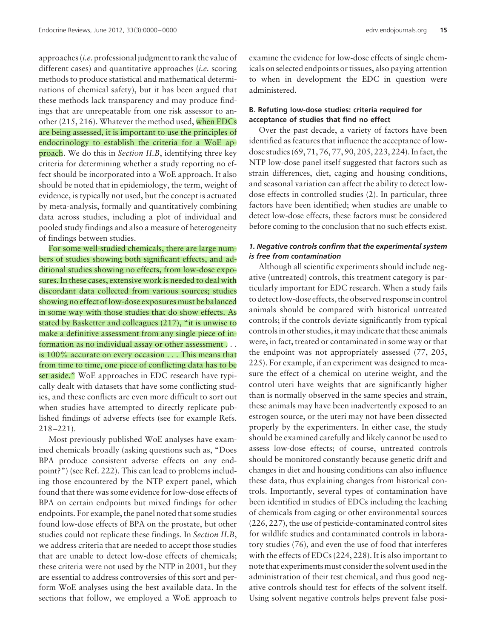approaches (*i.e.* professional judgment to rank the value of different cases) and quantitative approaches (*i.e.* scoring methods to produce statistical and mathematical determinations of chemical safety), but it has been argued that these methods lack transparency and may produce findings that are unrepeatable from one risk assessor to another (215, 216). Whatever the method used, when EDCs are being assessed, it is important to use the principles of endocrinology to establish the criteria for a WoE approach. We do this in *Section II.B*, identifying three key criteria for determining whether a study reporting no effect should be incorporated into a WoE approach. It also should be noted that in epidemiology, the term, weight of evidence, is typically not used, but the concept is actuated by meta-analysis, formally and quantitatively combining data across studies, including a plot of individual and pooled study findings and also a measure of heterogeneity of findings between studies.

For some well-studied chemicals, there are large numbers of studies showing both significant effects, and additional studies showing no effects, from low-dose exposures. In these cases, extensive work is needed to deal with discordant data collected from various sources; studies showing no effect of low-dose exposures must be balanced in some way with those studies that do show effects. As stated by Basketter and colleagues (217), "it is unwise to make a definitive assessment from any single piece of information as no individual assay or other assessment . . . is 100% accurate on every occasion . . . This means that from time to time, one piece of conflicting data has to be set aside." WoE approaches in EDC research have typically dealt with datasets that have some conflicting studies, and these conflicts are even more difficult to sort out when studies have attempted to directly replicate published findings of adverse effects (see for example Refs. 218 –221).

Most previously published WoE analyses have examined chemicals broadly (asking questions such as, "Does BPA produce consistent adverse effects on any endpoint?") (see Ref. 222). This can lead to problems including those encountered by the NTP expert panel, which found that there was some evidence for low-dose effects of BPA on certain endpoints but mixed findings for other endpoints. For example, the panel noted that some studies found low-dose effects of BPA on the prostate, but other studies could not replicate these findings. In *Section II.B*, we address criteria that are needed to accept those studies that are unable to detect low-dose effects of chemicals; these criteria were not used by the NTP in 2001, but they are essential to address controversies of this sort and perform WoE analyses using the best available data. In the sections that follow, we employed a WoE approach to examine the evidence for low-dose effects of single chemicals on selected endpoints or tissues, also paying attention to when in development the EDC in question were administered.

### **B. Refuting low-dose studies: criteria required for acceptance of studies that find no effect**

Over the past decade, a variety of factors have been identified as features that influence the acceptance of lowdose studies (69, 71, 76, 77, 90, 205, 223, 224). In fact, the NTP low-dose panel itself suggested that factors such as strain differences, diet, caging and housing conditions, and seasonal variation can affect the ability to detect lowdose effects in controlled studies (2). In particular, three factors have been identified; when studies are unable to detect low-dose effects, these factors must be considered before coming to the conclusion that no such effects exist.

### *1. Negative controls confirm that the experimental system is free from contamination*

Although all scientific experiments should include negative (untreated) controls, this treatment category is particularly important for EDC research. When a study fails to detect low-dose effects, the observed response in control animals should be compared with historical untreated controls; if the controls deviate significantly from typical controls in other studies, it may indicate that these animals were, in fact, treated or contaminated in some way or that the endpoint was not appropriately assessed (77, 205, 225). For example, if an experiment was designed to measure the effect of a chemical on uterine weight, and the control uteri have weights that are significantly higher than is normally observed in the same species and strain, these animals may have been inadvertently exposed to an estrogen source, or the uteri may not have been dissected properly by the experimenters. In either case, the study should be examined carefully and likely cannot be used to assess low-dose effects; of course, untreated controls should be monitored constantly because genetic drift and changes in diet and housing conditions can also influence these data, thus explaining changes from historical controls. Importantly, several types of contamination have been identified in studies of EDCs including the leaching of chemicals from caging or other environmental sources (226, 227), the use of pesticide-contaminated control sites for wildlife studies and contaminated controls in laboratory studies (76), and even the use of food that interferes with the effects of EDCs (224, 228). It is also important to note that experiments must consider the solvent used in the administration of their test chemical, and thus good negative controls should test for effects of the solvent itself. Using solvent negative controls helps prevent false posi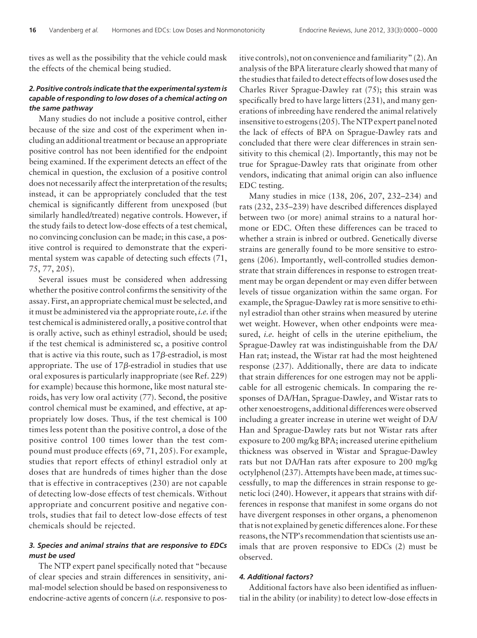tives as well as the possibility that the vehicle could mask the effects of the chemical being studied.

### *2. Positive controls indicate that the experimental system is capable of responding to low doses of a chemical acting on the same pathway*

Many studies do not include a positive control, either because of the size and cost of the experiment when including an additional treatment or because an appropriate positive control has not been identified for the endpoint being examined. If the experiment detects an effect of the chemical in question, the exclusion of a positive control does not necessarily affect the interpretation of the results; instead, it can be appropriately concluded that the test chemical is significantly different from unexposed (but similarly handled/treated) negative controls. However, if the study fails to detect low-dose effects of a test chemical, no convincing conclusion can be made; in this case, a positive control is required to demonstrate that the experimental system was capable of detecting such effects (71, 75, 77, 205).

Several issues must be considered when addressing whether the positive control confirms the sensitivity of the assay. First, an appropriate chemical must be selected, and it must be administered via the appropriate route, *i.e.* if the test chemical is administered orally, a positive control that is orally active, such as ethinyl estradiol, should be used; if the test chemical is administered sc, a positive control that is active via this route, such as  $17\beta$ -estradiol, is most appropriate. The use of  $17\beta$ -estradiol in studies that use oral exposures is particularly inappropriate (see Ref. 229) for example) because this hormone, like most natural steroids, has very low oral activity (77). Second, the positive control chemical must be examined, and effective, at appropriately low doses. Thus, if the test chemical is 100 times less potent than the positive control, a dose of the positive control 100 times lower than the test compound must produce effects (69, 71, 205). For example, studies that report effects of ethinyl estradiol only at doses that are hundreds of times higher than the dose that is effective in contraceptives (230) are not capable of detecting low-dose effects of test chemicals. Without appropriate and concurrent positive and negative controls, studies that fail to detect low-dose effects of test chemicals should be rejected.

### *3. Species and animal strains that are responsive to EDCs must be used*

The NTP expert panel specifically noted that "because of clear species and strain differences in sensitivity, animal-model selection should be based on responsiveness to endocrine-active agents of concern (*i.e.* responsive to positive controls), not on convenience and familiarity" (2). An analysis of the BPA literature clearly showed that many of the studies that failed to detect effects of low doses used the Charles River Sprague-Dawley rat (75); this strain was specifically bred to have large litters (231), and many generations of inbreeding have rendered the animal relatively insensitive to estrogens (205). The NTP expert panel noted the lack of effects of BPA on Sprague-Dawley rats and concluded that there were clear differences in strain sensitivity to this chemical (2). Importantly, this may not be true for Sprague-Dawley rats that originate from other vendors, indicating that animal origin can also influence EDC testing.

Many studies in mice (138, 206, 207, 232–234) and rats (232, 235–239) have described differences displayed between two (or more) animal strains to a natural hormone or EDC. Often these differences can be traced to whether a strain is inbred or outbred. Genetically diverse strains are generally found to be more sensitive to estrogens (206). Importantly, well-controlled studies demonstrate that strain differences in response to estrogen treatment may be organ dependent or may even differ between levels of tissue organization within the same organ. For example, the Sprague-Dawley rat is more sensitive to ethinyl estradiol than other strains when measured by uterine wet weight. However, when other endpoints were measured, *i.e.* height of cells in the uterine epithelium, the Sprague-Dawley rat was indistinguishable from the DA/ Han rat; instead, the Wistar rat had the most heightened response (237). Additionally, there are data to indicate that strain differences for one estrogen may not be applicable for all estrogenic chemicals. In comparing the responses of DA/Han, Sprague-Dawley, and Wistar rats to other xenoestrogens, additional differences were observed including a greater increase in uterine wet weight of DA/ Han and Sprague-Dawley rats but not Wistar rats after exposure to 200 mg/kg BPA; increased uterine epithelium thickness was observed in Wistar and Sprague-Dawley rats but not DA/Han rats after exposure to 200 mg/kg octylphenol (237). Attempts have been made, at times successfully, to map the differences in strain response to genetic loci (240). However, it appears that strains with differences in response that manifest in some organs do not have divergent responses in other organs, a phenomenon that is not explained by genetic differences alone. For these reasons, the NTP's recommendation that scientists use animals that are proven responsive to EDCs (2) must be observed.

### *4. Additional factors?*

Additional factors have also been identified as influential in the ability (or inability) to detect low-dose effects in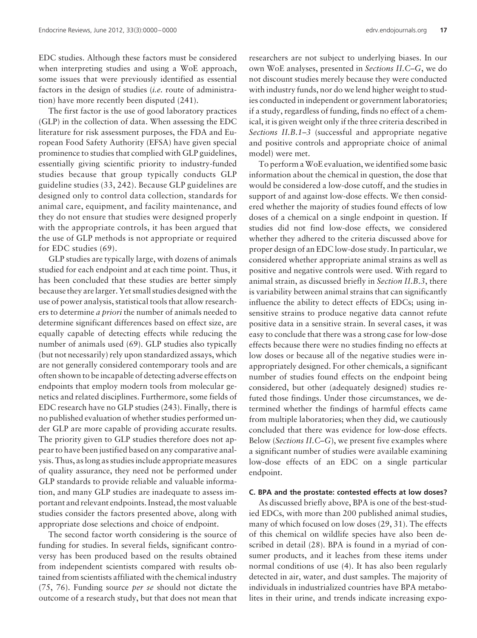EDC studies. Although these factors must be considered when interpreting studies and using a WoE approach, some issues that were previously identified as essential factors in the design of studies (*i.e.* route of administration) have more recently been disputed (241).

The first factor is the use of good laboratory practices (GLP) in the collection of data. When assessing the EDC literature for risk assessment purposes, the FDA and European Food Safety Authority (EFSA) have given special prominence to studies that complied with GLP guidelines, essentially giving scientific priority to industry-funded studies because that group typically conducts GLP guideline studies (33, 242). Because GLP guidelines are designed only to control data collection, standards for animal care, equipment, and facility maintenance, and they do not ensure that studies were designed properly with the appropriate controls, it has been argued that the use of GLP methods is not appropriate or required for EDC studies (69).

GLP studies are typically large, with dozens of animals studied for each endpoint and at each time point. Thus, it has been concluded that these studies are better simply because they are larger. Yet small studies designed with the use of power analysis, statistical tools that allow researchers to determine *a priori* the number of animals needed to determine significant differences based on effect size, are equally capable of detecting effects while reducing the number of animals used (69). GLP studies also typically (but not necessarily) rely upon standardized assays, which are not generally considered contemporary tools and are often shown to be incapable of detecting adverse effects on endpoints that employ modern tools from molecular genetics and related disciplines. Furthermore, some fields of EDC research have no GLP studies (243). Finally, there is no published evaluation of whether studies performed under GLP are more capable of providing accurate results. The priority given to GLP studies therefore does not appear to have been justified based on any comparative analysis. Thus, as long as studies include appropriate measures of quality assurance, they need not be performed under GLP standards to provide reliable and valuable information, and many GLP studies are inadequate to assess important and relevant endpoints. Instead, the most valuable studies consider the factors presented above, along with appropriate dose selections and choice of endpoint.

The second factor worth considering is the source of funding for studies. In several fields, significant controversy has been produced based on the results obtained from independent scientists compared with results obtained from scientists affiliated with the chemical industry (75, 76). Funding source *per se* should not dictate the outcome of a research study, but that does not mean that

researchers are not subject to underlying biases. In our own WoE analyses, presented in *Sections II.C–G*, we do not discount studies merely because they were conducted with industry funds, nor do we lend higher weight to studies conducted in independent or government laboratories; if a study, regardless of funding, finds no effect of a chemical, it is given weight only if the three criteria described in *Sections II.B.1–3* (successful and appropriate negative and positive controls and appropriate choice of animal model) were met.

To perform aWoE evaluation, we identified some basic information about the chemical in question, the dose that would be considered a low-dose cutoff, and the studies in support of and against low-dose effects. We then considered whether the majority of studies found effects of low doses of a chemical on a single endpoint in question. If studies did not find low-dose effects, we considered whether they adhered to the criteria discussed above for proper design of an EDC low-dose study. In particular, we considered whether appropriate animal strains as well as positive and negative controls were used. With regard to animal strain, as discussed briefly in *Section II.B.3*, there is variability between animal strains that can significantly influence the ability to detect effects of EDCs; using insensitive strains to produce negative data cannot refute positive data in a sensitive strain. In several cases, it was easy to conclude that there was a strong case for low-dose effects because there were no studies finding no effects at low doses or because all of the negative studies were inappropriately designed. For other chemicals, a significant number of studies found effects on the endpoint being considered, but other (adequately designed) studies refuted those findings. Under those circumstances, we determined whether the findings of harmful effects came from multiple laboratories; when they did, we cautiously concluded that there was evidence for low-dose effects. Below (*Sections II.C–G*), we present five examples where a significant number of studies were available examining low-dose effects of an EDC on a single particular endpoint.

### **C. BPA and the prostate: contested effects at low doses?**

As discussed briefly above, BPA is one of the best-studied EDCs, with more than 200 published animal studies, many of which focused on low doses (29, 31). The effects of this chemical on wildlife species have also been described in detail (28). BPA is found in a myriad of consumer products, and it leaches from these items under normal conditions of use (4). It has also been regularly detected in air, water, and dust samples. The majority of individuals in industrialized countries have BPA metabolites in their urine, and trends indicate increasing expo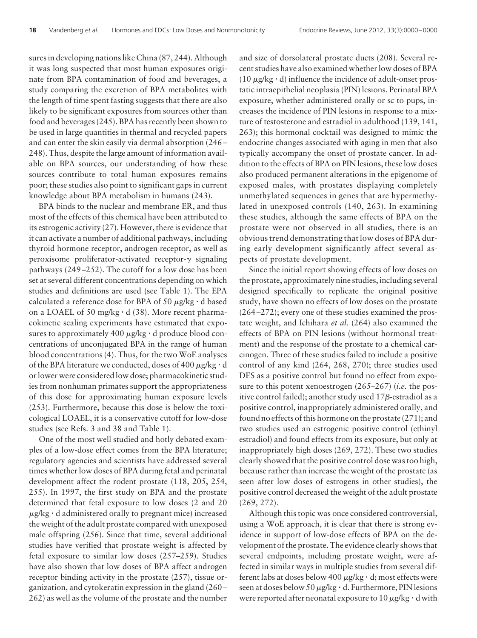sures in developing nations like China (87, 244). Although it was long suspected that most human exposures originate from BPA contamination of food and beverages, a study comparing the excretion of BPA metabolites with the length of time spent fasting suggests that there are also likely to be significant exposures from sources other than food and beverages (245). BPA has recently been shown to be used in large quantities in thermal and recycled papers and can enter the skin easily via dermal absorption (246 – 248). Thus, despite the large amount of information available on BPA sources, our understanding of how these sources contribute to total human exposures remains poor; these studies also point to significant gaps in current knowledge about BPA metabolism in humans (243).

BPA binds to the nuclear and membrane ER, and thus most of the effects of this chemical have been attributed to its estrogenic activity (27). However, there is evidence that it can activate a number of additional pathways, including thyroid hormone receptor, androgen receptor, as well as peroxisome proliferator-activated receptor- $\gamma$  signaling pathways (249 –252). The cutoff for a low dose has been set at several different concentrations depending on which studies and definitions are used (see Table 1). The EPA calculated a reference dose for BPA of 50  $\mu$ g/kg  $\cdot$  d based on a LOAEL of 50 mg/kg $\cdot$  d (38). More recent pharmacokinetic scaling experiments have estimated that exposures to approximately 400  $\mu$ g/kg  $\cdot$  d produce blood concentrations of unconjugated BPA in the range of human blood concentrations (4). Thus, for the two WoE analyses of the BPA literature we conducted, doses of 400  $\mu$ g/kg  $\cdot$  d or lower were considered low dose; pharmacokinetic studies from nonhuman primates support the appropriateness of this dose for approximating human exposure levels (253). Furthermore, because this dose is below the toxicological LOAEL, it is a conservative cutoff for low-dose studies (see Refs. 3 and 38 and Table 1).

One of the most well studied and hotly debated examples of a low-dose effect comes from the BPA literature; regulatory agencies and scientists have addressed several times whether low doses of BPA during fetal and perinatal development affect the rodent prostate (118, 205, 254, 255). In 1997, the first study on BPA and the prostate determined that fetal exposure to low doses (2 and 20  $\mu$ g/kg  $\cdot$  d administered orally to pregnant mice) increased the weight of the adult prostate compared with unexposed male offspring (256). Since that time, several additional studies have verified that prostate weight is affected by fetal exposure to similar low doses (257–259). Studies have also shown that low doses of BPA affect androgen receptor binding activity in the prostate (257), tissue organization, and cytokeratin expression in the gland (260 – 262) as well as the volume of the prostate and the number and size of dorsolateral prostate ducts (208). Several recent studies have also examined whether low doses of BPA (10  $\mu$ g/kg  $\cdot$  d) influence the incidence of adult-onset prostatic intraepithelial neoplasia (PIN) lesions. Perinatal BPA exposure, whether administered orally or sc to pups, increases the incidence of PIN lesions in response to a mixture of testosterone and estradiol in adulthood (139, 141, 263); this hormonal cocktail was designed to mimic the endocrine changes associated with aging in men that also typically accompany the onset of prostate cancer. In addition to the effects of BPA on PIN lesions, these low doses also produced permanent alterations in the epigenome of exposed males, with prostates displaying completely unmethylated sequences in genes that are hypermethylated in unexposed controls (140, 263). In examining these studies, although the same effects of BPA on the prostate were not observed in all studies, there is an obvious trend demonstrating that low doses of BPA during early development significantly affect several aspects of prostate development.

Since the initial report showing effects of low doses on the prostate, approximately nine studies, including several designed specifically to replicate the original positive study, have shown no effects of low doses on the prostate (264 –272); every one of these studies examined the prostate weight, and Ichihara *et al.* (264) also examined the effects of BPA on PIN lesions (without hormonal treatment) and the response of the prostate to a chemical carcinogen. Three of these studies failed to include a positive control of any kind (264, 268, 270); three studies used DES as a positive control but found no effect from exposure to this potent xenoestrogen (265–267) (*i.e.* the positive control failed); another study used  $17\beta$ -estradiol as a positive control, inappropriately administered orally, and found no effects of this hormone on the prostate (271); and two studies used an estrogenic positive control (ethinyl estradiol) and found effects from its exposure, but only at inappropriately high doses (269, 272). These two studies clearly showed that the positive control dose was too high, because rather than increase the weight of the prostate (as seen after low doses of estrogens in other studies), the positive control decreased the weight of the adult prostate (269, 272).

Although this topic was once considered controversial, using a WoE approach, it is clear that there is strong evidence in support of low-dose effects of BPA on the development of the prostate. The evidence clearly shows that several endpoints, including prostate weight, were affected in similar ways in multiple studies from several different labs at doses below 400  $\mu$ g/kg  $\cdot$  d; most effects were seen at doses below 50  $\mu$ g/kg  $\cdot$  d. Furthermore, PIN lesions were reported after neonatal exposure to  $10 \mu g/kg \cdot d$  with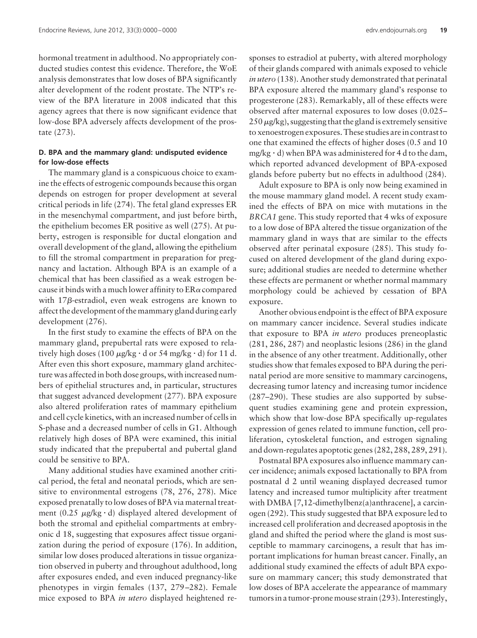hormonal treatment in adulthood. No appropriately conducted studies contest this evidence. Therefore, the WoE analysis demonstrates that low doses of BPA significantly alter development of the rodent prostate. The NTP's review of the BPA literature in 2008 indicated that this agency agrees that there is now significant evidence that low-dose BPA adversely affects development of the prostate (273).

### **D. BPA and the mammary gland: undisputed evidence for low-dose effects**

The mammary gland is a conspicuous choice to examine the effects of estrogenic compounds because this organ depends on estrogen for proper development at several critical periods in life (274). The fetal gland expresses ER in the mesenchymal compartment, and just before birth, the epithelium becomes ER positive as well (275). At puberty, estrogen is responsible for ductal elongation and overall development of the gland, allowing the epithelium to fill the stromal compartment in preparation for pregnancy and lactation. Although BPA is an example of a chemical that has been classified as a weak estrogen because it binds with a much lower affinity to  $ER\alpha$  compared with  $17\beta$ -estradiol, even weak estrogens are known to affect the development of the mammary gland during early development (276).

In the first study to examine the effects of BPA on the mammary gland, prepubertal rats were exposed to relatively high doses (100  $\mu$ g/kg  $\cdot$  d or 54 mg/kg  $\cdot$  d) for 11 d. After even this short exposure, mammary gland architecture was affected in both dose groups, with increased numbers of epithelial structures and, in particular, structures that suggest advanced development (277). BPA exposure also altered proliferation rates of mammary epithelium and cell cycle kinetics, with an increased number of cells in S-phase and a decreased number of cells in G1. Although relatively high doses of BPA were examined, this initial study indicated that the prepubertal and pubertal gland could be sensitive to BPA.

Many additional studies have examined another critical period, the fetal and neonatal periods, which are sensitive to environmental estrogens (78, 276, 278). Mice exposed prenatally to low doses of BPA via maternal treatment (0.25  $\mu$ g/kg·d) displayed altered development of both the stromal and epithelial compartments at embryonic d 18, suggesting that exposures affect tissue organization during the period of exposure (176). In addition, similar low doses produced alterations in tissue organization observed in puberty and throughout adulthood, long after exposures ended, and even induced pregnancy-like phenotypes in virgin females (137, 279 –282). Female mice exposed to BPA *in utero* displayed heightened re-

sponses to estradiol at puberty, with altered morphology of their glands compared with animals exposed to vehicle *in utero* (138). Another study demonstrated that perinatal BPA exposure altered the mammary gland's response to progesterone (283). Remarkably, all of these effects were observed after maternal exposures to low doses (0.025–  $250 \mu g/kg$ , suggesting that the gland is extremely sensitive to xenoestrogen exposures. These studies are in contrast to one that examined the effects of higher doses (0.5 and 10 mg/kg $\cdot$  d) when BPA was administered for 4 d to the dam, which reported advanced development of BPA-exposed glands before puberty but no effects in adulthood (284).

Adult exposure to BPA is only now being examined in the mouse mammary gland model. A recent study examined the effects of BPA on mice with mutations in the *BRCA1* gene. This study reported that 4 wks of exposure to a low dose of BPA altered the tissue organization of the mammary gland in ways that are similar to the effects observed after perinatal exposure (285). This study focused on altered development of the gland during exposure; additional studies are needed to determine whether these effects are permanent or whether normal mammary morphology could be achieved by cessation of BPA exposure.

Another obvious endpoint is the effect of BPA exposure on mammary cancer incidence. Several studies indicate that exposure to BPA *in utero* produces preneoplastic (281, 286, 287) and neoplastic lesions (286) in the gland in the absence of any other treatment. Additionally, other studies show that females exposed to BPA during the perinatal period are more sensitive to mammary carcinogens, decreasing tumor latency and increasing tumor incidence (287–290). These studies are also supported by subsequent studies examining gene and protein expression, which show that low-dose BPA specifically up-regulates expression of genes related to immune function, cell proliferation, cytoskeletal function, and estrogen signaling and down-regulates apoptotic genes (282, 288, 289, 291).

Postnatal BPA exposures also influence mammary cancer incidence; animals exposed lactationally to BPA from postnatal d 2 until weaning displayed decreased tumor latency and increased tumor multiplicity after treatment with DMBA [7,12-dimethylbenz(a)anthracene], a carcinogen (292). This study suggested that BPA exposure led to increased cell proliferation and decreased apoptosis in the gland and shifted the period where the gland is most susceptible to mammary carcinogens, a result that has important implications for human breast cancer. Finally, an additional study examined the effects of adult BPA exposure on mammary cancer; this study demonstrated that low doses of BPA accelerate the appearance of mammary tumors in a tumor-prone mouse strain (293). Interestingly,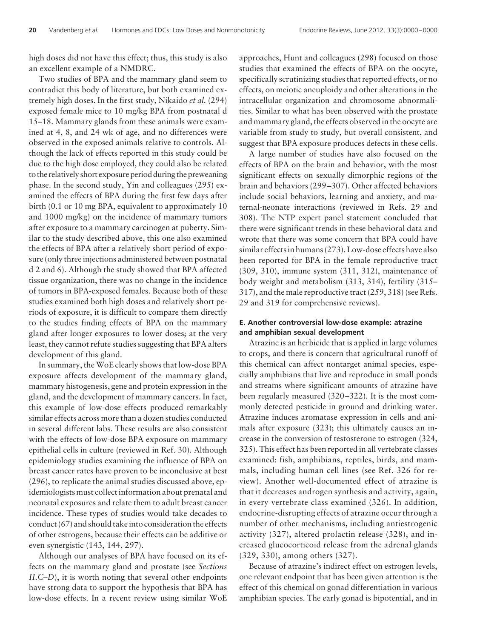high doses did not have this effect; thus, this study is also an excellent example of a NMDRC.

Two studies of BPA and the mammary gland seem to contradict this body of literature, but both examined extremely high doses. In the first study, Nikaido *et al.* (294) exposed female mice to 10 mg/kg BPA from postnatal d 15–18. Mammary glands from these animals were examined at 4, 8, and 24 wk of age, and no differences were observed in the exposed animals relative to controls. Although the lack of effects reported in this study could be due to the high dose employed, they could also be related to the relatively short exposure period during the preweaning phase. In the second study, Yin and colleagues (295) examined the effects of BPA during the first few days after birth (0.1 or 10 mg BPA, equivalent to approximately 10 and 1000 mg/kg) on the incidence of mammary tumors after exposure to a mammary carcinogen at puberty. Similar to the study described above, this one also examined the effects of BPA after a relatively short period of exposure (only three injections administered between postnatal d 2 and 6). Although the study showed that BPA affected tissue organization, there was no change in the incidence of tumors in BPA-exposed females. Because both of these studies examined both high doses and relatively short periods of exposure, it is difficult to compare them directly to the studies finding effects of BPA on the mammary gland after longer exposures to lower doses; at the very least, they cannot refute studies suggesting that BPA alters development of this gland.

In summary, the WoE clearly shows that low-dose BPA exposure affects development of the mammary gland, mammary histogenesis, gene and protein expression in the gland, and the development of mammary cancers. In fact, this example of low-dose effects produced remarkably similar effects across more than a dozen studies conducted in several different labs. These results are also consistent with the effects of low-dose BPA exposure on mammary epithelial cells in culture (reviewed in Ref. 30). Although epidemiology studies examining the influence of BPA on breast cancer rates have proven to be inconclusive at best (296), to replicate the animal studies discussed above, epidemiologists must collect information about prenatal and neonatal exposures and relate them to adult breast cancer incidence. These types of studies would take decades to conduct (67) and should take into consideration the effects of other estrogens, because their effects can be additive or even synergistic (143, 144, 297).

Although our analyses of BPA have focused on its effects on the mammary gland and prostate (see *Sections II.C–D*), it is worth noting that several other endpoints have strong data to support the hypothesis that BPA has low-dose effects. In a recent review using similar WoE approaches, Hunt and colleagues (298) focused on those studies that examined the effects of BPA on the oocyte, specifically scrutinizing studies that reported effects, or no effects, on meiotic aneuploidy and other alterations in the intracellular organization and chromosome abnormalities. Similar to what has been observed with the prostate and mammary gland, the effects observed in the oocyte are variable from study to study, but overall consistent, and suggest that BPA exposure produces defects in these cells.

A large number of studies have also focused on the effects of BPA on the brain and behavior, with the most significant effects on sexually dimorphic regions of the brain and behaviors (299 –307). Other affected behaviors include social behaviors, learning and anxiety, and maternal-neonate interactions (reviewed in Refs. 29 and 308). The NTP expert panel statement concluded that there were significant trends in these behavioral data and wrote that there was some concern that BPA could have similar effects in humans (273). Low-dose effects have also been reported for BPA in the female reproductive tract (309, 310), immune system (311, 312), maintenance of body weight and metabolism (313, 314), fertility (315– 317), and the male reproductive tract (259, 318) (see Refs. 29 and 319 for comprehensive reviews).

### **E. Another controversial low-dose example: atrazine and amphibian sexual development**

Atrazine is an herbicide that is applied in large volumes to crops, and there is concern that agricultural runoff of this chemical can affect nontarget animal species, especially amphibians that live and reproduce in small ponds and streams where significant amounts of atrazine have been regularly measured (320 –322). It is the most commonly detected pesticide in ground and drinking water. Atrazine induces aromatase expression in cells and animals after exposure (323); this ultimately causes an increase in the conversion of testosterone to estrogen (324, 325). This effect has been reported in all vertebrate classes examined: fish, amphibians, reptiles, birds, and mammals, including human cell lines (see Ref. 326 for review). Another well-documented effect of atrazine is that it decreases androgen synthesis and activity, again, in every vertebrate class examined (326). In addition, endocrine-disrupting effects of atrazine occur through a number of other mechanisms, including antiestrogenic activity (327), altered prolactin release (328), and increased glucocorticoid release from the adrenal glands (329, 330), among others (327).

Because of atrazine's indirect effect on estrogen levels, one relevant endpoint that has been given attention is the effect of this chemical on gonad differentiation in various amphibian species. The early gonad is bipotential, and in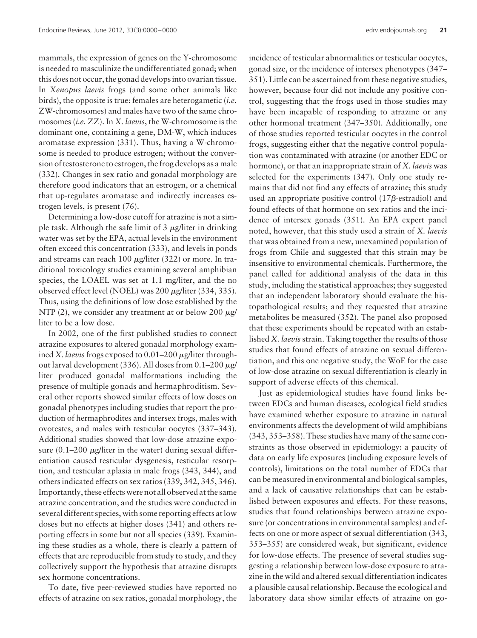mammals, the expression of genes on the Y-chromosome is needed to masculinize the undifferentiated gonad; when this does not occur, the gonad develops into ovarian tissue. In *Xenopus laevis* frogs (and some other animals like birds), the opposite is true: females are heterogametic (*i.e.* ZW-chromosomes) and males have two of the same chromosomes (*i.e.* ZZ). In *X. laevis*, the W-chromosome is the dominant one, containing a gene, DM-W, which induces aromatase expression (331). Thus, having a W-chromosome is needed to produce estrogen; without the conversion of testosterone to estrogen, the frog develops as a male (332). Changes in sex ratio and gonadal morphology are therefore good indicators that an estrogen, or a chemical that up-regulates aromatase and indirectly increases estrogen levels, is present (76).

Determining a low-dose cutoff for atrazine is not a simple task. Although the safe limit of  $\frac{3}{2}$   $\mu$ g/liter in drinking water was set by the EPA, actual levels in the environment often exceed this concentration (333), and levels in ponds and streams can reach 100  $\mu$ g/liter (322) or more. In traditional toxicology studies examining several amphibian species, the LOAEL was set at 1.1 mg/liter, and the no observed effect level (NOEL) was  $200 \mu$ g/liter (334, 335). Thus, using the definitions of low dose established by the NTP (2), we consider any treatment at or below 200  $\mu$ g/ liter to be a low dose.

In 2002, one of the first published studies to connect atrazine exposures to altered gonadal morphology examined *X. laevis* frogs exposed to  $0.01-200 \mu$  g/liter throughout larval development (336). All doses from  $0.1-200 \mu$ g/ liter produced gonadal malformations including the presence of multiple gonads and hermaphroditism. Several other reports showed similar effects of low doses on gonadal phenotypes including studies that report the production of hermaphrodites and intersex frogs, males with ovotestes, and males with testicular oocytes (337–343). Additional studies showed that low-dose atrazine exposure  $(0.1–200 \mu g/l$  differentiation caused testicular dysgenesis, testicular resorption, and testicular aplasia in male frogs (343, 344), and others indicated effects on sex ratios (339, 342, 345, 346). Importantly, these effects were not all observed at the same atrazine concentration, and the studies were conducted in several different species, with some reporting effects at low doses but no effects at higher doses (341) and others reporting effects in some but not all species (339). Examining these studies as a whole, there is clearly a pattern of effects that are reproducible from study to study, and they collectively support the hypothesis that atrazine disrupts sex hormone concentrations.

To date, five peer-reviewed studies have reported no effects of atrazine on sex ratios, gonadal morphology, the

incidence of testicular abnormalities or testicular oocytes, gonad size, or the incidence of intersex phenotypes (347– 351). Little can be ascertained from these negative studies, however, because four did not include any positive control, suggesting that the frogs used in those studies may have been incapable of responding to atrazine or any other hormonal treatment (347–350). Additionally, one of those studies reported testicular oocytes in the control frogs, suggesting either that the negative control population was contaminated with atrazine (or another EDC or hormone), or that an inappropriate strain of *X. laevis* was selected for the experiments (347). Only one study remains that did not find any effects of atrazine; this study used an appropriate positive control  $(17\beta\text{-estradiol})$  and found effects of that hormone on sex ratios and the incidence of intersex gonads (351). An EPA expert panel noted, however, that this study used a strain of *X. laevis* that was obtained from a new, unexamined population of frogs from Chile and suggested that this strain may be insensitive to environmental chemicals. Furthermore, the panel called for additional analysis of the data in this study, including the statistical approaches; they suggested that an independent laboratory should evaluate the histopathological results; and they requested that atrazine metabolites be measured (352). The panel also proposed that these experiments should be repeated with an established *X. laevis*strain. Taking together the results of those studies that found effects of atrazine on sexual differentiation, and this one negative study, the WoE for the case of low-dose atrazine on sexual differentiation is clearly in support of adverse effects of this chemical.

Just as epidemiological studies have found links between EDCs and human diseases, ecological field studies have examined whether exposure to atrazine in natural environments affects the development of wild amphibians (343, 353–358). These studies have many of the same constraints as those observed in epidemiology: a paucity of data on early life exposures (including exposure levels of controls), limitations on the total number of EDCs that can be measured in environmental and biological samples, and a lack of causative relationships that can be established between exposures and effects. For these reasons, studies that found relationships between atrazine exposure (or concentrations in environmental samples) and effects on one or more aspect of sexual differentiation (343, 353–355) are considered weak, but significant, evidence for low-dose effects. The presence of several studies suggesting a relationship between low-dose exposure to atrazine in the wild and altered sexual differentiation indicates a plausible causal relationship. Because the ecological and laboratory data show similar effects of atrazine on go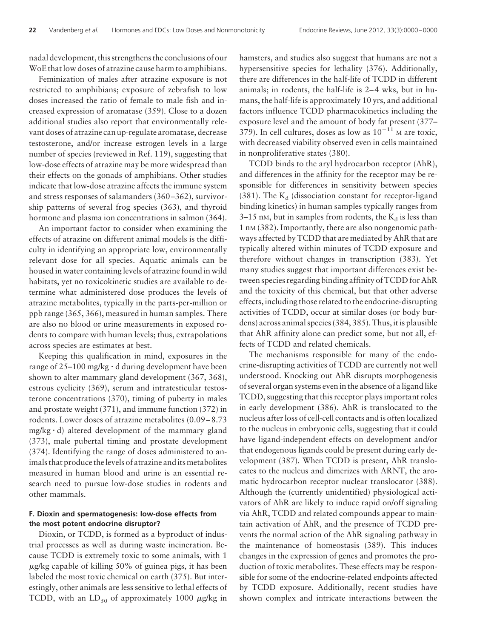nadal development, this strengthens the conclusions of our WoE that low doses of atrazine cause harm to amphibians.

Feminization of males after atrazine exposure is not restricted to amphibians; exposure of zebrafish to low doses increased the ratio of female to male fish and increased expression of aromatase (359). Close to a dozen additional studies also report that environmentally relevant doses of atrazine can up-regulate aromatase, decrease testosterone, and/or increase estrogen levels in a large number of species (reviewed in Ref. 119), suggesting that low-dose effects of atrazine may be more widespread than their effects on the gonads of amphibians. Other studies indicate that low-dose atrazine affects the immune system and stress responses of salamanders (360 –362), survivorship patterns of several frog species (363), and thyroid hormone and plasma ion concentrations in salmon (364).

An important factor to consider when examining the effects of atrazine on different animal models is the difficulty in identifying an appropriate low, environmentally relevant dose for all species. Aquatic animals can be housed in water containing levels of atrazine found in wild habitats, yet no toxicokinetic studies are available to determine what administered dose produces the levels of atrazine metabolites, typically in the parts-per-million or ppb range (365, 366), measured in human samples. There are also no blood or urine measurements in exposed rodents to compare with human levels; thus, extrapolations across species are estimates at best.

Keeping this qualification in mind, exposures in the range of  $25-100$  mg/kg  $\cdot$  d during development have been shown to alter mammary gland development (367, 368), estrous cyclicity (369), serum and intratesticular testosterone concentrations (370), timing of puberty in males and prostate weight (371), and immune function (372) in rodents. Lower doses of atrazine metabolites (0.09 – 8.73  $mg/kg \cdot d$ ) altered development of the mammary gland (373), male pubertal timing and prostate development (374). Identifying the range of doses administered to animals that produce the levels of atrazine and its metabolites measured in human blood and urine is an essential research need to pursue low-dose studies in rodents and other mammals.

### **F. Dioxin and spermatogenesis: low-dose effects from the most potent endocrine disruptor?**

Dioxin, or TCDD, is formed as a byproduct of industrial processes as well as during waste incineration. Because TCDD is extremely toxic to some animals, with 1  $\mu$ g/kg capable of killing 50% of guinea pigs, it has been labeled the most toxic chemical on earth (375). But interestingly, other animals are less sensitive to lethal effects of TCDD, with an  $LD_{50}$  of approximately 1000  $\mu$ g/kg in

hamsters, and studies also suggest that humans are not a hypersensitive species for lethality (376). Additionally, there are differences in the half-life of TCDD in different animals; in rodents, the half-life is 2–4 wks, but in humans, the half-life is approximately 10 yrs, and additional factors influence TCDD pharmacokinetics including the exposure level and the amount of body fat present (377– 379). In cell cultures, doses as low as  $10^{-11}$  M are toxic, with decreased viability observed even in cells maintained in nonproliferative states (380).

TCDD binds to the aryl hydrocarbon receptor (AhR), and differences in the affinity for the receptor may be responsible for differences in sensitivity between species (381). The  $K_d$  (dissociation constant for receptor-ligand binding kinetics) in human samples typically ranges from  $3-15$  nm, but in samples from rodents, the  $K_d$  is less than 1 nM (382). Importantly, there are also nongenomic pathways affected by TCDD that are mediated by AhR that are typically altered within minutes of TCDD exposure and therefore without changes in transcription (383). Yet many studies suggest that important differences exist between species regarding binding affinity of TCDD for AhR and the toxicity of this chemical, but that other adverse effects, including those related to the endocrine-disrupting activities of TCDD, occur at similar doses (or body burdens) across animal species (384, 385). Thus, it is plausible that AhR affinity alone can predict some, but not all, effects of TCDD and related chemicals.

The mechanisms responsible for many of the endocrine-disrupting activities of TCDD are currently not well understood. Knocking out AhR disrupts morphogenesis of several organ systems even in the absence of a ligand like TCDD, suggesting that this receptor plays important roles in early development (386). AhR is translocated to the nucleus after loss of cell-cell contacts and is often localized to the nucleus in embryonic cells, suggesting that it could have ligand-independent effects on development and/or that endogenous ligands could be present during early development (387). When TCDD is present, AhR translocates to the nucleus and dimerizes with ARNT, the aromatic hydrocarbon receptor nuclear translocator (388). Although the (currently unidentified) physiological activators of AhR are likely to induce rapid on/off signaling via AhR, TCDD and related compounds appear to maintain activation of AhR, and the presence of TCDD prevents the normal action of the AhR signaling pathway in the maintenance of homeostasis (389). This induces changes in the expression of genes and promotes the production of toxic metabolites. These effects may be responsible for some of the endocrine-related endpoints affected by TCDD exposure. Additionally, recent studies have shown complex and intricate interactions between the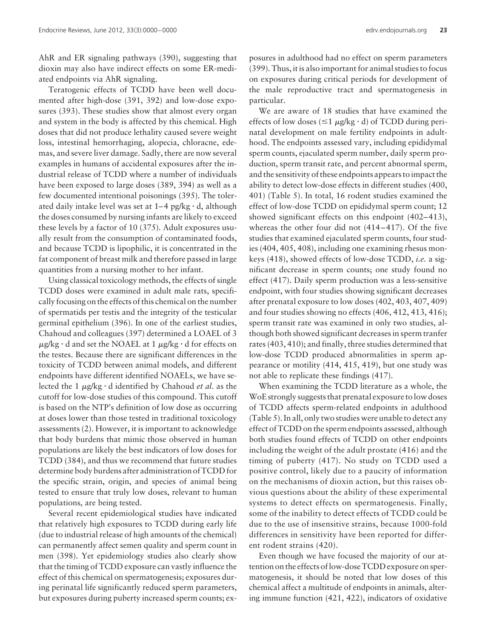AhR and ER signaling pathways (390), suggesting that dioxin may also have indirect effects on some ER-mediated endpoints via AhR signaling.

Teratogenic effects of TCDD have been well documented after high-dose (391, 392) and low-dose exposures (393). These studies show that almost every organ and system in the body is affected by this chemical. High doses that did not produce lethality caused severe weight loss, intestinal hemorrhaging, alopecia, chloracne, edemas, and severe liver damage. Sadly, there are now several examples in humans of accidental exposures after the industrial release of TCDD where a number of individuals have been exposed to large doses (389, 394) as well as a few documented intentional poisonings (395). The tolerated daily intake level was set at  $1-4$  pg/kg  $\cdot$  d, although the doses consumed by nursing infants are likely to exceed these levels by a factor of 10 (375). Adult exposures usually result from the consumption of contaminated foods, and because TCDD is lipophilic, it is concentrated in the fat component of breast milk and therefore passed in large quantities from a nursing mother to her infant.

Using classical toxicology methods, the effects of single TCDD doses were examined in adult male rats, specifically focusing on the effects of this chemical on the number of spermatids per testis and the integrity of the testicular germinal epithelium (396). In one of the earliest studies, Chahoud and colleagues (397) determined a LOAEL of 3  $\mu$ g/kg  $\cdot$  d and set the NOAEL at 1  $\mu$ g/kg  $\cdot$  d for effects on the testes. Because there are significant differences in the toxicity of TCDD between animal models, and different endpoints have different identified NOAELs, we have selected the 1  $\mu$ g/kg  $\cdot$  d identified by Chahoud *et al.* as the cutoff for low-dose studies of this compound. This cutoff is based on the NTP's definition of low dose as occurring at doses lower than those tested in traditional toxicology assessments (2). However, it is important to acknowledge that body burdens that mimic those observed in human populations are likely the best indicators of low doses for TCDD (384), and thus we recommend that future studies determine body burdens after administration of TCDD for the specific strain, origin, and species of animal being tested to ensure that truly low doses, relevant to human populations, are being tested.

Several recent epidemiological studies have indicated that relatively high exposures to TCDD during early life (due to industrial release of high amounts of the chemical) can permanently affect semen quality and sperm count in men (398). Yet epidemiology studies also clearly show that the timing of TCDD exposure can vastly influence the effect of this chemical on spermatogenesis; exposures during perinatal life significantly reduced sperm parameters, but exposures during puberty increased sperm counts; ex-

posures in adulthood had no effect on sperm parameters (399). Thus, it is also important for animal studies to focus on exposures during critical periods for development of the male reproductive tract and spermatogenesis in particular.

We are aware of 18 studies that have examined the effects of low doses ( $\leq$ 1  $\mu$ g/kg · d) of TCDD during perinatal development on male fertility endpoints in adulthood. The endpoints assessed vary, including epididymal sperm counts, ejaculated sperm number, daily sperm production, sperm transit rate, and percent abnormal sperm, and the sensitivity of these endpoints appears to impact the ability to detect low-dose effects in different studies (400, 401) (Table 5). In total, 16 rodent studies examined the effect of low-dose TCDD on epididymal sperm count; 12 showed significant effects on this endpoint (402–413), whereas the other four did not  $(414-417)$ . Of the five studies that examined ejaculated sperm counts, four studies (404, 405, 408), including one examining rhesus monkeys (418), showed effects of low-dose TCDD, *i.e.* a significant decrease in sperm counts; one study found no effect (417). Daily sperm production was a less-sensitive endpoint, with four studies showing significant decreases after prenatal exposure to low doses (402, 403, 407, 409) and four studies showing no effects (406, 412, 413, 416); sperm transit rate was examined in only two studies, although both showed significant decreases in sperm tranfer rates (403, 410); and finally, three studies determined that low-dose TCDD produced abnormalities in sperm appearance or motility (414, 415, 419), but one study was not able to replicate these findings (417).

When examining the TCDD literature as a whole, the WoE strongly suggests that prenatal exposure to low doses of TCDD affects sperm-related endpoints in adulthood (Table 5). In all, only two studies were unable to detect any effect of TCDD on the sperm endpoints assessed, although both studies found effects of TCDD on other endpoints including the weight of the adult prostate (416) and the timing of puberty (417). No study on TCDD used a positive control, likely due to a paucity of information on the mechanisms of dioxin action, but this raises obvious questions about the ability of these experimental systems to detect effects on spermatogenesis. Finally, some of the inability to detect effects of TCDD could be due to the use of insensitive strains, because 1000-fold differences in sensitivity have been reported for different rodent strains (420).

Even though we have focused the majority of our attention on the effects of low-dose TCDD exposure on spermatogenesis, it should be noted that low doses of this chemical affect a multitude of endpoints in animals, altering immune function (421, 422), indicators of oxidative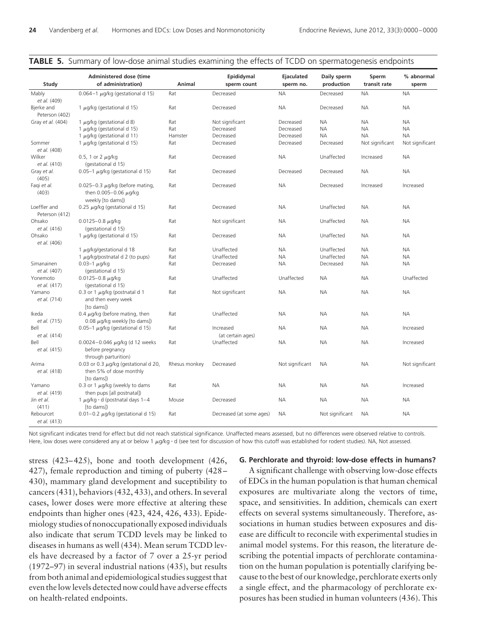| Study                          | Administered dose (time<br>of administration)                                                | Animal        | Epididymal<br>sperm count | <b>Ejaculated</b><br>sperm no. | Daily sperm<br>production | Sperm<br>transit rate | % abnormal<br>sperm |
|--------------------------------|----------------------------------------------------------------------------------------------|---------------|---------------------------|--------------------------------|---------------------------|-----------------------|---------------------|
| Mably<br>et al. (409)          | $0.064 - 1$ $\mu$ g/kg (gestational d 15)                                                    | Rat           | Decreased                 | <b>NA</b>                      | Decreased                 | <b>NA</b>             | <b>NA</b>           |
| Bjerke and<br>Peterson (402)   | 1 $\mu$ g/kg (gestational d 15)                                                              | Rat           | Decreased                 | <b>NA</b>                      | Decreased                 | <b>NA</b>             | <b>NA</b>           |
| Gray et al. (404)              | 1 $\mu$ g/kg (gestational d 8)                                                               | Rat           | Not significant           | Decreased                      | <b>NA</b>                 | <b>NA</b>             | <b>NA</b>           |
|                                | 1 $\mu$ g/kg (gestational d 15)                                                              | Rat           | Decreased                 | Decreased                      | <b>NA</b>                 | <b>NA</b>             | <b>ΝΑ</b>           |
|                                | 1 $\mu$ g/kg (gestational d 11)                                                              | Hamster       | Decreased                 | Decreased                      | NА                        | NА                    | <b>NA</b>           |
| Sommer<br>et al. (408)         | 1 $\mu$ g/kg (gestational d 15)                                                              | Rat           | Decreased                 | Decreased                      | Decreased                 | Not significant       | Not significant     |
| Wilker                         | 0.5, 1 or 2 $\mu$ g/kg                                                                       | Rat           | Decreased                 | NА                             | Unaffected                | Increased             | <b>NA</b>           |
| et al. (410)                   | (gestational d 15)                                                                           |               |                           |                                |                           |                       |                     |
| Gray et al.<br>(405)           | 0.05-1 $\mu$ g/kg (gestational d 15)                                                         | Rat           | Decreased                 | Decreased                      | Decreased                 | <b>NA</b>             | <b>ΝΑ</b>           |
| Faqi et al.<br>(403)           | 0.025-0.3 $\mu$ g/kg (before mating,<br>then $0.005 - 0.06 \mu q/kg$<br>weekly [to dams])    | Rat           | Decreased                 | <b>NA</b>                      | Decreased                 | Increased             | Increased           |
| Loeffler and<br>Peterson (412) | 0.25 $\mu$ g/kg (gestational d 15)                                                           | Rat           | Decreased                 | <b>NA</b>                      | Unaffected                | <b>NA</b>             | <b>NA</b>           |
| Ohsako<br>et al. (416)         | 0.0125-0.8 $\mu$ g/kg<br>(gestational d 15)                                                  | Rat           | Not significant           | <b>NA</b>                      | Unaffected                | <b>NA</b>             | <b>NA</b>           |
| Ohsako<br>et al. (406)         | 1 $\mu$ g/kg (gestational d 15)                                                              | Rat           | Decreased                 | <b>NA</b>                      | Unaffected                | <b>NA</b>             | <b>NA</b>           |
|                                | 1 $\mu$ g/kg/gestational d 18                                                                | Rat           | Unaffected                | <b>NA</b>                      | Unaffected                | <b>NA</b>             | <b>NA</b>           |
|                                | 1 $\mu$ g/kg/postnatal d 2 (to pups)                                                         | Rat           | Unaffected                | <b>NA</b>                      | Unaffected                | <b>NA</b>             | <b>NA</b>           |
| Simanainen                     | 0.03-1 $\mu$ g/kg                                                                            | Rat           | Decreased                 | <b>NA</b>                      | Decreased                 | <b>NA</b>             | <b>NA</b>           |
| et al. (407)                   | (gestational d 15)                                                                           |               |                           |                                |                           |                       |                     |
| Yonemoto                       | 0.0125-0.8 $\mu$ g/kg                                                                        | Rat           | Unaffected                | Unaffected                     | <b>NA</b>                 | <b>NA</b>             | Unaffected          |
| et al. (417)                   | (gestational d 15)                                                                           |               |                           |                                |                           |                       |                     |
| Yamano<br>et al. (714)         | 0.3 or 1 $\mu$ g/kg (postnatal d 1<br>and then every week<br>[to dams])                      | Rat           | Not significant           | <b>NA</b>                      | <b>NA</b>                 | <b>NA</b>             | <b>NA</b>           |
| Ikeda                          | 0.4 $\mu$ g/kg (before mating, then                                                          | Rat           | Unaffected                | <b>NA</b>                      | <b>NA</b>                 | <b>NA</b>             | <b>NA</b>           |
| et al. (715)<br>Bell           | 0.08 $\mu$ g/kg weekly [to dams])<br>0.05-1 $\mu$ g/kg (gestational d 15)                    | Rat           | Increased                 | NА                             | ΝA                        | <b>NA</b>             | Increased           |
| et al. (414)                   |                                                                                              |               | (at certain ages)         |                                |                           |                       |                     |
| Bell<br>et al. (415)           | 0.0024-0.046 $\mu$ g/kg (d 12 weeks<br>before pregnancy                                      | Rat           | Unaffected                | <b>ΝΑ</b>                      | ΝA                        | <b>NA</b>             | Increased           |
| Arima<br>et al. (418)          | through parturition)<br>0.03 or 0.3 $\mu$ g/kg (gestational d 20,<br>then 5% of dose monthly | Rhesus monkey | Decreased                 | Not significant                | <b>NA</b>                 | <b>NA</b>             | Not significant     |
| Yamano                         | [to dams])<br>0.3 or 1 $\mu$ g/kg (weekly to dams                                            | Rat           | <b>NA</b>                 | <b>ΝΑ</b>                      | <b>NA</b>                 | <b>NA</b>             | Increased           |
| et al. (419)                   | then pups [all postnatal])                                                                   |               |                           |                                |                           |                       |                     |
| Jin et al.<br>(411)            | 1 $\mu$ g/kg · d (postnatal days 1-4<br>[to dams])                                           | Mouse         | Decreased                 | NА                             | ΝA                        | <b>NA</b>             | <b>NA</b>           |
| Rebourcet<br>et al. (413)      | $0.01 - 0.2 \mu q/kg$ (gestational d 15)                                                     | Rat           | Decreased (at some ages)  | <b>NA</b>                      | Not significant           | <b>NA</b>             | <b>NA</b>           |

### **TABLE 5.** Summary of low-dose animal studies examining the effects of TCDD on spermatogenesis endpoints

Not significant indicates trend for effect but did not reach statistical significance. Unaffected means assessed, but no differences were observed relative to controls. Here, low doses were considered any at or below 1  $\mu g / kg \cdot d$  (see text for discussion of how this cutoff was established for rodent studies). NA, Not assessed.

stress (423–425), bone and tooth development (426, 427), female reproduction and timing of puberty (428 – 430), mammary gland development and suceptibility to cancers (431), behaviors (432, 433), and others. In several cases, lower doses were more effective at altering these endpoints than higher ones (423, 424, 426, 433). Epidemiology studies of nonoccupationally exposed individuals also indicate that serum TCDD levels may be linked to diseases in humans as well (434). Mean serum TCDD levels have decreased by a factor of 7 over a 25-yr period (1972–97) in several industrial nations (435), but results from both animal and epidemiological studies suggest that even the low levels detected now could have adverse effects on health-related endpoints.

#### **G. Perchlorate and thyroid: low-dose effects in humans?**

A significant challenge with observing low-dose effects of EDCs in the human population is that human chemical exposures are multivariate along the vectors of time, space, and sensitivities. In addition, chemicals can exert effects on several systems simultaneously. Therefore, associations in human studies between exposures and disease are difficult to reconcile with experimental studies in animal model systems. For this reason, the literature describing the potential impacts of perchlorate contamination on the human population is potentially clarifying because to the best of our knowledge, perchlorate exerts only a single effect, and the pharmacology of perchlorate exposures has been studied in human volunteers (436). This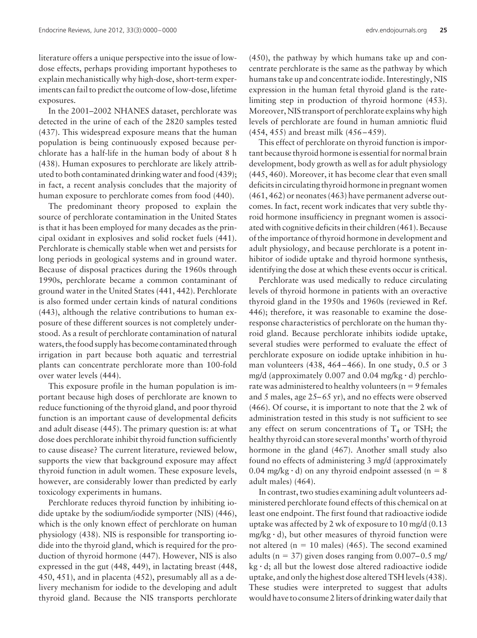literature offers a unique perspective into the issue of lowdose effects, perhaps providing important hypotheses to explain mechanistically why high-dose, short-term experiments can fail to predict the outcome of low-dose, lifetime exposures.

In the 2001–2002 NHANES dataset, perchlorate was detected in the urine of each of the 2820 samples tested (437). This widespread exposure means that the human population is being continuously exposed because perchlorate has a half-life in the human body of about 8 h (438). Human exposures to perchlorate are likely attributed to both contaminated drinking water and food (439); in fact, a recent analysis concludes that the majority of human exposure to perchlorate comes from food (440).

The predominant theory proposed to explain the source of perchlorate contamination in the United States is that it has been employed for many decades as the principal oxidant in explosives and solid rocket fuels (441). Perchlorate is chemically stable when wet and persists for long periods in geological systems and in ground water. Because of disposal practices during the 1960s through 1990s, perchlorate became a common contaminant of ground water in the United States (441, 442). Perchlorate is also formed under certain kinds of natural conditions (443), although the relative contributions to human exposure of these different sources is not completely understood. As a result of perchlorate contamination of natural waters, the food supply has become contaminated through irrigation in part because both aquatic and terrestrial plants can concentrate perchlorate more than 100-fold over water levels (444).

This exposure profile in the human population is important because high doses of perchlorate are known to reduce functioning of the thyroid gland, and poor thyroid function is an important cause of developmental deficits and adult disease (445). The primary question is: at what dose does perchlorate inhibit thyroid function sufficiently to cause disease? The current literature, reviewed below, supports the view that background exposure may affect thyroid function in adult women. These exposure levels, however, are considerably lower than predicted by early toxicology experiments in humans.

Perchlorate reduces thyroid function by inhibiting iodide uptake by the sodium/iodide symporter (NIS) (446), which is the only known effect of perchlorate on human physiology (438). NIS is responsible for transporting iodide into the thyroid gland, which is required for the production of thyroid hormone (447). However, NIS is also expressed in the gut (448, 449), in lactating breast (448, 450, 451), and in placenta (452), presumably all as a delivery mechanism for iodide to the developing and adult thyroid gland. Because the NIS transports perchlorate

(450), the pathway by which humans take up and concentrate perchlorate is the same as the pathway by which humans take up and concentrate iodide. Interestingly, NIS expression in the human fetal thyroid gland is the ratelimiting step in production of thyroid hormone (453). Moreover, NIS transport of perchlorate explains why high levels of perchlorate are found in human amniotic fluid (454, 455) and breast milk (456 – 459).

This effect of perchlorate on thyroid function is important because thyroid hormone is essential for normal brain development, body growth as well as for adult physiology (445, 460). Moreover, it has become clear that even small deficits in circulating thyroid hormone in pregnant women (461, 462) or neonates (463) have permanent adverse outcomes. In fact, recent work indicates that very subtle thyroid hormone insufficiency in pregnant women is associated with cognitive deficits in their children (461). Because of the importance of thyroid hormone in development and adult physiology, and because perchlorate is a potent inhibitor of iodide uptake and thyroid hormone synthesis, identifying the dose at which these events occur is critical.

Perchlorate was used medically to reduce circulating levels of thyroid hormone in patients with an overactive thyroid gland in the 1950s and 1960s (reviewed in Ref. 446); therefore, it was reasonable to examine the doseresponse characteristics of perchlorate on the human thyroid gland. Because perchlorate inhibits iodide uptake, several studies were performed to evaluate the effect of perchlorate exposure on iodide uptake inhibition in human volunteers (438, 464–466). In one study, 0.5 or 3 mg/d (approximately 0.007 and 0.04 mg/kg $\cdot$  d) perchlorate was administered to healthy volunteers ( $n = 9$  females and 5 males, age 25– 65 yr), and no effects were observed (466). Of course, it is important to note that the 2 wk of administration tested in this study is not sufficient to see any effect on serum concentrations of  $T<sub>4</sub>$  or TSH; the healthy thyroid can store several months' worth of thyroid hormone in the gland (467). Another small study also found no effects of administering 3 mg/d (approximately 0.04 mg/kg  $\cdot$  d) on any thyroid endpoint assessed (n = 8) adult males) (464).

In contrast, two studies examining adult volunteers administered perchlorate found effects of this chemical on at least one endpoint. The first found that radioactive iodide uptake was affected by 2 wk of exposure to 10 mg/d (0.13 mg/kg $\cdot$  d), but other measures of thyroid function were not altered ( $n = 10$  males) (465). The second examined adults ( $n = 37$ ) given doses ranging from 0.007–0.5 mg/  $kg \cdot d$ ; all but the lowest dose altered radioactive iodide uptake, and only the highest dose altered TSH levels (438). These studies were interpreted to suggest that adults would have to consume 2 liters of drinking water daily that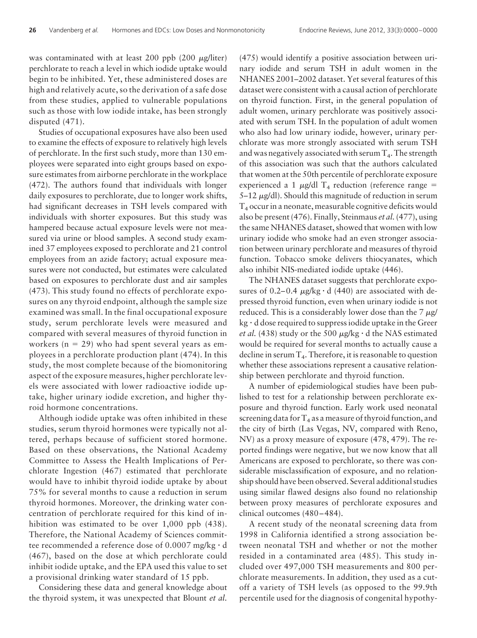was contaminated with at least 200 ppb  $(200 \mu g/liter)$ perchlorate to reach a level in which iodide uptake would begin to be inhibited. Yet, these administered doses are high and relatively acute, so the derivation of a safe dose from these studies, applied to vulnerable populations such as those with low iodide intake, has been strongly disputed (471).

Studies of occupational exposures have also been used to examine the effects of exposure to relatively high levels of perchlorate. In the first such study, more than 130 employees were separated into eight groups based on exposure estimates from airborne perchlorate in the workplace (472). The authors found that individuals with longer daily exposures to perchlorate, due to longer work shifts, had significant decreases in TSH levels compared with individuals with shorter exposures. But this study was hampered because actual exposure levels were not measured via urine or blood samples. A second study examined 37 employees exposed to perchlorate and 21 control employees from an azide factory; actual exposure measures were not conducted, but estimates were calculated based on exposures to perchlorate dust and air samples (473). This study found no effects of perchlorate exposures on any thyroid endpoint, although the sample size examined was small. In the final occupational exposure study, serum perchlorate levels were measured and compared with several measures of thyroid function in workers ( $n = 29$ ) who had spent several years as employees in a perchlorate production plant (474). In this study, the most complete because of the biomonitoring aspect of the exposure measures, higher perchlorate levels were associated with lower radioactive iodide uptake, higher urinary iodide excretion, and higher thyroid hormone concentrations.

Although iodide uptake was often inhibited in these studies, serum thyroid hormones were typically not altered, perhaps because of sufficient stored hormone. Based on these observations, the National Academy Committee to Assess the Health Implications of Perchlorate Ingestion (467) estimated that perchlorate would have to inhibit thyroid iodide uptake by about 75% for several months to cause a reduction in serum thyroid hormones. Moreover, the drinking water concentration of perchlorate required for this kind of inhibition was estimated to be over 1,000 ppb (438). Therefore, the National Academy of Sciences committee recommended a reference dose of  $0.0007$  mg/kg  $\cdot$  d (467), based on the dose at which perchlorate could inhibit iodide uptake, and the EPA used this value to set a provisional drinking water standard of 15 ppb.

Considering these data and general knowledge about the thyroid system, it was unexpected that Blount *et al.* (475) would identify a positive association between urinary iodide and serum TSH in adult women in the NHANES 2001–2002 dataset. Yet several features of this dataset were consistent with a causal action of perchlorate on thyroid function. First, in the general population of adult women, urinary perchlorate was positively associated with serum TSH. In the population of adult women who also had low urinary iodide, however, urinary perchlorate was more strongly associated with serum TSH and was negatively associated with serum  $T<sub>4</sub>$ . The strength of this association was such that the authors calculated that women at the 50th percentile of perchlorate exposure experienced a 1  $\mu$ g/dl T<sub>4</sub> reduction (reference range =  $5-12 \mu g/d$ . Should this magnitude of reduction in serum  $T<sub>4</sub>$  occur in a neonate, measurable cognitive deficits would also be present (476). Finally, Steinmaus *et al.* (477), using the same NHANES dataset, showed that women with low urinary iodide who smoke had an even stronger association between urinary perchlorate and measures of thyroid function. Tobacco smoke delivers thiocyanates, which also inhibit NIS-mediated iodide uptake (446).

The NHANES dataset suggests that perchlorate exposures of 0.2–0.4  $\mu$ g/kg · d (440) are associated with depressed thyroid function, even when urinary iodide is not reduced. This is a considerably lower dose than the  $7 \mu g$ /  $kg \cdot d$  dose required to suppress iodide uptake in the Greer *et al.* (438) study or the 500  $\mu$ g/kg  $\cdot$  d the NAS estimated would be required for several months to actually cause a decline in serum  $T_4$ . Therefore, it is reasonable to question whether these associations represent a causative relationship between perchlorate and thyroid function.

A number of epidemiological studies have been published to test for a relationship between perchlorate exposure and thyroid function. Early work used neonatal screening data for  $T_4$  as a measure of thyroid function, and the city of birth (Las Vegas, NV, compared with Reno, NV) as a proxy measure of exposure (478, 479). The reported findings were negative, but we now know that all Americans are exposed to perchlorate, so there was considerable misclassification of exposure, and no relationship should have been observed. Several additional studies using similar flawed designs also found no relationship between proxy measures of perchlorate exposures and clinical outcomes (480–484).

A recent study of the neonatal screening data from 1998 in California identified a strong association between neonatal TSH and whether or not the mother resided in a contaminated area (485). This study included over 497,000 TSH measurements and 800 perchlorate measurements. In addition, they used as a cutoff a variety of TSH levels (as opposed to the 99.9th percentile used for the diagnosis of congenital hypothy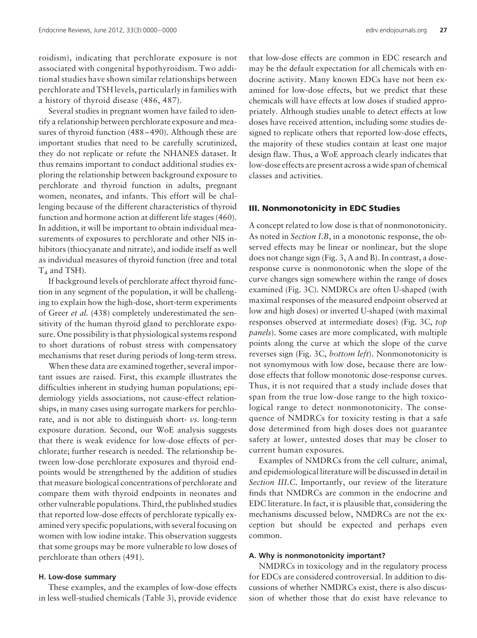roidism), indicating that perchlorate exposure is not associated with congenital hypothyroidism. Two additional studies have shown similar relationships between perchlorate and TSH levels, particularly in families with a history of thyroid disease (486, 487).

Several studies in pregnant women have failed to identify a relationship between perchlorate exposure and measures of thyroid function (488–490). Although these are important studies that need to be carefully scrutinized, they do not replicate or refute the NHANES dataset. It thus remains important to conduct additional studies exploring the relationship between background exposure to perchlorate and thyroid function in adults, pregnant women, neonates, and infants. This effort will be challenging because of the different characteristics of thyroid function and hormone action at different life stages (460). In addition, it will be important to obtain individual measurements of exposures to perchlorate and other NIS inhibitors (thiocyanate and nitrate), and iodide itself as well as individual measures of thyroid function (free and total  $T_4$  and TSH).

If background levels of perchlorate affect thyroid function in any segment of the population, it will be challenging to explain how the high-dose, short-term experiments of Greer *et al.* (438) completely underestimated the sensitivity of the human thyroid gland to perchlorate exposure. One possibility is that physiological systems respond to short durations of robust stress with compensatory mechanisms that reset during periods of long-term stress.

When these data are examined together, several important issues are raised. First, this example illustrates the difficulties inherent in studying human populations; epidemiology yields associations, not cause-effect relationships, in many cases using surrogate markers for perchlorate, and is not able to distinguish short- *vs.* long-term exposure duration. Second, our WoE analysis suggests that there is weak evidence for low-dose effects of perchlorate; further research is needed. The relationship between low-dose perchlorate exposures and thyroid endpoints would be strengthened by the addition of studies that measure biological concentrations of perchlorate and compare them with thyroid endpoints in neonates and other vulnerable populations. Third, the published studies that reported low-dose effects of perchlorate typically examined very specific populations, with several focusing on women with low iodine intake. This observation suggests that some groups may be more vulnerable to low doses of perchlorate than others (491).

#### **H. Low-dose summary**

These examples, and the examples of low-dose effects in less well-studied chemicals (Table 3), provide evidence

that low-dose effects are common in EDC research and may be the default expectation for all chemicals with endocrine activity. Many known EDCs have not been examined for low-dose effects, but we predict that these chemicals will have effects at low doses if studied appropriately. Although studies unable to detect effects at low doses have received attention, including some studies designed to replicate others that reported low-dose effects, the majority of these studies contain at least one major design flaw. Thus, a WoE approach clearly indicates that low-dose effects are present across a wide span of chemical classes and activities.

### III. Nonmonotonicity in EDC Studies

A concept related to low dose is that of nonmonotonicity. As noted in *Section I.B*, in a monotonic response, the observed effects may be linear or nonlinear, but the slope does not change sign (Fig. 3, A and B). In contrast, a doseresponse curve is nonmonotonic when the slope of the curve changes sign somewhere within the range of doses examined (Fig. 3C). NMDRCs are often U-shaped (with maximal responses of the measured endpoint observed at low and high doses) or inverted U-shaped (with maximal responses observed at intermediate doses) (Fig. 3C, *top panels*). Some cases are more complicated, with multiple points along the curve at which the slope of the curve reverses sign (Fig. 3C, *bottom left*). Nonmonotonicity is not synomymous with low dose, because there are lowdose effects that follow monotonic dose-response curves. Thus, it is not required that a study include doses that span from the true low-dose range to the high toxicological range to detect nonmonotonicity. The consequence of NMDRCs for toxicity testing is that a safe dose determined from high doses does not guarantee safety at lower, untested doses that may be closer to current human exposures.

Examples of NMDRCs from the cell culture, animal, and epidemiological literature will be discussed in detail in *Section III.C*. Importantly, our review of the literature finds that NMDRCs are common in the endocrine and EDC literature. In fact, it is plausible that, considering the mechanisms discussed below, NMDRCs are not the exception but should be expected and perhaps even common.

### **A. Why is nonmonotonicity important?**

NMDRCs in toxicology and in the regulatory process for EDCs are considered controversial. In addition to discussions of whether NMDRCs exist, there is also discussion of whether those that do exist have relevance to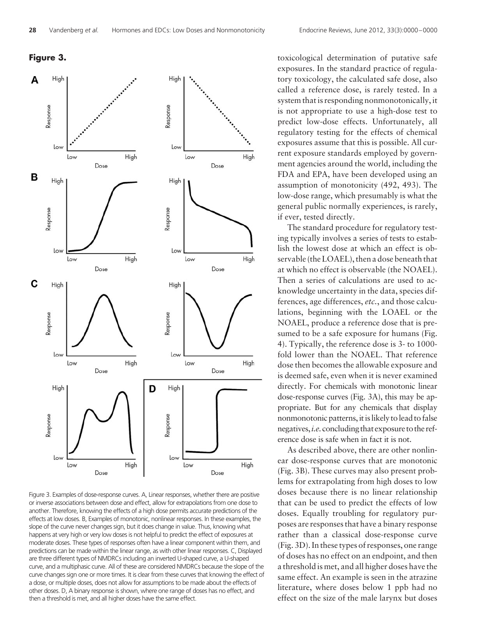**Figure 3.**



Figure 3. Examples of dose-response curves. A, Linear responses, whether there are positive or inverse associations between dose and effect, allow for extrapolations from one dose to another. Therefore, knowing the effects of a high dose permits accurate predictions of the effects at low doses. B, Examples of monotonic, nonlinear responses. In these examples, the slope of the curve never changes sign, but it does change in value. Thus, knowing what happens at very high or very low doses is not helpful to predict the effect of exposures at moderate doses. These types of responses often have a linear component within them, and predictions can be made within the linear range, as with other linear responses. C, Displayed are three different types of NMDRCs including an inverted U-shaped curve, a U-shaped curve, and a multiphasic curve. All of these are considered NMDRCs because the slope of the curve changes sign one or more times. It is clear from these curves that knowing the effect of a dose, or multiple doses, does not allow for assumptions to be made about the effects of other doses. D, A binary response is shown, where one range of doses has no effect, and then a threshold is met, and all higher doses have the same effect.

toxicological determination of putative safe exposures. In the standard practice of regulatory toxicology, the calculated safe dose, also called a reference dose, is rarely tested. In a system that is responding nonmonotonically, it is not appropriate to use a high-dose test to predict low-dose effects. Unfortunately, all regulatory testing for the effects of chemical exposures assume that this is possible. All current exposure standards employed by government agencies around the world, including the FDA and EPA, have been developed using an assumption of monotonicity (492, 493). The low-dose range, which presumably is what the general public normally experiences, is rarely, if ever, tested directly.

The standard procedure for regulatory testing typically involves a series of tests to establish the lowest dose at which an effect is observable (the LOAEL), then a dose beneath that at which no effect is observable (the NOAEL). Then a series of calculations are used to acknowledge uncertainty in the data, species differences, age differences, *etc.*, and those calculations, beginning with the LOAEL or the NOAEL, produce a reference dose that is presumed to be a safe exposure for humans (Fig. 4). Typically, the reference dose is 3- to 1000 fold lower than the NOAEL. That reference dose then becomes the allowable exposure and is deemed safe, even when it is never examined directly. For chemicals with monotonic linear dose-response curves (Fig. 3A), this may be appropriate. But for any chemicals that display nonmonotonic patterns, it is likely to lead to false negatives,*i.e.*concluding thatexposure to the reference dose is safe when in fact it is not.

As described above, there are other nonlinear dose-response curves that are monotonic (Fig. 3B). These curves may also present problems for extrapolating from high doses to low doses because there is no linear relationship that can be used to predict the effects of low doses. Equally troubling for regulatory purposes are responses that have a binary response rather than a classical dose-response curve (Fig. 3D). In these types of responses, one range of doses has no effect on an endpoint, and then a threshold is met, and all higher doses have the same effect. An example is seen in the atrazine literature, where doses below 1 ppb had no effect on the size of the male larynx but doses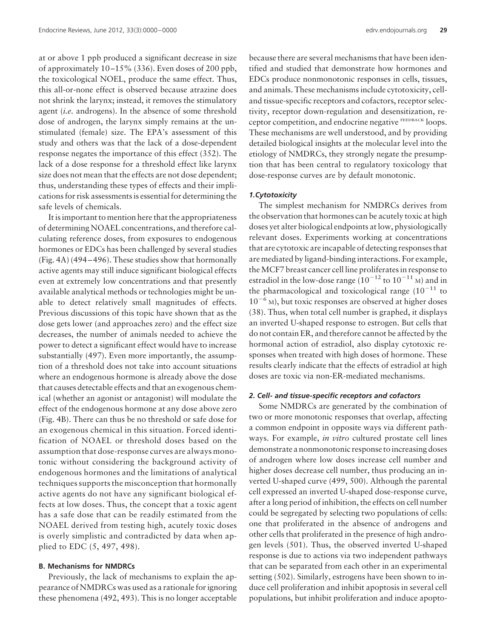at or above 1 ppb produced a significant decrease in size of approximately 10 –15% (336). Even doses of 200 ppb, the toxicological NOEL, produce the same effect. Thus, this all-or-none effect is observed because atrazine does not shrink the larynx; instead, it removes the stimulatory agent (*i.e.* androgens). In the absence of some threshold dose of androgen, the larynx simply remains at the unstimulated (female) size. The EPA's assessment of this study and others was that the lack of a dose-dependent response negates the importance of this effect (352). The lack of a dose response for a threshold effect like larynx size does not mean that the effects are not dose dependent; thus, understanding these types of effects and their implications for risk assessments is essential for determining the safe levels of chemicals.

It is important to mention here that the appropriateness of determining NOAEL concentrations, and therefore calculating reference doses, from exposures to endogenous hormones or EDCs has been challenged by several studies (Fig. 4A) (494 – 496). These studies show that hormonally active agents may still induce significant biological effects even at extremely low concentrations and that presently available analytical methods or technologies might be unable to detect relatively small magnitudes of effects. Previous discussions of this topic have shown that as the dose gets lower (and approaches zero) and the effect size decreases, the number of animals needed to achieve the power to detect a significant effect would have to increase substantially (497). Even more importantly, the assumption of a threshold does not take into account situations where an endogenous hormone is already above the dose that causes detectable effects and that an exogenous chemical (whether an agonist or antagonist) will modulate the effect of the endogenous hormone at any dose above zero (Fig. 4B). There can thus be no threshold or safe dose for an exogenous chemical in this situation. Forced identification of NOAEL or threshold doses based on the assumption that dose-response curves are always monotonic without considering the background activity of endogenous hormones and the limitations of analytical techniques supports the misconception that hormonally active agents do not have any significant biological effects at low doses. Thus, the concept that a toxic agent has a safe dose that can be readily estimated from the NOAEL derived from testing high, acutely toxic doses is overly simplistic and contradicted by data when applied to EDC (5, 497, 498).

### **B. Mechanisms for NMDRCs**

Previously, the lack of mechanisms to explain the appearance of NMDRCs was used as a rationale for ignoring these phenomena (492, 493). This is no longer acceptable

because there are several mechanisms that have been identified and studied that demonstrate how hormones and EDCs produce nonmonotonic responses in cells, tissues, and animals. These mechanisms include cytotoxicity, celland tissue-specific receptors and cofactors, receptor selectivity, receptor down-regulation and desensitization, receptor competition, and endocrine negative FEEDBACK loops. These mechanisms are well understood, and by providing detailed biological insights at the molecular level into the etiology of NMDRCs, they strongly negate the presumption that has been central to regulatory toxicology that dose-response curves are by default monotonic.

#### *1.Cytotoxicity*

The simplest mechanism for NMDRCs derives from the observation that hormones can be acutely toxic at high doses yet alter biological endpoints at low, physiologically relevant doses. Experiments working at concentrations that are cytotoxic are incapable of detecting responses that are mediated by ligand-binding interactions. For example, theMCF7 breast cancer cell line proliferates in response to estradiol in the low-dose range  $(10^{-12}$  to  $10^{-11}$  M) and in the pharmacological and toxicological range  $(10^{-11}$  to  $10^{-6}$  M), but toxic responses are observed at higher doses (38). Thus, when total cell number is graphed, it displays an inverted U-shaped response to estrogen. But cells that do not contain ER, and therefore cannot be affected by the hormonal action of estradiol, also display cytotoxic responses when treated with high doses of hormone. These results clearly indicate that the effects of estradiol at high doses are toxic via non-ER-mediated mechanisms.

#### *2. Cell- and tissue-specific receptors and cofactors*

Some NMDRCs are generated by the combination of two or more monotonic responses that overlap, affecting a common endpoint in opposite ways via different pathways. For example, *in vitro* cultured prostate cell lines demonstrate a nonmonotonic response to increasing doses of androgen where low doses increase cell number and higher doses decrease cell number, thus producing an inverted U-shaped curve (499, 500). Although the parental cell expressed an inverted U-shaped dose-response curve, after a long period of inhibition, the effects on cell number could be segregated by selecting two populations of cells: one that proliferated in the absence of androgens and other cells that proliferated in the presence of high androgen levels (501). Thus, the observed inverted U-shaped response is due to actions via two independent pathways that can be separated from each other in an experimental setting (502). Similarly, estrogens have been shown to induce cell proliferation and inhibit apoptosis in several cell populations, but inhibit proliferation and induce apopto-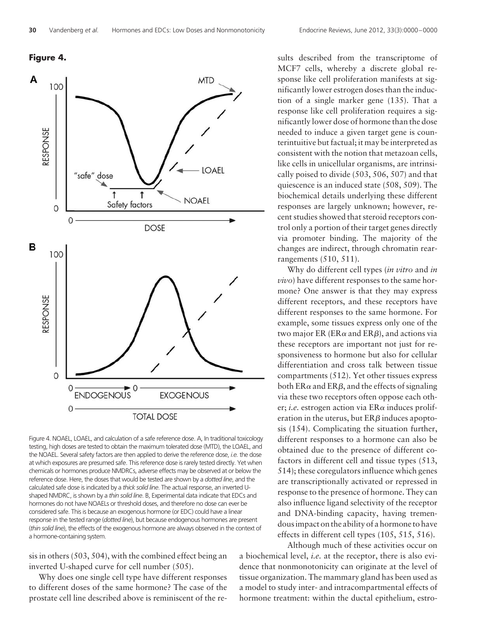### **Figure 4.**



Figure 4. NOAEL, LOAEL, and calculation of a safe reference dose. A, In traditional toxicology testing, high doses are tested to obtain the maximum tolerated dose (MTD), the LOAEL, and the NOAEL. Several safety factors are then applied to derive the reference dose, *i.e.* the dose at which exposures are presumed safe. This reference dose is rarely tested directly. Yet when chemicals or hormones produce NMDRCs, adverse effects may be observed at or below the reference dose. Here, the doses that would be tested are shown by a *dotted line*, and the calculated safe dose is indicated by a *thick solid line*. The actual response, an inverted Ushaped NMDRC, is shown by a *thin solid line*. B, Experimental data indicate that EDCs and hormones do not have NOAELs or threshold doses, and therefore no dose can ever be considered safe. This is because an exogenous hormone (or EDC) could have a linear response in the tested range (*dotted line*), but because endogenous hormones are present (*thin solid line*), the effects of the exogenous hormone are always observed in the context of a hormone-containing system.

sis in others (503, 504), with the combined effect being an inverted U-shaped curve for cell number (505).

Why does one single cell type have different responses to different doses of the same hormone? The case of the prostate cell line described above is reminiscent of the re-

sults described from the transcriptome of MCF7 cells, whereby a discrete global response like cell proliferation manifests at significantly lower estrogen doses than the induction of a single marker gene (135). That a response like cell proliferation requires a significantly lower dose of hormone than the dose needed to induce a given target gene is counterintuitive but factual; it may be interpreted as consistent with the notion that metazoan cells, like cells in unicellular organisms, are intrinsically poised to divide (503, 506, 507) and that quiescence is an induced state (508, 509). The biochemical details underlying these different responses are largely unknown; however, recent studies showed that steroid receptors control only a portion of their target genes directly via promoter binding. The majority of the changes are indirect, through chromatin rearrangements (510, 511).

Why do different cell types (*in vitro* and *in vivo*) have different responses to the same hormone? One answer is that they may express different receptors, and these receptors have different responses to the same hormone. For example, some tissues express only one of the two major ER (ER $\alpha$  and ER $\beta$ ), and actions via these receptors are important not just for responsiveness to hormone but also for cellular differentiation and cross talk between tissue compartments (512). Yet other tissues express both ER $\alpha$  and ER $\beta$ , and the effects of signaling via these two receptors often oppose each other; *i.e.* estrogen action via  $ER\alpha$  induces proliferation in the uterus, but  $ER\beta$  induces apoptosis (154). Complicating the situation further, different responses to a hormone can also be obtained due to the presence of different cofactors in different cell and tissue types (513, 514); these coregulators influence which genes are transcriptionally activated or repressed in response to the presence of hormone. They can also influence ligand selectivity of the receptor and DNA-binding capacity, having tremendous impact on the ability of a hormone to have effects in different cell types (105, 515, 516).

Although much of these activities occur on a biochemical level, *i.e.* at the receptor, there is also evidence that nonmonotonicity can originate at the level of tissue organization. The mammary gland has been used as a model to study inter- and intracompartmental effects of hormone treatment: within the ductal epithelium, estro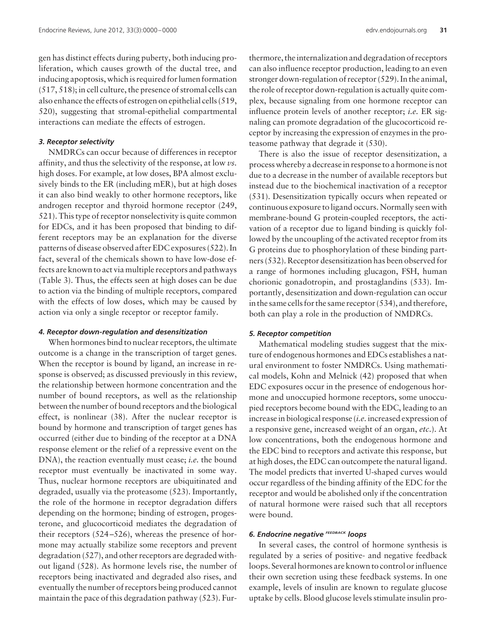gen has distinct effects during puberty, both inducing proliferation, which causes growth of the ductal tree, and inducing apoptosis, which is required for lumen formation (517, 518); in cell culture, the presence of stromal cells can also enhance the effects of estrogen on epithelial cells (519, 520), suggesting that stromal-epithelial compartmental interactions can mediate the effects of estrogen.

#### *3. Receptor selectivity*

NMDRCs can occur because of differences in receptor affinity, and thus the selectivity of the response, at low *vs.* high doses. For example, at low doses, BPA almost exclusively binds to the ER (including mER), but at high doses it can also bind weakly to other hormone receptors, like androgen receptor and thyroid hormone receptor (249, 521). This type of receptor nonselectivity is quite common for EDCs, and it has been proposed that binding to different receptors may be an explanation for the diverse patterns of disease observed after EDC exposures (522). In fact, several of the chemicals shown to have low-dose effects are known to act via multiple receptors and pathways (Table 3). Thus, the effects seen at high doses can be due to action via the binding of multiple receptors, compared with the effects of low doses, which may be caused by action via only a single receptor or receptor family.

### *4. Receptor down-regulation and desensitization*

When hormones bind to nuclear receptors, the ultimate outcome is a change in the transcription of target genes. When the receptor is bound by ligand, an increase in response is observed; as discussed previously in this review, the relationship between hormone concentration and the number of bound receptors, as well as the relationship between the number of bound receptors and the biological effect, is nonlinear (38). After the nuclear receptor is bound by hormone and transcription of target genes has occurred (either due to binding of the receptor at a DNA response element or the relief of a repressive event on the DNA), the reaction eventually must cease; *i.e.* the bound receptor must eventually be inactivated in some way. Thus, nuclear hormone receptors are ubiquitinated and degraded, usually via the proteasome (523). Importantly, the role of the hormone in receptor degradation differs depending on the hormone; binding of estrogen, progesterone, and glucocorticoid mediates the degradation of their receptors (524 –526), whereas the presence of hormone may actually stabilize some receptors and prevent degradation (527), and other receptors are degraded without ligand (528). As hormone levels rise, the number of receptors being inactivated and degraded also rises, and eventually the number of receptors being produced cannot maintain the pace of this degradation pathway (523). Fur-

thermore, the internalization and degradation of receptors can also influence receptor production, leading to an even stronger down-regulation of receptor (529). In the animal, the role of receptor down-regulation is actually quite complex, because signaling from one hormone receptor can influence protein levels of another receptor; *i.e.* ER signaling can promote degradation of the glucocorticoid receptor by increasing the expression of enzymes in the proteasome pathway that degrade it (530).

There is also the issue of receptor desensitization, a process whereby a decrease in response to a hormone is not due to a decrease in the number of available receptors but instead due to the biochemical inactivation of a receptor (531). Desensitization typically occurs when repeated or continuous exposure to ligand occurs. Normally seen with membrane-bound G protein-coupled receptors, the activation of a receptor due to ligand binding is quickly followed by the uncoupling of the activated receptor from its G proteins due to phosphorylation of these binding partners (532). Receptor desensitization has been observed for a range of hormones including glucagon, FSH, human chorionic gonadotropin, and prostaglandins (533). Importantly, desensitization and down-regulation can occur in the same cells for the same receptor (534), and therefore, both can play a role in the production of NMDRCs.

#### *5. Receptor competition*

Mathematical modeling studies suggest that the mixture of endogenous hormones and EDCs establishes a natural environment to foster NMDRCs. Using mathematical models, Kohn and Melnick (42) proposed that when EDC exposures occur in the presence of endogenous hormone and unoccupied hormone receptors, some unoccupied receptors become bound with the EDC, leading to an increase in biological response (*i.e.* increased expression of a responsive gene, increased weight of an organ, *etc.*). At low concentrations, both the endogenous hormone and the EDC bind to receptors and activate this response, but at high doses, the EDC can outcompete the natural ligand. The model predicts that inverted U-shaped curves would occur regardless of the binding affinity of the EDC for the receptor and would be abolished only if the concentration of natural hormone were raised such that all receptors were bound.

#### *6. Endocrine negative FEEDBACK loops*

In several cases, the control of hormone synthesis is regulated by a series of positive- and negative feedback loops. Several hormones are known to control or influence their own secretion using these feedback systems. In one example, levels of insulin are known to regulate glucose uptake by cells. Blood glucose levels stimulate insulin pro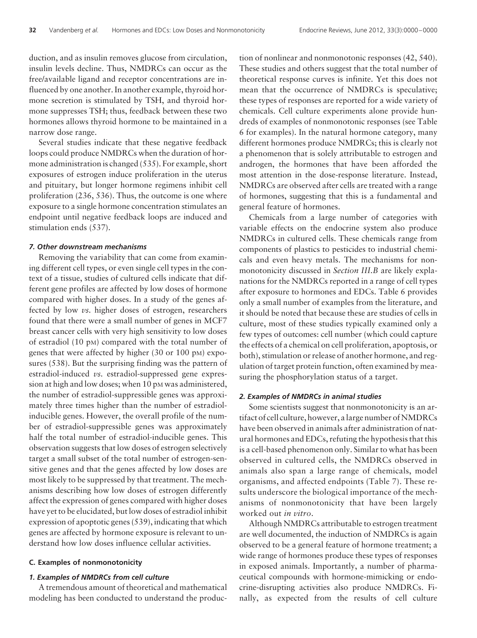duction, and as insulin removes glucose from circulation, insulin levels decline. Thus, NMDRCs can occur as the free/available ligand and receptor concentrations are influenced by one another. In another example, thyroid hormone secretion is stimulated by TSH, and thyroid hormone suppresses TSH; thus, feedback between these two hormones allows thyroid hormone to be maintained in a narrow dose range.

Several studies indicate that these negative feedback loops could produce NMDRCs when the duration of hormone administration is changed (535). For example, short exposures of estrogen induce proliferation in the uterus and pituitary, but longer hormone regimens inhibit cell proliferation (236, 536). Thus, the outcome is one where exposure to a single hormone concentration stimulates an endpoint until negative feedback loops are induced and stimulation ends (537).

#### *7. Other downstream mechanisms*

Removing the variability that can come from examining different cell types, or even single cell types in the context of a tissue, studies of cultured cells indicate that different gene profiles are affected by low doses of hormone compared with higher doses. In a study of the genes affected by low *vs.* higher doses of estrogen, researchers found that there were a small number of genes in MCF7 breast cancer cells with very high sensitivity to low doses of estradiol (10 pM) compared with the total number of genes that were affected by higher (30 or 100 pM) exposures (538). But the surprising finding was the pattern of estradiol-induced *vs.* estradiol-suppressed gene expression at high and low doses; when 10 pM was administered, the number of estradiol-suppressible genes was approximately three times higher than the number of estradiolinducible genes. However, the overall profile of the number of estradiol-suppressible genes was approximately half the total number of estradiol-inducible genes. This observation suggests that low doses of estrogen selectively target a small subset of the total number of estrogen-sensitive genes and that the genes affected by low doses are most likely to be suppressed by that treatment. The mechanisms describing how low doses of estrogen differently affect the expression of genes compared with higher doses have yet to be elucidated, but low doses of estradiol inhibit expression of apoptotic genes (539), indicating that which genes are affected by hormone exposure is relevant to understand how low doses influence cellular activities.

#### **C. Examples of nonmonotonicity**

### *1. Examples of NMDRCs from cell culture*

A tremendous amount of theoretical and mathematical modeling has been conducted to understand the produc-

tion of nonlinear and nonmonotonic responses (42, 540). These studies and others suggest that the total number of theoretical response curves is infinite. Yet this does not mean that the occurrence of NMDRCs is speculative; these types of responses are reported for a wide variety of chemicals. Cell culture experiments alone provide hundreds of examples of nonmonotonic responses (see Table 6 for examples). In the natural hormone category, many different hormones produce NMDRCs; this is clearly not a phenomenon that is solely attributable to estrogen and androgen, the hormones that have been afforded the most attention in the dose-response literature. Instead, NMDRCs are observed after cells are treated with a range of hormones, suggesting that this is a fundamental and general feature of hormones.

Chemicals from a large number of categories with variable effects on the endocrine system also produce NMDRCs in cultured cells. These chemicals range from components of plastics to pesticides to industrial chemicals and even heavy metals. The mechanisms for nonmonotonicity discussed in *Section III.B* are likely explanations for the NMDRCs reported in a range of cell types after exposure to hormones and EDCs. Table 6 provides only a small number of examples from the literature, and it should be noted that because these are studies of cells in culture, most of these studies typically examined only a few types of outcomes: cell number (which could capture the effects of a chemical on cell proliferation, apoptosis, or both), stimulation or release of another hormone, and regulation of target protein function, often examined by measuring the phosphorylation status of a target.

### *2. Examples of NMDRCs in animal studies*

Some scientists suggest that nonmonotonicity is an artifact of cell culture, however, a large number of NMDRCs have been observed in animals after administration of natural hormones and EDCs, refuting the hypothesis that this is a cell-based phenomenon only. Similar to what has been observed in cultured cells, the NMDRCs observed in animals also span a large range of chemicals, model organisms, and affected endpoints (Table 7). These results underscore the biological importance of the mechanisms of nonmonotonicity that have been largely worked out *in vitro*.

Although NMDRCs attributable to estrogen treatment are well documented, the induction of NMDRCs is again observed to be a general feature of hormone treatment; a wide range of hormones produce these types of responses in exposed animals. Importantly, a number of pharmaceutical compounds with hormone-mimicking or endocrine-disrupting activities also produce NMDRCs. Finally, as expected from the results of cell culture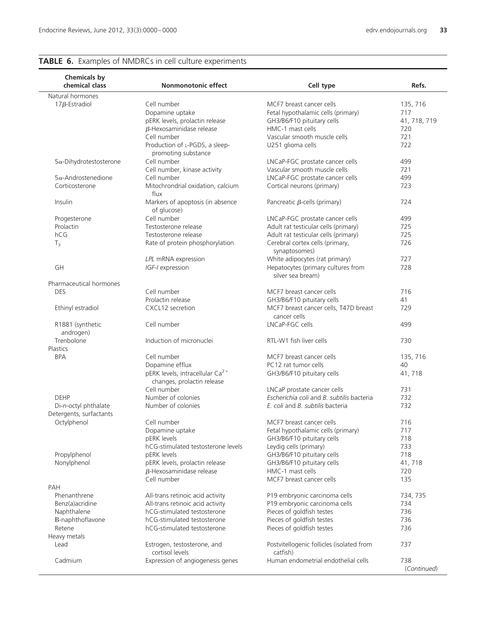(*Continued*)

#### **Chemicals by chemical class Cell type Refs. Refs. Refs. Refs. Refs. Refs. Refs.** Natural hormones 17B-Estradiol **17B-Cell number** Cell number MCF7 breast cancer cells 135, 716 Dopamine uptake Fetal hypothalamic cells (primary) 717 pERK levels, prolactin release GH3/B6/F10 pituitary cells 41, 718, 719  $\beta$ -Hexosaminidase release HMC-1 mast cells 720 Cell number Vascular smooth muscle cells 721 Production of L-PGDS, a sleeppromoting substance U251 glioma cells 722 5a-Dihydrotestosterone Cell number LNCaP-FGC prostate cancer cells 499 Cell number, kinase activity Vascular smooth muscle cells 721 5x-Androstenedione Cell number Cell number LNCaP-FGC prostate cancer cells 499 Corticosterone Mitochrondrial oxidation, calcium flux Cortical neurons (primary) 723 Insulin Markers of apoptosis (in absence of glucose)<br>Cell number Pancreatic  $\beta$ -cells (primary) 724 Progesterone Cell number Cell number LNCaP-FGC prostate cancer cells 499 Prolactin Testosterone release Adult rat testicular cells (primary) 725 hCG Testosterone release Adult rat testicular cells (primary) 725 T<sub>3</sub> Cerebral cortex cells (primary, Rate of protein phosphorylation Cerebral cortex cells (primary, synaptosomes) 726 *LPL* mRNA expression White adipocytes (rat primary) 727 GH *IGF*-*I* expression Hepatocytes (primary cultures from silver sea bream) 728 Pharmaceutical hormones DES Cell number MCF7 breast cancer cells 716 Prolactin release and the GH3/B6/F10 pituitary cells and the case of the 41 Ethinyl estradiol CXCL12 secretion MCF7 breast cancer cells, T47D breast cancer cells 729 R1881 (synthetic androgen)<br>Trenbolone Cell number LNCaP-FGC cells 499 Induction of micronuclei **RTL-W1** fish liver cells 730 Plastics BPA Cell number Cell number MCF7 breast cancer cells 135, 716 Dopamine efflux PC12 rat tumor cells 40 pERK levels, intracellular  $Ca^{2+}$ changes, prolactin release GH3/B6/F10 pituitary cells 41, 718 LNCaP prostate cancer cells 731 DEHP Number of colonies *Escherichia coli* and *B. subtilis* bacteria 732 Di-*n*-octyl phthalate Number of colonies *E. coli* and *B. subtilis* bacteria 732 Detergents, surfactants Octylphenol Cell number MCF7 breast cancer cells 716 Dopamine uptake The Setal hypothalamic cells (primary) 317<br>DERK levels The Setal CH3/B6/F10 pituitary cells 718 GH3/B6/F10 pituitary cells hCG-stimulated testosterone levels Leydig cells (primary) 733 Propylphenol pERK levels GH3/B6/F10 pituitary cells 718 Nonylphenol **pERK** levels, prolactin release GH3/B6/F10 pituitary cells  $\beta$ -Hexosaminidase release HMC-1 mast cells 720 Cell number MCF7 breast cancer cells 135 PAH Phenanthrene **All-trans retinoic acid activity** P19 embryonic carcinoma cells 734, 735 Benz(a)acridine All-trans retinoic acid activity P19 embryonic carcinoma cells 734 hCG-stimulated testosterone B-naphthoflavone hCG-stimulated testosterone Pieces of goldfish testes 736<br>Retene Pieces of aoldfish testes 736 Pieces of goldfish testes Heavy metals Lead Estrogen, testosterone, and cortisol levels Postvitellogenic follicles (isolated from catfish)<br>Human endometrial endothelial cells 737 Cadmium Expression of angiogenesis genes Human endometrial endothelial cells 738

### **TABLE 6.** Examples of NMDRCs in cell culture experiments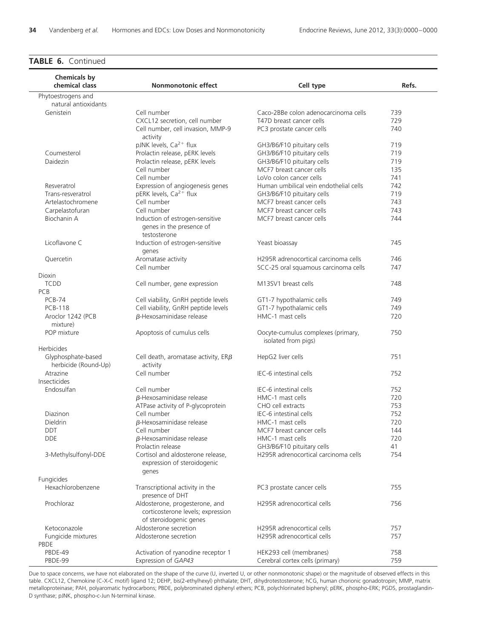| <b>Chemicals by</b>                        |                                                                                               |                                                            |            |
|--------------------------------------------|-----------------------------------------------------------------------------------------------|------------------------------------------------------------|------------|
| chemical class                             | <b>Nonmonotonic effect</b>                                                                    | Cell type                                                  | Refs.      |
| Phytoestrogens and<br>natural antioxidants |                                                                                               |                                                            |            |
| Genistein                                  | Cell number                                                                                   | Caco-2BBe colon adenocarcinoma cells                       | 739        |
|                                            | CXCL12 secretion, cell number                                                                 | T47D breast cancer cells                                   | 729        |
|                                            | Cell number, cell invasion, MMP-9                                                             | PC3 prostate cancer cells                                  | 740        |
|                                            | activity                                                                                      |                                                            |            |
|                                            | pJNK levels, Ca <sup>2+</sup> flux                                                            | GH3/B6/F10 pituitary cells                                 | 719        |
| Coumesterol                                | Prolactin release, pERK levels                                                                | GH3/B6/F10 pituitary cells                                 | 719        |
| Daidezin                                   | Prolactin release, pERK levels                                                                | GH3/B6/F10 pituitary cells                                 | 719        |
|                                            | Cell number                                                                                   | MCF7 breast cancer cells                                   | 135        |
|                                            | Cell number                                                                                   | LoVo colon cancer cells                                    | 741        |
| Resveratrol                                | Expression of angiogenesis genes                                                              | Human umbilical vein endothelial cells                     | 742        |
| Trans-resveratrol                          | pERK levels, Ca <sup>2+</sup> flux                                                            | GH3/B6/F10 pituitary cells                                 | 719        |
| Artelastochromene                          | Cell number                                                                                   | MCF7 breast cancer cells                                   | 743        |
| Carpelastofuran                            | Cell number                                                                                   | MCF7 breast cancer cells                                   | 743        |
| Biochanin A                                | Induction of estrogen-sensitive                                                               | MCF7 breast cancer cells                                   | 744        |
|                                            | genes in the presence of<br>testosterone                                                      |                                                            |            |
| Licoflavone C                              | Induction of estrogen-sensitive                                                               | Yeast bioassay                                             | 745        |
|                                            | genes                                                                                         |                                                            |            |
| Quercetin                                  | Aromatase activity                                                                            | H295R adrenocortical carcinoma cells                       | 746        |
|                                            | Cell number                                                                                   | SCC-25 oral squamous carcinoma cells                       | 747        |
| Dioxin                                     |                                                                                               |                                                            |            |
| <b>TCDD</b>                                | Cell number, gene expression                                                                  | M13SV1 breast cells                                        | 748        |
| PCB                                        |                                                                                               |                                                            |            |
| <b>PCB-74</b>                              | Cell viability, GnRH peptide levels                                                           | GT1-7 hypothalamic cells                                   | 749        |
| <b>PCB-118</b>                             | Cell viability, GnRH peptide levels                                                           | GT1-7 hypothalamic cells                                   | 749        |
| Aroclor 1242 (PCB<br>mixture)              | $\beta$ -Hexosaminidase release                                                               | HMC-1 mast cells                                           | 720        |
| POP mixture                                | Apoptosis of cumulus cells                                                                    | Oocyte-cumulus complexes (primary,<br>isolated from pigs)  | 750        |
| Herbicides                                 |                                                                                               |                                                            |            |
| Glyphosphate-based                         | Cell death, aromatase activity, $ER\beta$                                                     | HepG2 liver cells                                          | 751        |
| herbicide (Round-Up)                       | activity                                                                                      |                                                            |            |
| Atrazine                                   | Cell number                                                                                   | IEC-6 intestinal cells                                     | 752        |
| Insecticides                               |                                                                                               |                                                            |            |
| Endosulfan                                 | Cell number                                                                                   | IEC-6 intestinal cells                                     | 752        |
|                                            | $\beta$ -Hexosaminidase release                                                               | HMC-1 mast cells                                           | 720        |
|                                            | ATPase activity of P-glycoprotein                                                             | CHO cell extracts                                          | 753        |
| Diazinon                                   | Cell number                                                                                   | IEC-6 intestinal cells                                     | 752        |
| Dieldrin                                   | $\beta$ -Hexosaminidase release                                                               | HMC-1 mast cells                                           | 720        |
| DDT                                        | Cell number                                                                                   | MCF7 breast cancer cells                                   | 144        |
| <b>DDE</b>                                 | $\beta$ -Hexosaminidase release                                                               | HMC-1 mast cells                                           | 720        |
|                                            | Prolactin release                                                                             | GH3/B6/F10 pituitary cells                                 | 41         |
| 3-Methylsulfonyl-DDE                       | Cortisol and aldosterone release,<br>expression of steroidogenic<br>genes                     | H295R adrenocortical carcinoma cells                       | 754        |
| Fungicides                                 |                                                                                               |                                                            |            |
| Hexachlorobenzene                          | Transcriptional activity in the<br>presence of DHT                                            | PC3 prostate cancer cells                                  | 755        |
| Prochloraz                                 | Aldosterone, progesterone, and<br>corticosterone levels; expression<br>of steroidogenic genes | H295R adrenocortical cells                                 | 756        |
| Ketoconazole                               | Aldosterone secretion                                                                         | H295R adrenocortical cells                                 | 757        |
| Fungicide mixtures                         | Aldosterone secretion                                                                         | H295R adrenocortical cells                                 | 757        |
| PBDE                                       |                                                                                               |                                                            |            |
| PBDE-49<br>PBDE-99                         | Activation of ryanodine receptor 1<br>Expression of GAP43                                     | HEK293 cell (membranes)<br>Cerebral cortex cells (primary) | 758<br>759 |
|                                            |                                                                                               |                                                            |            |

### **TABLE 6.** Continued

Due to space concerns, we have not elaborated on the shape of the curve (U, inverted U, or other nonmonotonic shape) or the magnitude of observed effects in this table. CXCL12, Chemokine (C-X-C motif) ligand 12; DEHP, bis(2-ethylhexyl) phthalate; DHT, dihydrotestosterone; hCG, human chorionic gonadotropin; MMP, matrix metalloproteinase; PAH, polyaromatic hydrocarbons; PBDE, polybrominated diphenyl ethers; PCB, polychlorinated biphenyl; pERK, phospho-ERK; PGDS, prostaglandin-D synthase; pJNK, phospho-c-Jun N-terminal kinase.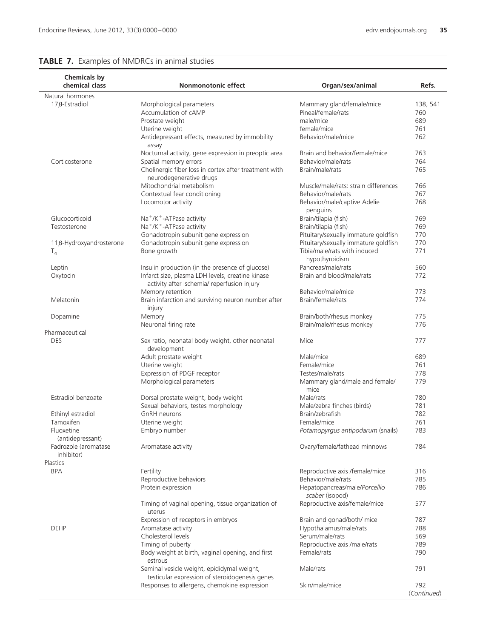## **TABLE 7.** Examples of NMDRCs in animal studies

| <b>Chemicals by</b><br>chemical class | <b>Nonmonotonic effect</b>                                                                      | Organ/sex/animal                                 | Refs.              |
|---------------------------------------|-------------------------------------------------------------------------------------------------|--------------------------------------------------|--------------------|
| Natural hormones                      |                                                                                                 |                                                  |                    |
| $17\beta$ -Estradiol                  | Morphological parameters                                                                        | Mammary gland/female/mice                        | 138, 541           |
|                                       | Accumulation of cAMP                                                                            | Pineal/female/rats                               | 760                |
|                                       |                                                                                                 | male/mice                                        |                    |
|                                       | Prostate weight                                                                                 |                                                  | 689<br>761         |
|                                       | Uterine weight                                                                                  | female/mice                                      |                    |
|                                       | Antidepressant effects, measured by immobility<br>assay                                         | Behavior/male/mice                               | 762                |
|                                       | Nocturnal activity, gene expression in preoptic area                                            | Brain and behavior/female/mice                   | 763                |
| Corticosterone                        | Spatial memory errors                                                                           | Behavior/male/rats                               | 764                |
|                                       | Cholinergic fiber loss in cortex after treatment with<br>neurodegenerative drugs                | Brain/male/rats                                  | 765                |
|                                       | Mitochondrial metabolism                                                                        | Muscle/male/rats: strain differences             | 766                |
|                                       | Contextual fear conditioning                                                                    | Behavior/male/rats                               | 767                |
|                                       | Locomotor activity                                                                              | Behavior/male/captive Adelie<br>penguins         | 768                |
| Glucocorticoid                        | Na <sup>+</sup> /K <sup>+</sup> -ATPase activity                                                | Brain/tilapia (fish)                             | 769                |
| Testosterone                          | Na <sup>+</sup> /K <sup>+</sup> -ATPase activity                                                | Brain/tilapia (fish)                             | 769                |
|                                       | Gonadotropin subunit gene expression                                                            | Pituitary/sexually immature goldfish             | 770                |
| 11 $\beta$ -Hydroxyandrosterone       | Gonadotropin subunit gene expression                                                            | Pituitary/sexually immature goldfish             | 770                |
|                                       |                                                                                                 |                                                  | 771                |
| $T_{4}$                               | Bone growth                                                                                     | Tibia/male/rats with induced                     |                    |
|                                       |                                                                                                 | hypothyroidism                                   |                    |
| Leptin                                | Insulin production (in the presence of glucose)                                                 | Pancreas/male/rats                               | 560                |
| Oxytocin                              | Infarct size, plasma LDH levels, creatine kinase<br>activity after ischemia/ reperfusion injury | Brain and blood/male/rats                        | 772                |
|                                       | Memory retention                                                                                | Behavior/male/mice                               | 773                |
| Melatonin                             | Brain infarction and surviving neuron number after<br>injury                                    | Brain/female/rats                                | 774                |
| Dopamine                              | Memory                                                                                          | Brain/both/rhesus monkey                         | 775                |
|                                       | Neuronal firing rate                                                                            | Brain/male/rhesus monkey                         | 776                |
| Pharmaceutical                        |                                                                                                 |                                                  |                    |
| <b>DES</b>                            | Sex ratio, neonatal body weight, other neonatal<br>development                                  | Mice                                             | 777                |
|                                       | Adult prostate weight                                                                           | Male/mice                                        | 689                |
|                                       | Uterine weight                                                                                  | Female/mice                                      | 761                |
|                                       | Expression of PDGF receptor                                                                     | Testes/male/rats                                 | 778                |
|                                       | Morphological parameters                                                                        | Mammary gland/male and female/                   | 779                |
|                                       |                                                                                                 | mice                                             |                    |
| Estradiol benzoate                    | Dorsal prostate weight, body weight                                                             | Male/rats                                        | 780                |
|                                       | Sexual behaviors, testes morphology                                                             | Male/zebra finches (birds)                       | 781                |
| Ethinyl estradiol                     | GnRH neurons                                                                                    | Brain/zebrafish                                  | 782                |
| Tamoxifen                             | Uterine weight                                                                                  | Female/mice                                      | 761                |
| Fluoxetine                            | Embryo number                                                                                   | Potamopyrgus antipodarum (snails)                | 783                |
| (antidepressant)                      |                                                                                                 |                                                  |                    |
| Fadrozole (aromatase                  | Aromatase activity                                                                              | Ovary/female/fathead minnows                     | 784                |
| inhibitor)                            |                                                                                                 |                                                  |                    |
| Plastics                              |                                                                                                 |                                                  |                    |
| <b>BPA</b>                            | Fertility                                                                                       | Reproductive axis /female/mice                   | 316                |
|                                       | Reproductive behaviors                                                                          | Behavior/male/rats                               | 785                |
|                                       | Protein expression                                                                              | Hepatopancreas/male/Porcellio<br>scaber (isopod) | 786                |
|                                       | Timing of vaginal opening, tissue organization of<br>uterus                                     | Reproductive axis/female/mice                    | 577                |
|                                       | Expression of receptors in embryos                                                              | Brain and gonad/both/ mice                       | 787                |
| <b>DEHP</b>                           | Aromatase activity                                                                              | Hypothalamus/male/rats                           | 788                |
|                                       | Cholesterol levels                                                                              | Serum/male/rats                                  | 569                |
|                                       | Timing of puberty                                                                               | Reproductive axis /male/rats                     | 789                |
|                                       | Body weight at birth, vaginal opening, and first<br>estrous                                     | Female/rats                                      | 790                |
|                                       | Seminal vesicle weight, epididymal weight,<br>testicular expression of steroidogenesis genes    | Male/rats                                        | 791                |
|                                       | Responses to allergens, chemokine expression                                                    | Skin/male/mice                                   | 792<br>(Continued) |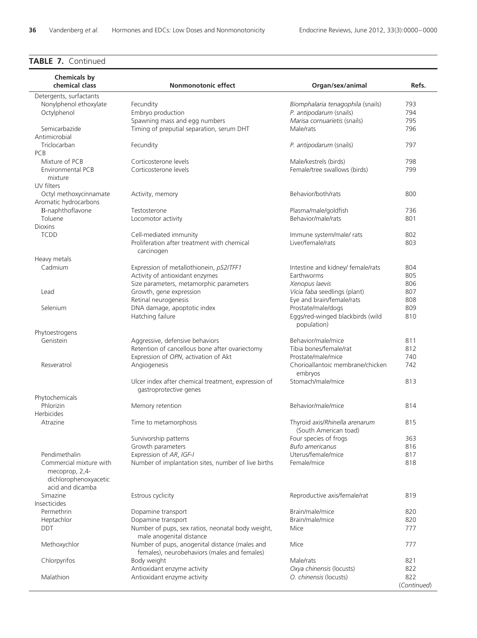### **TABLE 7.** Continued

| Chemicals by                   |                                                                            |                                   |             |
|--------------------------------|----------------------------------------------------------------------------|-----------------------------------|-------------|
| chemical class                 | Nonmonotonic effect                                                        | Organ/sex/animal                  | Refs.       |
| Detergents, surfactants        |                                                                            |                                   |             |
| Nonylphenol ethoxylate         | Fecundity                                                                  | Biomphalaria tenagophila (snails) | 793         |
| Octylphenol                    | Embryo production                                                          | P. antipodarum (snails)           | 794         |
|                                | Spawning mass and egg numbers<br>Timing of preputial separation, serum DHT | Marisa cornuarietis (snails)      | 795         |
| Semicarbazide<br>Antimicrobial |                                                                            | Male/rats                         | 796         |
| Triclocarban                   | Fecundity                                                                  | P. antipodarum (snails)           | 797         |
| <b>PCB</b>                     |                                                                            |                                   |             |
| Mixture of PCB                 | Corticosterone levels                                                      | Male/kestrels (birds)             | 798         |
| Environmental PCB              | Corticosterone levels                                                      | Female/tree swallows (birds)      | 799         |
| mixture                        |                                                                            |                                   |             |
| UV filters                     |                                                                            |                                   |             |
| Octyl methoxycinnamate         | Activity, memory                                                           | Behavior/both/rats                | 800         |
| Aromatic hydrocarbons          |                                                                            |                                   |             |
| B-naphthoflavone               | Testosterone                                                               | Plasma/male/goldfish              | 736         |
| Toluene                        | Locomotor activity                                                         | Behavior/male/rats                | 801         |
| <b>Dioxins</b>                 |                                                                            |                                   |             |
| <b>TCDD</b>                    | Cell-mediated immunity                                                     | Immune system/male/ rats          | 802         |
|                                | Proliferation after treatment with chemical                                | Liver/female/rats                 | 803         |
|                                | carcinogen                                                                 |                                   |             |
| Heavy metals                   |                                                                            |                                   |             |
| Cadmium                        | Expression of metallothionein, pS2/TFF1                                    | Intestine and kidney/ female/rats | 804         |
|                                | Activity of antioxidant enzymes                                            | Earthworms                        | 805         |
|                                | Size parameters, metamorphic parameters                                    | Xenopus laevis                    | 806         |
| Lead                           | Growth, gene expression                                                    | Vicia faba seedlings (plant)      | 807         |
|                                | Retinal neurogenesis                                                       | Eye and brain/female/rats         | 808         |
| Selenium                       | DNA damage, apoptotic index                                                | Prostate/male/dogs                | 809         |
|                                | Hatching failure                                                           | Eggs/red-winged blackbirds (wild  | 810         |
|                                |                                                                            | population)                       |             |
| Phytoestrogens<br>Genistein    | Aggressive, defensive behaviors                                            | Behavior/male/mice                | 811         |
|                                | Retention of cancellous bone after ovariectomy                             | Tibia bones/female/rat            | 812         |
|                                | Expression of OPN, activation of Akt                                       | Prostate/male/mice                | 740         |
| Resveratrol                    | Angiogenesis                                                               | Chorioallantoic membrane/chicken  | 742         |
|                                |                                                                            | embryos                           |             |
|                                | Ulcer index after chemical treatment, expression of                        | Stomach/male/mice                 | 813         |
|                                | gastroprotective genes                                                     |                                   |             |
| Phytochemicals                 |                                                                            |                                   |             |
| Phlorizin                      | Memory retention                                                           | Behavior/male/mice                | 814         |
| <b>Herbicides</b>              |                                                                            |                                   |             |
| Atrazine                       | Time to metamorphosis                                                      | Thyroid axis/Rhinella arenarum    | 815         |
|                                |                                                                            | (South American toad)             |             |
|                                | Survivorship patterns                                                      | Four species of frogs             | 363         |
|                                | Growth parameters                                                          | <b>Bufo americanus</b>            | 816         |
| Pendimethalin                  | Expression of AR, IGF-I                                                    | Uterus/female/mice                | 817         |
| Commercial mixture with        | Number of implantation sites, number of live births                        | Female/mice                       | 818         |
| mecoprop, 2,4-                 |                                                                            |                                   |             |
| dichlorophenoxyacetic          |                                                                            |                                   |             |
| acid and dicamba               |                                                                            |                                   |             |
| Simazine                       | Estrous cyclicity                                                          | Reproductive axis/female/rat      | 819         |
| Insecticides<br>Permethrin     |                                                                            | Brain/male/mice                   | 820         |
| Heptachlor                     | Dopamine transport<br>Dopamine transport                                   | Brain/male/mice                   | 820         |
| <b>DDT</b>                     | Number of pups, sex ratios, neonatal body weight,                          | Mice                              | 777         |
|                                | male anogenital distance                                                   |                                   |             |
| Methoxychlor                   | Number of pups, anogenital distance (males and                             | Mice                              | 777         |
|                                | females), neurobehaviors (males and females)                               |                                   |             |
| Chlorpyrifos                   | Body weight                                                                | Male/rats                         | 821         |
|                                | Antioxidant enzyme activity                                                | Oxya chinensis (locusts)          | 822         |
| Malathion                      | Antioxidant enzyme activity                                                | O. chinensis (locusts)            | 822         |
|                                |                                                                            |                                   | (Continued) |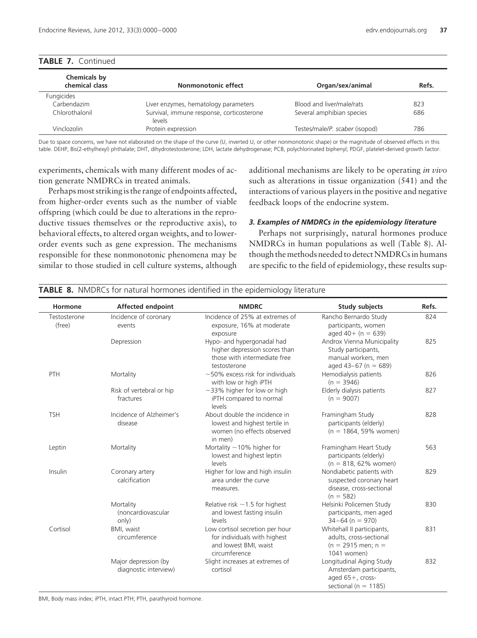**TABLE 7.** Continued

| <b>IADLE 7.</b> CONTINUED      |                                                     |                                |       |
|--------------------------------|-----------------------------------------------------|--------------------------------|-------|
| Chemicals by<br>chemical class | Nonmonotonic effect                                 | Organ/sex/animal               | Refs. |
| <b>Fungicides</b>              |                                                     |                                |       |
| Carbendazim                    | Liver enzymes, hematology parameters                | Blood and liver/male/rats      | 823   |
| Chlorothalonil                 | Survival, immune response, corticosterone<br>levels | Several amphibian species      | 686   |
| Vinclozolin                    | Protein expression                                  | Testes/male/P. scaber (isopod) | 786   |

Due to space concerns, we have not elaborated on the shape of the curve (U, inverted U, or other nonmonotonic shape) or the magnitude of observed effects in this table. DEHP, Bis(2-ethylhexyl) phthalate; DHT, dihydrotestosterone; LDH, lactate dehydrogenase; PCB, polychlorinated biphenyl; PDGF, platelet-derived growth factor.

experiments, chemicals with many different modes of action generate NMDRCs in treated animals.

Perhaps most striking is the range of endpoints affected, from higher-order events such as the number of viable offspring (which could be due to alterations in the reproductive tissues themselves or the reproductive axis), to behavioral effects, to altered organ weights, and to lowerorder events such as gene expression. The mechanisms responsible for these nonmonotonic phenomena may be similar to those studied in cell culture systems, although additional mechanisms are likely to be operating *in vivo* such as alterations in tissue organization (541) and the interactions of various players in the positive and negative feedback loops of the endocrine system.

# *3. Examples of NMDRCs in the epidemiology literature*

Perhaps not surprisingly, natural hormones produce NMDRCs in human populations as well (Table 8). Although the methods needed to detect NMDRCs in humans are specific to the field of epidemiology, these results sup-

| Hormone                | Affected endpoint                             | <b>NMDRC</b>                                                                                                | <b>Study subjects</b>                                                                                | Refs. |
|------------------------|-----------------------------------------------|-------------------------------------------------------------------------------------------------------------|------------------------------------------------------------------------------------------------------|-------|
| Testosterone<br>(free) | Incidence of coronary<br>events               | Incidence of 25% at extremes of<br>exposure, 16% at moderate<br>exposure                                    | Rancho Bernardo Study<br>participants, women<br>aged $40+ (n = 639)$                                 | 824   |
|                        | Depression                                    | Hypo- and hypergonadal had<br>higher depression scores than<br>those with intermediate free<br>testosterone | Androx Vienna Municipality<br>Study participants,<br>manual workers, men<br>aged 43-67 ( $n = 689$ ) | 825   |
| PTH                    | Mortality                                     | $\sim$ 50% excess risk for individuals<br>with low or high iPTH                                             | Hemodialysis patients<br>$(n = 3946)$                                                                | 826   |
|                        | Risk of vertebral or hip<br>fractures         | $\sim$ 33% higher for low or high<br>iPTH compared to normal<br>levels                                      | Elderly dialysis patients<br>$(n = 9007)$                                                            | 827   |
| <b>TSH</b>             | Incidence of Alzheimer's<br>disease           | About double the incidence in<br>lowest and highest tertile in<br>women (no effects observed<br>in men)     | Framingham Study<br>participants (elderly)<br>$(n = 1864, 59\%$ women)                               | 828   |
| Leptin                 | Mortality                                     | Mortality $\sim$ 10% higher for<br>lowest and highest leptin<br>levels                                      | Framingham Heart Study<br>participants (elderly)<br>$(n = 818, 62\%$ women)                          | 563   |
| Insulin                | Coronary artery<br>calcification              | Higher for low and high insulin<br>area under the curve<br>measures.                                        | Nondiabetic patients with<br>suspected coronary heart<br>disease, cross-sectional<br>$(n = 582)$     | 829   |
|                        | Mortality<br>(noncardiovascular<br>only)      | Relative risk $\sim$ 1.5 for highest<br>and lowest fasting insulin<br>levels                                | Helsinki Policemen Study<br>participants, men aged<br>$34 - 64$ (n = 970)                            | 830   |
| Cortisol               | BMI, waist<br>circumference                   | Low cortisol secretion per hour<br>for individuals with highest<br>and lowest BMI, waist<br>circumference   | Whitehall II participants,<br>adults, cross-sectional<br>$(n = 2915$ men; n =<br>1041 women)         | 831   |
|                        | Major depression (by<br>diagnostic interview) | Slight increases at extremes of<br>cortisol                                                                 | Longitudinal Aging Study<br>Amsterdam participants,<br>aged 65+, cross-<br>sectional ( $n = 1185$ )  | 832   |

**TABLE 8.** NMDRCs for natural hormones identified in the epidemiology literature

BMI, Body mass index; iPTH, intact PTH; PTH, parathyroid hormone.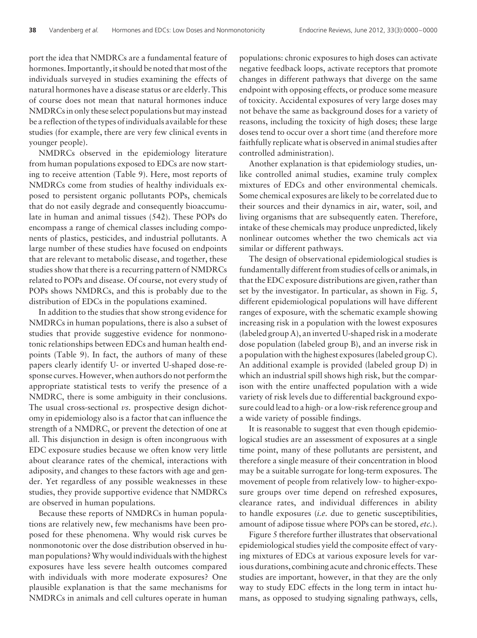port the idea that NMDRCs are a fundamental feature of hormones. Importantly, it should be noted that most of the individuals surveyed in studies examining the effects of natural hormones have a disease status or are elderly. This of course does not mean that natural hormones induce NMDRCs in only these select populations but may instead be a reflection of the types of individuals available for these studies (for example, there are very few clinical events in younger people).

NMDRCs observed in the epidemiology literature from human populations exposed to EDCs are now starting to receive attention (Table 9). Here, most reports of NMDRCs come from studies of healthy individuals exposed to persistent organic pollutants POPs, chemicals that do not easily degrade and consequently bioaccumulate in human and animal tissues (542). These POPs do encompass a range of chemical classes including components of plastics, pesticides, and industrial pollutants. A large number of these studies have focused on endpoints that are relevant to metabolic disease, and together, these studies show that there is a recurring pattern of NMDRCs related to POPs and disease. Of course, not every study of POPs shows NMDRCs, and this is probably due to the distribution of EDCs in the populations examined.

In addition to the studies that show strong evidence for NMDRCs in human populations, there is also a subset of studies that provide suggestive evidence for nonmonotonic relationships between EDCs and human health endpoints (Table 9). In fact, the authors of many of these papers clearly identify U- or inverted U-shaped dose-response curves. However, when authors do not perform the appropriate statistical tests to verify the presence of a NMDRC, there is some ambiguity in their conclusions. The usual cross-sectional *vs.* prospective design dichotomy in epidemiology also is a factor that can influence the strength of a NMDRC, or prevent the detection of one at all. This disjunction in design is often incongruous with EDC exposure studies because we often know very little about clearance rates of the chemical, interactions with adiposity, and changes to these factors with age and gender. Yet regardless of any possible weaknesses in these studies, they provide supportive evidence that NMDRCs are observed in human populations.

Because these reports of NMDRCs in human populations are relatively new, few mechanisms have been proposed for these phenomena. Why would risk curves be nonmonotonic over the dose distribution observed in human populations?Why would individuals with the highest exposures have less severe health outcomes compared with individuals with more moderate exposures? One plausible explanation is that the same mechanisms for NMDRCs in animals and cell cultures operate in human populations: chronic exposures to high doses can activate negative feedback loops, activate receptors that promote changes in different pathways that diverge on the same endpoint with opposing effects, or produce some measure of toxicity. Accidental exposures of very large doses may not behave the same as background doses for a variety of reasons, including the toxicity of high doses; these large doses tend to occur over a short time (and therefore more faithfully replicate what is observed in animal studies after controlled administration).

Another explanation is that epidemiology studies, unlike controlled animal studies, examine truly complex mixtures of EDCs and other environmental chemicals. Some chemical exposures are likely to be correlated due to their sources and their dynamics in air, water, soil, and living organisms that are subsequently eaten. Therefore, intake of these chemicals may produce unpredicted, likely nonlinear outcomes whether the two chemicals act via similar or different pathways.

The design of observational epidemiological studies is fundamentally different from studies of cells or animals, in that the EDC exposure distributions are given, rather than set by the investigator. In particular, as shown in Fig. 5, different epidemiological populations will have different ranges of exposure, with the schematic example showing increasing risk in a population with the lowest exposures (labeled group A), an inverted U-shaped risk in a moderate dose population (labeled group B), and an inverse risk in a population with the highest exposures (labeled group C). An additional example is provided (labeled group D) in which an industrial spill shows high risk, but the comparison with the entire unaffected population with a wide variety of risk levels due to differential background exposure could lead to a high- or a low-risk reference group and a wide variety of possible findings.

It is reasonable to suggest that even though epidemiological studies are an assessment of exposures at a single time point, many of these pollutants are persistent, and therefore a single measure of their concentration in blood may be a suitable surrogate for long-term exposures. The movement of people from relatively low- to higher-exposure groups over time depend on refreshed exposures, clearance rates, and individual differences in ability to handle exposures (*i.e.* due to genetic susceptibilities, amount of adipose tissue where POPs can be stored, *etc.*).

Figure 5 therefore further illustrates that observational epidemiological studies yield the composite effect of varying mixtures of EDCs at various exposure levels for various durations, combining acute and chronic effects. These studies are important, however, in that they are the only way to study EDC effects in the long term in intact humans, as opposed to studying signaling pathways, cells,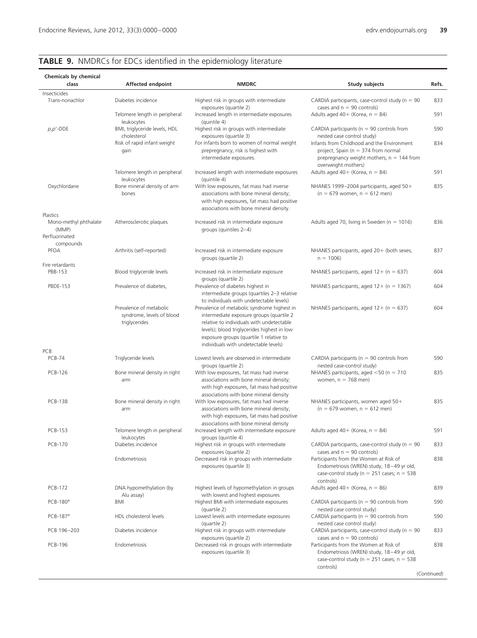# **TABLE 9.** NMDRCs for EDCs identified in the epidemiology literature

| <b>Chemicals by chemical</b>                                              |                                                                       |                                                                                                                                                                                                                                                                         |                                                                                                                                                            |             |
|---------------------------------------------------------------------------|-----------------------------------------------------------------------|-------------------------------------------------------------------------------------------------------------------------------------------------------------------------------------------------------------------------------------------------------------------------|------------------------------------------------------------------------------------------------------------------------------------------------------------|-------------|
| class                                                                     | <b>Affected endpoint</b>                                              | <b>NMDRC</b>                                                                                                                                                                                                                                                            | <b>Study subjects</b>                                                                                                                                      | Refs.       |
| Insecticides<br>Trans-nonachlor                                           | Diabetes incidence                                                    | Highest risk in groups with intermediate<br>exposures (quartile 2)                                                                                                                                                                                                      | CARDIA participants, case-control study ( $n = 90$<br>cases and $n = 90$ controls)                                                                         | 833         |
|                                                                           | Telomere length in peripheral<br>leukocytes                           | Increased length in intermediate exposures<br>(quintile 4)                                                                                                                                                                                                              | Adults aged $40+$ (Korea, $n = 84$ )                                                                                                                       | 591         |
| $p, p'$ -DDE                                                              | BMI, triglyceride levels, HDL<br>cholesterol                          | Highest risk in groups with intermediate<br>exposures (quartile 3)                                                                                                                                                                                                      | CARDIA participants ( $n = 90$ controls from<br>nested case control study)                                                                                 | 590         |
|                                                                           | Risk of rapid infant weight<br>gain                                   | For infants born to women of normal weight<br>prepregnancy, risk is highest with<br>intermediate exposures.                                                                                                                                                             | Infants from Childhood and the Environment<br>project, Spain ( $n = 374$ from normal<br>prepregnancy weight mothers; $n = 144$ from<br>overweight mothers) | 834         |
|                                                                           | Telomere length in peripheral<br>leukocytes                           | Increased length with intermediate exposures<br>(quintile 4)                                                                                                                                                                                                            | Adults aged $40+$ (Korea, $n = 84$ )                                                                                                                       | 591         |
| Oxychlordane                                                              | Bone mineral density of arm<br>bones                                  | With low exposures, fat mass had inverse<br>associations with bone mineral density;<br>with high exposures, fat mass had positive<br>associations with bone mineral density.                                                                                            | NHANES 1999-2004 participants, aged 50+<br>$(n = 679$ women, $n = 612$ men)                                                                                | 835         |
| Plastics<br>Mono-methyl phthalate<br>(MMP)<br>Perfluorinated<br>compounds | Atherosclerotic plaques                                               | Increased risk in intermediate exposure<br>groups (quintiles 2-4)                                                                                                                                                                                                       | Adults aged 70, living in Sweden ( $n = 1016$ )                                                                                                            | 836         |
| PFOA                                                                      | Arthritis (self-reported)                                             | Increased risk in intermediate exposure<br>groups (quartile 2)                                                                                                                                                                                                          | NHANES participants, aged 20+ (both sexes,<br>$n = 1006$                                                                                                   | 837         |
| Fire retardants<br>PBB-153                                                | Blood triglyceride levels                                             | Increased risk in intermediate exposure<br>groups (quartile 2)                                                                                                                                                                                                          | NHANES participants, aged $12 + (n = 637)$                                                                                                                 | 604         |
| <b>PBDE-153</b>                                                           | Prevalence of diabetes.                                               | Prevalence of diabetes highest in<br>intermediate groups (quartiles 2-3 relative<br>to individuals with undetectable levels)                                                                                                                                            | NHANES participants, aged $12 + (n = 1367)$                                                                                                                | 604         |
|                                                                           | Prevalence of metabolic<br>syndrome, levels of blood<br>triglycerides | Prevalence of metabolic syndrome highest in<br>intermediate exposure groups (quartile 2<br>relative to individuals with undetectable<br>levels); blood triglycerides highest in low<br>exposure groups (quartile 1 relative to<br>individuals with undetectable levels) | NHANES participants, aged $12 + (n = 637)$                                                                                                                 | 604         |
| PCB                                                                       |                                                                       |                                                                                                                                                                                                                                                                         |                                                                                                                                                            |             |
| <b>PCB-74</b>                                                             | Triglyceride levels                                                   | Lowest levels are observed in intermediate<br>groups (quartile 2)                                                                                                                                                                                                       | CARDIA participants ( $n = 90$ controls from<br>nested case-control study)                                                                                 | 590         |
| <b>PCB-126</b>                                                            | Bone mineral density in right<br>arm                                  | With low exposures, fat mass had inverse<br>associations with bone mineral density;<br>with high exposures, fat mass had positive<br>associations with bone mineral density                                                                                             | NHANES participants, aged $<$ 50 (n = 710<br>women, $n = 768$ men)                                                                                         | 835         |
| <b>PCB-138</b>                                                            | Bone mineral density in right<br>arm                                  | With low exposures, fat mass had inverse<br>associations with bone mineral density;<br>with high exposures, fat mass had positive<br>associations with bone mineral density                                                                                             | NHANES participants, women aged 50+<br>$(n = 679$ women, $n = 612$ men)                                                                                    | 835         |
| <b>PCB-153</b>                                                            | Telomere length in peripheral<br>leukocytes                           | Increased length with intermediate exposure<br>groups (quintile 4)                                                                                                                                                                                                      | Adults aged $40+$ (Korea, $n = 84$ )                                                                                                                       | 591         |
| <b>PCB-170</b>                                                            | Diabetes incidence                                                    | Highest risk in groups with intermediate<br>exposures (quartile 2)                                                                                                                                                                                                      | CARDIA participants, case-control study ( $n = 90$<br>cases and $n = 90$ controls)                                                                         | 833         |
|                                                                           | Endometriosis                                                         | Decreased risk in groups with intermediate<br>exposures (quartile 3)                                                                                                                                                                                                    | Participants from the Women at Risk of<br>Endometriosis (WREN) study, 18-49 yr old,<br>case-control study ( $n = 251$ cases; $n = 538$<br>controls)        | 838         |
| <b>PCB-172</b>                                                            | DNA hypomethylation (by<br>Alu assay)                                 | Highest levels of hypomethylation in groups<br>with lowest and highest exposures                                                                                                                                                                                        | Adults aged $40+$ (Korea, $n = 86$ )                                                                                                                       | 839         |
| $PCB-180^a$                                                               | BMI                                                                   | Highest BMI with intermediate exposures<br>(quartile 2)                                                                                                                                                                                                                 | CARDIA participants ( $n = 90$ controls from<br>nested case control study)                                                                                 | 590         |
| PCB-187 $a$                                                               | HDL cholesterol levels                                                | Lowest levels with intermediate exposures<br>(quartile 2)                                                                                                                                                                                                               | CARDIA participants ( $n = 90$ controls from<br>nested case control study)                                                                                 | 590         |
| PCB 196-203                                                               | Diabetes incidence                                                    | Highest risk in groups with intermediate<br>exposures (quartile 2)                                                                                                                                                                                                      | CARDIA participants, case-control study ( $n = 90$<br>cases and $n = 90$ controls)                                                                         | 833         |
| <b>PCB-196</b>                                                            | Endometriosis                                                         | Decreased risk in groups with intermediate<br>exposures (quartile 3)                                                                                                                                                                                                    | Participants from the Women at Risk of<br>Endometriosis (WREN) study, 18-49 yr old,<br>case-control study ( $n = 251$ cases; $n = 538$<br>controls)        | 838         |
|                                                                           |                                                                       |                                                                                                                                                                                                                                                                         |                                                                                                                                                            | (Continued) |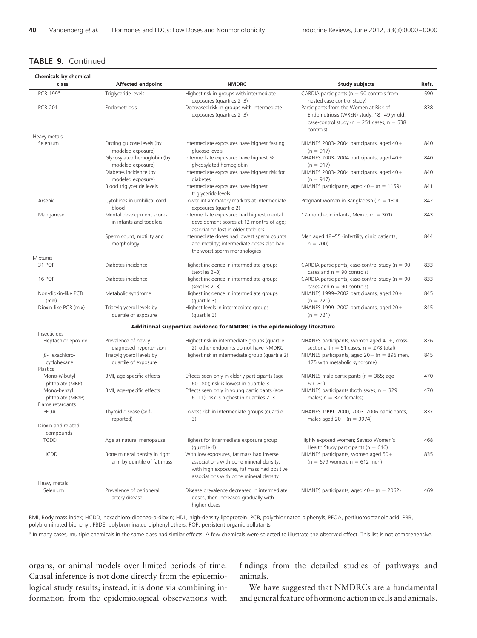#### **TABLE 9.** Continued

| Chemicals by chemical               |                                                              |                                                                                                                                                                             |                                                                                                                                                     |       |
|-------------------------------------|--------------------------------------------------------------|-----------------------------------------------------------------------------------------------------------------------------------------------------------------------------|-----------------------------------------------------------------------------------------------------------------------------------------------------|-------|
| class                               | Affected endpoint                                            | <b>NMDRC</b>                                                                                                                                                                | <b>Study subjects</b>                                                                                                                               | Refs. |
| $PCB-199^a$                         | Triglyceride levels                                          | Highest risk in groups with intermediate<br>exposures (quartiles 2-3)                                                                                                       | CARDIA participants ( $n = 90$ controls from<br>nested case control study)                                                                          | 590   |
| <b>PCB-201</b>                      | Endometriosis                                                | Decreased risk in groups with intermediate<br>exposures (quartiles 2-3)                                                                                                     | Participants from the Women at Risk of<br>Endometriosis (WREN) study, 18-49 yr old,<br>case-control study ( $n = 251$ cases, $n = 538$<br>controls) | 838   |
| Heavy metals                        |                                                              |                                                                                                                                                                             |                                                                                                                                                     |       |
| Selenium                            | Fasting glucose levels (by<br>modeled exposure)              | Intermediate exposures have highest fasting<br>glucose levels                                                                                                               | NHANES 2003-2004 participants, aged 40+<br>$(n = 917)$                                                                                              | 840   |
|                                     | Glycosylated hemoglobin (by<br>modeled exposure)             | Intermediate exposures have highest %<br>glycosylated hemoglobin                                                                                                            | NHANES 2003-2004 participants, aged 40+<br>$(n = 917)$                                                                                              | 840   |
|                                     | Diabetes incidence (by<br>modeled exposure)                  | Intermediate exposures have highest risk for<br>diabetes                                                                                                                    | NHANES 2003-2004 participants, aged 40+<br>$(n = 917)$                                                                                              | 840   |
|                                     | Blood triglyceride levels                                    | Intermediate exposures have highest<br>triglyceride levels                                                                                                                  | NHANES participants, aged $40+$ (n = 1159)                                                                                                          | 841   |
| Arsenic                             | Cytokines in umbilical cord<br>blood                         | Lower inflammatory markers at intermediate<br>exposures (quartile 2)                                                                                                        | Pregnant women in Bangladesh ( $n = 130$ )                                                                                                          | 842   |
| Manganese                           | Mental development scores<br>in infants and toddlers         | Intermediate exposures had highest mental<br>development scores at 12 months of age;<br>association lost in older toddlers                                                  | 12-month-old infants, Mexico ( $n = 301$ )                                                                                                          | 843   |
|                                     | Sperm count, motility and<br>morphology                      | Intermediate doses had lowest sperm counts<br>and motility; intermediate doses also had<br>the worst sperm morphologies                                                     | Men aged 18-55 (infertility clinic patients,<br>$n = 200$                                                                                           | 844   |
| <b>Mixtures</b>                     |                                                              |                                                                                                                                                                             |                                                                                                                                                     |       |
| 31 POP                              | Diabetes incidence                                           | Highest incidence in intermediate groups<br>(sextiles 2-3)                                                                                                                  | CARDIA participants, case-control study ( $n = 90$<br>cases and $n = 90$ controls)                                                                  | 833   |
| 16 POP                              | Diabetes incidence                                           | Highest incidence in intermediate groups<br>(sextiles 2-3)                                                                                                                  | CARDIA participants, case-control study ( $n = 90$<br>cases and $n = 90$ controls)                                                                  | 833   |
| Non-dioxin-like PCB<br>(mix)        | Metabolic syndrome                                           | Highest incidence in intermediate groups<br>(quartile 3)                                                                                                                    | NHANES 1999-2002 participants, aged 20+<br>$(n = 721)$                                                                                              | 845   |
| Dioxin-like PCB (mix)               | Triacylglycerol levels by<br>quartile of exposure            | Highest levels in intermediate groups<br>(quartile 3)                                                                                                                       | NHANES 1999-2002 participants, aged 20+<br>$(n = 721)$                                                                                              | 845   |
|                                     |                                                              | Additional supportive evidence for NMDRC in the epidemiology literature                                                                                                     |                                                                                                                                                     |       |
| Insecticides                        |                                                              |                                                                                                                                                                             |                                                                                                                                                     |       |
| Heptachlor epoxide                  | Prevalence of newly<br>diagnosed hypertension                | Highest risk in intermediate groups (quartile<br>2); other endpoints do not have NMDRC                                                                                      | NHANES participants, women aged 40+, cross-<br>sectional ( $n = 51$ cases, $n = 278$ total)                                                         | 826   |
| $\beta$ -Hexachloro-<br>cyclohexane | Triacylglycerol levels by<br>quartile of exposure            | Highest risk in intermediate group (quartile 2)                                                                                                                             | NHANES participants, aged $20+$ (n = 896 men,<br>175 with metabolic syndrome)                                                                       | 845   |
| Plastics                            |                                                              |                                                                                                                                                                             |                                                                                                                                                     |       |
| Mono-N-butyl<br>phthalate (MBP)     | BMI, age-specific effects                                    | Effects seen only in elderly participants (age<br>60-80); risk is lowest in quartile 3                                                                                      | NHANES male participants ( $n = 365$ ; age<br>$60 - 80$                                                                                             | 470   |
| Mono-benzyl<br>phthalate (MBzP)     | BMI, age-specific effects                                    | Effects seen only in young participants (age<br>6-11); risk is highest in quartiles 2-3                                                                                     | NHANES participants (both sexes, $n = 329$<br>males; $n = 327$ females)                                                                             | 470   |
| Flame retardants                    |                                                              |                                                                                                                                                                             |                                                                                                                                                     |       |
| PFOA                                | Thyroid disease (self-<br>reported)                          | Lowest risk in intermediate groups (quartile<br>3)                                                                                                                          | NHANES 1999-2000, 2003-2006 participants,<br>males aged $20 + (n = 3974)$                                                                           | 837   |
| Dioxin and related<br>compounds     |                                                              |                                                                                                                                                                             |                                                                                                                                                     |       |
| ICDD                                | Age at natural menopause                                     | Highest for intermediate exposure group<br>(quintile 4)                                                                                                                     | Highly exposed women; Seveso Women's<br>Health Study participants ( $n = 616$ )                                                                     | 468   |
| <b>HCDD</b>                         | Bone mineral density in right<br>arm by quintile of fat mass | With low exposures, fat mass had inverse<br>associations with bone mineral density;<br>with high exposures, fat mass had positive<br>associations with bone mineral density | NHANES participants, women aged 50+<br>$(n = 679$ women, $n = 612$ men)                                                                             | 835   |
| Heavy metals                        |                                                              |                                                                                                                                                                             |                                                                                                                                                     |       |
| Selenium                            | Prevalence of peripheral<br>artery disease                   | Disease prevalence decreased in intermediate<br>doses, then increased gradually with<br>higher doses                                                                        | NHANES participants, aged $40+$ (n = 2062)                                                                                                          | 469   |

BMI, Body mass index; HCDD, hexachloro-dibenzo-p-dioxin; HDL, high-density lipoprotein. PCB, polychlorinated biphenyls; PFOA, perfluorooctanoic acid; PBB, polybrominated biphenyl; PBDE, polybrominated diphenyl ethers; POP, persistent organic pollutants

a In many cases, multiple chemicals in the same class had similar effects. A few chemicals were selected to illustrate the observed effect. This list is not comprehensive.

organs, or animal models over limited periods of time. Causal inference is not done directly from the epidemiological study results; instead, it is done via combining information from the epidemiological observations with findings from the detailed studies of pathways and animals.

We have suggested that NMDRCs are a fundamental and general feature of hormone action in cells and animals.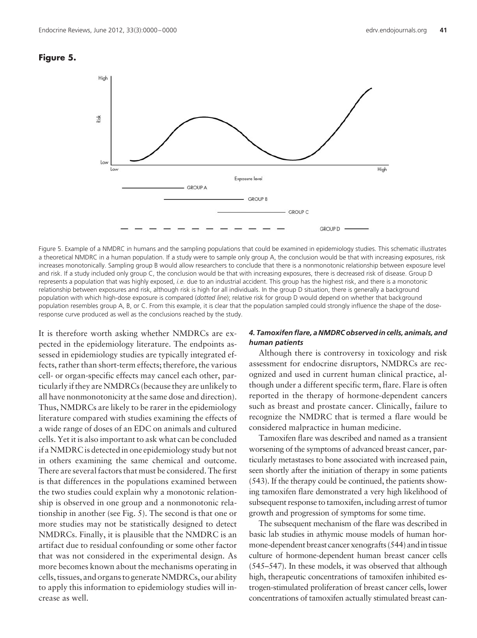# **Figure 5.**



Figure 5. Example of a NMDRC in humans and the sampling populations that could be examined in epidemiology studies. This schematic illustrates a theoretical NMDRC in a human population. If a study were to sample only group A, the conclusion would be that with increasing exposures, risk increases monotonically. Sampling group B would allow researchers to conclude that there is a nonmonotonic relationship between exposure level and risk. If a study included only group C, the conclusion would be that with increasing exposures, there is decreased risk of disease. Group D represents a population that was highly exposed, *i.e.* due to an industrial accident. This group has the highest risk, and there is a monotonic relationship between exposures and risk, although risk is high for all individuals. In the group D situation, there is generally a background population with which high-dose exposure is compared (*dotted line*); relative risk for group D would depend on whether that background population resembles group A, B, or C. From this example, it is clear that the population sampled could strongly influence the shape of the doseresponse curve produced as well as the conclusions reached by the study.

It is therefore worth asking whether NMDRCs are expected in the epidemiology literature. The endpoints assessed in epidemiology studies are typically integrated effects, rather than short-term effects; therefore, the various cell- or organ-specific effects may cancel each other, particularly if they are NMDRCs (because they are unlikely to all have nonmonotonicity at the same dose and direction). Thus, NMDRCs are likely to be rarer in the epidemiology literature compared with studies examining the effects of a wide range of doses of an EDC on animals and cultured cells. Yet it is also important to ask what can be concluded if a NMDRC is detected in one epidemiology study but not in others examining the same chemical and outcome. There are several factors that must be considered. The first is that differences in the populations examined between the two studies could explain why a monotonic relationship is observed in one group and a nonmonotonic relationship in another (see Fig. 5). The second is that one or more studies may not be statistically designed to detect NMDRCs. Finally, it is plausible that the NMDRC is an artifact due to residual confounding or some other factor that was not considered in the experimental design. As more becomes known about the mechanisms operating in cells, tissues, and organs to generate NMDRCs, our ability to apply this information to epidemiology studies will increase as well.

# *4. Tamoxifen flare, a NMDRC observed in cells, animals, and human patients*

Although there is controversy in toxicology and risk assessment for endocrine disruptors, NMDRCs are recognized and used in current human clinical practice, although under a different specific term, flare. Flare is often reported in the therapy of hormone-dependent cancers such as breast and prostate cancer. Clinically, failure to recognize the NMDRC that is termed a flare would be considered malpractice in human medicine.

Tamoxifen flare was described and named as a transient worsening of the symptoms of advanced breast cancer, particularly metastases to bone associated with increased pain, seen shortly after the initiation of therapy in some patients (543). If the therapy could be continued, the patients showing tamoxifen flare demonstrated a very high likelihood of subsequent response to tamoxifen, including arrest of tumor growth and progression of symptoms for some time.

The subsequent mechanism of the flare was described in basic lab studies in athymic mouse models of human hormone-dependent breast cancer xenografts (544) and in tissue culture of hormone-dependent human breast cancer cells (545–547). In these models, it was observed that although high, therapeutic concentrations of tamoxifen inhibited estrogen-stimulated proliferation of breast cancer cells, lower concentrations of tamoxifen actually stimulated breast can-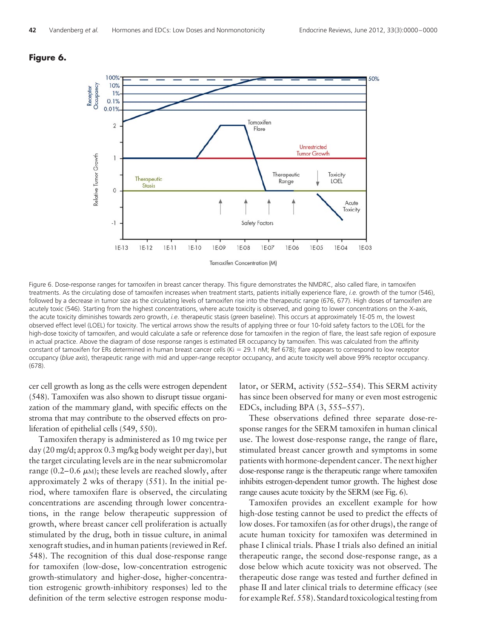

## **Figure 6.**

Tamoxifen Concentration (M)

Figure 6. Dose-response ranges for tamoxifen in breast cancer therapy. This figure demonstrates the NMDRC, also called flare, in tamoxifen treatments. As the circulating dose of tamoxifen increases when treatment starts, patients initially experience flare, *i.e.* growth of the tumor (546), followed by a decrease in tumor size as the circulating levels of tamoxifen rise into the therapeutic range (676, 677). High doses of tamoxifen are acutely toxic (546). Starting from the highest concentrations, where acute toxicity is observed, and going to lower concentrations on the X-axis, the acute toxicity diminishes towards zero growth, *i.e*. therapeutic stasis (*green* baseline). This occurs at approximately 1E-05 m, the lowest observed effect level (LOEL) for toxicity. The vertical arrows show the results of applying three or four 10-fold safety factors to the LOEL for the high-dose toxicity of tamoxifen, and would calculate a safe or reference dose for tamoxifen in the region of flare, the least safe region of exposure in actual practice. Above the diagram of dose response ranges is estimated ER occupancy by tamoxifen. This was calculated from the affinity constant of tamoxifen for ERs determined in human breast cancer cells (Ki = 29.1 nM; Ref 678); flare appears to correspond to low receptor occupancy (*blue axis*), therapeutic range with mid and upper-range receptor occupancy, and acute toxicity well above 99% receptor occupancy. (678).

cer cell growth as long as the cells were estrogen dependent (548). Tamoxifen was also shown to disrupt tissue organization of the mammary gland, with specific effects on the stroma that may contribute to the observed effects on proliferation of epithelial cells (549, 550).

Tamoxifen therapy is administered as 10 mg twice per day (20 mg/d; approx 0.3 mg/kg body weight per day), but the target circulating levels are in the near submicromolar range (0.2–0.6  $\mu$ M); these levels are reached slowly, after approximately 2 wks of therapy (551). In the initial period, where tamoxifen flare is observed, the circulating concentrations are ascending through lower concentrations, in the range below therapeutic suppression of growth, where breast cancer cell proliferation is actually stimulated by the drug, both in tissue culture, in animal xenograft studies, and in human patients (reviewed in Ref. 548). The recognition of this dual dose-response range for tamoxifen (low-dose, low-concentration estrogenic growth-stimulatory and higher-dose, higher-concentration estrogenic growth-inhibitory responses) led to the definition of the term selective estrogen response modulator, or SERM, activity (552–554). This SERM activity has since been observed for many or even most estrogenic EDCs, including BPA (3, 555–557).

These observations defined three separate dose-response ranges for the SERM tamoxifen in human clinical use. The lowest dose-response range, the range of flare, stimulated breast cancer growth and symptoms in some patients with hormone-dependent cancer. The next higher dose-response range is the therapeutic range where tamoxifen inhibits estrogen-dependent tumor growth. The highest dose range causes acute toxicity by the SERM (see Fig. 6).

Tamoxifen provides an excellent example for how high-dose testing cannot be used to predict the effects of low doses. For tamoxifen (as for other drugs), the range of acute human toxicity for tamoxifen was determined in phase I clinical trials. Phase I trials also defined an initial therapeutic range, the second dose-response range, as a dose below which acute toxicity was not observed. The therapeutic dose range was tested and further defined in phase II and later clinical trials to determine efficacy (see for example Ref. 558). Standard toxicological testing from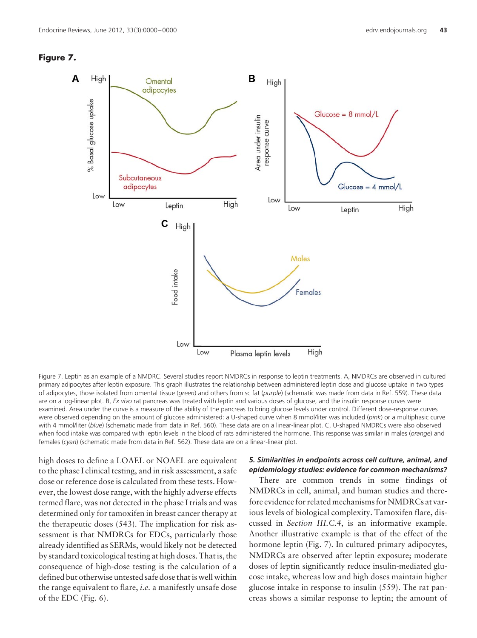# **Figure 7.**



Figure 7. Leptin as an example of a NMDRC. Several studies report NMDRCs in response to leptin treatments. A, NMDRCs are observed in cultured primary adipocytes after leptin exposure. This graph illustrates the relationship between administered leptin dose and glucose uptake in two types of adipocytes, those isolated from omental tissue (*green*) and others from sc fat (*purple*) (schematic was made from data in Ref. 559). These data are on a log-linear plot. B, *Ex vivo* rat pancreas was treated with leptin and various doses of glucose, and the insulin response curves were examined. Area under the curve is a measure of the ability of the pancreas to bring glucose levels under control. Different dose-response curves were observed depending on the amount of glucose administered: a U-shaped curve when 8 mmol/liter was included (*pink*) or a multiphasic curve with 4 mmol/liter (*blue*) (schematic made from data in Ref. 560). These data are on a linear-linear plot. C, U-shaped NMDRCs were also observed when food intake was compared with leptin levels in the blood of rats administered the hormone. This response was similar in males (*orange*) and females (*cyan*) (schematic made from data in Ref. 562). These data are on a linear-linear plot.

high doses to define a LOAEL or NOAEL are equivalent to the phase I clinical testing, and in risk assessment, a safe dose or reference dose is calculated from these tests. However, the lowest dose range, with the highly adverse effects termed flare, was not detected in the phase I trials and was determined only for tamoxifen in breast cancer therapy at the therapeutic doses (543). The implication for risk assessment is that NMDRCs for EDCs, particularly those already identified as SERMs, would likely not be detected by standard toxicological testing at high doses. That is, the consequence of high-dose testing is the calculation of a defined but otherwise untested safe dose that is well within the range equivalent to flare, *i.e.* a manifestly unsafe dose of the EDC (Fig. 6).

# *5. Similarities in endpoints across cell culture, animal, and epidemiology studies: evidence for common mechanisms?*

There are common trends in some findings of NMDRCs in cell, animal, and human studies and therefore evidence for related mechanisms for NMDRCs at various levels of biological complexity. Tamoxifen flare, discussed in *Section III.C.4*, is an informative example. Another illustrative example is that of the effect of the hormone leptin (Fig. 7). In cultured primary adipocytes, NMDRCs are observed after leptin exposure; moderate doses of leptin significantly reduce insulin-mediated glucose intake, whereas low and high doses maintain higher glucose intake in response to insulin (559). The rat pancreas shows a similar response to leptin; the amount of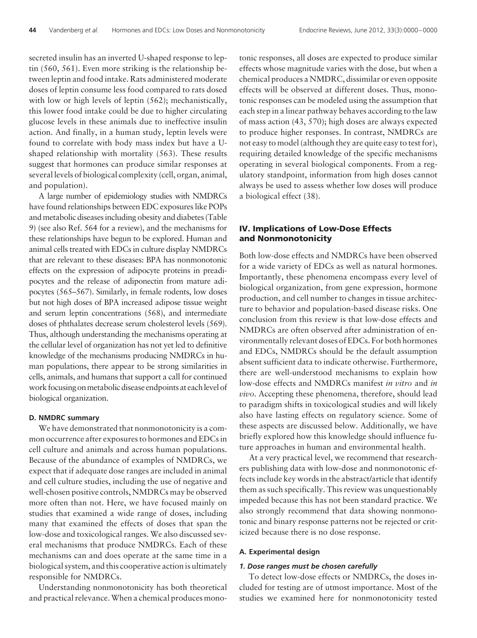secreted insulin has an inverted U-shaped response to leptin (560, 561). Even more striking is the relationship between leptin and food intake. Rats administered moderate doses of leptin consume less food compared to rats dosed with low or high levels of leptin (562); mechanistically, this lower food intake could be due to higher circulating glucose levels in these animals due to ineffective insulin action. And finally, in a human study, leptin levels were found to correlate with body mass index but have a Ushaped relationship with mortality (563). These results suggest that hormones can produce similar responses at several levels of biological complexity (cell, organ, animal, and population).

A large number of epidemiology studies with NMDRCs have found relationships between EDC exposures like POPs and metabolic diseases including obesity and diabetes (Table 9) (see also Ref. 564 for a review), and the mechanisms for these relationships have begun to be explored. Human and animal cells treated with EDCs in culture display NMDRCs that are relevant to these diseases: BPA has nonmonotonic effects on the expression of adipocyte proteins in preadipocytes and the release of adiponectin from mature adipocytes (565–567). Similarly, in female rodents, low doses but not high doses of BPA increased adipose tissue weight and serum leptin concentrations (568), and intermediate doses of phthalates decrease serum cholesterol levels (569). Thus, although understanding the mechanisms operating at the cellular level of organization has not yet led to definitive knowledge of the mechanisms producing NMDRCs in human populations, there appear to be strong similarities in cells, animals, and humans that support a call for continued work focusing on metabolic disease endpoints at each level of biological organization.

## **D. NMDRC summary**

We have demonstrated that nonmonotonicity is a common occurrence after exposures to hormones and EDCs in cell culture and animals and across human populations. Because of the abundance of examples of NMDRCs, we expect that if adequate dose ranges are included in animal and cell culture studies, including the use of negative and well-chosen positive controls, NMDRCs may be observed more often than not. Here, we have focused mainly on studies that examined a wide range of doses, including many that examined the effects of doses that span the low-dose and toxicological ranges. We also discussed several mechanisms that produce NMDRCs. Each of these mechanisms can and does operate at the same time in a biological system, and this cooperative action is ultimately responsible for NMDRCs.

Understanding nonmonotonicity has both theoretical and practical relevance.When a chemical produces mono-

tonic responses, all doses are expected to produce similar effects whose magnitude varies with the dose, but when a chemical produces a NMDRC, dissimilar or even opposite effects will be observed at different doses. Thus, monotonic responses can be modeled using the assumption that each step in a linear pathway behaves according to the law of mass action (43, 570); high doses are always expected to produce higher responses. In contrast, NMDRCs are not easy to model (although they are quite easy to test for), requiring detailed knowledge of the specific mechanisms operating in several biological components. From a regulatory standpoint, information from high doses cannot always be used to assess whether low doses will produce a biological effect (38).

# IV. Implications of Low-Dose Effects and Nonmonotonicity

Both low-dose effects and NMDRCs have been observed for a wide variety of EDCs as well as natural hormones. Importantly, these phenomena encompass every level of biological organization, from gene expression, hormone production, and cell number to changes in tissue architecture to behavior and population-based disease risks. One conclusion from this review is that low-dose effects and NMDRCs are often observed after administration of environmentally relevant doses of EDCs. For both hormones and EDCs, NMDRCs should be the default assumption absent sufficient data to indicate otherwise. Furthermore, there are well-understood mechanisms to explain how low-dose effects and NMDRCs manifest *in vitro* and *in vivo*. Accepting these phenomena, therefore, should lead to paradigm shifts in toxicological studies and will likely also have lasting effects on regulatory science. Some of these aspects are discussed below. Additionally, we have briefly explored how this knowledge should influence future approaches in human and environmental health.

At a very practical level, we recommend that researchers publishing data with low-dose and nonmonotonic effects include key words in the abstract/article that identify them as such specifically. This review was unquestionably impeded because this has not been standard practice. We also strongly recommend that data showing nonmonotonic and binary response patterns not be rejected or criticized because there is no dose response.

## **A. Experimental design**

### *1. Dose ranges must be chosen carefully*

To detect low-dose effects or NMDRCs, the doses included for testing are of utmost importance. Most of the studies we examined here for nonmonotonicity tested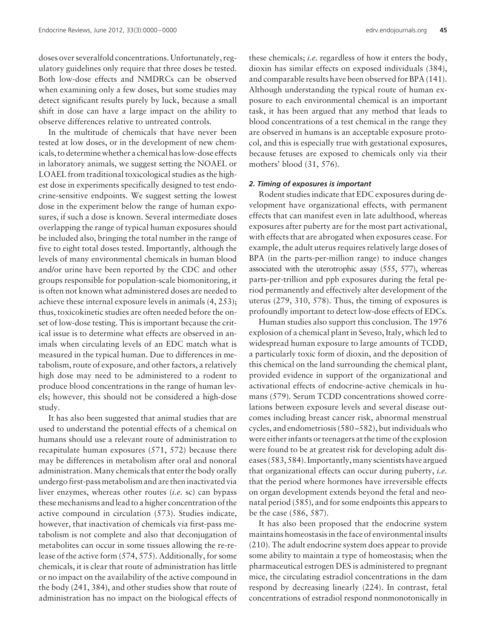doses over severalfold concentrations. Unfortunately, regulatory guidelines only require that three doses be tested. Both low-dose effects and NMDRCs can be observed when examining only a few doses, but some studies may detect significant results purely by luck, because a small shift in dose can have a large impact on the ability to observe differences relative to untreated controls.

In the multitude of chemicals that have never been tested at low doses, or in the development of new chemicals, to determine whether a chemical has low-dose effects in laboratory animals, we suggest setting the NOAEL or LOAEL from traditional toxicological studies as the highest dose in experiments specifically designed to test endocrine-sensitive endpoints. We suggest setting the lowest dose in the experiment below the range of human exposures, if such a dose is known. Several intermediate doses overlapping the range of typical human exposures should be included also, bringing the total number in the range of five to eight total doses tested. Importantly, although the levels of many environmental chemicals in human blood and/or urine have been reported by the CDC and other groups responsible for population-scale biomonitoring, it is often not known what administered doses are needed to achieve these internal exposure levels in animals (4, 253); thus, toxicokinetic studies are often needed before the onset of low-dose testing. This is important because the critical issue is to determine what effects are observed in animals when circulating levels of an EDC match what is measured in the typical human. Due to differences in metabolism, route of exposure, and other factors, a relatively high dose may need to be administered to a rodent to produce blood concentrations in the range of human levels; however, this should not be considered a high-dose study.

It has also been suggested that animal studies that are used to understand the potential effects of a chemical on humans should use a relevant route of administration to recapitulate human exposures (571, 572) because there may be differences in metabolism after oral and nonoral administration.Many chemicals that enter the body orally undergo first-pass metabolism and are then inactivated via liver enzymes, whereas other routes (*i.e.* sc) can bypass these mechanisms and lead to a higher concentration of the active compound in circulation (573). Studies indicate, however, that inactivation of chemicals via first-pass metabolism is not complete and also that deconjugation of metabolites can occur in some tissues allowing the re-release of the active form (574, 575). Additionally, for some chemicals, it is clear that route of administration has little or no impact on the availability of the active compound in the body (241, 384), and other studies show that route of administration has no impact on the biological effects of

these chemicals; *i.e.* regardless of how it enters the body, dioxin has similar effects on exposed individuals (384), and comparable results have been observed for BPA (141). Although understanding the typical route of human exposure to each environmental chemical is an important task, it has been argued that any method that leads to blood concentrations of a test chemical in the range they are observed in humans is an acceptable exposure protocol, and this is especially true with gestational exposures, because fetuses are exposed to chemicals only via their mothers' blood (31, 576).

### *2. Timing of exposures is important*

Rodent studies indicate that EDC exposures during development have organizational effects, with permanent effects that can manifest even in late adulthood, whereas exposures after puberty are for the most part activational, with effects that are abrogated when exposures cease. For example, the adult uterus requires relatively large doses of BPA (in the parts-per-million range) to induce changes associated with the uterotrophic assay (555, 577), whereas parts-per-trillion and ppb exposures during the fetal period permanently and effectively alter development of the uterus (279, 310, 578). Thus, the timing of exposures is profoundly important to detect low-dose effects of EDCs.

Human studies also support this conclusion. The 1976 explosion of a chemical plant in Seveso, Italy, which led to widespread human exposure to large amounts of TCDD, a particularly toxic form of dioxin, and the deposition of this chemical on the land surrounding the chemical plant, provided evidence in support of the organizational and activational effects of endocrine-active chemicals in humans (579). Serum TCDD concentrations showed correlations between exposure levels and several disease outcomes including breast cancer risk, abnormal menstrual cycles, and endometriosis (580 –582), but individuals who were either infants or teenagers at the time of the explosion were found to be at greatest risk for developing adult diseases (583, 584). Importantly, many scientists have argued that organizational effects can occur during puberty, *i.e.* that the period where hormones have irreversible effects on organ development extends beyond the fetal and neonatal period (585), and for some endpoints this appears to be the case (586, 587).

It has also been proposed that the endocrine system maintains homeostasis in the face of environmental insults (210). The adult endocrine system does appear to provide some ability to maintain a type of homeostasis; when the pharmaceutical estrogen DES is administered to pregnant mice, the circulating estradiol concentrations in the dam respond by decreasing linearly (224). In contrast, fetal concentrations of estradiol respond nonmonotonically in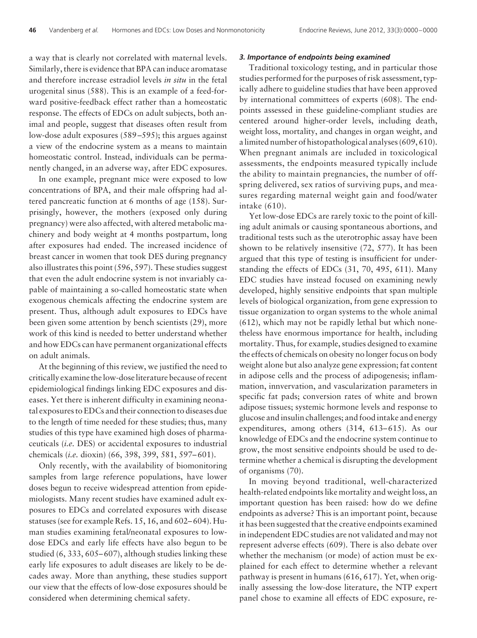a way that is clearly not correlated with maternal levels. Similarly, there is evidence that BPA can induce aromatase and therefore increase estradiol levels *in situ* in the fetal urogenital sinus (588). This is an example of a feed-forward positive-feedback effect rather than a homeostatic response. The effects of EDCs on adult subjects, both animal and people, suggest that diseases often result from low-dose adult exposures (589 –595); this argues against a view of the endocrine system as a means to maintain homeostatic control. Instead, individuals can be permanently changed, in an adverse way, after EDC exposures.

In one example, pregnant mice were exposed to low concentrations of BPA, and their male offspring had altered pancreatic function at 6 months of age (158). Surprisingly, however, the mothers (exposed only during pregnancy) were also affected, with altered metabolic machinery and body weight at 4 months postpartum, long after exposures had ended. The increased incidence of breast cancer in women that took DES during pregnancy also illustrates this point (596, 597). These studies suggest that even the adult endocrine system is not invariably capable of maintaining a so-called homeostatic state when exogenous chemicals affecting the endocrine system are present. Thus, although adult exposures to EDCs have been given some attention by bench scientists (29), more work of this kind is needed to better understand whether and how EDCs can have permanent organizational effects on adult animals.

At the beginning of this review, we justified the need to critically examine the low-dose literature because of recent epidemiological findings linking EDC exposures and diseases. Yet there is inherent difficulty in examining neonatal exposures to EDCs and their connection to diseases due to the length of time needed for these studies; thus, many studies of this type have examined high doses of pharmaceuticals (*i.e.* DES) or accidental exposures to industrial chemicals (*i.e.* dioxin) (66, 398, 399, 581, 597– 601).

Only recently, with the availability of biomonitoring samples from large reference populations, have lower doses begun to receive widespread attention from epidemiologists. Many recent studies have examined adult exposures to EDCs and correlated exposures with disease statuses (see for example Refs. 15, 16, and 602– 604). Human studies examining fetal/neonatal exposures to lowdose EDCs and early life effects have also begun to be studied (6, 333, 605–607), although studies linking these early life exposures to adult diseases are likely to be decades away. More than anything, these studies support our view that the effects of low-dose exposures should be considered when determining chemical safety.

#### *3. Importance of endpoints being examined*

Traditional toxicology testing, and in particular those studies performed for the purposes of risk assessment, typically adhere to guideline studies that have been approved by international committees of experts (608). The endpoints assessed in these guideline-compliant studies are centered around higher-order levels, including death, weight loss, mortality, and changes in organ weight, and a limited number of histopathological analyses (609, 610). When pregnant animals are included in toxicological assessments, the endpoints measured typically include the ability to maintain pregnancies, the number of offspring delivered, sex ratios of surviving pups, and measures regarding maternal weight gain and food/water intake (610).

Yet low-dose EDCs are rarely toxic to the point of killing adult animals or causing spontaneous abortions, and traditional tests such as the uterotrophic assay have been shown to be relatively insensitive (72, 577). It has been argued that this type of testing is insufficient for understanding the effects of EDCs (31, 70, 495, 611). Many EDC studies have instead focused on examining newly developed, highly sensitive endpoints that span multiple levels of biological organization, from gene expression to tissue organization to organ systems to the whole animal (612), which may not be rapidly lethal but which nonetheless have enormous importance for health, including mortality. Thus, for example, studies designed to examine the effects of chemicals on obesity no longer focus on body weight alone but also analyze gene expression; fat content in adipose cells and the process of adipogenesis; inflammation, innvervation, and vascularization parameters in specific fat pads; conversion rates of white and brown adipose tissues; systemic hormone levels and response to glucose and insulin challenges; and food intake and energy expenditures, among others (314, 613–615). As our knowledge of EDCs and the endocrine system continue to grow, the most sensitive endpoints should be used to determine whether a chemical is disrupting the development of organisms (70).

In moving beyond traditional, well-characterized health-related endpoints like mortality and weight loss, an important question has been raised: how do we define endpoints as adverse? This is an important point, because it has been suggested that the creative endpoints examined in independent EDC studies are not validated and may not represent adverse effects (609). There is also debate over whether the mechanism (or mode) of action must be explained for each effect to determine whether a relevant pathway is present in humans (616, 617). Yet, when originally assessing the low-dose literature, the NTP expert panel chose to examine all effects of EDC exposure, re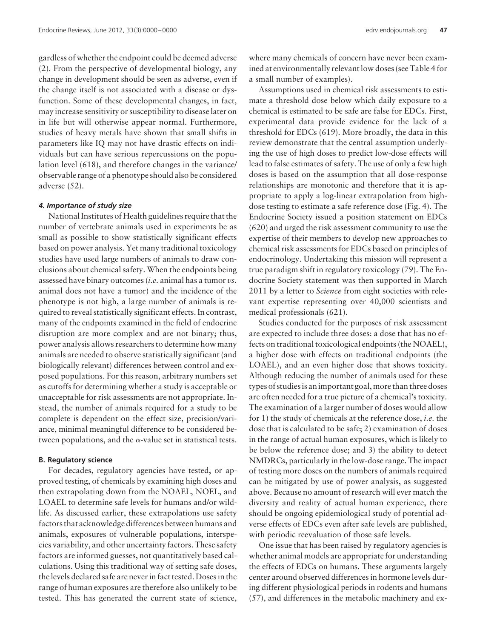gardless of whether the endpoint could be deemed adverse (2). From the perspective of developmental biology, any change in development should be seen as adverse, even if the change itself is not associated with a disease or dysfunction. Some of these developmental changes, in fact, may increase sensitivity or susceptibility to disease later on in life but will otherwise appear normal. Furthermore, studies of heavy metals have shown that small shifts in parameters like IQ may not have drastic effects on individuals but can have serious repercussions on the population level (618), and therefore changes in the variance/ observable range of a phenotype should also be considered adverse (52).

## *4. Importance of study size*

National Institutes of Health guidelines require that the number of vertebrate animals used in experiments be as small as possible to show statistically significant effects based on power analysis. Yet many traditional toxicology studies have used large numbers of animals to draw conclusions about chemical safety. When the endpoints being assessed have binary outcomes (*i.e.* animal has a tumor *vs.* animal does not have a tumor) and the incidence of the phenotype is not high, a large number of animals is required to reveal statistically significant effects. In contrast, many of the endpoints examined in the field of endocrine disruption are more complex and are not binary; thus, power analysis allows researchers to determine how many animals are needed to observe statistically significant (and biologically relevant) differences between control and exposed populations. For this reason, arbitrary numbers set as cutoffs for determining whether a study is acceptable or unacceptable for risk assessments are not appropriate. Instead, the number of animals required for a study to be complete is dependent on the effect size, precision/variance, minimal meaningful difference to be considered between populations, and the  $\alpha$ -value set in statistical tests.

## **B. Regulatory science**

For decades, regulatory agencies have tested, or approved testing, of chemicals by examining high doses and then extrapolating down from the NOAEL, NOEL, and LOAEL to determine safe levels for humans and/or wildlife. As discussed earlier, these extrapolations use safety factors that acknowledge differences between humans and animals, exposures of vulnerable populations, interspecies variability, and other uncertainty factors. These safety factors are informed guesses, not quantitatively based calculations. Using this traditional way of setting safe doses, the levels declared safe are never in fact tested. Doses in the range of human exposures are therefore also unlikely to be tested. This has generated the current state of science,

where many chemicals of concern have never been examined at environmentally relevant low doses (see Table 4 for a small number of examples).

Assumptions used in chemical risk assessments to estimate a threshold dose below which daily exposure to a chemical is estimated to be safe are false for EDCs. First, experimental data provide evidence for the lack of a threshold for EDCs (619). More broadly, the data in this review demonstrate that the central assumption underlying the use of high doses to predict low-dose effects will lead to false estimates of safety. The use of only a few high doses is based on the assumption that all dose-response relationships are monotonic and therefore that it is appropriate to apply a log-linear extrapolation from highdose testing to estimate a safe reference dose (Fig. 4). The Endocrine Society issued a position statement on EDCs (620) and urged the risk assessment community to use the expertise of their members to develop new approaches to chemical risk assessments for EDCs based on principles of endocrinology. Undertaking this mission will represent a true paradigm shift in regulatory toxicology (79). The Endocrine Society statement was then supported in March 2011 by a letter to *Science* from eight societies with relevant expertise representing over 40,000 scientists and medical professionals (621).

Studies conducted for the purposes of risk assessment are expected to include three doses: a dose that has no effects on traditional toxicological endpoints (the NOAEL), a higher dose with effects on traditional endpoints (the LOAEL), and an even higher dose that shows toxicity. Although reducing the number of animals used for these types of studies is an important goal, more than three doses are often needed for a true picture of a chemical's toxicity. The examination of a larger number of doses would allow for 1) the study of chemicals at the reference dose, *i.e.* the dose that is calculated to be safe; 2) examination of doses in the range of actual human exposures, which is likely to be below the reference dose; and 3) the ability to detect NMDRCs, particularly in the low-dose range. The impact of testing more doses on the numbers of animals required can be mitigated by use of power analysis, as suggested above. Because no amount of research will ever match the diversity and reality of actual human experience, there should be ongoing epidemiological study of potential adverse effects of EDCs even after safe levels are published, with periodic reevaluation of those safe levels.

One issue that has been raised by regulatory agencies is whether animal models are appropriate for understanding the effects of EDCs on humans. These arguments largely center around observed differences in hormone levels during different physiological periods in rodents and humans (57), and differences in the metabolic machinery and ex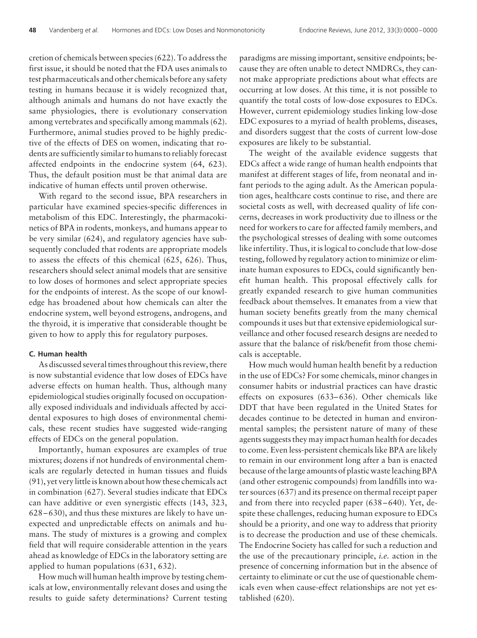cretion of chemicals between species (622). To address the first issue, it should be noted that the FDA uses animals to test pharmaceuticals and other chemicals before any safety testing in humans because it is widely recognized that, although animals and humans do not have exactly the same physiologies, there is evolutionary conservation among vertebrates and specifically among mammals (62). Furthermore, animal studies proved to be highly predictive of the effects of DES on women, indicating that rodents are sufficiently similar to humans to reliably forecast affected endpoints in the endocrine system (64, 623). Thus, the default position must be that animal data are indicative of human effects until proven otherwise.

With regard to the second issue, BPA researchers in particular have examined species-specific differences in metabolism of this EDC. Interestingly, the pharmacokinetics of BPA in rodents, monkeys, and humans appear to be very similar (624), and regulatory agencies have subsequently concluded that rodents are appropriate models to assess the effects of this chemical (625, 626). Thus, researchers should select animal models that are sensitive to low doses of hormones and select appropriate species for the endpoints of interest. As the scope of our knowledge has broadened about how chemicals can alter the endocrine system, well beyond estrogens, androgens, and the thyroid, it is imperative that considerable thought be given to how to apply this for regulatory purposes.

#### **C. Human health**

As discussed several times throughout this review, there is now substantial evidence that low doses of EDCs have adverse effects on human health. Thus, although many epidemiological studies originally focused on occupationally exposed individuals and individuals affected by accidental exposures to high doses of environmental chemicals, these recent studies have suggested wide-ranging effects of EDCs on the general population.

Importantly, human exposures are examples of true mixtures; dozens if not hundreds of environmental chemicals are regularly detected in human tissues and fluids (91), yet very little is known about how these chemicals act in combination (627). Several studies indicate that EDCs can have additive or even synergistic effects (143, 323, 628 – 630), and thus these mixtures are likely to have unexpected and unpredictable effects on animals and humans. The study of mixtures is a growing and complex field that will require considerable attention in the years ahead as knowledge of EDCs in the laboratory setting are applied to human populations (631, 632).

How much will human health improve by testing chemicals at low, environmentally relevant doses and using the results to guide safety determinations? Current testing

paradigms are missing important, sensitive endpoints; because they are often unable to detect NMDRCs, they cannot make appropriate predictions about what effects are occurring at low doses. At this time, it is not possible to quantify the total costs of low-dose exposures to EDCs. However, current epidemiology studies linking low-dose EDC exposures to a myriad of health problems, diseases, and disorders suggest that the costs of current low-dose exposures are likely to be substantial.

The weight of the available evidence suggests that EDCs affect a wide range of human health endpoints that manifest at different stages of life, from neonatal and infant periods to the aging adult. As the American population ages, healthcare costs continue to rise, and there are societal costs as well, with decreased quality of life concerns, decreases in work productivity due to illness or the need for workers to care for affected family members, and the psychological stresses of dealing with some outcomes like infertility. Thus, it is logical to conclude that low-dose testing, followed by regulatory action to minimize or eliminate human exposures to EDCs, could significantly benefit human health. This proposal effectively calls for greatly expanded research to give human communities feedback about themselves. It emanates from a view that human society benefits greatly from the many chemical compounds it uses but that extensive epidemiological surveillance and other focused research designs are needed to assure that the balance of risk/benefit from those chemicals is acceptable.

How much would human health benefit by a reduction in the use of EDCs? For some chemicals, minor changes in consumer habits or industrial practices can have drastic effects on exposures (633– 636). Other chemicals like DDT that have been regulated in the United States for decades continue to be detected in human and environmental samples; the persistent nature of many of these agents suggests they may impact human health for decades to come. Even less-persistent chemicals like BPA are likely to remain in our environment long after a ban is enacted because of the large amounts of plastic waste leaching BPA (and other estrogenic compounds) from landfills into water sources (637) and its presence on thermal receipt paper and from there into recycled paper (638 – 640). Yet, despite these challenges, reducing human exposure to EDCs should be a priority, and one way to address that priority is to decrease the production and use of these chemicals. The Endocrine Society has called for such a reduction and the use of the precautionary principle, *i.e.* action in the presence of concerning information but in the absence of certainty to eliminate or cut the use of questionable chemicals even when cause-effect relationships are not yet established (620).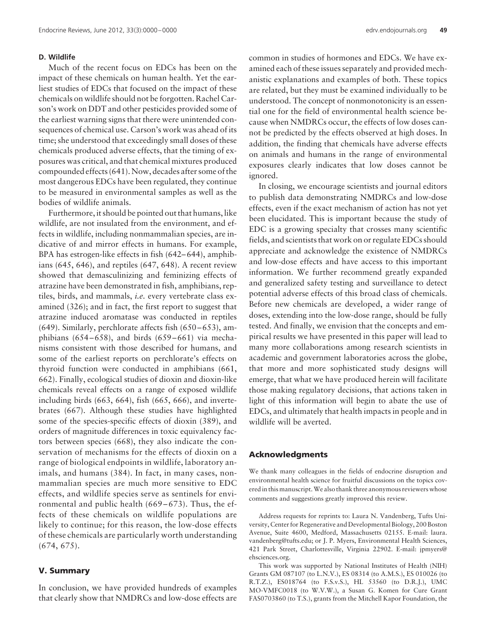#### **D. Wildlife**

Much of the recent focus on EDCs has been on the impact of these chemicals on human health. Yet the earliest studies of EDCs that focused on the impact of these chemicals on wildlife should not be forgotten. Rachel Carson's work on DDT and other pesticides provided some of the earliest warning signs that there were unintended consequences of chemical use. Carson's work was ahead of its time; she understood that exceedingly small doses of these chemicals produced adverse effects, that the timing of exposures was critical, and that chemical mixtures produced compounded effects (641). Now, decades after some of the most dangerous EDCs have been regulated, they continue to be measured in environmental samples as well as the bodies of wildlife animals.

Furthermore, it should be pointed out that humans, like wildlife, are not insulated from the environment, and effects in wildlife, including nonmammalian species, are indicative of and mirror effects in humans. For example, BPA has estrogen-like effects in fish (642–644), amphibians (645, 646), and reptiles (647, 648). A recent review showed that demasculinizing and feminizing effects of atrazine have been demonstrated in fish, amphibians, reptiles, birds, and mammals, *i.e.* every vertebrate class examined (326); and in fact, the first report to suggest that atrazine induced aromatase was conducted in reptiles  $(649)$ . Similarly, perchlorate affects fish  $(650-653)$ , amphibians  $(654 - 658)$ , and birds  $(659 - 661)$  via mechanisms consistent with those described for humans, and some of the earliest reports on perchlorate's effects on thyroid function were conducted in amphibians (661, 662). Finally, ecological studies of dioxin and dioxin-like chemicals reveal effects on a range of exposed wildlife including birds (663, 664), fish (665, 666), and invertebrates (667). Although these studies have highlighted some of the species-specific effects of dioxin (389), and orders of magnitude differences in toxic equivalency factors between species (668), they also indicate the conservation of mechanisms for the effects of dioxin on a range of biological endpoints in wildlife, laboratory animals, and humans (384). In fact, in many cases, nonmammalian species are much more sensitive to EDC effects, and wildlife species serve as sentinels for environmental and public health (669–673). Thus, the effects of these chemicals on wildlife populations are likely to continue; for this reason, the low-dose effects of these chemicals are particularly worth understanding (674, 675).

#### V. Summary

In conclusion, we have provided hundreds of examples that clearly show that NMDRCs and low-dose effects are common in studies of hormones and EDCs. We have examined each of these issues separately and provided mechanistic explanations and examples of both. These topics are related, but they must be examined individually to be understood. The concept of nonmonotonicity is an essential one for the field of environmental health science because when NMDRCs occur, the effects of low doses cannot be predicted by the effects observed at high doses. In addition, the finding that chemicals have adverse effects on animals and humans in the range of environmental exposures clearly indicates that low doses cannot be ignored.

In closing, we encourage scientists and journal editors to publish data demonstrating NMDRCs and low-dose effects, even if the exact mechanism of action has not yet been elucidated. This is important because the study of EDC is a growing specialty that crosses many scientific fields, and scientists that work on or regulate EDCs should appreciate and acknowledge the existence of NMDRCs and low-dose effects and have access to this important information. We further recommend greatly expanded and generalized safety testing and surveillance to detect potential adverse effects of this broad class of chemicals. Before new chemicals are developed, a wider range of doses, extending into the low-dose range, should be fully tested. And finally, we envision that the concepts and empirical results we have presented in this paper will lead to many more collaborations among research scientists in academic and government laboratories across the globe, that more and more sophisticated study designs will emerge, that what we have produced herein will facilitate those making regulatory decisions, that actions taken in light of this information will begin to abate the use of EDCs, and ultimately that health impacts in people and in wildlife will be averted.

### Acknowledgments

We thank many colleagues in the fields of endocrine disruption and environmental health science for fruitful discussions on the topics covered in this manuscript.We also thank three anonymous reviewers whose comments and suggestions greatly improved this review.

Address requests for reprints to: Laura N. Vandenberg, Tufts University, Center for Regenerative and Developmental Biology, 200 Boston Avenue, Suite 4600, Medford, Massachusetts 02155. E-mail: laura. vandenberg@tufts.edu; or J. P. Myers, Environmental Health Sciences, 421 Park Street, Charlottesville, Virginia 22902. E-mail: jpmyers@ ehsciences.org.

This work was supported by National Institutes of Health (NIH) Grants GM 087107 (to L.N.V.), ES 08314 (to A.M.S.), ES 010026 (to R.T.Z.), ES018764 (to F.S.v.S.), HL 53560 (to D.R.J.), UMC MO-VMFC0018 (to W.V.W.), a Susan G. Komen for Cure Grant FAS0703860 (to T.S.), grants from the Mitchell Kapor Foundation, the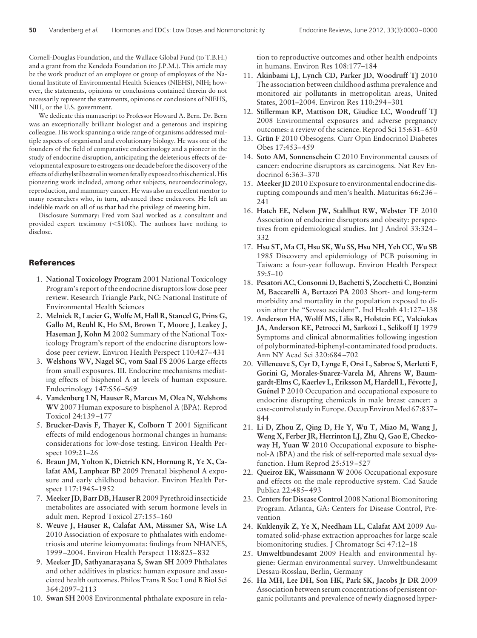Cornell-Douglas Foundation, and the Wallace Global Fund (to T.B.H.) and a grant from the Kendeda Foundation (to J.P.M.). This article may be the work product of an employee or group of employees of the National Institute of Environmental Health Sciences (NIEHS), NIH; however, the statements, opinions or conclusions contained therein do not necessarily represent the statements, opinions or conclusions of NIEHS, NIH, or the U.S. government.

We dedicate this manuscript to Professor Howard A. Bern. Dr. Bern was an exceptionally brilliant biologist and a generous and inspiring colleague. His work spanning a wide range of organisms addressed multiple aspects of organismal and evolutionary biology. He was one of the founders of the field of comparative endocrinology and a pioneer in the study of endocrine disruption, anticipating the deleterious effects of developmental exposure to estrogens one decade before the discovery of the effects of diethylstilbestrol in women fetally exposed to this chemical. His pioneering work included, among other subjects, neuroendocrinology, reproduction, and mammary cancer. He was also an excellent mentor to many researchers who, in turn, advanced these endeavors. He left an indelible mark on all of us that had the privilege of meeting him.

Disclosure Summary: Fred vom Saal worked as a consultant and provided expert testimony  $( $$10K$ ). The authors have nothing to$ disclose.

### References

- 1. **National Toxicology Program** 2001 National Toxicology Program's report of the endocrine disruptors low dose peer review. Research Triangle Park, NC: National Institute of Environmental Health Sciences
- 2. **Melnick R, Lucier G, Wolfe M, Hall R, Stancel G, Prins G, Gallo M, Reuhl K, Ho SM, Brown T, Moore J, Leakey J, Haseman J, Kohn M** 2002 Summary of the National Toxicology Program's report of the endocrine disruptors lowdose peer review. Environ Health Perspect 110:427– 431
- 3. **Welshons WV, Nagel SC, vom Saal FS** 2006 Large effects from small exposures. III. Endocrine mechanisms mediating effects of bisphenol A at levels of human exposure. Endocrinology 147:S56 –S69
- 4. **Vandenberg LN, Hauser R, Marcus M, Olea N, Welshons WV** 2007 Human exposure to bisphenol A (BPA). Reprod Toxicol 24:139 –177
- 5. **Brucker-Davis F, Thayer K, Colborn T** 2001 Significant effects of mild endogenous hormonal changes in humans: considerations for low-dose testing. Environ Health Perspect 109:21–26
- 6. **Braun JM, Yolton K, Dietrich KN, Hornung R, Ye X, Calafat AM, Lanphear BP** 2009 Prenatal bisphenol A exposure and early childhood behavior. Environ Health Perspect 117:1945–1952
- 7. **Meeker JD, Barr DB, Hauser R** 2009 Pyrethroid insecticide metabolites are associated with serum hormone levels in adult men. Reprod Toxicol 27:155–160
- 8. **Weuve J, Hauser R, Calafat AM, Missmer SA, Wise LA** 2010 Association of exposure to phthalates with endometriosis and uterine leiomyomata: findings from NHANES, 1999 –2004. Environ Health Perspect 118:825– 832
- 9. **Meeker JD, Sathyanarayana S, Swan SH** 2009 Phthalates and other additives in plastics: human exposure and associated health outcomes. Philos Trans R Soc Lond B Biol Sci 364:2097–2113
- 10. **Swan SH** 2008 Environmental phthalate exposure in rela-

tion to reproductive outcomes and other health endpoints in humans. Environ Res 108:177–184

- 11. **Akinbami LJ, Lynch CD, Parker JD, Woodruff TJ** 2010 The association between childhood asthma prevalence and monitored air pollutants in metropolitan areas, United States, 2001–2004. Environ Res 110:294 –301
- 12. **Stillerman KP, Mattison DR, Giudice LC, Woodruff TJ** 2008 Environmental exposures and adverse pregnancy outcomes: a review of the science. Reprod Sci 15:631– 650
- 13. Grün F 2010 Obesogens. Curr Opin Endocrinol Diabetes Obes 17:453– 459
- 14. **Soto AM, Sonnenschein C** 2010 Environmental causes of cancer: endocrine disruptors as carcinogens. Nat Rev Endocrinol 6:363–370
- 15. **Meeker JD**2010 Exposure to environmental endocrine disrupting compounds and men's health. Maturitas 66:236 – 241
- 16. **Hatch EE, Nelson JW, Stahlhut RW, Webster TF** 2010 Association of endocrine disruptors and obesity: perspectives from epidemiological studies. Int J Androl 33:324 – 332
- 17. **Hsu ST, Ma CI, Hsu SK, Wu SS, Hsu NH, Yeh CC, Wu SB** 1985 Discovery and epidemiology of PCB poisoning in Taiwan: a four-year followup. Environ Health Perspect 59:5–10
- 18. **Pesatori AC, Consonni D, Bachetti S, Zocchetti C, Bonzini M, Baccarelli A, Bertazzi PA** 2003 Short- and long-term morbidity and mortality in the population exposed to dioxin after the "Seveso accident". Ind Health 41:127–138
- 19. **Anderson HA, Wolff MS, Lilis R, Holstein EC, Valciukas JA, Anderson KE, Petrocci M, Sarkozi L, Selikoff IJ** 1979 Symptoms and clinical abnormalities following ingestion of polyborminated-biphenyl-contaminated food products. Ann NY Acad Sci 320:684 –702
- 20. **Villeneuve S, Cyr D, Lynge E, Orsi L, Sabroe S, Merletti F, Gorini G, Morales-Suarez-Varela M, Ahrens W, Baumgardt-Elms C, Kaerlev L, Eriksson M, Hardell L, Fe´votte J,** Guénel P 2010 Occupation and occupational exposure to endocrine disrupting chemicals in male breast cancer: a case-control study in Europe. Occup Environ Med 67:837– 844
- 21. **Li D, Zhou Z, Qing D, He Y, Wu T, Miao M, Wang J, Weng X, Ferber JR, Herrinton LJ, Zhu Q, Gao E, Checkoway H, Yuan W** 2010 Occupational exposure to bisphenol-A (BPA) and the risk of self-reported male sexual dysfunction. Hum Reprod 25:519 –527
- 22. **Queiroz EK, Waissmann W** 2006 Occupational exposure and effects on the male reproductive system. Cad Saude Publica 22:485– 493
- 23. **Centers for Disease Control** 2008 National Biomonitoring Program. Atlanta, GA: Centers for Disease Control, Prevention
- 24. **Kuklenyik Z, Ye X, Needham LL, Calafat AM** 2009 Automated solid-phase extraction approaches for large scale biomonitoring studies. J Chromatogr Sci 47:12–18
- 25. **Umweltbundesamt** 2009 Health and environmental hygiene: German environmental survey. Umweltbundesamt Dessau-Rosslau, Berlin, Germany
- 26. **Ha MH, Lee DH, Son HK, Park SK, Jacobs Jr DR** 2009 Association between serum concentrations of persistent organic pollutants and prevalence of newly diagnosed hyper-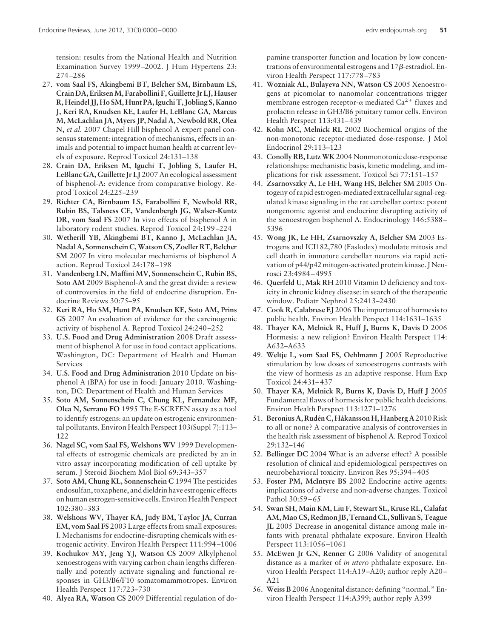tension: results from the National Health and Nutrition Examination Survey 1999 –2002. J Hum Hypertens 23: 274 –286

- 27. **vom Saal FS, Akingbemi BT, Belcher SM, Birnbaum LS, Crain DA, EriksenM, Farabollini F, Guillette Jr LJ, Hauser R, Heindel JJ, Ho SM, Hunt PA, Iguchi T, Jobling S, Kanno J, Keri RA, Knudsen KE, Laufer H, LeBlanc GA, Marcus M, McLachlan JA, Myers JP, Nadal A, Newbold RR, Olea N,** *et al.* 2007 Chapel Hill bisphenol A expert panel consensus statement: integration of mechanisms, effects in animals and potential to impact human health at current levels of exposure. Reprod Toxicol 24:131–138
- 28. **Crain DA, Eriksen M, Iguchi T, Jobling S, Laufer H, LeBlanc GA, Guillette Jr LJ** 2007 An ecological assessment of bisphenol-A: evidence from comparative biology. Reprod Toxicol 24:225–239
- 29. **Richter CA, Birnbaum LS, Farabollini F, Newbold RR, Rubin BS, Talsness CE, Vandenbergh JG, Walser-Kuntz DR, vom Saal FS** 2007 In vivo effects of bisphenol A in laboratory rodent studies. Reprod Toxicol 24:199 –224
- 30. **Wetherill YB, Akingbemi BT, Kanno J, McLachlan JA, Nadal A, Sonnenschein C,Watson CS, Zoeller RT, Belcher SM** 2007 In vitro molecular mechanisms of bisphenol A action. Reprod Toxicol 24:178 –198
- 31. **Vandenberg LN, Maffini MV, Sonnenschein C, Rubin BS, Soto AM** 2009 Bisphenol-A and the great divide: a review of controversies in the field of endocrine disruption. Endocrine Reviews 30:75–95
- 32. **Keri RA, Ho SM, Hunt PA, Knudsen KE, Soto AM, Prins GS** 2007 An evaluation of evidence for the carcinogenic activity of bisphenol A. Reprod Toxicol 24:240 –252
- 33. **U.S. Food and Drug Administration** 2008 Draft assessment of bisphenol A for use in food contact applications. Washington, DC: Department of Health and Human Services
- 34. **U.S. Food and Drug Administration** 2010 Update on bisphenol A (BPA) for use in food: January 2010. Washington, DC: Department of Health and Human Services
- 35. **Soto AM, Sonnenschein C, Chung KL, Fernandez MF, Olea N, Serrano FO** 1995 The E-SCREEN assay as a tool to identify estrogens: an update on estrogenic environmental pollutants. Environ Health Perspect 103(Suppl 7):113– 122
- 36. **Nagel SC, vom Saal FS, Welshons WV** 1999 Developmental effects of estrogenic chemicals are predicted by an in vitro assay incorporating modification of cell uptake by serum. J Steroid Biochem Mol Biol 69:343–357
- 37. **Soto AM, Chung KL, Sonnenschein C** 1994 The pesticides endosulfan, toxaphene, and dieldrin have estrogenic effects on human estrogen-sensitive cells. Environ Health Perspect 102:380 –383
- 38. **Welshons WV, Thayer KA, Judy BM, Taylor JA, Curran EM, vom Saal FS** 2003 Large effects from small exposures: I. Mechanisms for endocrine-disrupting chemicals with estrogenic activity. Environ Health Perspect 111:994 –1006
- 39. **Kochukov MY, Jeng YJ, Watson CS** 2009 Alkylphenol xenoestrogens with varying carbon chain lengths differentially and potently activate signaling and functional responses in GH3/B6/F10 somatomammotropes. Environ Health Perspect 117:723–730
- 40. **Alyea RA, Watson CS** 2009 Differential regulation of do-

pamine transporter function and location by low concentrations of environmental estrogens and  $17\beta$ -estradiol. Environ Health Perspect 117:778 –783

- 41. **Wozniak AL, Bulayeva NN, Watson CS** 2005 Xenoestrogens at picomolar to nanomolar concentrations trigger membrane estrogen receptor- $\alpha$  mediated Ca<sup>2+</sup> fluxes and prolactin release in GH3/B6 pituitary tumor cells. Environ Health Perspect 113:431– 439
- 42. **Kohn MC, Melnick RL** 2002 Biochemical origins of the non-monotonic receptor-mediated dose-response. J Mol Endocrinol 29:113–123
- 43. **Conolly RB, Lutz WK** 2004 Nonmonotonic dose-response relationships: mechanistic basis, kinetic modeling, and implications for risk assessment. Toxicol Sci 77:151–157
- 44. **Zsarnovszky A, Le HH, Wang HS, Belcher SM** 2005 Ontogeny of rapid estrogen-mediated extracellular signal-regulated kinase signaling in the rat cerebellar cortex: potent nongenomic agonist and endocrine disrupting activity of the xenoestrogen bisphenol A. Endocrinology 146:5388 – 5396
- 45. **Wong JK, Le HH, Zsarnovszky A, Belcher SM** 2003 Estrogens and ICI182,780 (Faslodex) modulate mitosis and cell death in immature cerebellar neurons via rapid activation of p44/p42 mitogen-activated protein kinase. J Neurosci 23:4984 – 4995
- 46. **Querfeld U, Mak RH** 2010 Vitamin D deficiency and toxicity in chronic kidney disease: in search of the therapeutic window. Pediatr Nephrol 25:2413–2430
- 47. **Cook R, Calabrese EJ** 2006 The importance of hormesis to public health. Environ Health Perspect 114:1631–1635
- 48. **Thayer KA, Melnick R, Huff J, Burns K, Davis D** 2006 Hormesis: a new religion? Environ Health Perspect 114: A632–A633
- 49. **Weltje L, vom Saal FS, Oehlmann J** 2005 Reproductive stimulation by low doses of xenoestrogens contrasts with the view of hormesis as an adaptive response. Hum Exp Toxicol 24:431– 437
- 50. **Thayer KA, Melnick R, Burns K, Davis D, Huff J** 2005 Fundamental flaws of hormesis for public health decisions. Environ Health Perspect 113:1271–1276
- 51. Beronius A, Rudén C, Håkansson H, Hanberg A 2010 Risk to all or none? A comparative analysis of controversies in the health risk assessment of bisphenol A. Reprod Toxicol 29:132–146
- 52. **Bellinger DC** 2004 What is an adverse effect? A possible resolution of clinical and epidemiological perspectives on neurobehavioral toxicity. Environ Res 95:394 – 405
- 53. **Foster PM, McIntyre BS** 2002 Endocrine active agents: implications of adverse and non-adverse changes. Toxicol Pathol 30:59-65
- 54. **Swan SH, Main KM, Liu F, Stewart SL, Kruse RL, Calafat AM,Mao CS, Redmon JB, Ternand CL, Sullivan S, Teague JL** 2005 Decrease in anogenital distance among male infants with prenatal phthalate exposure. Environ Health Perspect 113:1056 –1061
- 55. **McEwen Jr GN, Renner G** 2006 Validity of anogenital distance as a marker of *in utero* phthalate exposure. Environ Health Perspect 114:A19 –A20; author reply A20 – A21
- 56. **Weiss B** 2006 Anogenital distance: defining "normal." Environ Health Perspect 114:A399; author reply A399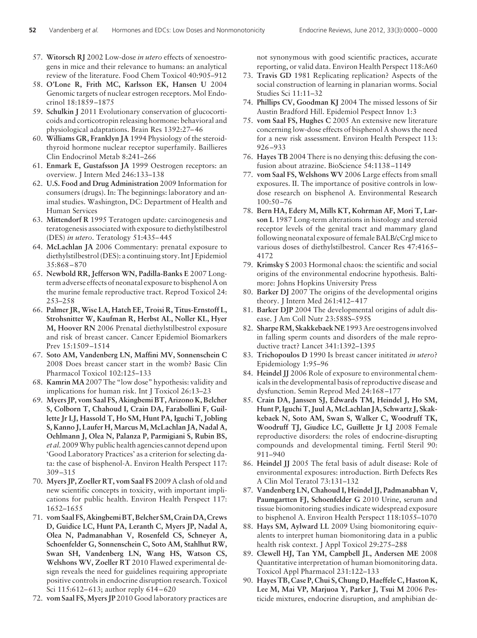- 57. **Witorsch RJ** 2002 Low-dose *in utero* effects of xenoestrogens in mice and their relevance to humans: an analytical review of the literature. Food Chem Toxicol 40:905–912
- 58. **O'Lone R, Frith MC, Karlsson EK, Hansen U** 2004 Genomic targets of nuclear estrogen receptors. Mol Endocrinol 18:1859 –1875
- 59. **Schulkin J** 2011 Evolutionary conservation of glucocorticoids and corticotropin releasing hormone: behavioral and physiological adaptations. Brain Res 1392:27– 46
- 60. **Williams GR, Franklyn JA** 1994 Physiology of the steroidthyroid hormone nuclear receptor superfamily. Baillieres Clin Endocrinol Metab 8:241–266
- 61. **Enmark E, Gustafsson JA** 1999 Oestrogen receptors: an overview. J Intern Med 246:133–138
- 62. **U.S. Food and Drug Administration** 2009 Information for consumers (drugs). In: The beginnings: laboratory and animal studies. Washington, DC: Department of Health and Human Services
- 63. **Mittendorf R** 1995 Teratogen update: carcinogenesis and teratogenesis associated with exposure to diethylstilbestrol (DES) *in utero*. Teratology 51:435– 445
- 64. **McLachlan JA** 2006 Commentary: prenatal exposure to diethylstilbestrol (DES): a continuing story. Int J Epidemiol 35:868 – 870
- 65. **Newbold RR, Jefferson WN, Padilla-Banks E** 2007 Longterm adverse effects of neonatal exposure to bisphenol A on the murine female reproductive tract. Reprod Toxicol 24: 253–258
- 66. **Palmer JR, Wise LA, Hatch EE, Troisi R, Titus-Ernstoff L, Strohsnitter W, Kaufman R, Herbst AL, Noller KL, Hyer M, Hoover RN** 2006 Prenatal diethylstilbestrol exposure and risk of breast cancer. Cancer Epidemiol Biomarkers Prev 15:1509 –1514
- 67. **Soto AM, Vandenberg LN, Maffini MV, Sonnenschein C** 2008 Does breast cancer start in the womb? Basic Clin Pharmacol Toxicol 102:125–133
- 68. **Kamrin MA** 2007 The "low dose" hypothesis: validity and implications for human risk. Int J Toxicol 26:13–23
- 69. **Myers JP, vom Saal FS, Akingbemi BT, Arizono K, Belcher S, Colborn T, Chahoud I, Crain DA, Farabollini F, Guillette Jr LJ, Hassold T, Ho SM, Hunt PA, Iguchi T, Jobling S, Kanno J, Laufer H, Marcus M, McLachlan JA, Nadal A, Oehlmann J, Olea N, Palanza P, Parmigiani S, Rubin BS,** *et al.* 2009Why public health agencies cannot depend upon 'Good Laboratory Practices' as a criterion for selecting data: the case of bisphenol-A. Environ Health Perspect 117: 309 –315
- 70. **Myers JP, Zoeller RT, vom Saal FS** 2009 A clash of old and new scientific concepts in toxicity, with important implications for public health. Environ Health Perspect 117: 1652–1655
- 71. **vom Saal FS, Akingbemi BT, Belcher SM, Crain DA, Crews D, Guidice LC, Hunt PA, Leranth C, Myers JP, Nadal A, Olea N, Padmanabhan V, Rosenfeld CS, Schneyer A, Schoenfelder G, Sonnenschein C, Soto AM, Stahlhut RW, Swan SH, Vandenberg LN, Wang HS, Watson CS, Welshons WV, Zoeller RT** 2010 Flawed experimental design reveals the need for guidelines requiring appropriate positive controls in endocrine disruption research. Toxicol Sci 115:612-613; author reply 614-620
- 72. **vom Saal FS, Myers JP** 2010 Good laboratory practices are

not synonymous with good scientific practices, accurate reporting, or valid data. Environ Health Perspect 118:A60

- 73. **Travis GD** 1981 Replicating replication? Aspects of the social construction of learning in planarian worms. Social Studies Sci 11:11–32
- 74. **Phillips CV, Goodman KJ** 2004 The missed lessons of Sir Austin Bradford Hill. Epidemiol Pespect Innov 1:3
- 75. **vom Saal FS, Hughes C** 2005 An extensive new literature concerning low-dose effects of bisphenol A shows the need for a new risk assessment. Environ Health Perspect 113: 926 –933
- 76. **Hayes TB** 2004 There is no denying this: defusing the confusion about atrazine. BioScience 54:1138 –1149
- 77. **vom Saal FS, Welshons WV** 2006 Large effects from small exposures. II. The importance of positive controls in lowdose research on bisphenol A. Environmental Research 100:50 –76
- 78. **Bern HA, Edery M, Mills KT, Kohrman AF, Mori T, Larson L** 1987 Long-term alterations in histology and steroid receptor levels of the genital tract and mammary gland following neonatal exposure of female BALB/cCrgl mice to various doses of diethylstilbestrol. Cancer Res 47:4165– 4172
- 79. **Krimsky S** 2003 Hormonal chaos: the scientific and social origins of the environmental endocrine hypothesis. Baltimore: Johns Hopkins University Press
- 80. **Barker DJ** 2007 The origins of the developmental origins theory. J Intern Med 261:412– 417
- 81. **Barker DJP** 2004 The developmental origins of adult disease. J Am Coll Nutr 23:588S–595S
- 82. **Sharpe RM, Skakkebaek NE**1993 Are oestrogens involved in falling sperm counts and disorders of the male reproductive tract? Lancet 341:1392–1395
- 83. **Trichopoulos D** 1990 Is breast cancer inititated *in utero*? Epidemiology 1:95–96
- 84. **Heindel JJ** 2006 Role of exposure to environmental chemicals in the developmental basis of reproductive disease and dysfunction. Semin Reprod Med 24:168 –177
- 85. **Crain DA, Janssen SJ, Edwards TM, Heindel J, Ho SM, Hunt P, Iguchi T, Juul A, McLachlan JA, Schwartz J, Skakkebaek N, Soto AM, Swan S, Walker C, Woodruff TK, Woodruff TJ, Giudice LC, Guillette Jr LJ** 2008 Female reproductive disorders: the roles of endocrine-disrupting compounds and developmental timing. Fertil Steril 90: 911–940
- 86. **Heindel JJ** 2005 The fetal basis of adult disease: Role of environmental exposures: introduction. Birth Defects Res A Clin Mol Teratol 73:131–132
- 87. **Vandenberg LN, Chahoud I, Heindel JJ, Padmanabhan V, Paumgartten FJ, Schoenfelder G** 2010 Urine, serum and tissue biomonitoring studies indicate widespread exposure to bisphenol A. Environ Health Perspect 118:1055–1070
- 88. **Hays SM, Aylward LL** 2009 Using biomonitoring equivalents to interpret human biomonitoring data in a public health risk context. J Appl Toxicol 29:275–288
- 89. **Clewell HJ, Tan YM, Campbell JL, Andersen ME** 2008 Quantitative interpretation of human biomonitoring data. Toxicol Appl Pharmacol 231:122–133
- 90. **Hayes TB, Case P, Chui S, Chung D, Haeffele C, Haston K, Lee M, Mai VP, Marjuoa Y, Parker J, Tsui M** 2006 Pesticide mixtures, endocrine disruption, and amphibian de-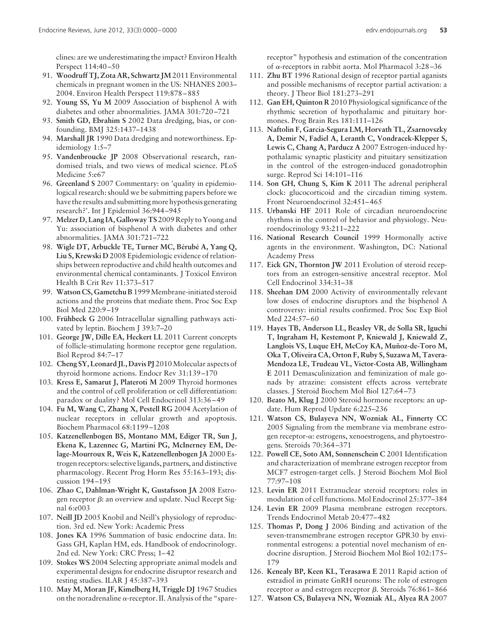clines: are we underestimating the impact? Environ Health Perspect 114:40 –50

- 91. **Woodruff TJ, Zota AR, Schwartz JM**2011 Environmental chemicals in pregnant women in the US: NHANES 2003– 2004. Environ Health Perspect 119:878 – 885
- 92. **Young SS, Yu M** 2009 Association of bisphenol A with diabetes and other abnormalities. JAMA 301:720 –721
- 93. **Smith GD, Ebrahim S** 2002 Data dredging, bias, or confounding. BMJ 325:1437–1438
- 94. **Marshall JR** 1990 Data dredging and noteworthiness. Epidemiology 1:5–7
- 95. **Vandenbroucke JP** 2008 Observational research, randomised trials, and two views of medical science. PLoS Medicine 5:e67
- 96. **Greenland S** 2007 Commentary: on 'quality in epidemiological research: should we be submitting papers before we have the results and submitting more hypothesis generating research?'. Int J Epidemiol 36:944 –945
- 97. **Melzer D, Lang IA, Galloway TS** 2009 Reply to Young and Yu: association of bisphenol A with diabetes and other abnormalities. JAMA 301:721–722
- 98. Wigle DT, Arbuckle TE, Turner MC, Bérubé A, Yang Q, **Liu S, Krewski D** 2008 Epidemiologic evidence of relationships between reproductive and child health outcomes and environmental chemical contaminants. J Toxicol Environ Health B Crit Rev 11:373–517
- 99. **Watson CS, Gametchu B**1999Membrane-initiated steroid actions and the proteins that mediate them. Proc Soc Exp Biol Med 220:9 –19
- 100. Frühbeck G 2006 Intracellular signalling pathways activated by leptin. Biochem J 393:7-20
- 101. **George JW, Dille EA, Heckert LL** 2011 Current concepts of follicle-stimulating hormone receptor gene regulation. Biol Reprod 84:7–17
- 102. **Cheng SY, Leonard JL, Davis PJ** 2010Molecular aspects of thyroid hormone actions. Endocr Rev 31:139 –170
- 103. **Kress E, Samarut J, Plateroti M** 2009 Thyroid hormones and the control of cell proliferation or cell differentiation: paradox or duality? Mol Cell Endocrinol 313:36 – 49
- 104. **Fu M, Wang C, Zhang X, Pestell RG** 2004 Acetylation of nuclear receptors in cellular growth and apoptosis. Biochem Pharmacol 68:1199 –1208
- 105. **Katzenellenbogen BS, Montano MM, Ediger TR, Sun J, Ekena K, Lazennec G, Martini PG, McInerney EM, Delage-Mourroux R, Weis K, Katzenellenbogen JA** 2000 Estrogen receptors: selective ligands, partners, and distinctive pharmacology. Recent Prog Horm Res 55:163–193; discussion 194 –195
- 106. **Zhao C, Dahlman-Wright K, Gustafsson JA** 2008 Estrogen receptor  $\beta$ : an overview and update. Nucl Recept Signal 6:e003
- 107. **Neill JD** 2005 Knobil and Neill's physiology of reproduction. 3rd ed. New York: Academic Press
- 108. **Jones KA** 1996 Summation of basic endocrine data. In: Gass GH, Kaplan HM, eds. Handbook of endocrinology. 2nd ed. New York: CRC Press; 1–42
- 109. **Stokes WS** 2004 Selecting appropriate animal models and experimental designs for endocrine disruptor research and testing studies. ILAR J 45:387–393
- 110. **May M, Moran JF, Kimelberg H, Triggle DJ** 1967 Studies on the noradrenaline  $\alpha$ -receptor. II. Analysis of the "spare-

receptor" hypothesis and estimation of the concentration of  $\alpha$ -receptors in rabbit aorta. Mol Pharmacol 3:28-36

- 111. **Zhu BT** 1996 Rational design of receptor partial aganists and possible mechanisms of receptor partial activation: a theory. J Theor Biol 181:273–291
- 112. **Gan EH, Quinton R** 2010 Physiological significance of the rhythmic secretion of hypothalamic and pituitary hormones. Prog Brain Res 181:111–126
- 113. **Naftolin F, Garcia-Segura LM, Horvath TL, Zsarnovszky A, Demir N, Fadiel A, Leranth C, Vondracek-Klepper S, Lewis C, Chang A, Parducz A** 2007 Estrogen-induced hypothalamic synaptic plasticity and pituitary sensitization in the control of the estrogen-induced gonadotrophin surge. Reprod Sci 14:101–116
- 114. **Son GH, Chung S, Kim K** 2011 The adrenal peripheral clock: glucocorticoid and the circadian timing system. Front Neuroendocrinol 32:451– 465
- 115. **Urbanski HF** 2011 Role of circadian neuroendocrine rhythms in the control of behavior and physiology. Neuroendocrinology 93:211–222
- 116. **National Research Council** 1999 Hormonally active agents in the environment. Washington, DC: National Academy Press
- 117. **Eick GN, Thornton JW** 2011 Evolution of steroid receptors from an estrogen-sensitive ancestral receptor. Mol Cell Endocrinol 334:31–38
- 118. **Sheehan DM** 2000 Activity of environmentally relevant low doses of endocrine disruptors and the bisphenol A controversy: initial results confirmed. Proc Soc Exp Biol Med 224:57-60
- 119. **Hayes TB, Anderson LL, Beasley VR, de Solla SR, Iguchi T, Ingraham H, Kestemont P, Kniewald J, Kniewald Z,** Langlois VS, Luque EH, McCoy KA, Muñoz-de-Toro M, **Oka T, Oliveira CA, Orton F, Ruby S, Suzawa M, Tavera-Mendoza LE, Trudeau VL, Victor-Costa AB, Willingham E** 2011 Demasculinization and feminization of male gonads by atrazine: consistent effects across vertebrate classes. J Steroid Biochem Mol Biol 127:64 –73
- 120. **Beato M, Klug J** 2000 Steroid hormone receptors: an update. Hum Reprod Update 6:225–236
- 121. **Watson CS, Bulayeva NN, Wozniak AL, Finnerty CC** 2005 Signaling from the membrane via membrane estrogen receptor- $\alpha$ : estrogens, xenoestrogens, and phytoestrogens. Steroids 70:364 –371
- 122. **Powell CE, Soto AM, Sonnenschein C** 2001 Identification and characterization of membrane estrogen receptor from MCF7 estrogen-target cells. J Steroid Biochem Mol Biol 77:97–108
- 123. **Levin ER** 2011 Extranuclear steroid receptors: roles in modulation of cell functions. Mol Endocrinol 25:377–384
- 124. **Levin ER** 2009 Plasma membrane estrogen receptors. Trends Endocrinol Metab 20:477– 482
- 125. **Thomas P, Dong J** 2006 Binding and activation of the seven-transmembrane estrogen receptor GPR30 by environmental estrogens: a potential novel mechanism of endocrine disruption. J Steroid Biochem Mol Biol 102:175– 179
- 126. **Kenealy BP, Keen KL, Terasawa E** 2011 Rapid action of estradiol in primate GnRH neurons: The role of estrogen receptor  $\alpha$  and estrogen receptor  $\beta$ . Steroids 76:861–866
- 127. **Watson CS, Bulayeva NN, Wozniak AL, Alyea RA** 2007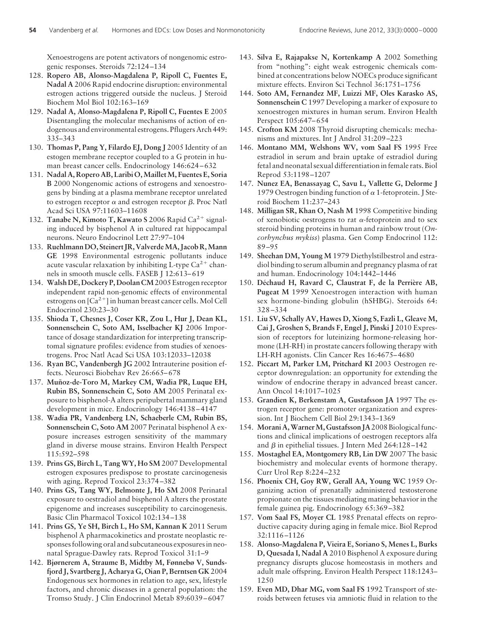Xenoestrogens are potent activators of nongenomic estrogenic responses. Steroids 72:124 –134

- 128. **Ropero AB, Alonso-Magdalena P, Ripoll C, Fuentes E, Nadal A** 2006 Rapid endocrine disruption: environmental estrogen actions triggered outside the nucleus. J Steroid Biochem Mol Biol 102:163–169
- 129. **Nadal A, Alonso-Magdalena P, Ripoll C, Fuentes E** 2005 Disentangling the molecular mechanisms of action of endogenous and environmental estrogens. Pflugers Arch 449: 335–343
- 130. **Thomas P, Pang Y, Filardo EJ, Dong J** 2005 Identity of an estogen membrane receptor coupled to a G protein in human breast cancer cells. Endocrinology 146:624–632
- 131. **Nadal A, Ropero AB, Laribi O,MailletM, Fuentes E, Soria B** 2000 Nongenomic actions of estrogens and xenoestrogens by binding at a plasma membrane receptor unrelated to estrogen receptor  $\alpha$  and estrogen receptor  $\beta$ . Proc Natl Acad Sci USA 97:11603–11608
- 132. Tanabe N, Kimoto T, Kawato S 2006 Rapid Ca<sup>2+</sup> signaling induced by bisphenol A in cultured rat hippocampal neurons. Neuro Endocrinol Lett 27:97–104
- 133. **Ruehlmann DO, Steinert JR, ValverdeMA, Jacob R,Mann GE** 1998 Environmental estrogenic pollutants induce acute vascular relaxation by inhibiting L-type  $Ca^{2+}$  channels in smooth muscle cells. FASEB J 12:613-619
- 134. **Walsh DE, Dockery P, Doolan CM**2005 Estrogen receptor independent rapid non-genomic effects of environmental estrogens on  $\lceil Ca^{2+} \rceil$  in human breast cancer cells. Mol Cell Endocrinol 230:23–30
- 135. **Shioda T, Chesnes J, Coser KR, Zou L, Hur J, Dean KL, Sonnenschein C, Soto AM, Isselbacher KJ** 2006 Importance of dosage standardization for interpreting transcriptomal signature profiles: evidence from studies of xenoestrogens. Proc Natl Acad Sci USA 103:12033–12038
- 136. **Ryan BC, Vandenbergh JG** 2002 Intrauterine position effects. Neurosci Biobehav Rev 26:665– 678
- 137. Muñoz-de-Toro M, Markey CM, Wadia PR, Luque EH, **Rubin BS, Sonnenschein C, Soto AM** 2005 Perinatal exposure to bisphenol-A alters peripubertal mammary gland development in mice. Endocrinology 146:4138 – 4147
- 138. **Wadia PR, Vandenberg LN, Schaeberle CM, Rubin BS, Sonnenschein C, Soto AM** 2007 Perinatal bisphenol A exposure increases estrogen sensitivity of the mammary gland in diverse mouse strains. Environ Health Perspect 115:592–598
- 139. **Prins GS, Birch L, Tang WY, Ho SM** 2007 Developmental estrogen exposures predispose to prostate carcinogenesis with aging. Reprod Toxicol 23:374 –382
- 140. **Prins GS, Tang WY, Belmonte J, Ho SM** 2008 Perinatal exposure to oestradiol and bisphenol A alters the prostate epigenome and increases susceptibility to carcinogenesis. Basic Clin Pharmacol Toxicol 102:134 –138
- 141. **Prins GS, Ye SH, Birch L, Ho SM, Kannan K** 2011 Serum bisphenol A pharmacokinetics and prostate neoplastic responses following oral and subcutaneous exposures in neonatal Sprague-Dawley rats. Reprod Toxicol 31:1–9
- 142. **Bjørnerem A, Straume B, Midtby M, Fønnebø V, Sundsfjord J, Svartberg J, Acharya G, Oian P, Berntsen GK** 2004 Endogenous sex hormones in relation to age, sex, lifestyle factors, and chronic diseases in a general population: the Tromso Study. J Clin Endocrinol Metab 89:6039 – 6047
- 143. **Silva E, Rajapakse N, Kortenkamp A** 2002 Something from "nothing": eight weak estrogenic chemicals combined at concentrations below NOECs produce significant mixture effects. Environ Sci Technol 36:1751–1756
- 144. **Soto AM, Fernandez MF, Luizzi MF, Oles Karasko AS, Sonnenschein C** 1997 Developing a marker of exposure to xenoestrogen mixtures in human serum. Environ Health Perspect 105:647– 654
- 145. **Crofton KM** 2008 Thyroid disrupting chemicals: mechanisms and mixtures. Int J Androl 31:209 –223
- 146. **Montano MM, Welshons WV, vom Saal FS** 1995 Free estradiol in serum and brain uptake of estradiol during fetal and neonatal sexual differentiation in female rats. Biol Reprod 53:1198 –1207
- 147. **Nunez EA, Benassayag C, Savu L, Vallette G, Delorme J** 1979 Oestrogen binding function of  $\alpha$  1-fetoprotein. J Steroid Biochem 11:237–243
- 148. **Milligan SR, Khan O, Nash M** 1998 Competitive binding of xenobiotic oestrogens to rat  $\alpha$ -fetoprotein and to sex steroid binding proteins in human and rainbow trout (*Oncorhynchus mykiss*) plasma. Gen Comp Endocrinol 112: 89 –95
- 149. **Sheehan DM, Young M** 1979 Diethylstilbestrol and estradiol binding to serum albumin and pregnancy plasma of rat and human. Endocrinology 104:1442–1446
- 150. Déchaud H, Ravard C, Claustrat F, de la Perrière AB, **Pugeat M** 1999 Xenoestrogen interaction with human sex hormone-binding globulin (hSHBG). Steroids 64: 328 –334
- 151. **Liu SV, Schally AV, Hawes D, Xiong S, Fazli L, Gleave M, Cai J, Groshen S, Brands F, Engel J, Pinski J** 2010 Expression of receptors for luteinizing hormone-releasing hormone (LH-RH) in prostate cancers following therapy with LH-RH agonists. Clin Cancer Res 16:4675– 4680
- 152. **Piccart M, Parker LM, Pritchard KI** 2003 Oestrogen receptor downregulation: an opportunity for extending the window of endocrine therapy in advanced breast cancer. Ann Oncol 14:1017–1025
- 153. **Grandien K, Berkenstam A, Gustafsson JA** 1997 The estrogen receptor gene: promoter organization and expression. Int J Biochem Cell Biol 29:1343–1369
- 154. **Morani A,WarnerM, Gustafsson JA**2008 Biological functions and clinical implications of oestrogen receptors alfa and  $\beta$  in epithelial tissues. J Intern Med 264:128-142
- 155. **Mostaghel EA, Montgomery RB, Lin DW** 2007 The basic biochemistry and molecular events of hormone therapy. Curr Urol Rep 8:224 –232
- 156. **Phoenix CH, Goy RW, Gerall AA, Young WC** 1959 Organizing action of prenatally administered testosterone propionate on the tissues mediating mating behavior in the female guinea pig. Endocrinology 65:369 –382
- 157. **Vom Saal FS, Moyer CL** 1985 Prenatal effects on reproductive capacity during aging in female mice. Biol Reprod 32:1116 –1126
- 158. **Alonso-Magdalena P, Vieira E, Soriano S, Menes L, Burks D, Quesada I, Nadal A** 2010 Bisphenol A exposure during pregnancy disrupts glucose homeostasis in mothers and adult male offspring. Environ Health Perspect 118:1243– 1250
- 159. **Even MD, Dhar MG, vom Saal FS** 1992 Transport of steroids between fetuses via amniotic fluid in relation to the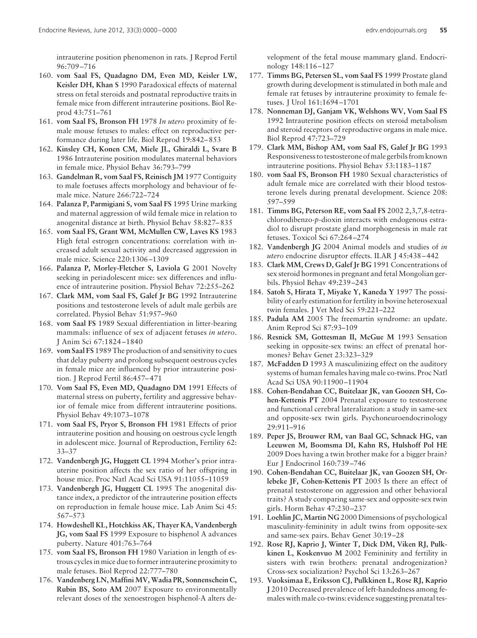intrauterine position phenomenon in rats. J Reprod Fertil 96:709 –716

- 160. **vom Saal FS, Quadagno DM, Even MD, Keisler LW, Keisler DH, Khan S** 1990 Paradoxical effects of maternal stress on fetal steroids and postnatal reproductive traits in female mice from different intrauterine positions. Biol Reprod 43:751–761
- 161. **vom Saal FS, Bronson FH** 1978 *In utero* proximity of female mouse fetuses to males: effect on reproductive performance during later life. Biol Reprod 19:842– 853
- 162. **Kinsley CH, Konen CM, Miele JL, Ghiraldi L, Svare B** 1986 Intrauterine position modulates maternal behaviors in female mice. Physiol Behav 36:793–799
- 163. **Gandelman R, vom Saal FS, Reinisch JM** 1977 Contiguity to male foetuses affects morphology and behaviour of female mice. Nature 266:722–724
- 164. **Palanza P, Parmigiani S, vom Saal FS** 1995 Urine marking and maternal aggression of wild female mice in relation to anogenital distance at birth. Physiol Behav 58:827– 835
- 165. **vom Saal FS, Grant WM, McMullen CW, Laves KS** 1983 High fetal estrogen concentrations: correlation with increased adult sexual activity and decreased aggression in male mice. Science 220:1306 –1309
- 166. **Palanza P, Morley-Fletcher S, Laviola G** 2001 Novelty seeking in periadolescent mice: sex differences and influence of intrauterine position. Physiol Behav 72:255–262
- 167. **Clark MM, vom Saal FS, Galef Jr BG** 1992 Intrauterine positions and testosterone levels of adult male gerbils are correlated. Physiol Behav 51:957–960
- 168. **vom Saal FS** 1989 Sexual differentiation in litter-bearing mammals: influence of sex of adjacent fetuses *in utero*. J Anim Sci 67:1824 –1840
- 169. **vom Saal FS** 1989 The production of and sensitivity to cues that delay puberty and prolong subsequent oestrous cycles in female mice are influenced by prior intrauterine position. J Reprod Fertil 86:457– 471
- 170. **Vom Saal FS, Even MD, Quadagno DM** 1991 Effects of maternal stress on puberty, fertility and aggressive behavior of female mice from different intrauterine positions. Physiol Behav 49:1073–1078
- 171. **vom Saal FS, Pryor S, Bronson FH** 1981 Effects of prior intrauterine position and housing on oestrous cycle length in adolescent mice. Journal of Reproduction, Fertility 62: 33–37
- 172. **Vandenbergh JG, Huggett CL** 1994 Mother's prior intrauterine position affects the sex ratio of her offspring in house mice. Proc Natl Acad Sci USA 91:11055–11059
- 173. **Vandenbergh JG, Huggett CL** 1995 The anogenital distance index, a predictor of the intrauterine position effects on reproduction in female house mice. Lab Anim Sci 45: 567–573
- 174. **Howdeshell KL, Hotchkiss AK, Thayer KA, Vandenbergh JG, vom Saal FS** 1999 Exposure to bisphenol A advances puberty. Nature 401:763–764
- 175. **vom Saal FS, Bronson FH** 1980 Variation in length of estrous cycles in mice due to former intrauterine proximity to male fetuses. Biol Reprod 22:777–780
- 176. **Vandenberg LN,MaffiniMV,Wadia PR, Sonnenschein C, Rubin BS, Soto AM** 2007 Exposure to environmentally relevant doses of the xenoestrogen bisphenol-A alters de-

velopment of the fetal mouse mammary gland. Endocrinology 148:116 –127

- 177. **Timms BG, Petersen SL, vom Saal FS** 1999 Prostate gland growth during development is stimulated in both male and female rat fetuses by intrauterine proximity to female fetuses. J Urol 161:1694 –1701
- 178. **Nonneman DJ, Ganjam VK, Welshons WV, Vom Saal FS** 1992 Intrauterine position effects on steroid metabolism and steroid receptors of reproductive organs in male mice. Biol Reprod 47:723–729
- 179. **Clark MM, Bishop AM, vom Saal FS, Galef Jr BG** 1993 Responsiveness to testosterone of male gerbils from known intrauterine positions. Physiol Behav 53:1183–1187
- 180. **vom Saal FS, Bronson FH** 1980 Sexual characteristics of adult female mice are correlated with their blood testosterone levels during prenatal development. Science 208: 597–599
- 181. **Timms BG, Peterson RE, vom Saal FS** 2002 2,3,7,8-tetrachlorodibenzo-*p*-dioxin interacts with endogenous estradiol to disrupt prostate gland morphogenesis in male rat fetuses. Toxicol Sci 67:264 –274
- 182. **Vandenbergh JG** 2004 Animal models and studies of *in utero* endocrine disruptor effects. ILAR J 45:438 – 442
- 183. **Clark MM, Crews D, Galef Jr BG** 1991 Concentrations of sex steroid hormones in pregnant and fetal Mongolian gerbils. Physiol Behav 49:239 –243
- 184. **Satoh S, Hirata T, Miyake Y, Kaneda Y** 1997 The possibility of early estimation for fertility in bovine heterosexual twin females. J Vet Med Sci 59:221–222
- 185. **Padula AM** 2005 The freemartin syndrome: an update. Anim Reprod Sci 87:93–109
- 186. **Resnick SM, Gottesman II, McGue M** 1993 Sensation seeking in opposite-sex twins: an effect of prenatal hormones? Behav Genet 23:323–329
- 187. **McFadden D** 1993 A masculinizing effect on the auditory systems of human females having male co-twins. Proc Natl Acad Sci USA 90:11900 –11904
- 188. **Cohen-Bendahan CC, Buitelaar JK, van Goozen SH, Cohen-Kettenis PT** 2004 Prenatal exposure to testosterone and functional cerebral lateralization: a study in same-sex and opposite-sex twin girls. Psychoneuroendocrinology 29:911–916
- 189. **Peper JS, Brouwer RM, van Baal GC, Schnack HG, van Leeuwen M, Boomsma DI, Kahn RS, Hulshoff Pol HE** 2009 Does having a twin brother make for a bigger brain? Eur J Endocrinol 160:739 –746
- 190. **Cohen-Bendahan CC, Buitelaar JK, van Goozen SH, Orlebeke JF, Cohen-Kettenis PT** 2005 Is there an effect of prenatal testosterone on aggression and other behavioral traits? A study comparing same-sex and opposite-sex twin girls. Horm Behav 47:230 –237
- 191. **Loehlin JC, Martin NG** 2000 Dimensions of psychological masculinity-femininity in adult twins from opposite-sex and same-sex pairs. Behav Genet 30:19 –28
- 192. **Rose RJ, Kaprio J, Winter T, Dick DM, Viken RJ, Pulkkinen L, Koskenvuo M** 2002 Femininity and fertility in sisters with twin brothers: prenatal androgenization? Cross-sex socialization? Psychol Sci 13:263–267
- 193. **Vuoksimaa E, Eriksson CJ, Pulkkinen L, Rose RJ, Kaprio J** 2010 Decreased prevalence of left-handedness among females with male co-twins: evidence suggesting prenatal tes-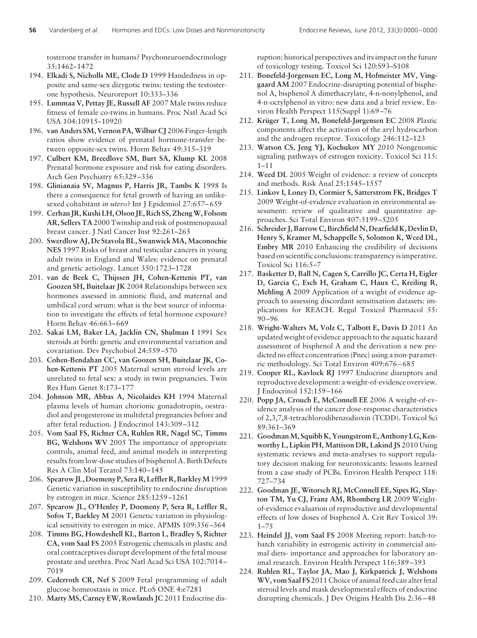tosterone transfer in humans? Psychoneuroendocrinology 35:1462–1472

- 194. **Elkadi S, Nicholls ME, Clode D** 1999 Handedness in opposite and same-sex dizygotic twins: testing the testosterone hypothesis. Neuroreport 10:333–336
- 195. **Lummaa V, Pettay JE, Russell AF** 2007 Male twins reduce fitness of female co-twins in humans. Proc Natl Acad Sci USA 104:10915–10920
- 196. **van Anders SM, Vernon PA,Wilbur CJ** 2006 Finger-length ratios show evidence of prenatal hormone-transfer between opposite-sex twins. Horm Behav 49:315–319
- 197. **Culbert KM, Breedlove SM, Burt SA, Klump KL** 2008 Prenatal hormone exposure and risk for eating disorders. Arch Gen Psychiatry 65:329 –336
- 198. **Glinianaia SV, Magnus P, Harris JR, Tambs K** 1998 Is there a consequence for fetal growth of having an unlikesexed cohabitant *in utero*? Int J Epidemiol 27:657-659
- 199. **Cerhan JR, Kushi LH, Olson JE, Rich SS, ZhengW, Folsom AR, Sellers TA** 2000 Twinship and risk of postmenopausal breast cancer. J Natl Cancer Inst 92:261–265
- 200. **Swerdlow AJ, De Stavola BL, Swanwick MA, Maconochie NES** 1997 Risks of breast and testicular cancers in young adult twins in England and Wales: evidence on prenatal and genetic aetiology. Lancet 350:1723–1728
- 201. **van de Beek C, Thijssen JH, Cohen-Kettenis PT, van Goozen SH, Buitelaar JK** 2004 Relationships between sex hormones assessed in amniotic fluid, and maternal and umbilical cord serum: what is the best source of information to investigate the effects of fetal hormone exposure? Horm Behav 46:663– 669
- 202. **Sakai LM, Baker LA, Jacklin CN, Shulman I** 1991 Sex steroids at birth: genetic and environmental variation and covariation. Dev Psychobiol 24:559 –570
- 203. **Cohen-Bendahan CC, van Goozen SH, Buitelaar JK, Cohen-Kettenis PT** 2005 Maternal serum steroid levels are unrelated to fetal sex: a study in twin pregnancies. Twin Res Hum Genet 8:173–177
- 204. **Johnson MR, Abbas A, Nicolaides KH** 1994 Maternal plasma levels of human chorionic gonadotropin, oestradiol and progesterone in multifetal pregnancies before and after fetal reduction. J Endocrinol 143:309 –312
- 205. **Vom Saal FS, Richter CA, Ruhlen RR, Nagel SC, Timms BG, Welshons WV** 2005 The importance of appropriate controls, animal feed, and animal models in interpreting results from low-dose studies of bisphenol A. Birth Defects Res A Clin Mol Teratol 73:140 –145
- 206. **Spearow JL, Doemeny P, Sera R, Leffler R, BarkleyM**1999 Genetic variation in susceptibility to endocrine disruption by estrogen in mice. Science 285:1259 –1261
- 207. **Spearow JL, O'Henley P, Doemeny P, Sera R, Leffler R, Sofos T, Barkley M** 2001 Genetic variation in physiological sensitivity to estrogen in mice. APMIS 109:356 –364
- 208. **Timms BG, Howdeshell KL, Barton L, Bradley S, Richter CA, vom Saal FS** 2005 Estrogenic chemicals in plastic and oral contraceptives disrupt development of the fetal mouse prostate and urethra. Proc Natl Acad Sci USA 102:7014 – 7019
- 209. **Cederroth CR, Nef S** 2009 Fetal programming of adult glucose homeostasis in mice. PLoS ONE 4:e7281
- 210. **Marty MS, Carney EW, Rowlands JC** 2011 Endocrine dis-

ruption: historical perspectives and its impact on the future of toxicology testing. Toxicol Sci 120:S93–S108

- 211. **Bonefeld-Jorgensen EC, Long M, Hofmeister MV, Vinggaard AM** 2007 Endocrine-disrupting potential of bisphenol A, bisphenol A dimethacrylate, 4-n-nonylphenol, and 4-n-octylphenol in vitro: new data and a brief review. Environ Health Perspect 115(Suppl 1):69 –76
- 212. Krüger T, Long M, Bonefeld-Jørgensen EC 2008 Plastic components affect the activation of the aryl hydrocarbon and the androgen receptor. Toxicology 246:112–123
- 213. **Watson CS, Jeng YJ, Kochukov MY** 2010 Nongenomic signaling pathways of estrogen toxicity. Toxicol Sci 115: 1–11
- 214. **Weed DL** 2005 Weight of evidence: a review of concepts and methods. Risk Anal 25:1545–1557
- 215. **Linkov I, Loney D, Cormier S, Satterstrom FK, Bridges T** 2009 Weight-of-evidence evaluation in environmental assessment: review of qualitative and quantitative approaches. Sci Total Environ 407:5199 –5205
- 216. **Schreider J, Barrow C, Birchfield N, Dearfield K, Devlin D, Henry S, Kramer M, Schappelle S, Solomon K, Weed DL, Embry MR** 2010 Enhancing the credibility of decisions based on scientific conclusions: transparency is imperative. Toxicol Sci 116:5–7
- 217. **Basketter D, Ball N, Cagen S, Carrillo JC, Certa H, Eigler D, Garcia C, Esch H, Graham C, Haux C, Kreiling R, Mehling A** 2009 Application of a weight of evidence approach to assessing discordant sensitisation datasets: implications for REACH. Regul Toxicol Pharmacol 55: 90 –96
- 218. **Wright-Walters M, Volz C, Talbott E, Davis D** 2011 An updated weight of evidence approach to the aquatic hazard assessment of bisphenol A and the derivation a new predicted no effect concentration (Pnec) using a non-parametric methodology. Sci Total Environ 409:676 – 685
- 219. **Cooper RL, Kavlock RJ** 1997 Endocrine disruptors and reproductive development: a weight-of-evidence overview. J Endocrinol 152:159 –166
- 220. **Popp JA, Crouch E, McConnell EE** 2006 A weight-of-evidence analysis of the cancer dose-response characteristics of 2,3,7,8-tetrachlorodibenzodioxin (TCDD). Toxicol Sci 89:361–369
- 221. **GoodmanM, Squibb K, Youngstrom E, Anthony LG, Kenworthy L, Lipkin PH, Mattison DR, Lakind JS** 2010 Using systematic reviews and meta-analyses to support regulatory decision making for neurotoxicants: lessons learned from a case study of PCBs. Environ Health Perspect 118: 727–734
- 222. **Goodman JE, Witorsch RJ, McConnell EE, Sipes IG, Slayton TM, Yu CJ, Franz AM, Rhomberg LR** 2009 Weightof-evidence evaluation of reproductive and developmental effects of low doses of bisphenol A. Crit Rev Toxicol 39: 1–75
- 223. **Heindel JJ, vom Saal FS** 2008 Meeting report: batch-tobatch variability in estrogenic activity in commercial animal diets- importance and approaches for laboratory animal research. Environ Health Perspect 116:389 –393
- 224. **Ruhlen RL, Taylor JA, Mao J, Kirkpatrick J, Welshons WV, vom Saal FS** 2011 Choice of animal feed can alter fetal steroid levels and mask developmental effects of endocrine disrupting chemicals. J Dev Origins Health Dis 2:36 – 48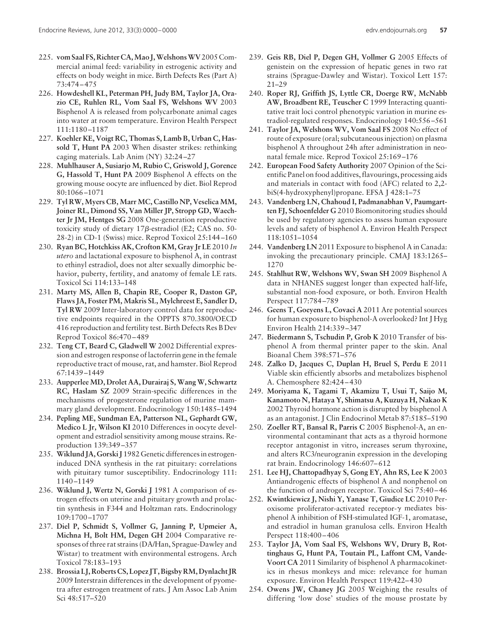- 225. **vom Saal FS, Richter CA,Mao J,WelshonsWV**2005 Commercial animal feed: variability in estrogenic activity and effects on body weight in mice. Birth Defects Res (Part A) 73:474 – 475
- 226. **Howdeshell KL, Peterman PH, Judy BM, Taylor JA, Orazio CE, Ruhlen RL, Vom Saal FS, Welshons WV** 2003 Bisphenol A is released from polycarbonate animal cages into water at room temperature. Environ Health Perspect 111:1180 –1187
- 227. **Koehler KE, Voigt RC, Thomas S, Lamb B, Urban C, Hassold T, Hunt PA** 2003 When disaster strikes: rethinking caging materials. Lab Anim (NY) 32:24 –27
- 228. **Muhlhauser A, Susiarjo M, Rubio C, Griswold J, Gorence G, Hassold T, Hunt PA** 2009 Bisphenol A effects on the growing mouse oocyte are influenced by diet. Biol Reprod 80:1066 –1071
- 229. **Tyl RW, Myers CB, Marr MC, Castillo NP, Veselica MM, Joiner RL, Dimond SS, Van Miller JP, Stropp GD, Waechter Jr JM, Hentges SG** 2008 One-generation reproductive toxicity study of dietary  $17\beta$ -estradiol (E2; CAS no. 50-28-2) in CD-1 (Swiss) mice. Reprod Toxicol 25:144 –160
- 230. **Ryan BC, Hotchkiss AK, Crofton KM, Gray Jr LE** 2010 *In utero* and lactational exposure to bisphenol A, in contrast to ethinyl estradiol, does not alter sexually dimorphic behavior, puberty, fertility, and anatomy of female LE rats. Toxicol Sci 114:133–148
- 231. **Marty MS, Allen B, Chapin RE, Cooper R, Daston GP, Flaws JA, Foster PM, Makris SL, Mylchreest E, Sandler D, Tyl RW** 2009 Inter-laboratory control data for reproductive endpoints required in the OPPTS 870.3800/OECD 416 reproduction and fertility test. Birth Defects Res B Dev Reprod Toxicol 86:470 – 489
- 232. **Teng CT, Beard C, Gladwell W** 2002 Differential expression and estrogen response of lactoferrin gene in the female reproductive tract of mouse, rat, and hamster. Biol Reprod 67:1439 –1449
- 233. **Aupperlee MD, Drolet AA, Durairaj S, Wang W, Schwartz RC, Haslam SZ** 2009 Strain-specific differences in the mechanisms of progesterone regulation of murine mammary gland development. Endocrinology 150:1485–1494
- 234. **Pepling ME, Sundman EA, Patterson NL, Gephardt GW, Medico L Jr, Wilson KI** 2010 Differences in oocyte development and estradiol sensitivity among mouse strains. Reproduction 139:349 –357
- 235. **Wiklund JA, Gorski J** 1982 Genetic differences in estrogeninduced DNA synthesis in the rat pituitary: correlations with pituitary tumor susceptibility. Endocrinology 111: 1140 –1149
- 236. **Wiklund J, Wertz N, Gorski J** 1981 A comparison of estrogen effects on uterine and pituitary growth and prolactin synthesis in F344 and Holtzman rats. Endocrinology 109:1700 –1707
- 237. **Diel P, Schmidt S, Vollmer G, Janning P, Upmeier A, Michna H, Bolt HM, Degen GH** 2004 Comparative responses of three rat strains (DA/Han, Sprague-Dawley and Wistar) to treatment with environmental estrogens. Arch Toxicol 78:183–193
- 238. **Brossia LJ, Roberts CS, Lopez JT, Bigsby RM, Dynlacht JR** 2009 Interstrain differences in the development of pyometra after estrogen treatment of rats. J Am Assoc Lab Anim Sci 48:517–520
- 239. **Geis RB, Diel P, Degen GH, Vollmer G** 2005 Effects of genistein on the expression of hepatic genes in two rat strains (Sprague-Dawley and Wistar). Toxicol Lett 157: 21–29
- 240. **Roper RJ, Griffith JS, Lyttle CR, Doerge RW, McNabb AW, Broadbent RE, Teuscher C** 1999 Interacting quantitative trait loci control phenotypic variation in murine estradiol-regulated responses. Endocrinology 140:556 –561
- 241. **Taylor JA, Welshons WV, Vom Saal FS** 2008 No effect of route of exposure (oral; subcutaneous injection) on plasma bisphenol A throughout 24h after administration in neonatal female mice. Reprod Toxicol 25:169 –176
- 242. **European Food Safety Authority** 2007 Opinion of the Scientific Panel on food additives, flavourings, processing aids and materials in contact with food (AFC) related to 2,2 biS(4-hydroxyphenyl)propane. EFSA J 428:1–75
- 243. **Vandenberg LN, Chahoud I, Padmanabhan V, Paumgartten FJ, Schoenfelder G** 2010 Biomonitoring studies should be used by regulatory agencies to assess human exposure levels and safety of bisphenol A. Environ Health Perspect 118:1051–1054
- 244. **Vandenberg LN** 2011 Exposure to bisphenol A in Canada: invoking the precautionary principle. CMAJ 183:1265– 1270
- 245. **Stahlhut RW, Welshons WV, Swan SH** 2009 Bisphenol A data in NHANES suggest longer than expected half-life, substantial non-food exposure, or both. Environ Health Perspect 117:784 –789
- 246. **Geens T, Goeyens L, Covaci A** 2011 Are potential sources for human exposure to bisphenol-A overlooked? Int J Hyg Environ Health 214:339 –347
- 247. **Biedermann S, Tschudin P, Grob K** 2010 Transfer of bisphenol A from thermal printer paper to the skin. Anal Bioanal Chem 398:571–576
- 248. **Zalko D, Jacques C, Duplan H, Bruel S, Perdu E** 2011 Viable skin efficiently absorbs and metabolizes bisphenol A. Chemosphere 82:424 – 430
- 249. **Moriyama K, Tagami T, Akamizu T, Usui T, Saijo M, Kanamoto N, Hataya Y, Shimatsu A, Kuzuya H, Nakao K** 2002 Thyroid hormone action is disrupted by bisphenol A as an antagonist. J Clin Endocrinol Metab 87:5185–5190
- 250. **Zoeller RT, Bansal R, Parris C** 2005 Bisphenol-A, an environmental contaminant that acts as a thyroid hormone receptor antagonist in vitro, increases serum thyroxine, and alters RC3/neurogranin expression in the developing rat brain. Endocrinology 146:607–612
- 251. **Lee HJ, Chattopadhyay S, Gong EY, Ahn RS, Lee K** 2003 Antiandrogenic effects of bisphenol A and nonphenol on the function of androgen receptor. Toxicol Sci 75:40 – 46
- 252. **Kwintkiewicz J, Nishi Y, Yanase T, Giudice LC** 2010 Peroxisome proliferator-activated receptor- $\gamma$  mediates bisphenol A inhibition of FSH-stimulated IGF-1, aromatase, and estradiol in human granulosa cells. Environ Health Perspect 118:400 – 406
- 253. **Taylor JA, Vom Saal FS, Welshons WV, Drury B, Rottinghaus G, Hunt PA, Toutain PL, Laffont CM, Vande-Voort CA** 2011 Similarity of bisphenol A pharmacokinetics in rhesus monkeys and mice: relevance for human exposure. Environ Health Perspect 119:422– 430
- 254. **Owens JW, Chaney JG** 2005 Weighing the results of differing 'low dose' studies of the mouse prostate by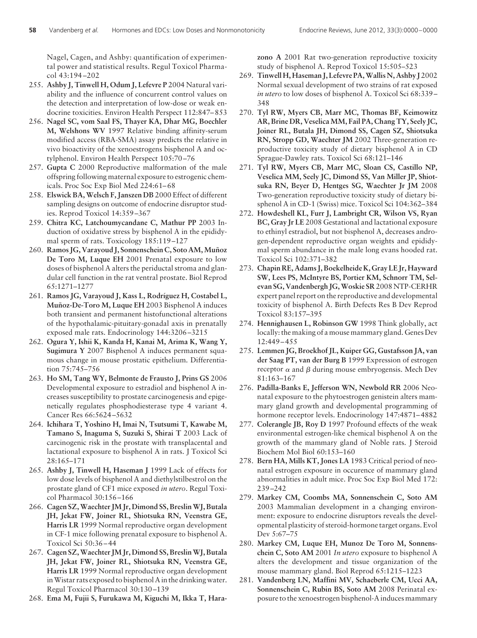Nagel, Cagen, and Ashby: quantification of experimental power and statistical results. Regul Toxicol Pharmacol 43:194 –202

- 255. **Ashby J, Tinwell H, Odum J, Lefevre P** 2004 Natural variability and the influence of concurrent control values on the detection and interpretation of low-dose or weak endocrine toxicities. Environ Health Perspect 112:847– 853
- 256. **Nagel SC, vom Saal FS, Thayer KA, Dhar MG, Boechler M, Welshons WV** 1997 Relative binding affinity-serum modified access (RBA-SMA) assay predicts the relative in vivo bioactivity of the xenoestrogens bisphenol A and octylphenol. Environ Health Perspect 105:70 –76
- 257. **Gupta C** 2000 Reproductive malformation of the male offspring following maternal exposure to estrogenic chemicals. Proc Soc Exp Biol Med 224:61– 68
- 258. **Elswick BA, Welsch F, Janszen DB** 2000 Effect of different sampling designs on outcome of endocrine disruptor studies. Reprod Toxicol 14:359 –367
- 259. **Chitra KC, Latchoumycandane C, Mathur PP** 2003 Induction of oxidative stress by bisphenol A in the epididymal sperm of rats. Toxicology 185:119 –127
- 260. Ramos JG, Varayoud J, Sonnenschein C, Soto AM, Muñoz **De Toro M, Luque EH** 2001 Prenatal exposure to low doses of bisphenol A alters the periductal stroma and glandular cell function in the rat ventral prostate. Biol Reprod 65:1271–1277
- 261. **Ramos JG, Varayoud J, Kass L, Rodríguez H, Costabel L,** Muñoz-De-Toro M, Luque EH 2003 Bisphenol A induces both transient and permanent histofunctional alterations of the hypothalamic-pituitary-gonadal axis in prenatally exposed male rats. Endocrinology 144:3206 –3215
- 262. **Ogura Y, Ishii K, Kanda H, Kanai M, Arima K, Wang Y, Sugimura Y** 2007 Bisphenol A induces permanent squamous change in mouse prostatic epithelium. Differentiation 75:745–756
- 263. **Ho SM, Tang WY, Belmonte de Frausto J, Prins GS** 2006 Developmental exposure to estradiol and bisphenol A increases susceptibility to prostate carcinogenesis and epigenetically regulates phosphodiesterase type 4 variant 4. Cancer Res 66:5624 –5632
- 264. **Ichihara T, Yoshino H, Imai N, Tsutsumi T, Kawabe M, Tamano S, Inaguma S, Suzuki S, Shirai T** 2003 Lack of carcinogenic risk in the prostate with transplacental and lactational exposure to bisphenol A in rats. J Toxicol Sci 28:165–171
- 265. **Ashby J, Tinwell H, Haseman J** 1999 Lack of effects for low dose levels of bisphenol A and diethylstilbestrol on the prostate gland of CF1 mice exposed *in utero*. Regul Toxicol Pharmacol 30:156 –166
- 266. **Cagen SZ,Waechter JM Jr, Dimond SS, BreslinWJ, Butala JH, Jekat FW, Joiner RL, Shiotsuka RN, Veenstra GE, Harris LR** 1999 Normal reproductive organ development in CF-1 mice following prenatal exposure to bisphenol A. Toxicol Sci 50:36 – 44
- 267. **Cagen SZ,Waechter JM Jr, Dimond SS, BreslinWJ, Butala JH, Jekat FW, Joiner RL, Shiotsuka RN, Veenstra GE, Harris LR** 1999 Normal reproductive organ development inWistar rats exposed to bisphenol A in the drinking water. Regul Toxicol Pharmacol 30:130 –139
- 268. **Ema M, Fujii S, Furukawa M, Kiguchi M, Ikka T, Hara-**

**zono A** 2001 Rat two-generation reproductive toxicity study of bisphenol A. Reprod Toxicol 15:505–523

- 269. **Tinwell H, Haseman J, Lefevre PA,Wallis N, Ashby J** 2002 Normal sexual development of two strains of rat exposed *in utero* to low doses of bisphenol A. Toxicol Sci 68:339 – 348
- 270. **Tyl RW, Myers CB, Marr MC, Thomas BF, Keimowitz AR, Brine DR, Veselica MM, Fail PA, Chang TY, Seely JC, Joiner RL, Butala JH, Dimond SS, Cagen SZ, Shiotsuka RN, Stropp GD, Waechter JM** 2002 Three-generation reproductive toxicity study of dietary bisphenol A in CD Sprague-Dawley rats. Toxicol Sci 68:121–146
- 271. **Tyl RW, Myers CB, Marr MC, Sloan CS, Castillo NP, Veselica MM, Seely JC, Dimond SS, Van Miller JP, Shiotsuka RN, Beyer D, Hentges SG, Waechter Jr JM** 2008 Two-generation reproductive toxicity study of dietary bisphenol A in CD-1 (Swiss) mice. Toxicol Sci 104:362–384
- 272. **Howdeshell KL, Furr J, Lambright CR, Wilson VS, Ryan BC, Gray Jr LE** 2008 Gestational and lactational exposure to ethinyl estradiol, but not bisphenol A, decreases androgen-dependent reproductive organ weights and epididymal sperm abundance in the male long evans hooded rat. Toxicol Sci 102:371–382
- 273. **Chapin RE, Adams J, Boekelheide K, Gray LE Jr, Hayward SW, Lees PS, McIntyre BS, Portier KM, Schnorr TM, Selevan SG, Vandenbergh JG,Woskie SR** 2008 NTP-CERHR expert panel report on the reproductive and developmental toxicity of bisphenol A. Birth Defects Res B Dev Reprod Toxicol 83:157–395
- 274. **Hennighausen L, Robinson GW** 1998 Think globally, act locally: the making of a mouse mammary gland. Genes Dev 12:449 – 455
- 275. **Lemmen JG, Broekhof JL, Kuiper GG, Gustafsson JA, van der Saag PT, van der Burg B** 1999 Expression of estrogen receptor  $\alpha$  and  $\beta$  during mouse embryogensis. Mech Dev 81:163–167
- 276. **Padilla-Banks E, Jefferson WN, Newbold RR** 2006 Neonatal exposure to the phytoestrogen genistein alters mammary gland growth and developmental programming of hormone receptor levels. Endocrinology 147:4871-4882
- 277. **Colerangle JB, Roy D** 1997 Profound effects of the weak environmental estrogen-like chemical bisphenol A on the growth of the mammary gland of Noble rats. J Steroid Biochem Mol Biol 60:153–160
- 278. **Bern HA, Mills KT, Jones LA** 1983 Critical period of neonatal estrogen exposure in occurence of mammary gland abnormalities in adult mice. Proc Soc Exp Biol Med 172: 239 –242
- 279. **Markey CM, Coombs MA, Sonnenschein C, Soto AM** 2003 Mammalian development in a changing environment: exposure to endocrine disruptors reveals the developmental plasticity of steroid-hormone target organs. Evol Dev 5:67–75
- 280. **Markey CM, Luque EH, Munoz De Toro M, Sonnenschein C, Soto AM** 2001 *In utero* exposure to bisphenol A alters the development and tissue organization of the mouse mammary gland. Biol Reprod 65:1215–1223
- 281. **Vandenberg LN, Maffini MV, Schaeberle CM, Ucci AA, Sonnenschein C, Rubin BS, Soto AM** 2008 Perinatal exposure to the xenoestrogen bisphenol-A induces mammary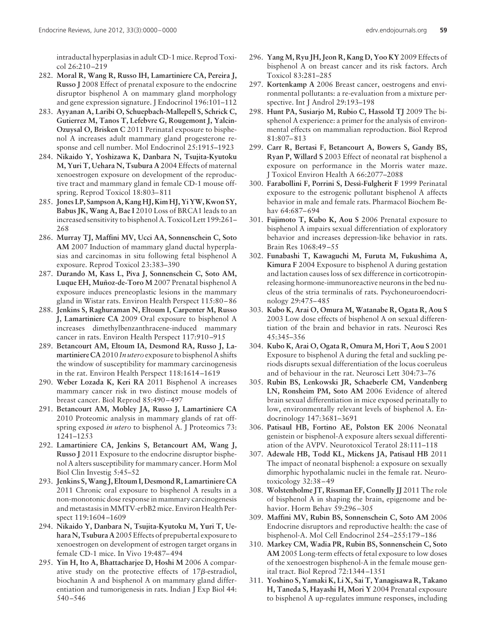intraductal hyperplasias in adult CD-1 mice. Reprod Toxicol 26:210 –219

- 282. **Moral R, Wang R, Russo IH, Lamartiniere CA, Pereira J, Russo J** 2008 Effect of prenatal exposure to the endocrine disruptor bisphenol A on mammary gland morphology and gene expression signature. J Endocrinol 196:101–112
- 283. **Ayyanan A, Laribi O, Schuepbach-Mallepell S, Schrick C, Gutierrez M, Tanos T, Lefebvre G, Rougemont J, Yalcin-Ozuysal O, Brisken C** 2011 Perinatal exposure to bisphenol A increases adult mammary gland progesterone response and cell number. Mol Endocrinol 25:1915–1923
- 284. **Nikaido Y, Yoshizawa K, Danbara N, Tsujita-Kyutoku M, Yuri T, Uehara N, Tsubura A** 2004 Effects of maternal xenoestrogen exposure on development of the reproductive tract and mammary gland in female CD-1 mouse offspring. Reprod Toxicol 18:803– 811
- 285. **Jones LP, Sampson A, Kang HJ, Kim HJ, Yi YW, Kwon SY, Babus JK, Wang A, Bae I** 2010 Loss of BRCA1 leads to an increased sensitivity to bisphenol A. Toxicol Lett 199:261– 268
- 286. **Murray TJ, Maffini MV, Ucci AA, Sonnenschein C, Soto AM** 2007 Induction of mammary gland ductal hyperplasias and carcinomas in situ following fetal bisphenol A exposure. Reprod Toxicol 23:383–390
- 287. **Durando M, Kass L, Piva J, Sonnenschein C, Soto AM,** Luque EH, Muñoz-de-Toro M 2007 Prenatal bisphenol A exposure induces preneoplastic lesions in the mammary gland in Wistar rats. Environ Health Perspect 115:80 – 86
- 288. **Jenkins S, Raghuraman N, Eltoum I, Carpenter M, Russo J, Lamartiniere CA** 2009 Oral exposure to bisphenol A increases dimethylbenzanthracene-induced mammary cancer in rats. Environ Health Perspect 117:910 –915
- 289. **Betancourt AM, Eltoum IA, Desmond RA, Russo J, Lamartiniere CA**2010 *In utero* exposure to bisphenol A shifts the window of susceptibility for mammary carcinogenesis in the rat. Environ Health Perspect 118:1614 –1619
- 290. **Weber Lozada K, Keri RA** 2011 Bisphenol A increases mammary cancer risk in two distinct mouse models of breast cancer. Biol Reprod 85:490 – 497
- 291. **Betancourt AM, Mobley JA, Russo J, Lamartiniere CA** 2010 Proteomic analysis in mammary glands of rat offspring exposed *in utero* to bisphenol A. J Proteomics 73: 1241–1253
- 292. **Lamartiniere CA, Jenkins S, Betancourt AM, Wang J, Russo J** 2011 Exposure to the endocrine disruptor bisphenol A alters susceptibility for mammary cancer. Horm Mol Biol Clin Investig 5:45–52
- 293. **Jenkins S, Wang J, Eltoum I, Desmond R, Lamartiniere CA** 2011 Chronic oral exposure to bisphenol A results in a non-monotonic dose response in mammary carcinogenesis and metastasis inMMTV-erbB2 mice. Environ Health Perspect 119:1604 –1609
- 294. **Nikaido Y, Danbara N, Tsujita-Kyutoku M, Yuri T, Uehara N, Tsubura A** 2005 Effects of prepubertal exposure to xenoestrogen on development of estrogen target organs in female CD-1 mice. In Vivo 19:487– 494
- 295. **Yin H, Ito A, Bhattacharjee D, Hoshi M** 2006 A comparative study on the protective effects of  $17\beta$ -estradiol, biochanin A and bisphenol A on mammary gland differentiation and tumorigenesis in rats. Indian J Exp Biol 44: 540 –546
- 296. **Yang M, Ryu JH, Jeon R, Kang D, Yoo KY** 2009 Effects of bisphenol A on breast cancer and its risk factors. Arch Toxicol 83:281–285
- 297. **Kortenkamp A** 2006 Breast cancer, oestrogens and environmental pollutants: a re-evaluation from a mixture perspective. Int J Androl 29:193–198
- 298. **Hunt PA, Susiarjo M, Rubio C, Hassold TJ** 2009 The bisphenol A experience: a primer for the analysis of environmental effects on mammalian reproduction. Biol Reprod 81:807– 813
- 299. **Carr R, Bertasi F, Betancourt A, Bowers S, Gandy BS, Ryan P, Willard S** 2003 Effect of neonatal rat bisphenol a exposure on performance in the Morris water maze. J Toxicol Environ Health A 66:2077–2088
- 300. **Farabollini F, Porrini S, Dessì-Fulgherit F** 1999 Perinatal exposure to the estrogenic pollutant bisphenol A affects behavior in male and female rats. Pharmacol Biochem Behav 64:687– 694
- 301. **Fujimoto T, Kubo K, Aou S** 2006 Prenatal exposure to bisphenol A impairs sexual differentiation of exploratory behavior and increases depression-like behavior in rats. Brain Res 1068:49 –55
- 302. **Funabashi T, Kawaguchi M, Furuta M, Fukushima A, Kimura F** 2004 Exposure to bisphenol A during gestation and lactation causes loss of sex difference in corticotropinreleasing hormone-immunoreactive neurons in the bed nucleus of the stria terminalis of rats. Psychoneuroendocrinology 29:475– 485
- 303. **Kubo K, Arai O, Omura M, Watanabe R, Ogata R, Aou S** 2003 Low dose effects of bisphenol A on sexual differentiation of the brain and behavior in rats. Neurosci Res 45:345–356
- 304. **Kubo K, Arai O, Ogata R, Omura M, Hori T, Aou S** 2001 Exposure to bisphenol A during the fetal and suckling periods disrupts sexual differentiation of the locus coeruleus and of behaviour in the rat. Neurosci Lett 304:73–76
- 305. **Rubin BS, Lenkowski JR, Schaeberle CM, Vandenberg LN, Ronsheim PM, Soto AM** 2006 Evidence of altered brain sexual differentiation in mice exposed perinatally to low, environmentally relevant levels of bisphenol A. Endocrinology 147:3681–3691
- 306. **Patisaul HB, Fortino AE, Polston EK** 2006 Neonatal genistein or bisphenol-A exposure alters sexual differentiation of the AVPV. Neurotoxicol Teratol 28:111–118
- 307. **Adewale HB, Todd KL, Mickens JA, Patisaul HB** 2011 The impact of neonatal bisphenol: a exposure on sexually dimorphic hypothalamic nuclei in the female rat. Neurotoxicology 32:38 – 49
- 308. **Wolstenholme JT, Rissman EF, Connelly JJ** 2011 The role of bisphenol A in shaping the brain, epigenome and behavior. Horm Behav 59:296-305
- 309. **Maffini MV, Rubin BS, Sonnenschein C, Soto AM** 2006 Endocrine disruptors and reproductive health: the case of bisphenol-A. Mol Cell Endocrinol 254 –255:179 –186
- 310. **Markey CM, Wadia PR, Rubin BS, Sonnenschein C, Soto AM** 2005 Long-term effects of fetal exposure to low doses of the xenoestrogen bisphenol-A in the female mouse genital tract. Biol Reprod 72:1344 –1351
- 311. **Yoshino S, Yamaki K, Li X, Sai T, Yanagisawa R, Takano H, Taneda S, Hayashi H, Mori Y** 2004 Prenatal exposure to bisphenol A up-regulates immune responses, including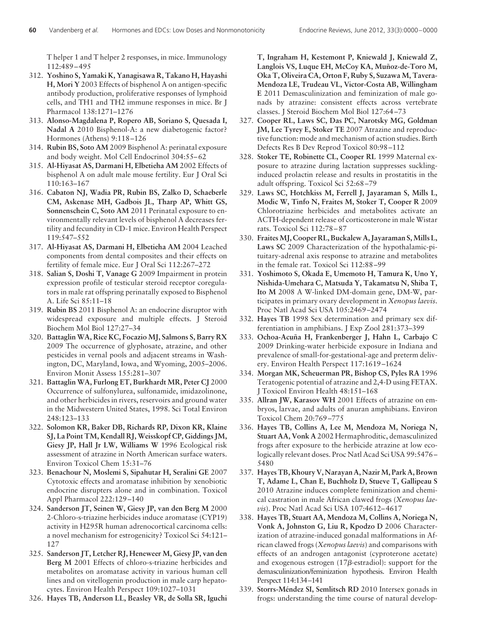T helper 1 and T helper 2 responses, in mice. Immunology 112:489 – 495

- 312. **Yoshino S, Yamaki K, Yanagisawa R, Takano H, Hayashi H, Mori Y** 2003 Effects of bisphenol A on antigen-specific antibody production, proliferative responses of lymphoid cells, and TH1 and TH2 immune responses in mice. Br J Pharmacol 138:1271–1276
- 313. **Alonso-Magdalena P, Ropero AB, Soriano S, Quesada I, Nadal A** 2010 Bisphenol-A: a new diabetogenic factor? Hormones (Athens) 9:118 –126
- 314. **Rubin BS, Soto AM** 2009 Bisphenol A: perinatal exposure and body weight. Mol Cell Endocrinol 304:55– 62
- 315. **Al-Hiyasat AS, Darmani H, Elbetieha AM** 2002 Effects of bisphenol A on adult male mouse fertility. Eur J Oral Sci 110:163–167
- 316. **Cabaton NJ, Wadia PR, Rubin BS, Zalko D, Schaeberle CM, Askenase MH, Gadbois JL, Tharp AP, Whitt GS, Sonnenschein C, Soto AM** 2011 Perinatal exposure to environmentally relevant levels of bisphenol A decreases fertility and fecundity in CD-1 mice. Environ Health Perspect 119:547–552
- 317. **Al-Hiyasat AS, Darmani H, Elbetieha AM** 2004 Leached components from dental composites and their effects on fertility of female mice. Eur J Oral Sci 112:267–272
- 318. **Salian S, Doshi T, Vanage G** 2009 Impairment in protein expression profile of testicular steroid receptor coregulators in male rat offspring perinatally exposed to Bisphenol A. Life Sci 85:11–18
- 319. **Rubin BS** 2011 Bisphenol A: an endocrine disruptor with widespread exposure and multiple effects. J Steroid Biochem Mol Biol 127:27–34
- 320. **Battaglin WA, Rice KC, Focazio MJ, Salmons S, Barry RX** 2009 The occurrence of glyphosate, atrazine, and other pesticides in vernal pools and adjacent streams in Washington, DC, Maryland, Iowa, and Wyoming, 2005–2006. Environ Monit Assess 155:281–307
- 321. **Battaglin WA, Furlong ET, Burkhardt MR, Peter CJ** 2000 Occurrence of sulfonylurea, sulfonamide, imidazolinone, and other herbicides in rivers, reservoirs and ground water in the Midwestern United States, 1998. Sci Total Environ 248:123–133
- 322. **Solomon KR, Baker DB, Richards RP, Dixon KR, Klaine SJ, La Point TM, Kendall RJ, Weisskopf CP, Giddings JM, Giesy JP, Hall Jr LW, Williams W** 1996 Ecological risk assessment of atrazine in North American surface waters. Environ Toxicol Chem 15:31–76
- 323. **Benachour N, Moslemi S, Sipahutar H, Seralini GE** 2007 Cytotoxic effects and aromatase inhibition by xenobiotic endocrine disrupters alone and in combination. Toxicol Appl Pharmacol 222:129 –140
- 324. **Sanderson JT, Seinen W, Giesy JP, van den Berg M** 2000 2-Chloro-s-triazine herbicides induce aromatase (CYP19) activity in H295R human adrenocortical carcinoma cells: a novel mechanism for estrogenicity? Toxicol Sci 54:121– 127
- 325. **Sanderson JT, Letcher RJ, Heneweer M, Giesy JP, van den Berg M** 2001 Effects of chloro-s-triazine herbicides and metabolites on aromatase activity in various human cell lines and on vitellogenin production in male carp hepatocytes. Environ Health Perspect 109:1027–1031
- 326. **Hayes TB, Anderson LL, Beasley VR, de Solla SR, Iguchi**

**T, Ingraham H, Kestemont P, Kniewald J, Kniewald Z,** Langlois VS, Luque EH, McCoy KA, Muñoz-de-Toro M, **Oka T, Oliveira CA, Orton F, Ruby S, Suzawa M, Tavera-Mendoza LE, Trudeau VL, Victor-Costa AB, Willingham E** 2011 Demasculinization and feminization of male gonads by atrazine: consistent effects across vertebrate classes. J Steroid Biochem Mol Biol 127:64 –73

- 327. **Cooper RL, Laws SC, Das PC, Narotsky MG, Goldman JM, Lee Tyrey E, Stoker TE** 2007 Atrazine and reproductive function: mode and mechanism of action studies. Birth Defects Res B Dev Reprod Toxicol 80:98 –112
- 328. **Stoker TE, Robinette CL, Cooper RL** 1999 Maternal exposure to atrazine during lactation suppresses sucklinginduced prolactin release and results in prostatitis in the adult offspring. Toxicol Sci 52:68 –79
- 329. **Laws SC, Hotchkiss M, Ferrell J, Jayaraman S, Mills L, Modic W, Tinfo N, Fraites M, Stoker T, Cooper R** 2009 Chlorotriazine herbicides and metabolites activate an ACTH-dependent release of corticosterone in male Wistar rats. Toxicol Sci 112:78 – 87
- 330. **FraitesMJ, Cooper RL, Buckalew A, Jayaraman S,Mills L, Laws SC** 2009 Characterization of the hypothalamic-pituitary-adrenal axis response to atrazine and metabolites in the female rat. Toxicol Sci 112:88 –99
- 331. **Yoshimoto S, Okada E, Umemoto H, Tamura K, Uno Y, Nishida-Umehara C, Matsuda Y, Takamatsu N, Shiba T, Ito M** 2008 A W-linked DM-domain gene, DM-W, participates in primary ovary development in *Xenopus laevis*. Proc Natl Acad Sci USA 105:2469 –2474
- 332. **Hayes TB** 1998 Sex determination and primary sex differentiation in amphibians. J Exp Zool 281:373–399
- 333. **Ochoa-Acun˜ a H, Frankenberger J, Hahn L, Carbajo C** 2009 Drinking-water herbicide exposure in Indiana and prevalence of small-for-gestational-age and preterm delivery. Environ Health Perspect 117:1619 –1624
- 334. **Morgan MK, Scheuerman PR, Bishop CS, Pyles RA** 1996 Teratogenic potential of atrazine and 2,4-D using FETAX. J Toxicol Environ Health 48:151–168
- 335. **Allran JW, Karasov WH** 2001 Effects of atrazine on embryos, larvae, and adults of anuran amphibians. Environ Toxicol Chem 20:769 –775
- 336. **Hayes TB, Collins A, Lee M, Mendoza M, Noriega N, Stuart AA, Vonk A** 2002 Hermaphroditic, demasculinized frogs after exposure to the herbicide atrazine at low ecologically relevant doses. Proc Natl Acad Sci USA 99:5476 – 5480
- 337. **Hayes TB, Khoury V, Narayan A, NazirM, Park A, Brown T, Adame L, Chan E, Buchholz D, Stueve T, Gallipeau S** 2010 Atrazine induces complete feminization and chemical castration in male African clawed frogs (*Xenopus laevis*). Proc Natl Acad Sci USA 107:4612– 4617
- 338. **Hayes TB, Stuart AA, Mendoza M, Collins A, Noriega N, Vonk A, Johnston G, Liu R, Kpodzo D** 2006 Characterization of atrazine-induced gonadal malformations in African clawed frogs (*Xenopus laevis*) and comparisons with effects of an androgen antagonist (cyproterone acetate) and exogenous estrogen  $(17\beta$ -estradiol): support for the demasculinization/feminization hypothesis. Environ Health Perspect 114:134–141
- 339. Storrs-Méndez SI, Semlitsch RD 2010 Intersex gonads in frogs: understanding the time course of natural develop-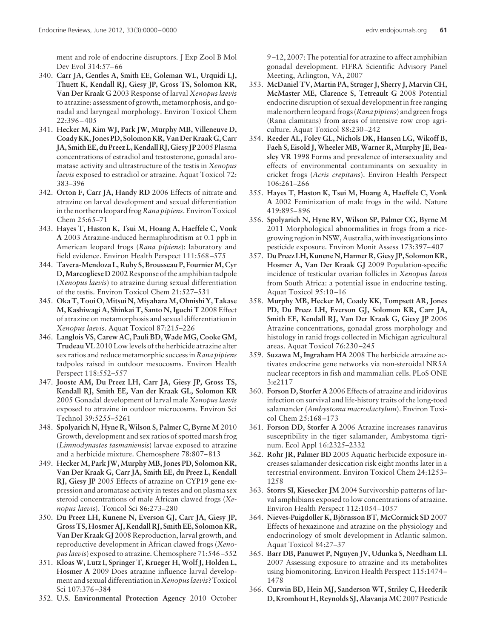ment and role of endocrine disruptors. J Exp Zool B Mol Dev Evol 314:57-66

- 340. **Carr JA, Gentles A, Smith EE, Goleman WL, Urquidi LJ, Thuett K, Kendall RJ, Giesy JP, Gross TS, Solomon KR, Van Der Kraak G** 2003 Response of larval *Xenopus laevis* to atrazine: assessment of growth, metamorphosis, and gonadal and laryngeal morphology. Environ Toxicol Chem 22:396 – 405
- 341. **Hecker M, Kim WJ, Park JW, Murphy MB, Villeneuve D, Coady KK, Jones PD, Solomon KR, Van Der Kraak G, Carr JA, Smith EE, du Preez L, Kendall RJ, Giesy JP** 2005 Plasma concentrations of estradiol and testosterone, gonadal aromatase activity and ultrastructure of the testis in *Xenopus laevis* exposed to estradiol or atrazine. Aquat Toxicol 72: 383–396
- 342. **Orton F, Carr JA, Handy RD** 2006 Effects of nitrate and atrazine on larval development and sexual differentiation in the northern leopard frog *Rana pipiens*. Environ Toxicol Chem 25:65–71
- 343. **Hayes T, Haston K, Tsui M, Hoang A, Haeffele C, Vonk A** 2003 Atrazine-induced hermaphroditism at 0.1 ppb in American leopard frogs (*Rana pipiens*): laboratory and field evidence. Environ Health Perspect 111:568 –575
- 344. **Tavera-Mendoza L, Ruby S, Brousseau P, FournierM, Cyr D,Marcogliese D**2002 Response of the amphibian tadpole (*Xenopus laevis*) to atrazine during sexual differentiation of the testis. Environ Toxicol Chem 21:527–531
- 345. **Oka T, Tooi O,Mitsui N,MiyaharaM, Ohnishi Y, Takase M, Kashiwagi A, Shinkai T, Santo N, Iguchi T** 2008 Effect of atrazine on metamorphosis and sexual differentiation in *Xenopus laevis*. Aquat Toxicol 87:215–226
- 346. **Langlois VS, Carew AC, Pauli BD, Wade MG, Cooke GM, Trudeau VL** 2010 Low levels of the herbicide atrazine alter sex ratios and reduce metamorphic success in *Rana pipiens* tadpoles raised in outdoor mesocosms. Environ Health Perspect 118:552–557
- 347. **Jooste AM, Du Preez LH, Carr JA, Giesy JP, Gross TS, Kendall RJ, Smith EE, Van der Kraak GL, Solomon KR** 2005 Gonadal development of larval male *Xenopus laevis* exposed to atrazine in outdoor microcosms. Environ Sci Technol 39:5255–5261
- 348. **Spolyarich N, Hyne R, Wilson S, Palmer C, Byrne M** 2010 Growth, development and sex ratios of spotted marsh frog (*Limnodynastes tasmaniensis*) larvae exposed to atrazine and a herbicide mixture. Chemosphere 78:807– 813
- 349. **HeckerM, Park JW,MurphyMB, Jones PD, Solomon KR, Van Der Kraak G, Carr JA, Smith EE, du Preez L, Kendall RJ, Giesy JP** 2005 Effects of atrazine on CYP19 gene expression and aromatase activity in testes and on plasma sex steroid concentrations of male African clawed frogs (*Xenopus laevis*). Toxicol Sci 86:273–280
- 350. **Du Preez LH, Kunene N, Everson GJ, Carr JA, Giesy JP, Gross TS, Hosmer AJ, Kendall RJ, Smith EE, Solomon KR, Van Der Kraak GJ** 2008 Reproduction, larval growth, and reproductive development in African clawed frogs (*Xenopus laevis*) exposed to atrazine. Chemosphere 71:546 –552
- 351. **Kloas W, Lutz I, Springer T, Krueger H, Wolf J, Holden L, Hosmer A** 2009 Does atrazine influence larval development and sexual differentiation in*Xenopus laevis*? Toxicol Sci 107:376 –384
- 352. **U.S. Environmental Protection Agency** 2010 October

9 –12, 2007: The potential for atrazine to affect amphibian gonadal development. FIFRA Scientific Advisory Panel Meeting, Arlington, VA, 2007

- 353. **McDaniel TV, Martin PA, Struger J, Sherry J, Marvin CH, McMaster ME, Clarence S, Tetreault G** 2008 Potential endocrine disruption of sexual development in free ranging male northern leopard frogs (*Rana pipiens*) and green frogs (Rana clamitans) from areas of intensive row crop agriculture. Aquat Toxicol 88:230 –242
- 354. **Reeder AL, Foley GL, Nichols DK, Hansen LG, Wikoff B, Faeh S, Eisold J, Wheeler MB, Warner R, Murphy JE, Beasley VR** 1998 Forms and prevalence of intersexuality and effects of environmental contaminants on sexuality in cricket frogs (*Acris crepitans*). Environ Health Perspect 106:261–266
- 355. **Hayes T, Haston K, Tsui M, Hoang A, Haeffele C, Vonk A** 2002 Feminization of male frogs in the wild. Nature 419:895– 896
- 356. **Spolyarich N, Hyne RV, Wilson SP, Palmer CG, Byrne M** 2011 Morphological abnormalities in frogs from a ricegrowing region in NSW, Australia, with investigations into pesticide exposure. Environ Monit Assess 173:397– 407
- 357. **Du Preez LH, Kunene N, Hanner R, Giesy JP, Solomon KR, Hosmer A, Van Der Kraak GJ** 2009 Population-specific incidence of testicular ovarian follicles in *Xenopus laevis* from South Africa: a potential issue in endocrine testing. Aquat Toxicol 95:10 –16
- 358. **Murphy MB, Hecker M, Coady KK, Tompsett AR, Jones PD, Du Preez LH, Everson GJ, Solomon KR, Carr JA, Smith EE, Kendall RJ, Van Der Kraak G, Giesy JP** 2006 Atrazine concentrations, gonadal gross morphology and histology in ranid frogs collected in Michigan agricultural areas. Aquat Toxicol 76:230 –245
- 359. **Suzawa M, Ingraham HA** 2008 The herbicide atrazine activates endocrine gene networks via non-steroidal NR5A nuclear receptors in fish and mammalian cells. PLoS ONE 3:e2117
- 360. **Forson D, Storfer A** 2006 Effects of atrazine and iridovirus infection on survival and life-history traits of the long-toed salamander (*Ambystoma macrodactylum*). Environ Toxicol Chem 25:168 –173
- 361. **Forson DD, Storfer A** 2006 Atrazine increases ranavirus susceptibility in the tiger salamander, Ambystoma tigrinum. Ecol Appl 16:2325–2332
- 362. **Rohr JR, Palmer BD** 2005 Aquatic herbicide exposure increases salamander desiccation risk eight months later in a terrestrial environment. Environ Toxicol Chem 24:1253– 1258
- 363. **Storrs SI, Kiesecker JM** 2004 Survivorship patterns of larval amphibians exposed to low concentrations of atrazine. Environ Health Perspect 112:1054 –1057
- 364. Nieves-Puigdoller K, Björnsson BT, McCormick SD 2007 Effects of hexazinone and atrazine on the physiology and endocrinology of smolt development in Atlantic salmon. Aquat Toxicol 84:27–37
- 365. **Barr DB, Panuwet P, Nguyen JV, Udunka S, Needham LL** 2007 Assessing exposure to atrazine and its metabolites using biomonitoring. Environ Health Perspect 115:1474 – 1478
- 366. **Curwin BD, Hein MJ, Sanderson WT, Striley C, Heederik D, Kromhout H, Reynolds SJ, AlavanjaMC** 2007 Pesticide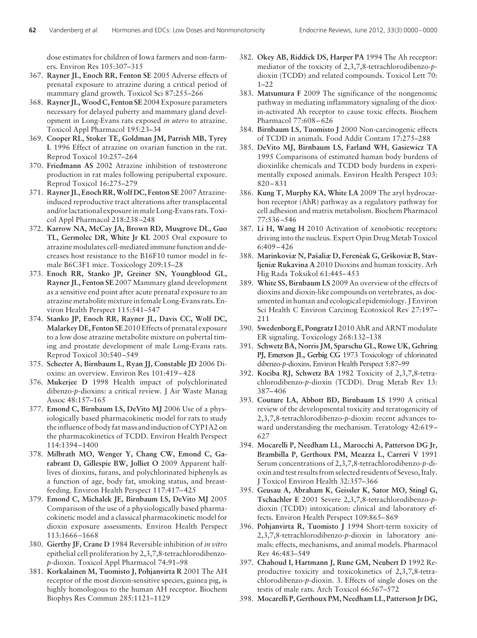dose estimates for children of Iowa farmers and non-farmers. Environ Res 105:307–315

- 367. **Rayner JL, Enoch RR, Fenton SE** 2005 Adverse effects of prenatal exposure to atrazine during a critical period of mammary gland growth. Toxicol Sci 87:255–266
- 368. **Rayner JL, Wood C, Fenton SE** 2004 Exposure parameters necessary for delayed puberty and mammary gland development in Long-Evans rats exposed *in utero* to atrazine. Toxicol Appl Pharmacol 195:23–34
- 369. **Cooper RL, Stoker TE, Goldman JM, Parrish MB, Tyrey L** 1996 Effect of atrazine on ovarian function in the rat. Reprod Toxicol 10:257–264
- 370. **Friedmann AS** 2002 Atrazine inhibition of testosterone production in rat males following peripubertal exposure. Reprod Toxicol 16:275–279
- 371. **Rayner JL, Enoch RR,Wolf DC, Fenton SE** 2007 Atrazineinduced reproductive tract alterations after transplacental and/or lactational exposure in male Long-Evans rats. Toxicol Appl Pharmacol 218:238 –248
- 372. **Karrow NA, McCay JA, Brown RD, Musgrove DL, Guo TL, Germolec DR, White Jr KL** 2005 Oral exposure to atrazine modulates cell-mediated immune function and decreases host resistance to the B16F10 tumor model in female B6C3F1 mice. Toxicology 209:15–28
- 373. **Enoch RR, Stanko JP, Greiner SN, Youngblood GL, Rayner JL, Fenton SE** 2007 Mammary gland development as a sensitive end point after acute prenatal exposure to an atrazine metabolite mixture in female Long-Evans rats. Environ Health Perspect 115:541–547
- 374. **Stanko JP, Enoch RR, Rayner JL, Davis CC, Wolf DC, Malarkey DE, Fenton SE**2010 Effects of prenatal exposure to a low dose atrazine metabolite mixture on pubertal timing and prostate development of male Long-Evans rats. Reprod Toxicol 30:540 –549
- 375. **Schecter A, Birnbaum L, Ryan JJ, Constable JD** 2006 Dioxins: an overview. Environ Res 101:419 – 428
- 376. **Mukerjee D** 1998 Health impact of polychlorinated dibenzo-*p*-dioxins: a critical review. J Air Waste Manag Assoc 48:157–165
- 377. **Emond C, Birnbaum LS, DeVito MJ** 2006 Use of a physiologically based pharmacokinetic model for rats to study the influence of body fat mass and induction of CYP1A2 on the pharmacokinetics of TCDD. Environ Health Perspect 114:1394 –1400
- 378. **Milbrath MO, Wenger Y, Chang CW, Emond C, Garabrant D, Gillespie BW, Jolliet O** 2009 Apparent halflives of dioxins, furans, and polychlorinated biphenyls as a function of age, body fat, smoking status, and breastfeeding. Environ Health Perspect 117:417– 425
- 379. **Emond C, Michalek JE, Birnbaum LS, DeVito MJ** 2005 Comparison of the use of a physiologically based pharmacokinetic model and a classical pharmacokinetic model for dioxin exposure assessments. Environ Health Perspect 113:1666 –1668
- 380. **Gierthy JF, Crane D** 1984 Reversible inhibition of *in vitro* epithelial cell proliferation by 2,3,7,8-tetrachlorodibenzo*p*-dioxin. Toxicol Appl Pharmacol 74:91–98
- 381. **Korkalainen M, Tuomisto J, Pohjanvirta R** 2001 The AH receptor of the most dioxin-sensitive species, guinea pig, is highly homologous to the human AH receptor. Biochem Biophys Res Commun 285:1121–1129
- 382. **Okey AB, Riddick DS, Harper PA** 1994 The Ah receptor: mediator of the toxicity of 2,3,7,8-tetrachlorodibenzo-*p*dioxin (TCDD) and related compounds. Toxicol Lett 70:  $1 - 22$
- 383. **Matsumura F** 2009 The significance of the nongenomic pathway in mediating inflammatory signaling of the dioxin-activated Ah receptor to cause toxic effects. Biochem Pharmacol 77:608 – 626
- 384. **Birnbaum LS, Tuomisto J** 2000 Non-carcinogenic effects of TCDD in animals. Food Addit Contam 17:275–288
- 385. **DeVito MJ, Birnbaum LS, Farland WH, Gasiewicz TA** 1995 Comparisons of estimated human body burdens of dioxinlike chemicals and TCDD body burdens in experimentally exposed animals. Environ Health Perspect 103: 820 – 831
- 386. **Kung T, Murphy KA, White LA** 2009 The aryl hydrocarbon receptor (AhR) pathway as a regulatory pathway for cell adhesion and matrix metabolism. Biochem Pharmacol 77:536 –546
- 387. **Li H, Wang H** 2010 Activation of xenobiotic receptors: driving into the nucleus. Expert Opin Drug Metab Toxicol 6:409 – 426
- 388. Marinkoviæ N, Pašaliæ D, Ferenèak G, Grškoviæ B, Stav**ljeniæ Rukavina A** 2010 Dioxins and human toxicity. Arh Hig Rada Toksikol 61:445– 453
- 389. **White SS, Birnbaum LS** 2009 An overview of the effects of dioxins and dioxin-like compounds on vertebrates, as documented in human and ecological epidemiology. J Environ Sci Health C Environ Carcinog Ecotoxicol Rev 27:197– 211
- 390. **Swedenborg E, Pongratz I** 2010 AhR and ARNT modulate ER signaling. Toxicology 268:132–138
- 391. **Schwetz BA, Norris JM, Sparschu GL, Rowe UK, Gehring PJ, Emerson JL, Gerbig CG** 1973 Toxicology of chlorinated dibenzo-*p*-dioxins. Environ Health Perspect 5:87–99
- 392. **Kociba RJ, Schwetz BA** 1982 Toxicity of 2,3,7,8-tetrachlorodibenzo-*p*-dioxin (TCDD). Drug Metab Rev 13: 387– 406
- 393. **Couture LA, Abbott BD, Birnbaum LS** 1990 A critical review of the developmental toxicity and teratogenicity of 2,3,7,8-tetrachlorodibenzo-*p*-dioxin: recent advances toward understanding the mechanism. Teratology 42:619 – 627
- 394. **Mocarelli P, Needham LL, Marocchi A, Patterson DG Jr, Brambilla P, Gerthoux PM, Meazza L, Carreri V** 1991 Serum concentrations of 2,3,7,8-tetrachlorodibenzo-*p*-dioxin and test results from selected residents of Seveso, Italy. J Toxicol Environ Health 32:357–366
- 395. **Geusau A, Abraham K, Geissler K, Sator MO, Stingl G, Tschachler E** 2001 Severe 2,3,7,8-tetrachlorodibenzo-*p*dioxin (TCDD) intoxication: clinical and laboratory effects. Environ Health Perspect 109:865– 869
- 396. **Pohjanvirta R, Tuomisto J** 1994 Short-term toxicity of 2,3,7,8-tetrachlorodibenzo-*p*-dioxin in laboratory animals: effects, mechanisms, and animal models. Pharmacol Rev 46:483–549
- 397. **Chahoud I, Hartmann J, Rune GM, Neubert D** 1992 Reproductive toxicity and toxicokinetics of 2,3,7,8-tetrachlorodibenzo-*p*-dioxin. 3. Effects of single doses on the testis of male rats. Arch Toxicol 66:567–572
- 398. **Mocarelli P, Gerthoux PM, Needham LL, Patterson Jr DG,**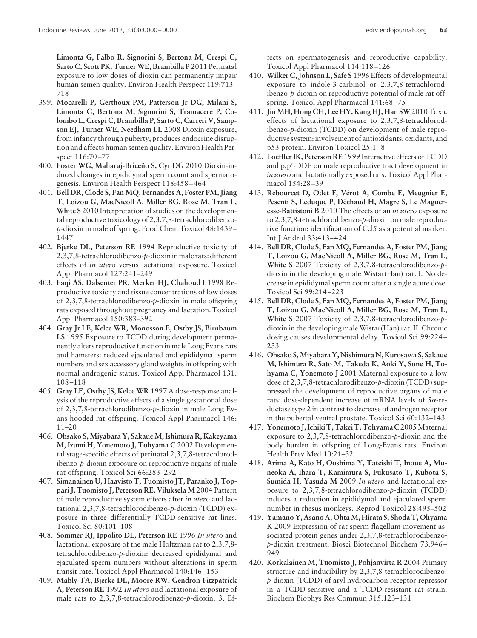**Limonta G, Falbo R, Signorini S, Bertona M, Crespi C, Sarto C, Scott PK, Turner WE, Brambilla P** 2011 Perinatal exposure to low doses of dioxin can permanently impair human semen quality. Environ Health Perspect 119:713– 718

- 399. **Mocarelli P, Gerthoux PM, Patterson Jr DG, Milani S, Limonta G, Bertona M, Signorini S, Tramacere P, Colombo L, Crespi C, Brambilla P, Sarto C, Carreri V, Sampson EJ, Turner WE, Needham LL** 2008 Dioxin exposure, from infancy through puberty, produces endocrine disruption and affects human semen quality. Environ Health Perspect 116:70 –77
- 400. Foster WG, Maharaj-Briceño S, Cyr DG 2010 Dioxin-induced changes in epididymal sperm count and spermatogenesis. Environ Health Perspect 118:458 – 464
- 401. **Bell DR, Clode S, Fan MQ, Fernandes A, Foster PM, Jiang T, Loizou G, MacNicoll A, Miller BG, Rose M, Tran L, White S** 2010 Interpretation of studies on the developmental reproductive toxicology of 2,3,7,8-tetrachlorodibenzo*p*-dioxin in male offspring. Food Chem Toxicol 48:1439 – 1447
- 402. **Bjerke DL, Peterson RE** 1994 Reproductive toxicity of 2,3,7,8-tetrachlorodibenzo-*p*-dioxin in male rats: different effects of *in utero* versus lactational exposure. Toxicol Appl Pharmacol 127:241–249
- 403. **Faqi AS, Dalsenter PR, Merker HJ, Chahoud I** 1998 Reproductive toxicity and tissue concentrations of low doses of 2,3,7,8-tetrachlorodibenzo-*p*-dioxin in male offspring rats exposed throughout pregnancy and lactation. Toxicol Appl Pharmacol 150:383–392
- 404. **Gray Jr LE, Kelce WR, Monosson E, Ostby JS, Birnbaum LS** 1995 Exposure to TCDD during development permanently alters reproductive function in male Long Evans rats and hamsters: reduced ejaculated and epididymal sperm numbers and sex accessory gland weights in offspring with normal androgenic status. Toxicol Appl Pharmacol 131: 108 –118
- 405. **Gray LE, Ostby JS, Kelce WR** 1997 A dose-response analysis of the reproductive effects of a single gestational dose of 2,3,7,8-tetrachlorodibenzo-*p*-dioxin in male Long Evans hooded rat offspring. Toxicol Appl Pharmacol 146: 11–20
- 406. **Ohsako S, Miyabara Y, Sakaue M, Ishimura R, Kakeyama M, Izumi H, Yonemoto J, Tohyama C** 2002 Developmental stage-specific effects of perinatal 2,3,7,8-tetrachlorodibenzo-*p*-dioxin exposure on reproductive organs of male rat offspring. Toxicol Sci 66:283–292
- 407. **Simanainen U, Haavisto T, Tuomisto JT, Paranko J, Toppari J, Tuomisto J, Peterson RE, Viluksela M** 2004 Pattern of male reproductive system effects after *in utero* and lactational 2,3,7,8-tetrachlorodibenzo-*p*-dioxin (TCDD) exposure in three differentially TCDD-sensitive rat lines. Toxicol Sci 80:101–108
- 408. **Sommer RJ, Ippolito DL, Peterson RE** 1996 *In utero* and lactational exposure of the male Holtzman rat to 2,3,7,8 tetrachlorodibenzo-*p*-dioxin: decreased epididymal and ejaculated sperm numbers without alterations in sperm transit rate. Toxicol Appl Pharmacol 140:146 –153
- 409. **Mably TA, Bjerke DL, Moore RW, Gendron-Fitzpatrick A, Peterson RE** 1992 *In utero* and lactational exposure of male rats to 2,3,7,8-tetrachlorodibenzo-*p*-dioxin. 3. Ef-

fects on spermatogenesis and reproductive capability. Toxicol Appl Pharmacol 114:118 –126

- 410. **Wilker C, Johnson L, Safe S** 1996 Effects of developmental exposure to indole-3-carbinol or 2,3,7,8-tetrachlorodibenzo-*p*-dioxin on reproductive potential of male rat offspring. Toxicol Appl Pharmacol 141:68 –75
- 411. **JinMH, Hong CH, Lee HY, Kang HJ, Han SW**2010 Toxic effects of lactational exposure to 2,3,7,8-tetrachlorodibenzo-*p*-dioxin (TCDD) on development of male reproductive system: involvement of antioxidants, oxidants, and p53 protein. Environ Toxicol 25:1– 8
- 412. **Loeffler IK, Peterson RE** 1999 Interactive effects of TCDD and  $p, p'$ -DDE on male reproductive tract development in *in utero* and lactationally exposed rats. Toxicol Appl Pharmacol 154:28 –39
- 413. Rebourcet D, Odet F, Vérot A, Combe E, Meugnier E, Pesenti S, Leduque P, Déchaud H, Magre S, Le Maguer**esse-Battistoni B** 2010 The effects of an *in utero* exposure to 2,3,7,8-tetrachlorodibenzo-*p*-dioxin on male reproductive function: identification of Ccl5 as a potential marker. Int J Androl 33:413– 424
- 414. **Bell DR, Clode S, Fan MQ, Fernandes A, Foster PM, Jiang T, Loizou G, MacNicoll A, Miller BG, Rose M, Tran L, White S** 2007 Toxicity of 2,3,7,8-tetrachlorodibenzo-*p*dioxin in the developing male Wistar(Han) rat. I. No decrease in epididymal sperm count after a single acute dose. Toxicol Sci 99:214 –223
- 415. **Bell DR, Clode S, Fan MQ, Fernandes A, Foster PM, Jiang T, Loizou G, MacNicoll A, Miller BG, Rose M, Tran L, White S** 2007 Toxicity of 2,3,7,8-tetrachlorodibenzo-*p*dioxin in the developing male Wistar(Han) rat. II. Chronic dosing causes developmental delay. Toxicol Sci 99:224 – 233
- 416. **Ohsako S,Miyabara Y, Nishimura N, Kurosawa S, Sakaue M, Ishimura R, Sato M, Takeda K, Aoki Y, Sone H, Tohyama C, Yonemoto J** 2001 Maternal exposure to a low dose of 2,3,7,8-tetrachlorodibenzo-*p*-dioxin (TCDD) suppressed the development of reproductive organs of male rats: dose-dependent increase of mRNA levels of  $5\alpha$ -reductase type 2 in contrast to decrease of androgen receptor in the pubertal ventral prostate. Toxicol Sci 60:132–143
- 417. **Yonemoto J, Ichiki T, Takei T, Tohyama C**2005Maternal exposure to 2,3,7,8-tetrachlorodibenzo-*p*-dioxin and the body burden in offspring of Long-Evans rats. Environ Health Prev Med 10:21–32
- 418. **Arima A, Kato H, Ooshima Y, Tateishi T, Inoue A, Muneoka A, Ihara T, Kamimura S, Fukusato T, Kubota S, Sumida H, Yasuda M** 2009 *In utero* and lactational exposure to 2,3,7,8-tetrachlorodibenzo-*p*-dioxin (TCDD) induces a reduction in epididymal and ejaculated sperm number in rhesus monkeys. Reprod Toxicol 28:495–502
- 419. **Yamano Y, Asano A, OhtaM, Hirata S, Shoda T, Ohyama K** 2009 Expression of rat sperm flagellum-movement associated protein genes under 2,3,7,8-tetrachlorodibenzo*p*-dioxin treatment. Biosci Biotechnol Biochem 73:946 – 949
- 420. **Korkalainen M, Tuomisto J, Pohjanvirta R** 2004 Primary structure and inducibility by 2,3,7,8-tetrachlorodibenzo*p*-dioxin (TCDD) of aryl hydrocarbon receptor repressor in a TCDD-sensitive and a TCDD-resistant rat strain. Biochem Biophys Res Commun 315:123–131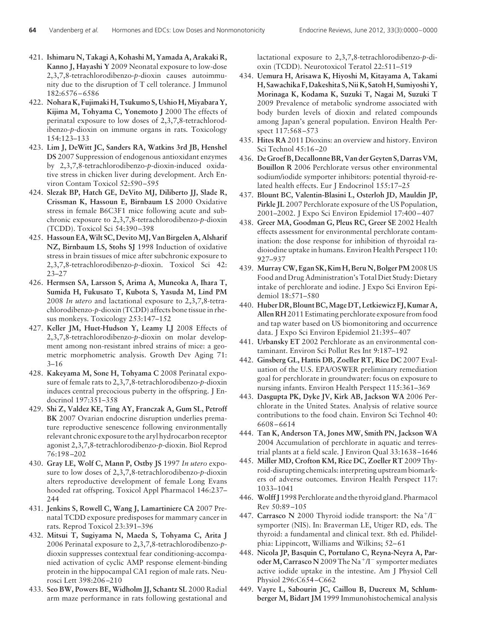- 421. **Ishimaru N, Takagi A, Kohashi M, Yamada A, Arakaki R, Kanno J, Hayashi Y** 2009 Neonatal exposure to low-dose 2,3,7,8-tetrachlorodibenzo-*p*-dioxin causes autoimmunity due to the disruption of T cell tolerance. J Immunol 182:6576 – 6586
- 422. **Nohara K, Fujimaki H, Tsukumo S, Ushio H,Miyabara Y, Kijima M, Tohyama C, Yonemoto J** 2000 The effects of perinatal exposure to low doses of 2,3,7,8-tetrachlorodibenzo-*p*-dioxin on immune organs in rats. Toxicology 154:123–133
- 423. **Lim J, DeWitt JC, Sanders RA, Watkins 3rd JB, Henshel DS** 2007 Suppression of endogenous antioxidant enzymes by 2,3,7,8-tetrachlorodibenzo-*p*-dioxin-induced oxidative stress in chicken liver during development. Arch Environ Contam Toxicol 52:590 –595
- 424. **Slezak BP, Hatch GE, DeVito MJ, Diliberto JJ, Slade R, Crissman K, Hassoun E, Birnbaum LS** 2000 Oxidative stress in female B6C3F1 mice following acute and subchronic exposure to 2,3,7,8-tetrachlorodibenzo-*p*-dioxin (TCDD). Toxicol Sci 54:390 –398
- 425. **Hassoun EA,Wilt SC, DevitoMJ, Van Birgelen A, Alsharif NZ, Birnbaum LS, Stohs SJ** 1998 Induction of oxidative stress in brain tissues of mice after subchronic exposure to 2,3,7,8-tetrachlorodibenzo-*p*-dioxin. Toxicol Sci 42: 23–27
- 426. **Hermsen SA, Larsson S, Arima A, Muneoka A, Ihara T, Sumida H, Fukusato T, Kubota S, Yasuda M, Lind PM** 2008 *In utero* and lactational exposure to 2,3,7,8-tetrachlorodibenzo-*p*-dioxin (TCDD) affects bone tissue in rhesus monkeys. Toxicology 253:147–152
- 427. **Keller JM, Huet-Hudson Y, Leamy LJ** 2008 Effects of 2,3,7,8-tetrachlorodibenzo-*p*-dioxin on molar development among non-resistant inbred strains of mice: a geometric morphometric analysis. Growth Dev Aging 71: 3–16
- 428. **Kakeyama M, Sone H, Tohyama C** 2008 Perinatal exposure of female rats to 2,3,7,8-tetrachlorodibenzo-*p*-dioxin induces central precocious puberty in the offspring. J Endocrinol 197:351–358
- 429. **Shi Z, Valdez KE, Ting AY, Franczak A, Gum SL, Petroff BK** 2007 Ovarian endocrine disruption underlies premature reproductive senescence following environmentally relevant chronic exposure to the aryl hydrocarbon receptor agonist 2,3,7,8-tetrachlorodibenzo-*p*-dioxin. Biol Reprod 76:198 –202
- 430. **Gray LE, Wolf C, Mann P, Ostby JS** 1997 *In utero* exposure to low doses of 2,3,7,8-tetrachlorodibenzo-*p*-dioxin alters reproductive development of female Long Evans hooded rat offspring. Toxicol Appl Pharmacol 146:237– 244
- 431. **Jenkins S, Rowell C, Wang J, Lamartiniere CA** 2007 Prenatal TCDD exposure predisposes for mammary cancer in rats. Reprod Toxicol 23:391–396
- 432. **Mitsui T, Sugiyama N, Maeda S, Tohyama C, Arita J** 2006 Perinatal exposure to 2,3,7,8-tetrachlorodibenzo-*p*dioxin suppresses contextual fear conditioning-accompanied activation of cyclic AMP response element-binding protein in the hippocampal CA1 region of male rats. Neurosci Lett 398:206 –210
- 433. **Seo BW, Powers BE, Widholm JJ, Schantz SL** 2000 Radial arm maze performance in rats following gestational and

lactational exposure to 2,3,7,8-tetrachlorodibenzo-*p*-dioxin (TCDD). Neurotoxicol Teratol 22:511–519

- 434. **Uemura H, Arisawa K, Hiyoshi M, Kitayama A, Takami H, Sawachika F, Dakeshita S, Nii K, Satoh H, Sumiyoshi Y, Morinaga K, Kodama K, Suzuki T, Nagai M, Suzuki T** 2009 Prevalence of metabolic syndrome associated with body burden levels of dioxin and related compounds among Japan's general population. Environ Health Perspect 117:568 –573
- 435. **Hites RA** 2011 Dioxins: an overview and history. Environ Sci Technol 45:16 –20
- 436. **De Groef B, Decallonne BR, Van der Geyten S, Darras VM, Bouillon R** 2006 Perchlorate versus other environmental sodium/iodide symporter inhibitors: potential thyroid-related health effects. Eur J Endocrinol 155:17–25
- 437. **Blount BC, Valentin-Blasini L, Osterloh JD, Mauldin JP, Pirkle JL** 2007 Perchlorate exposure of the US Population, 2001–2002. J Expo Sci Environ Epidemiol 17:400 – 407
- 438. **Greer MA, Goodman G, Pleus RC, Greer SE** 2002 Health effects assessment for environmental perchlorate contamination: the dose response for inhibition of thyroidal radioiodine uptake in humans. Environ Health Perspect 110: 927–937
- 439. **Murray CW, Egan SK, Kim H, Beru N, Bolger PM**2008 US Food and Drug Administration's Total Diet Study: Dietary intake of perchlorate and iodine. J Expo Sci Environ Epidemiol 18:571–580
- 440. **Huber DR, Blount BC,Mage DT, Letkiewicz FJ, Kumar A, Allen RH** 2011 Estimating perchlorate exposure from food and tap water based on US biomonitoring and occurrence data. J Expo Sci Environ Epidemiol 21:395-407
- 441. **Urbansky ET** 2002 Perchlorate as an environmental contaminant. Environ Sci Pollut Res Int 9:187–192
- 442. **Ginsberg GL, Hattis DB, Zoeller RT, Rice DC** 2007 Evaluation of the U.S. EPA/OSWER preliminary remediation goal for perchlorate in groundwater: focus on exposure to nursing infants. Environ Health Perspect 115:361–369
- 443. **Dasgupta PK, Dyke JV, Kirk AB, Jackson WA** 2006 Perchlorate in the United States. Analysis of relative source contributions to the food chain. Environ Sci Technol 40: 6608 – 6614
- 444. **Tan K, Anderson TA, Jones MW, Smith PN, Jackson WA** 2004 Accumulation of perchlorate in aquatic and terrestrial plants at a field scale. J Environ Qual 33:1638 –1646
- 445. **Miller MD, Crofton KM, Rice DC, Zoeller RT** 2009 Thyroid-disrupting chemicals: interpreting upstream biomarkers of adverse outcomes. Environ Health Perspect 117: 1033–1041
- 446. **Wolff J** 1998 Perchlorate and the thyroid gland. Pharmacol Rev 50:89 –105
- 447. **Carrasco N** 2000 Thyroid iodide transport: the Na<sup>+</sup>/I<sup>-</sup> symporter (NIS). In: Braverman LE, Utiger RD, eds. The thyroid: a fundamental and clinical text. 8th ed. Philidelphia: Lippincott, Williams and Wilkins; 52-61
- 448. **Nicola JP, Basquin C, Portulano C, Reyna-Neyra A, Par**oder M, Carrasco N 2009 The Na<sup>+</sup>/I<sup>-</sup> symporter mediates active iodide uptake in the intestine. Am J Physiol Cell Physiol 296:C654 –C662
- 449. **Vayre L, Sabourin JC, Caillou B, Ducreux M, Schlumberger M, Bidart JM** 1999 Immunohistochemical analysis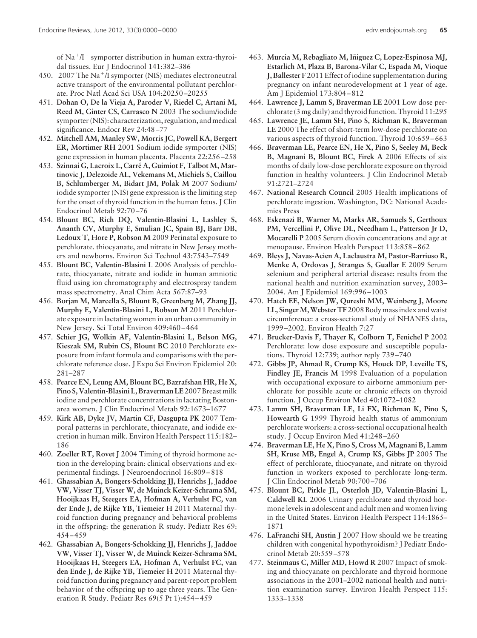of Na $^+/I^-$  symporter distribution in human extra-thyroidal tissues. Eur J Endocrinol 141:382–386

- 450. 2007 The Na<sup>+</sup>/I symporter (NIS) mediates electroneutral active transport of the environmental pollutant perchlorate. Proc Natl Acad Sci USA 104:20250 –20255
- 451. **Dohan O, De la Vieja A, Paroder V, Riedel C, Artani M, Reed M, Ginter CS, Carrasco N** 2003 The sodium/iodide symporter (NIS): characterization, regulation, and medical significance. Endocr Rev 24:48 –77
- 452. **Mitchell AM, Manley SW, Morris JC, Powell KA, Bergert ER, Mortimer RH** 2001 Sodium iodide symporter (NIS) gene expression in human placenta. Placenta 22:256 –258
- 453. **Szinnai G, Lacroix L, Carre´ A, Guimiot F, Talbot M, Martinovic J, Delezoide AL, Vekemans M, Michiels S, Caillou B, Schlumberger M, Bidart JM, Polak M** 2007 Sodium/ iodide symporter (NIS) gene expression is the limiting step for the onset of thyroid function in the human fetus. J Clin Endocrinol Metab 92:70 –76
- 454. **Blount BC, Rich DQ, Valentin-Blasini L, Lashley S, Ananth CV, Murphy E, Smulian JC, Spain BJ, Barr DB, Ledoux T, Hore P, Robson M** 2009 Perinatal exposure to perchlorate. thiocyanate, and nitrate in New Jersey mothers and newborns. Environ Sci Technol 43:7543–7549
- 455. **Blount BC, Valentin-Blasini L** 2006 Analysis of perchlorate, thiocyanate, nitrate and iodide in human amniotic fluid using ion chromatography and electrospray tandem mass spectrometry. Anal Chim Acta 567:87–93
- 456. **Borjan M, Marcella S, Blount B, Greenberg M, Zhang JJ, Murphy E, Valentin-Blasini L, Robson M** 2011 Perchlorate exposure in lactating women in an urban community in New Jersey. Sci Total Environ 409:460 – 464
- 457. **Schier JG, Wolkin AF, Valentin-Blasini L, Belson MG, Kieszak SM, Rubin CS, Blount BC** 2010 Perchlorate exposure from infant formula and comparisons with the perchlorate reference dose. J Expo Sci Environ Epidemiol 20: 281–287
- 458. **Pearce EN, Leung AM, Blount BC, Bazrafshan HR, He X, Pino S, Valentin-Blasini L, Braverman LE**2007 Breast milk iodine and perchlorate concentrations in lactating Bostonarea women. J Clin Endocrinol Metab 92:1673–1677
- 459. **Kirk AB, Dyke JV, Martin CF, Dasgupta PK** 2007 Temporal patterns in perchlorate, thiocyanate, and iodide excretion in human milk. Environ Health Perspect 115:182– 186
- 460. **Zoeller RT, Rovet J** 2004 Timing of thyroid hormone action in the developing brain: clinical observations and experimental findings. J Neuroendocrinol 16:809 – 818
- 461. **Ghassabian A, Bongers-Schokking JJ, Henrichs J, Jaddoe VW, Visser TJ, Visser W, de Muinck Keizer-Schrama SM, Hooijkaas H, Steegers EA, Hofman A, Verhulst FC, van der Ende J, de Rijke YB, Tiemeier H** 2011 Maternal thyroid function during pregnancy and behavioral problems in the offspring: the generation R study. Pediatr Res 69: 454 – 459
- 462. **Ghassabian A, Bongers-Schokking JJ, Henrichs J, Jaddoe VW, Visser TJ, Visser W, de Muinck Keizer-Schrama SM, Hooijkaas H, Steegers EA, Hofman A, Verhulst FC, van den Ende J, de Rijke YB, Tiemeier H** 2011 Maternal thyroid function during pregnancy and parent-report problem behavior of the offspring up to age three years. The Generation R Study. Pediatr Res 69(5 Pt 1):454 – 459
- 463. Murcia M, Rebagliato M, Iñiguez C, Lopez-Espinosa MJ, **Estarlich M, Plaza B, Barona-Vilar C, Espada M, Vioque J, Ballester F** 2011 Effect of iodine supplementation during pregnancy on infant neurodevelopment at 1 year of age. Am J Epidemiol 173:804 – 812
- 464. **Lawrence J, Lamm S, Braverman LE** 2001 Low dose perchlorate (3 mg daily) and thyroid function. Thyroid 11:295
- 465. **Lawrence JE, Lamm SH, Pino S, Richman K, Braverman LE** 2000 The effect of short-term low-dose perchlorate on various aspects of thyroid function. Thyroid 10:659 – 663
- 466. **Braverman LE, Pearce EN, He X, Pino S, Seeley M, Beck B, Magnani B, Blount BC, Firek A** 2006 Effects of six months of daily low-dose perchlorate exposure on thyroid function in healthy volunteers. J Clin Endocrinol Metab 91:2721–2724
- 467. **National Research Council** 2005 Health implications of perchlorate ingestion. Washington, DC: National Academies Press
- 468. **Eskenazi B, Warner M, Marks AR, Samuels S, Gerthoux PM, Vercellini P, Olive DL, Needham L, Patterson Jr D, Mocarelli P** 2005 Serum dioxin concentrations and age at menopause. Environ Health Perspect 113:858 – 862
- 469. **Bleys J, Navas-Acien A, Laclaustra M, Pastor-Barriuso R, Menke A, Ordovas J, Stranges S, Guallar E** 2009 Serum selenium and peripheral arterial disease: results from the national health and nutrition examination survey, 2003– 2004. Am J Epidemiol 169:996 –1003
- 470. **Hatch EE, Nelson JW, Qureshi MM, Weinberg J, Moore LL, SingerM,Webster TF** 2008 Body mass index and waist circumference: a cross-sectional study of NHANES data, 1999 –2002. Environ Health 7:27
- 471. **Brucker-Davis F, Thayer K, Colborn T, Fenichel P** 2002 Perchlorate: low dose exposure and susceptible populations. Thyroid 12:739; author reply 739 –740
- 472. **Gibbs JP, Ahmad R, Crump KS, Houck DP, Leveille TS, Findley JE, Francis M** 1998 Evaluation of a population with occupational exposure to airborne ammonium perchlorate for possible acute or chronic effects on thyroid function. J Occup Environ Med 40:1072–1082
- 473. **Lamm SH, Braverman LE, Li FX, Richman K, Pino S, Howearth G** 1999 Thyroid health status of ammonium perchlorate workers: a cross-sectional occupational health study. J Occup Environ Med 41:248 –260
- 474. **Braverman LE, He X, Pino S, Cross M, Magnani B, Lamm SH, Kruse MB, Engel A, Crump KS, Gibbs JP** 2005 The effect of perchlorate, thiocyanate, and nitrate on thyroid function in workers exposed to perchlorate long-term. J Clin Endocrinol Metab 90:700 –706
- 475. **Blount BC, Pirkle JL, Osterloh JD, Valentin-Blasini L, Caldwell KL** 2006 Urinary perchlorate and thyroid hormone levels in adolescent and adult men and women living in the United States. Environ Health Perspect 114:1865– 1871
- 476. **LaFranchi SH, Austin J** 2007 How should we be treating children with congenital hypothyroidism? J Pediatr Endocrinol Metab 20:559 –578
- 477. **Steinmaus C, Miller MD, Howd R** 2007 Impact of smoking and thiocyanate on perchlorate and thyroid hormone associations in the 2001–2002 national health and nutrition examination survey. Environ Health Perspect 115: 1333–1338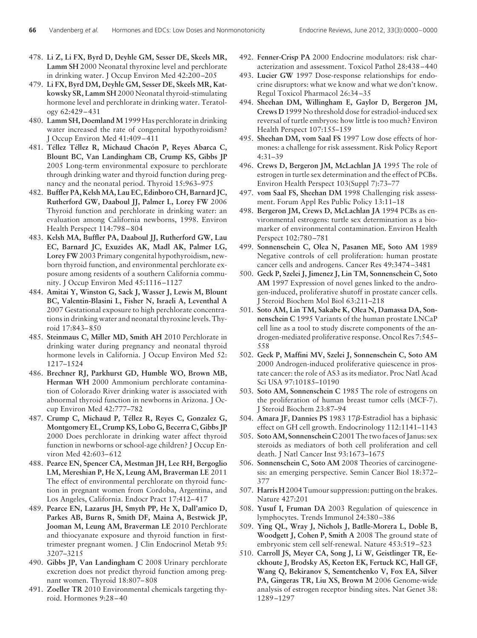- 478. **Li Z, Li FX, Byrd D, Deyhle GM, Sesser DE, Skeels MR, Lamm SH** 2000 Neonatal thyroxine level and perchlorate in drinking water. J Occup Environ Med 42:200 –205
- 479. **Li FX, Byrd DM, Deyhle GM, Sesser DE, Skeels MR, Katkowsky SR, Lamm SH** 2000 Neonatal thyroid-stimulating hormone level and perchlorate in drinking water. Teratology 62:429 – 431
- 480. **Lamm SH, DoemlandM** 1999 Has perchlorate in drinking water increased the rate of congenital hypothyroidism? J Occup Environ Med 41:409 – 411
- 481. Téllez Téllez R, Michaud Chacón P, Reyes Abarca C, **Blount BC, Van Landingham CB, Crump KS, Gibbs JP** 2005 Long-term environmental exposure to perchlorate through drinking water and thyroid function during pregnancy and the neonatal period. Thyroid 15:963–975
- 482. **Buffler PA, Kelsh MA, Lau EC, Edinboro CH, Barnard JC, Rutherford GW, Daaboul JJ, Palmer L, Lorey FW** 2006 Thyroid function and perchlorate in drinking water: an evaluation among California newborns, 1998. Environ Health Perspect 114:798 – 804
- 483. **Kelsh MA, Buffler PA, Daaboul JJ, Rutherford GW, Lau EC, Barnard JC, Exuzides AK, Madl AK, Palmer LG, Lorey FW** 2003 Primary congenital hypothyroidism, newborn thyroid function, and environmental perchlorate exposure among residents of a southern California community. J Occup Environ Med 45:1116 –1127
- 484. **Amitai Y, Winston G, Sack J, Wasser J, Lewis M, Blount BC, Valentin-Blasini L, Fisher N, Israeli A, Leventhal A** 2007 Gestational exposure to high perchlorate concentrations in drinking water and neonatal thyroxine levels. Thyroid 17:843– 850
- 485. **Steinmaus C, Miller MD, Smith AH** 2010 Perchlorate in drinking water during pregnancy and neonatal thyroid hormone levels in California. J Occup Environ Med 52: 1217–1524
- 486. **Brechner RJ, Parkhurst GD, Humble WO, Brown MB, Herman WH** 2000 Ammonium perchlorate contamination of Colorado River drinking water is associated with abnormal thyroid function in newborns in Arizona. J Occup Environ Med 42:777–782
- 487. Crump C, Michaud P, Téllez R, Reyes C, Gonzalez G, **Montgomery EL, Crump KS, Lobo G, Becerra C, Gibbs JP** 2000 Does perchlorate in drinking water affect thyroid function in newborns or school-age children? J Occup Environ Med 42:603– 612
- 488. **Pearce EN, Spencer CA, Mestman JH, Lee RH, Bergoglio LM, Mereshian P, He X, Leung AM, Braverman LE** 2011 The effect of environmental perchlorate on thyroid function in pregnant women from Cordoba, Argentina, and Los Angeles, California. Endocr Pract 17:412– 417
- 489. **Pearce EN, Lazarus JH, Smyth PP, He X, Dall'amico D, Parkes AB, Burns R, Smith DF, Maina A, Bestwick JP, Jooman M, Leung AM, Braverman LE** 2010 Perchlorate and thiocyanate exposure and thyroid function in firsttrimester pregnant women. J Clin Endocrinol Metab 95: 3207–3215
- 490. **Gibbs JP, Van Landingham C** 2008 Urinary perchlorate excretion does not predict thyroid function among pregnant women. Thyroid 18:807– 808
- 491. **Zoeller TR** 2010 Environmental chemicals targeting thyroid. Hormones 9:28 – 40
- 492. **Fenner-Crisp PA** 2000 Endocrine modulators: risk characterization and assessment. Toxicol Pathol 28:438 – 440
- 493. **Lucier GW** 1997 Dose-response relationships for endocrine disruptors: what we know and what we don't know. Regul Toxicol Pharmacol 26:34 –35
- 494. **Sheehan DM, Willingham E, Gaylor D, Bergeron JM, Crews D** 1999 No threshold dose for estradiol-induced sex reversal of turtle embryos: how little is too much? Environ Health Perspect 107:155–159
- 495. **Sheehan DM, vom Saal FS** 1997 Low dose effects of hormones: a challenge for risk assessment. Risk Policy Report 4:31–39
- 496. **Crews D, Bergeron JM, McLachlan JA** 1995 The role of estrogen in turtle sex determination and the effect of PCBs. Environ Health Perspect 103(Suppl 7):73–77
- 497. **vom Saal FS, Sheehan DM** 1998 Challenging risk assessment. Forum Appl Res Public Policy 13:11–18
- 498. **Bergeron JM, Crews D, McLachlan JA** 1994 PCBs as environmental estrogens: turtle sex determination as a biomarker of environmental contamination. Environ Health Perspect 102:780 –781
- 499. **Sonnenschein C, Olea N, Pasanen ME, Soto AM** 1989 Negative controls of cell proliferation: human prostate cancer cells and androgens. Cancer Res 49:3474 –3481
- 500. **Geck P, Szelei J, Jimenez J, Lin TM, Sonnenschein C, Soto AM** 1997 Expression of novel genes linked to the androgen-induced, proliferative shutoff in prostate cancer cells. J Steroid Biochem Mol Biol 63:211–218
- 501. **Soto AM, Lin TM, Sakabe K, Olea N, Damassa DA, Sonnenschein C** 1995 Variants of the human prostate LNCaP cell line as a tool to study discrete components of the androgen-mediated proliferative response. Oncol Res 7:545– 558
- 502. **Geck P, Maffini MV, Szelei J, Sonnenschein C, Soto AM** 2000 Androgen-induced proliferative quiescence in prostate cancer: the role of AS3 as its mediator. Proc Natl Acad Sci USA 97:10185–10190
- 503. **Soto AM, Sonnenschein C** 1985 The role of estrogens on the proliferation of human breast tumor cells (MCF-7). J Steroid Biochem 23:87–94
- 504. **Amara JF, Dannies PS** 1983 17<sub>8</sub>-Estradiol has a biphasic effect on GH cell growth. Endocrinology 112:1141–1143
- 505. **Soto AM, Sonnenschein C**2001 The two faces of Janus: sex steroids as mediators of both cell proliferation and cell death. J Natl Cancer Inst 93:1673–1675
- 506. **Sonnenschein C, Soto AM** 2008 Theories of carcinogenesis: an emerging perspective. Semin Cancer Biol 18:372– 377
- 507. **Harris H** 2004 Tumour suppression: putting on the brakes. Nature 427:201
- 508. **Yusuf I, Fruman DA** 2003 Regulation of quiescence in lymphocytes. Trends Immunol 24:380 –386
- 509. **Ying QL, Wray J, Nichols J, Batlle-Morera L, Doble B, Woodgett J, Cohen P, Smith A** 2008 The ground state of embryonic stem cell self-renewal. Nature 453:519 –523
- 510. **Carroll JS, Meyer CA, Song J, Li W, Geistlinger TR, Eeckhoute J, Brodsky AS, Keeton EK, Fertuck KC, Hall GF, Wang Q, Bekiranov S, Sementchenko V, Fox EA, Silver PA, Gingeras TR, Liu XS, Brown M** 2006 Genome-wide analysis of estrogen receptor binding sites. Nat Genet 38: 1289 –1297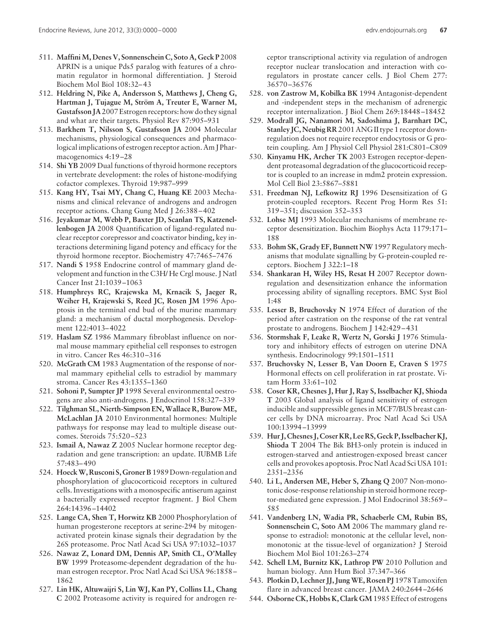- 511. **MaffiniM, Denes V, Sonnenschein C, Soto A, Geck P** 2008 APRIN is a unique Pds5 paralog with features of a chromatin regulator in hormonal differentiation. J Steroid Biochem Mol Biol 108:32– 43
- 512. **Heldring N, Pike A, Andersson S, Matthews J, Cheng G,** Hartman J, Tujague M, Ström A, Treuter E, Warner M, **Gustafsson JA**2007 Estrogen receptors: how do they signal and what are their targets. Physiol Rev 87:905–931
- 513. **Barkhem T, Nilsson S, Gustafsson JA** 2004 Molecular mechanisms, physiological consequences and pharmacological implications of estrogen receptor action. Am J Pharmacogenomics 4:19 –28
- 514. **Shi YB** 2009 Dual functions of thyroid hormone receptors in vertebrate development: the roles of histone-modifying cofactor complexes. Thyroid 19:987–999
- 515. **Kang HY, Tsai MY, Chang C, Huang KE** 2003 Mechanisms and clinical relevance of androgens and androgen receptor actions. Chang Gung Med J 26:388 – 402
- 516. **Jeyakumar M, Webb P, Baxter JD, Scanlan TS, Katzenellenbogen JA** 2008 Quantification of ligand-regulated nuclear receptor corepressor and coactivator binding, key interactions determining ligand potency and efficacy for the thyroid hormone receptor. Biochemistry 47:7465–7476
- 517. **Nandi S** 1958 Endocrine control of mammary gland development and function in the C3H/ He Crgl mouse. J Natl Cancer Inst 21:1039 –1063
- 518. **Humphreys RC, Krajewska M, Krnacik S, Jaeger R, Weiher H, Krajewski S, Reed JC, Rosen JM** 1996 Apoptosis in the terminal end bud of the murine mammary gland: a mechanism of ductal morphogenesis. Development 122:4013– 4022
- 519. **Haslam SZ** 1986 Mammary fibroblast influence on normal mouse mammary epithelial cell responses to estrogen in vitro. Cancer Res 46:310 –316
- 520. **McGrath CM** 1983 Augmentation of the response of normal mammary epithelial cells to estradiol by mammary stroma. Cancer Res 43:1355–1360
- 521. **Sohoni P, Sumpter JP** 1998 Several environmental oestrogens are also anti-androgens. J Endocrinol 158:327–339
- 522. **Tilghman SL, Nierth-Simpson EN,Wallace R, BurowME, McLachlan JA** 2010 Environmental hormones: Multiple pathways for response may lead to multiple disease outcomes. Steroids 75:520 –523
- 523. **Ismail A, Nawaz Z** 2005 Nuclear hormone receptor degradation and gene transcription: an update. IUBMB Life 57:483– 490
- 524. **HoeckW, Rusconi S, Groner B**1989 Down-regulation and phosphorylation of glucocorticoid receptors in cultured cells. Investigations with a monospecific antiserum against a bacterially expressed receptor fragment. J Biol Chem 264:14396 –14402
- 525. **Lange CA, Shen T, Horwitz KB** 2000 Phosphorylation of human progesterone receptors at serine-294 by mitogenactivated protein kinase signals their degradation by the 26S proteasome. Proc Natl Acad Sci USA 97:1032–1037
- 526. **Nawaz Z, Lonard DM, Dennis AP, Smith CL, O'Malley BW** 1999 Proteasome-dependent degradation of the human estrogen receptor. Proc Natl Acad Sci USA 96:1858 – 1862
- 527. **Lin HK, Altuwaijri S, Lin WJ, Kan PY, Collins LL, Chang C** 2002 Proteasome activity is required for androgen re-

ceptor transcriptional activity via regulation of androgen receptor nuclear translocation and interaction with coregulators in prostate cancer cells. J Biol Chem 277: 36570 –36576

- 528. **von Zastrow M, Kobilka BK** 1994 Antagonist-dependent and -independent steps in the mechanism of adrenergic receptor internalization. J Biol Chem 269:18448 –18452
- 529. **Modrall JG, Nanamori M, Sadoshima J, Barnhart DC, Stanley JC, Neubig RR** 2001 ANG II type 1 receptor downregulation does not require receptor endocytosis or G protein coupling. Am J Physiol Cell Physiol 281:C801–C809
- 530. **Kinyamu HK, Archer TK** 2003 Estrogen receptor-dependent proteasomal degradation of the glucocorticoid receptor is coupled to an increase in mdm2 protein expression. Mol Cell Biol 23:5867–5881
- 531. **Freedman NJ, Lefkowitz RJ** 1996 Desensitization of G protein-coupled receptors. Recent Prog Horm Res 51: 319 –351; discussion 352–353
- 532. **Lohse MJ** 1993 Molecular mechanisms of membrane receptor desensitization. Biochim Biophys Acta 1179:171– 188
- 533. **Bohm SK, Grady EF, Bunnett NW** 1997 Regulatory mechanisms that modulate signalling by G-protein-coupled receptors. Biochem J 322:1–18
- 534. **Shankaran H, Wiley HS, Resat H** 2007 Receptor downregulation and desensitization enhance the information processing ability of signalling receptors. BMC Syst Biol 1:48
- 535. **Lesser B, Bruchovsky N** 1974 Effect of duration of the period after castration on the response of the rat ventral prostate to androgens. Biochem J 142:429 – 431
- 536. **Stormshak F, Leake R, Wertz N, Gorski J** 1976 Stimulatory and inhibitory effects of estrogen on uterine DNA synthesis. Endocrinology 99:1501–1511
- 537. **Bruchovsky N, Lesser B, Van Doorn E, Craven S** 1975 Hormonal effects on cell proliferation in rat prostate. Vitam Horm 33:61–102
- 538. **Coser KR, Chesnes J, Hur J, Ray S, Isselbacher KJ, Shioda T** 2003 Global analysis of ligand sensitivity of estrogen inducible and suppressible genes in MCF7/BUS breast cancer cells by DNA microarray. Proc Natl Acad Sci USA 100:13994 –13999
- 539. **Hur J, Chesnes J, Coser KR, Lee RS, Geck P, Isselbacher KJ, Shioda T** 2004 The Bik BH3-only protein is induced in estrogen-starved and antiestrogen-exposed breast cancer cells and provokes apoptosis. Proc Natl Acad Sci USA 101: 2351–2356
- 540. **Li L, Andersen ME, Heber S, Zhang Q** 2007 Non-monotonic dose-response relationship in steroid hormone receptor-mediated gene expression. J Mol Endocrinol 38:569 – 585
- 541. **Vandenberg LN, Wadia PR, Schaeberle CM, Rubin BS, Sonnenschein C, Soto AM** 2006 The mammary gland response to estradiol: monotonic at the cellular level, nonmonotonic at the tissue-level of organization? J Steroid Biochem Mol Biol 101:263–274
- 542. **Schell LM, Burnitz KK, Lathrop PW** 2010 Pollution and human biology. Ann Hum Biol 37:347–366
- 543. **Plotkin D, Lechner JJ, JungWE, Rosen PJ** 1978 Tamoxifen flare in advanced breast cancer. JAMA 240:2644 –2646
- 544. **Osborne CK, Hobbs K, Clark GM**1985 Effect of estrogens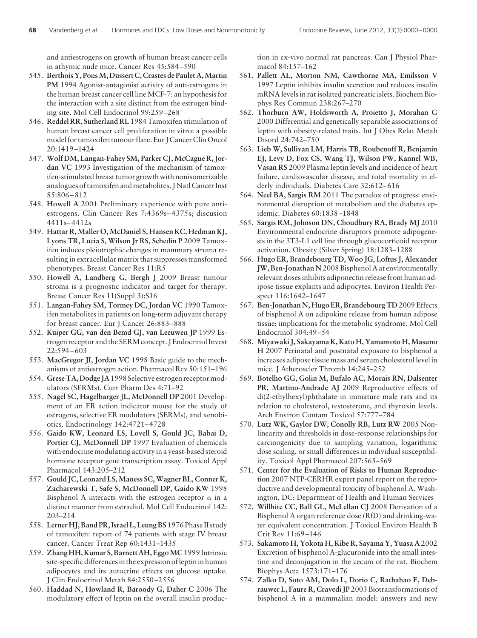and antiestrogens on growth of human breast cancer cells in athymic nude mice. Cancer Res 45:584 –590

- 545. **Berthois Y, PonsM, Dussert C, Crastes de Paulet A,Martin PM** 1994 Agonist-antagonist activity of anti-estrogens in the human breast cancer cell line MCF-7: an hypothesis for the interaction with a site distinct from the estrogen binding site. Mol Cell Endocrinol 99:259 –268
- 546. **Reddel RR, Sutherland RL** 1984 Tamoxifen stimulation of human breast cancer cell proliferation in vitro: a possible model for tamoxifen tumour flare. Eur J Cancer Clin Oncol 20:1419 –1424
- 547. **Wolf DM, Langan-Fahey SM, Parker CJ, McCague R, Jordan VC** 1993 Investigation of the mechanism of tamoxifen-stimulated breast tumor growth with nonisomerizable analogues of tamoxifen and metabolites. J Natl Cancer Inst 85:806 – 812
- 548. **Howell A** 2001 Preliminary experience with pure antiestrogens. Clin Cancer Res 7:4369s– 4375s; discusion 4411s– 4412s
- 549. **Hattar R, Maller O, McDaniel S, Hansen KC, Hedman KJ, Lyons TR, Lucia S, Wilson Jr RS, Schedin P** 2009 Tamoxifen induces pleiotrophic changes in mammary stroma resulting in extracellular matrix that suppresses transformed phenotypes. Breast Cancer Res 11:R5
- 550. **Howell A, Landberg G, Bergh J** 2009 Breast tumour stroma is a prognostic indicator and target for therapy. Breast Cancer Res 11(Suppl 3):S16
- 551. **Langan-Fahey SM, Tormey DC, Jordan VC** 1990 Tamoxifen metabolites in patients on long-term adjuvant therapy for breast cancer. Eur J Cancer 26:883– 888
- 552. **Kuiper GG, van den Bemd GJ, van Leeuwen JP** 1999 Estrogen receptor and the SERM concept. J Endocrinol Invest 22:594 – 603
- 553. **MacGregor JI, Jordan VC** 1998 Basic guide to the mechanisms of antiestrogen action. Pharmacol Rev 50:151–196
- 554. **Grese TA, Dodge JA**1998 Selective estrogen receptor modulators (SERMs). Curr Pharm Des 4:71–92
- 555. **Nagel SC, Hagelbarger JL, McDonnell DP** 2001 Development of an ER action indicator mouse for the study of estrogens, selective ER modulators (SERMs), and xenobiotics. Endocrinology 142:4721– 4728
- 556. **Gaido KW, Leonard LS, Lovell S, Gould JC, Babaï D, Portier CJ, McDonnell DP** 1997 Evaluation of chemicals with endocrine modulating activity in a yeast-based steroid hormone receptor gene transcription assay. Toxicol Appl Pharmacol 143:205–212
- 557. **Gould JC, Leonard LS, Maness SC, Wagner BL, Conner K, Zacharewski T, Safe S, McDonnell DP, Gaido KW** 1998 Bisphenol A interacts with the estrogen receptor  $\alpha$  in a distinct manner from estradiol. Mol Cell Endocrinol 142: 203–214
- 558. **Lerner HJ, Band PR, Israel L, Leung BS** 1976 Phase II study of tamoxifen: report of 74 patients with stage IV breast cancer. Cancer Treat Rep 60:1431–1435
- 559. **Zhang HH, Kumar S, Barnett AH, EggoMC**1999 Intrinsic site-specific differences in the expression of leptin in human adipocytes and its autocrine effects on glucose uptake. J Clin Endocrinol Metab 84:2550 –2556
- 560. **Haddad N, Howland R, Baroody G, Daher C** 2006 The modulatory effect of leptin on the overall insulin produc-

tion in ex-vivo normal rat pancreas. Can J Physiol Pharmacol 84:157–162

- 561. **Pallett AL, Morton NM, Cawthorne MA, Emilsson V** 1997 Leptin inhibits insulin secretion and reduces insulin mRNA levels in rat isolated pancreatic islets. Biochem Biophys Res Commun 238:267–270
- 562. **Thorburn AW, Holdsworth A, Proietto J, Morahan G** 2000 Differential and genetically separable associations of leptin with obesity-related traits. Int J Obes Relat Metab Disord 24:742–750
- 563. **Lieb W, Sullivan LM, Harris TB, Roubenoff R, Benjamin EJ, Levy D, Fox CS, Wang TJ, Wilson PW, Kannel WB, Vasan RS** 2009 Plasma leptin levels and incidence of heart failure, cardiovascular disease, and total mortality in elderly individuals. Diabetes Care 32:612-616
- 564. **Neel BA, Sargis RM** 2011 The paradox of progress: environmental disruption of metabolism and the diabetes epidemic. Diabetes 60:1838 –1848
- 565. **Sargis RM, Johnson DN, Choudhury RA, Brady MJ** 2010 Environmental endocrine disruptors promote adipogenesis in the 3T3-L1 cell line through glucocorticoid receptor activation. Obesity (Silver Spring) 18:1283–1288
- 566. **Hugo ER, Brandebourg TD, Woo JG, Loftus J, Alexander JW, Ben-Jonathan N** 2008 Bisphenol A at environmentally relevant doses inhibits adiponectin release from human adipose tissue explants and adipocytes. Environ Health Perspect 116:1642–1647
- 567. **Ben-Jonathan N, Hugo ER, Brandebourg TD** 2009 Effects of bisphenol A on adipokine release from human adipose tissue: implications for the metabolic syndrome. Mol Cell Endocrinol 304:49 –54
- 568. **Miyawaki J, Sakayama K, Kato H, Yamamoto H, Masuno H** 2007 Perinatal and postnatal exposure to bisphenol a increases adipose tissue mass and serum cholesterol level in mice. J Atheroscler Thromb 14:245–252
- 569. **Botelho GG, Golin M, Bufalo AC, Morais RN, Dalsenter PR, Martino-Andrade AJ** 2009 Reproductive effects of di(2-ethylhexyl)phthalate in immature male rats and its relation to cholesterol, testosterone, and thyroxin levels. Arch Environ Contam Toxicol 57:777–784
- 570. **Lutz WK, Gaylor DW, Conolly RB, Lutz RW** 2005 Nonlinearity and thresholds in dose-response relationships for carcinogenicity due to sampling variation, logarithmic dose scaling, or small differences in individual susceptibility. Toxicol Appl Pharmacol 207:565–569
- 571. **Center for the Evaluation of Risks to Human Reproduction** 2007 NTP-CERHR expert panel report on the reproductive and developmental toxicity of bisphenol A. Washington, DC: Department of Health and Human Services
- 572. **Willhite CC, Ball GL, McLellan CJ** 2008 Derivation of a Bisphenol A organ reference dose (RfD) and drinking-water equivalent concentration. J Toxicol Environ Health B Crit Rev 11:69 –146
- 573. **Sakamoto H, Yokota H, Kibe R, Sayama Y, Yuasa A** 2002 Excretion of bisphenol A-glucuronide into the small intestine and deconjugation in the cecum of the rat. Biochem Biophys Acta 1573:171–176
- 574. **Zalko D, Soto AM, Dolo L, Dorio C, Rathahao E, Debrauwer L, Faure R, Cravedi JP** 2003 Biotransformations of bisphenol A in a mammalian model: answers and new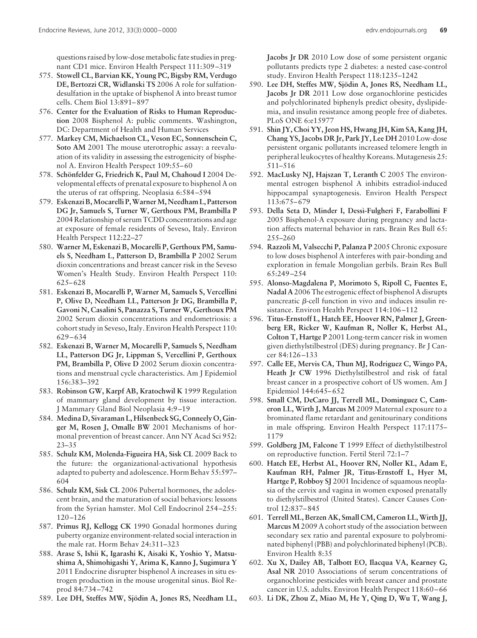questions raised by low-dose metabolic fate studies in pregnant CD1 mice. Environ Health Perspect 111:309 –319

- 575. **Stowell CL, Barvian KK, Young PC, Bigsby RM, Verdugo DE, Bertozzi CR, Widlanski TS** 2006 A role for sulfationdesulfation in the uptake of bisphenol A into breast tumor cells. Chem Biol 13:891– 897
- 576. **Center for the Evaluation of Risks to Human Reproduction** 2008 Bisphenol A: public comments. Washington, DC: Department of Health and Human Services
- 577. **Markey CM, Michaelson CL, Veson EC, Sonnenschein C, Soto AM** 2001 The mouse uterotrophic assay: a reevaluation of its validity in assessing the estrogenicity of bisphenol A. Environ Health Perspect 109:55– 60
- 578. Schönfelder G, Friedrich K, Paul M, Chahoud I 2004 Developmental effects of prenatal exposure to bisphenol A on the uterus of rat offspring. Neoplasia 6:584 –594
- 579. **Eskenazi B,Mocarelli P,WarnerM, Needham L, Patterson DG Jr, Samuels S, Turner W, Gerthoux PM, Brambilla P** 2004 Relationship of serum TCDD concentrations and age at exposure of female residents of Seveso, Italy. Environ Health Perspect 112:22–27
- 580. **Warner M, Eskenazi B, Mocarelli P, Gerthoux PM, Samuels S, Needham L, Patterson D, Brambilla P** 2002 Serum dioxin concentrations and breast cancer risk in the Seveso Women's Health Study. Environ Health Perspect 110: 625– 628
- 581. **Eskenazi B, Mocarelli P, Warner M, Samuels S, Vercellini P, Olive D, Needham LL, Patterson Jr DG, Brambilla P, Gavoni N, Casalini S, Panazza S, Turner W, Gerthoux PM** 2002 Serum dioxin concentrations and endometriosis: a cohort study in Seveso, Italy. Environ Health Perspect 110: 629 – 634
- 582. **Eskenazi B, Warner M, Mocarelli P, Samuels S, Needham LL, Patterson DG Jr, Lippman S, Vercellini P, Gerthoux PM, Brambilla P, Olive D** 2002 Serum dioxin concentrations and menstrual cycle characteristics. Am J Epidemiol 156:383–392
- 583. **Robinson GW, Karpf AB, Kratochwil K** 1999 Regulation of mammary gland development by tissue interaction. J Mammary Gland Biol Neoplasia 4:9 –19
- 584. **Medina D, Sivaraman L, Hilsenbeck SG, Conneely O, Ginger M, Rosen J, Omalle BW** 2001 Mechanisms of hormonal prevention of breast cancer. Ann NY Acad Sci 952: 23–35
- 585. **Schulz KM, Molenda-Figueira HA, Sisk CL** 2009 Back to the future: the organizational-activational hypothesis adapted to puberty and adolescence. Horm Behav 55:597– 604
- 586. **Schulz KM, Sisk CL** 2006 Pubertal hormones, the adolescent brain, and the maturation of social behaviors: lessons from the Syrian hamster. Mol Cell Endocrinol 254 –255: 120 –126
- 587. **Primus RJ, Kellogg CK** 1990 Gonadal hormones during puberty organize environment-related social interaction in the male rat. Horm Behav 24:311–323
- 588. **Arase S, Ishii K, Igarashi K, Aisaki K, Yoshio Y, Matsushima A, Shimohigashi Y, Arima K, Kanno J, Sugimura Y** 2011 Endocrine disrupter bisphenol A increases in situ estrogen production in the mouse urogenital sinus. Biol Reprod 84:734 –742
- 589. Lee DH, Steffes MW, Sjödin A, Jones RS, Needham LL,

**Jacobs Jr DR** 2010 Low dose of some persistent organic pollutants predicts type 2 diabetes: a nested case-control study. Environ Health Perspect 118:1235–1242

- 590. Lee DH, Steffes MW, Sjödin A, Jones RS, Needham LL, **Jacobs Jr DR** 2011 Low dose organochlorine pesticides and polychlorinated biphenyls predict obesity, dyslipidemia, and insulin resistance among people free of diabetes. PLoS ONE 6:e15977
- 591. **Shin JY, Choi YY, Jeon HS, Hwang JH, Kim SA, Kang JH, Chang YS, Jacobs DR Jr, Park JY, Lee DH** 2010 Low-dose persistent organic pollutants increased telomere length in peripheral leukocytes of healthy Koreans. Mutagenesis 25: 511–516
- 592. **MacLusky NJ, Hajszan T, Leranth C** 2005 The environmental estrogen bisphenol A inhibits estradiol-induced hippocampal synaptogenesis. Environ Health Perspect 113:675– 679
- 593. **Della Seta D, Minder I, Dessì-Fulgheri F, Farabollini F** 2005 Bisphenol-A exposure during pregnancy and lactation affects maternal behavior in rats. Brain Res Bull 65: 255–260
- 594. **Razzoli M, Valsecchi P, Palanza P** 2005 Chronic exposure to low doses bisphenol A interferes with pair-bonding and exploration in female Mongolian gerbils. Brain Res Bull 65:249 –254
- 595. **Alonso-Magdalena P, Morimoto S, Ripoll C, Fuentes E, Nadal A** 2006 The estrogenic effect of bisphenol A disrupts pancreatic  $\beta$ -cell function in vivo and induces insulin resistance. Environ Health Perspect 114:106-112
- 596. **Titus-Ernstoff L, Hatch EE, Hoover RN, Palmer J, Greenberg ER, Ricker W, Kaufman R, Noller K, Herbst AL, Colton T, Hartge P** 2001 Long-term cancer risk in women given diethylstilbestrol (DES) during pregnancy. Br J Cancer 84:126 –133
- 597. **Calle EE, Mervis CA, Thun MJ, Rodriguez C, Wingo PA, Heath Jr CW** 1996 Diethylstilbestrol and risk of fatal breast cancer in a prospective cohort of US women. Am J Epidemiol 144:645– 652
- 598. **Small CM, DeCaro JJ, Terrell ML, Dominguez C, Cameron LL, Wirth J, Marcus M** 2009 Maternal exposure to a brominated flame retardant and genitourinary conditions in male offspring. Environ Health Perspect 117:1175– 1179
- 599. **Goldberg JM, Falcone T** 1999 Effect of diethylstilbestrol on reproductive function. Fertil Steril 72:1–7
- 600. **Hatch EE, Herbst AL, Hoover RN, Noller KL, Adam E, Kaufman RH, Palmer JR, Titus-Ernstoff L, Hyer M, Hartge P, Robboy SJ** 2001 Incidence of squamous neoplasia of the cervix and vagina in women exposed prenatally to diethylstilbestrol (United States). Cancer Causes Control 12:837– 845
- 601. **Terrell ML, Berzen AK, Small CM, Cameron LL, Wirth JJ, Marcus M** 2009 A cohort study of the association between secondary sex ratio and parental exposure to polybrominated biphenyl (PBB) and polychlorinated biphenyl (PCB). Environ Health 8:35
- 602. **Xu X, Dailey AB, Talbott EO, Ilacqua VA, Kearney G, Asal NR** 2010 Associations of serum concentrations of organochlorine pesticides with breast cancer and prostate cancer in U.S. adults. Environ Health Perspect 118:60 – 66
- 603. **Li DK, Zhou Z, Miao M, He Y, Qing D, Wu T, Wang J,**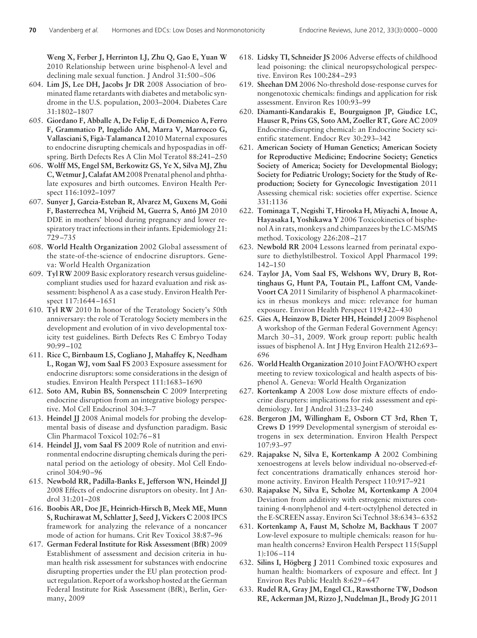**Weng X, Ferber J, Herrinton LJ, Zhu Q, Gao E, Yuan W** 2010 Relationship between urine bisphenol-A level and declining male sexual function. J Androl 31:500 –506

- 604. **Lim JS, Lee DH, Jacobs Jr DR** 2008 Association of brominated flame retardants with diabetes and metabolic syndrome in the U.S. population, 2003–2004. Diabetes Care 31:1802–1807
- 605. **Giordano F, Abballe A, De Felip E, di Domenico A, Ferro F, Grammatico P, Ingelido AM, Marra V, Marrocco G, Vallasciani S, Figa` -Talamanca I** 2010 Maternal exposures to endocrine disrupting chemicals and hypospadias in offspring. Birth Defects Res A Clin Mol Teratol 88:241–250
- 606. **Wolff MS, Engel SM, Berkowitz GS, Ye X, Silva MJ, Zhu C,Wetmur J, Calafat AM**2008 Prenatal phenol and phthalate exposures and birth outcomes. Environ Health Perspect 116:1092–1097
- 607. **Sunyer J, Garcia-Esteban R, Alvarez M, Guxens M, Gon˜i F, Basterrechea M, Vrijheid M, Guerra S, Anto´ JM** 2010 DDE in mothers' blood during pregnancy and lower respiratory tract infections in their infants. Epidemiology 21: 729 –735
- 608. **World Health Organization** 2002 Global assessment of the state-of-the-science of endocrine disruptors. Geneva: World Health Organization
- 609. **Tyl RW** 2009 Basic exploratory research versus guidelinecompliant studies used for hazard evaluation and risk assessment: bisphenol A as a case study. Environ Health Perspect 117:1644 –1651
- 610. **Tyl RW** 2010 In honor of the Teratology Society's 50th anniversary: the role of Teratology Society members in the development and evolution of in vivo developmental toxicity test guidelines. Birth Defects Res C Embryo Today 90:99 –102
- 611. **Rice C, Birnbaum LS, Cogliano J, Mahaffey K, Needham L, Rogan WJ, vom Saal FS** 2003 Exposure assessment for endocrine disruptors: some considerations in the design of studies. Environ Health Perspect 111:1683–1690
- 612. **Soto AM, Rubin BS, Sonnenschein C** 2009 Interpreting endocrine disruption from an integrative biology perspective. Mol Cell Endocrinol 304:3–7
- 613. **Heindel JJ** 2008 Animal models for probing the developmental basis of disease and dysfunction paradigm. Basic Clin Pharmacol Toxicol 102:76 – 81
- 614. **Heindel JJ, vom Saal FS** 2009 Role of nutrition and environmental endocrine disrupting chemicals during the perinatal period on the aetiology of obesity. Mol Cell Endocrinol 304:90 –96
- 615. **Newbold RR, Padilla-Banks E, Jefferson WN, Heindel JJ** 2008 Effects of endocrine disruptors on obesity. Int J Androl 31:201–208
- 616. **Boobis AR, Doe JE, Heinrich-Hirsch B, Meek ME, Munn S, Ruchirawat M, Schlatter J, Seed J, Vickers C** 2008 IPCS framework for analyzing the relevance of a noncancer mode of action for humans. Crit Rev Toxicol 38:87–96
- 617. **German Federal Institute for Risk Assessment (BfR)** 2009 Establishment of assessment and decision criteria in human health risk assessment for substances with endocrine disrupting properties under the EU plan protection product regulation. Report of a workshop hosted at the German Federal Institute for Risk Assessment (BfR), Berlin, Germany, 2009
- 618. **Lidsky TI, Schneider JS** 2006 Adverse effects of childhood lead poisoning: the clinical neuropsychological perspective. Environ Res 100:284 –293
- 619. **Sheehan DM** 2006 No-threshold dose-response curves for nongenotoxic chemicals: findings and application for risk assessment. Environ Res 100:93–99
- 620. **Diamanti-Kandarakis E, Bourguignon JP, Giudice LC, Hauser R, Prins GS, Soto AM, Zoeller RT, Gore AC** 2009 Endocrine-disrupting chemical: an Endocrine Society scientific statement. Endocr Rev 30:293–342
- 621. **American Society of Human Genetics; American Society for Reproductive Medicine; Endocrine Society; Genetics Society of America; Society for Developmental Biology; Society for Pediatric Urology; Society for the Study of Reproduction; Society for Gynecologic Investigation** 2011 Assessing chemical risk: societies offer expertise. Science 331:1136
- 622. **Tominaga T, Negishi T, Hirooka H, Miyachi A, Inoue A, Hayasaka I, Yoshikawa Y** 2006 Toxicokinetics of bisphenol A in rats, monkeys and chimpanzees by the LC-MS/MS method. Toxicology 226:208 –217
- 623. **Newbold RR** 2004 Lessons learned from perinatal exposure to diethylstilbestrol. Toxicol Appl Pharmacol 199: 142–150
- 624. **Taylor JA, Vom Saal FS, Welshons WV, Drury B, Rottinghaus G, Hunt PA, Toutain PL, Laffont CM, Vande-Voort CA** 2011 Similarity of bisphenol A pharmacokinetics in rhesus monkeys and mice: relevance for human exposure. Environ Health Perspect 119:422– 430
- 625. **Gies A, Heinzow B, Dieter HH, Heindel J** 2009 Bisphenol A workshop of the German Federal Government Agency: March 30 –31, 2009. Work group report: public health issues of bisphenol A. Int J Hyg Environ Health 212:693– 696
- 626. **World Health Organization** 2010 Joint FAO/WHO expert meeting to review toxicological and health aspects of bisphenol A. Geneva: World Health Organization
- 627. **Kortenkamp A** 2008 Low dose mixture effects of endocrine disrupters: implications for risk assessment and epidemiology. Int J Androl 31:233–240
- 628. **Bergeron JM, Willingham E, Osborn CT 3rd, Rhen T, Crews D** 1999 Developmental synergism of steroidal estrogens in sex determination. Environ Health Perspect 107:93–97
- 629. **Rajapakse N, Silva E, Kortenkamp A** 2002 Combining xenoestrogens at levels below individual no-observed-effect concentrations dramatically enhances steroid hormone activity. Environ Health Perspect 110:917–921
- 630. **Rajapakse N, Silva E, Scholze M, Kortenkamp A** 2004 Deviation from additivity with estrogenic mixtures containing 4-nonylphenol and 4-tert-octylphenol detected in the E-SCREEN assay. Environ Sci Technol 38:6343– 6352
- 631. **Kortenkamp A, Faust M, Scholze M, Backhaus T** 2007 Low-level exposure to multiple chemicals: reason for human health concerns? Environ Health Perspect 115(Suppl 1):106 –114
- 632. Silins I, Högberg J 2011 Combined toxic exposures and human health: biomarkers of exposure and effect. Int J Environ Res Public Health 8:629 – 647
- 633. **Rudel RA, Gray JM, Engel CL, Rawsthorne TW, Dodson RE, Ackerman JM, Rizzo J, Nudelman JL, Brody JG** 2011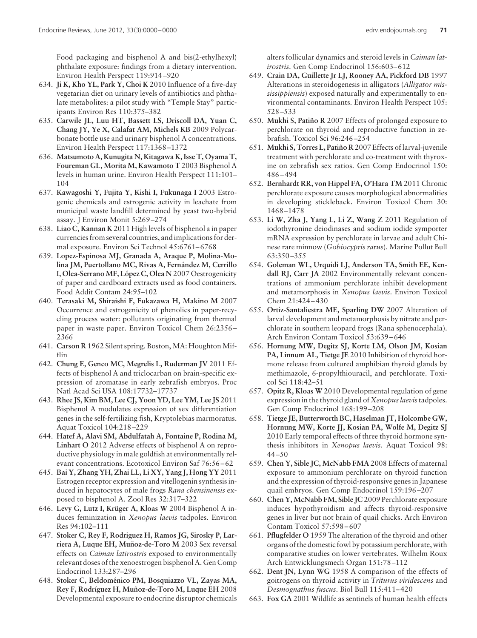Food packaging and bisphenol A and bis(2-ethylhexyl) phthalate exposure: findings from a dietary intervention. Environ Health Perspect 119:914 –920

- 634. **Ji K, Kho YL, Park Y, Choi K** 2010 Influence of a five-day vegetarian diet on urinary levels of antibiotics and phthalate metabolites: a pilot study with "Temple Stay" participants Environ Res 110:375–382
- 635. **Carwile JL, Luu HT, Bassett LS, Driscoll DA, Yuan C, Chang JY, Ye X, Calafat AM, Michels KB** 2009 Polycarbonate bottle use and urinary bisphenol A concentrations. Environ Health Perspect 117:1368 –1372
- 636. **Matsumoto A, Kunugita N, Kitagawa K, Isse T, Oyama T, Foureman GL, Morita M, Kawamoto T** 2003 Bisphenol A levels in human urine. Environ Health Perspect 111:101– 104
- 637. **Kawagoshi Y, Fujita Y, Kishi I, Fukunaga I** 2003 Estrogenic chemicals and estrogenic activity in leachate from municipal waste landfill determined by yeast two-hybrid assay. J Environ Monit 5:269 –274
- 638. **Liao C, Kannan K** 2011 High levels of bisphenol a in paper currencies from several countries, and implications for dermal exposure. Environ Sci Technol 45:6761-6768
- 639. **Lopez-Espinosa MJ, Granada A, Araque P, Molina-Mo**lina JM, Puertollano MC, Rivas A, Fernández M, Cerrillo I, Olea-Serrano MF, López C, Olea N 2007 Oestrogenicity of paper and cardboard extracts used as food containers. Food Addit Contam 24:95–102
- 640. **Terasaki M, Shiraishi F, Fukazawa H, Makino M** 2007 Occurrence and estrogenicity of phenolics in paper-recycling process water: pollutants originating from thermal paper in waste paper. Environ Toxicol Chem 26:2356 – 2366
- 641. **Carson R** 1962 Silent spring. Boston, MA: Houghton Mifflin
- 642. **Chung E, Genco MC, Megrelis L, Ruderman JV** 2011 Effects of bisphenol A and triclocarban on brain-specific expression of aromatase in early zebrafish embryos. Proc Natl Acad Sci USA 108:17732–17737
- 643. **Rhee JS, Kim BM, Lee CJ, Yoon YD, Lee YM, Lee JS** 2011 Bisphenol A modulates expression of sex differentiation genes in the self-fertilizing fish, Kryptolebias marmoratus. Aquat Toxicol 104:218 –229
- 644. **Hatef A, Alavi SM, Abdulfatah A, Fontaine P, Rodina M, Linhart O** 2012 Adverse effects of bisphenol A on reproductive physiology in male goldfish at environmentally relevant concentrations. Ecotoxicol Environ Saf 76:56 – 62
- 645. **Bai Y, Zhang YH, Zhai LL, Li XY, Yang J, Hong YY** 2011 Estrogen receptor expression and vitellogenin synthesis induced in hepatocytes of male frogs *Rana chensinensis* exposed to bisphenol A. Zool Res 32:317–322
- 646. Levy G, Lutz I, Krüger A, Kloas W 2004 Bisphenol A induces feminization in *Xenopus laevis* tadpoles. Environ Res 94:102–111
- 647. **Stoker C, Rey F, Rodriguez H, Ramos JG, Sirosky P, Lar**riera A, Luque EH, Muñoz-de-Toro M 2003 Sex reversal effects on *Caiman latirostris* exposed to environmentally relevant doses of the xenoestrogen bisphenol A. Gen Comp Endocrinol 133:287–296
- 648. Stoker C, Beldoménico PM, Bosquiazzo VL, Zayas MA, Rey F, Rodríguez H, Muñoz-de-Toro M, Luque EH 2008 Developmental exposure to endocrine disruptor chemicals

alters follicular dynamics and steroid levels in *Caiman latirostris*. Gen Comp Endocrinol 156:603– 612

- 649. **Crain DA, Guillette Jr LJ, Rooney AA, Pickford DB** 1997 Alterations in steroidogenesis in alligators (*Alligator mississippiensis*) exposed naturally and experimentally to environmental contaminants. Environ Health Perspect 105: 528 –533
- 650. **Mukhi S, Patin˜oR** 2007 Effects of prolonged exposure to perchlorate on thyroid and reproductive function in zebrafish. Toxicol Sci 96:246 –254
- 651. **Mukhi S, Torres L, Patin˜oR** 2007 Effects of larval-juvenile treatment with perchlorate and co-treatment with thyroxine on zebrafish sex ratios. Gen Comp Endocrinol 150: 486 – 494
- 652. **Bernhardt RR, von Hippel FA, O'Hara TM** 2011 Chronic perchlorate exposure causes morphological abnormalities in developing stickleback. Environ Toxicol Chem 30: 1468 –1478
- 653. **Li W, Zha J, Yang L, Li Z, Wang Z** 2011 Regulation of iodothyronine deiodinases and sodium iodide symporter mRNA expression by perchlorate in larvae and adult Chinese rare minnow (*Gobiocypris rarus*). Marine Pollut Bull 63:350 –355
- 654. **Goleman WL, Urquidi LJ, Anderson TA, Smith EE, Kendall RJ, Carr JA** 2002 Environmentally relevant concentrations of ammonium perchlorate inhibit development and metamorphosis in *Xenopus laevis*. Environ Toxicol Chem 21:424 – 430
- 655. **Ortiz-Santaliestra ME, Sparling DW** 2007 Alteration of larval development and metamorphosis by nitrate and perchlorate in southern leopard frogs (Rana sphenocephala). Arch Environ Contam Toxicol 53:639 – 646
- 656. **Hornung MW, Degitz SJ, Korte LM, Olson JM, Kosian PA, Linnum AL, Tietge JE** 2010 Inhibition of thyroid hormone release from cultured amphibian thyroid glands by methimazole, 6-propylthiouracil, and perchlorate. Toxicol Sci 118:42–51
- 657. **Opitz R, Kloas W** 2010 Developmental regulation of gene expression in the thyroid gland of *Xenopus laevis*tadpoles. Gen Comp Endocrinol 168:199 –208
- 658. **Tietge JE, Butterworth BC, Haselman JT, Holcombe GW, Hornung MW, Korte JJ, Kosian PA, Wolfe M, Degitz SJ** 2010 Early temporal effects of three thyroid hormone synthesis inhibitors in *Xenopus laevis*. Aquat Toxicol 98:  $44 - 50$
- 659. **Chen Y, Sible JC, McNabb FMA** 2008 Effects of maternal exposure to ammonium perchlorate on thyroid function and the expression of thyroid-responsive genes in Japanese quail embryos. Gen Comp Endocrinol 159:196 –207
- 660. **Chen Y, McNabb FM, Sible JC** 2009 Perchlorate exposure induces hypothyroidism and affects thyroid-responsive genes in liver but not brain of quail chicks. Arch Environ Contam Toxicol 57:598-607
- 661. **Pflugfelder O** 1959 The alteration of the thyroid and other organs of the domestic fowl by potassium perchlorate, with comparative studies on lower vertebrates. Wilhelm Roux Arch Entwicklungsmech Organ 151:78 –112
- 662. **Dent JN, Lynn WG** 1958 A comparison of the effects of goitrogens on thyroid activity in *Triturus viridescens* and *Desmognathus fuscus*. Biol Bull 115:411– 420
- 663. **Fox GA** 2001 Wildlife as sentinels of human health effects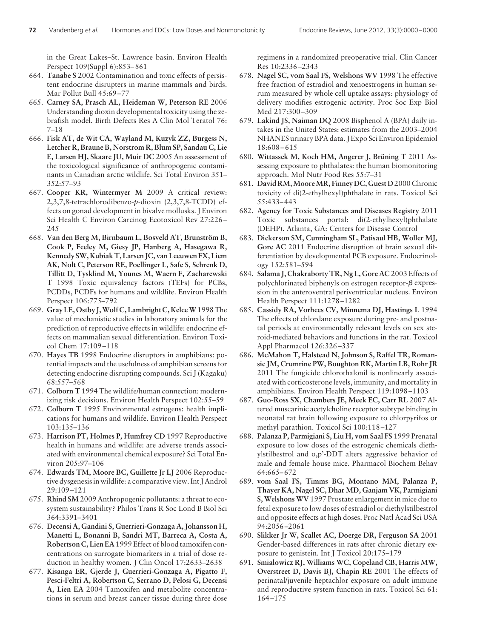in the Great Lakes–St. Lawrence basin. Environ Health Perspect 109(Suppl 6):853– 861

- 664. **Tanabe S** 2002 Contamination and toxic effects of persistent endocrine disrupters in marine mammals and birds. Mar Pollut Bull 45:69 –77
- 665. **Carney SA, Prasch AL, Heideman W, Peterson RE** 2006 Understanding dioxin developmental toxicity using the zebrafish model. Birth Defects Res A Clin Mol Teratol 76: 7–18
- 666. **Fisk AT, de Wit CA, Wayland M, Kuzyk ZZ, Burgess N, Letcher R, Braune B, Norstrom R, Blum SP, Sandau C, Lie E, Larsen HJ, Skaare JU, Muir DC** 2005 An assessment of the toxicological significance of anthropogenic contaminants in Canadian arctic wildlife. Sci Total Environ 351– 352:57–93
- 667. **Cooper KR, Wintermyer M** 2009 A critical review: 2,3,7,8-tetrachlorodibenzo-*p*-dioxin (2,3,7,8-TCDD) effects on gonad development in bivalve mollusks. J Environ Sci Health C Environ Carcinog Ecotoxicol Rev 27:226 – 245
- 668. Van den Berg M, Birnbaum L, Bosveld AT, Brunström B, **Cook P, Feeley M, Giesy JP, Hanberg A, Hasegawa R, Kennedy SW, Kubiak T, Larsen JC, van Leeuwen FX, Liem AK, Nolt C, Peterson RE, Poellinger L, Safe S, Schrenk D, Tillitt D, Tysklind M, Younes M, Waern F, Zacharewski T** 1998 Toxic equivalency factors (TEFs) for PCBs, PCDDs, PCDFs for humans and wildlife. Environ Health Perspect 106:775–792
- 669. **Gray LE, Ostby J,Wolf C, Lambright C, KelceW**1998 The value of mechanistic studies in laboratory animals for the prediction of reproductive effects in wildlife: endocrine effects on mammalian sexual differentiation. Environ Toxicol Chem 17:109 –118
- 670. **Hayes TB** 1998 Endocrine disruptors in amphibians: potential impacts and the usefulness of amphibian screens for detecting endocrine disrupting compounds. Sci J (Kagaku) 68:557–568
- 671. **Colborn T** 1994 The wildlife/human connection: modernizing risk decisions. Environ Health Perspect 102:55–59
- 672. **Colborn T** 1995 Environmental estrogens: health implications for humans and wildlife. Environ Health Perspect 103:135–136
- 673. **Harrison PT, Holmes P, Humfrey CD** 1997 Reproductive health in humans and wildlife: are adverse trends associated with environmental chemical exposure? Sci Total Environ 205:97–106
- 674. **Edwards TM, Moore BC, Guillette Jr LJ** 2006 Reproductive dysgenesis in wildlife: a comparative view. Int J Androl 29:109 –121
- 675. **Rhind SM** 2009 Anthropogenic pollutants: a threat to ecosystem sustainability? Philos Trans R Soc Lond B Biol Sci 364:3391–3401
- 676. **Decensi A, Gandini S, Guerrieri-Gonzaga A, Johansson H, Manetti L, Bonanni B, Sandri MT, Barreca A, Costa A, Robertson C, Lien EA** 1999 Effect of blood tamoxifen concentrations on surrogate biomarkers in a trial of dose reduction in healthy women. J Clin Oncol 17:2633–2638
- 677. **Kisanga ER, Gjerde J, Guerrieri-Gonzaga A, Pigatto F, Pesci-Feltri A, Robertson C, Serrano D, Pelosi G, Decensi A, Lien EA** 2004 Tamoxifen and metabolite concentrations in serum and breast cancer tissue during three dose

regimens in a randomized preoperative trial. Clin Cancer Res 10:2336 –2343

- 678. **Nagel SC, vom Saal FS, Welshons WV** 1998 The effective free fraction of estradiol and xenoestrogens in human serum measured by whole cell uptake assays: physiology of delivery modifies estrogenic activity. Proc Soc Exp Biol Med 217:300 –309
- 679. **Lakind JS, Naiman DQ** 2008 Bisphenol A (BPA) daily intakes in the United States: estimates from the 2003–2004 NHANES urinary BPA data. J Expo Sci Environ Epidemiol 18:608 – 615
- 680. Wittassek M, Koch HM, Angerer J, Brüning T 2011 Assessing exposure to phthalates: the human biomonitoring approach. Mol Nutr Food Res 55:7–31
- 681. **David RM,MooreMR, Finney DC, Guest D**2000 Chronic toxicity of di(2-ethylhexyl)phthalate in rats. Toxicol Sci 55:433– 443
- 682. **Agency for Toxic Substances and Diseases Registry** 2011 Toxic substances portal: di(2-ethylhexyl)phthalate (DEHP). Atlanta, GA: Centers for Disease Control
- 683. **Dickerson SM, Cunningham SL, Patisaul HB, Woller MJ, Gore AC** 2011 Endocrine disruption of brain sexual differentiation by developmental PCB exposure. Endocrinology 152:581–594
- 684. **Salama J, Chakraborty TR, Ng L, Gore AC** 2003 Effects of polychlorinated biphenyls on estrogen receptor- $\beta$  expression in the anteroventral periventricular nucleus. Environ Health Perspect 111:1278 –1282
- 685. **Cassidy RA, Vorhees CV, Minnema DJ, Hastings L** 1994 The effects of chlordane exposure during pre- and postnatal periods at environmentally relevant levels on sex steroid-mediated behaviors and functions in the rat. Toxicol Appl Pharmacol 126:326 –337
- 686. **McMahon T, Halstead N, Johnson S, Raffel TR, Romansic JM, Crumrine PW, Boughton RK, Martin LB, Rohr JR** 2011 The fungicide chlorothalonil is nonlinearly associated with corticosterone levels, immunity, and mortality in amphibians. Environ Health Perspect 119:1098 –1103
- 687. **Guo-Ross SX, Chambers JE, Meek EC, Carr RL** 2007 Altered muscarinic acetylcholine receptor subtype binding in neonatal rat brain following exposure to chlorpyrifos or methyl parathion. Toxicol Sci 100:118 –127
- 688. **Palanza P, Parmigiani S, Liu H, vom Saal FS** 1999 Prenatal exposure to low doses of the estrogenic chemicals diethylstilbestrol and o,p'-DDT alters aggressive behavior of male and female house mice. Pharmacol Biochem Behav 64:665– 672
- 689. **vom Saal FS, Timms BG, Montano MM, Palanza P, Thayer KA, Nagel SC, Dhar MD, Ganjam VK, Parmigiani S, Welshons WV** 1997 Prostate enlargement in mice due to fetal exposure to low doses of estradiol or diethylstilbestrol and opposite effects at high doses. Proc Natl Acad Sci USA 94:2056 –2061
- 690. **Slikker Jr W, Scallet AC, Doerge DR, Ferguson SA** 2001 Gender-based differences in rats after chronic dietary exposure to genistein. Int J Toxicol 20:175–179
- 691. **Smialowicz RJ, Williams WC, Copeland CB, Harris MW, Overstreet D, Davis BJ, Chapin RE** 2001 The effects of perinatal/juvenile heptachlor exposure on adult immune and reproductive system function in rats. Toxicol Sci 61: 164 –175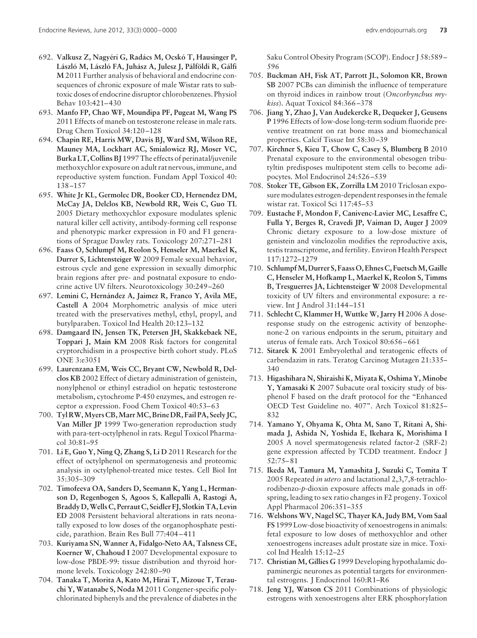- 692. Valkusz Z, Nagyéri G, Radács M, Ocskó T, Hausinger P, László M, László FA, Juhász A, Julesz J, Pálföldi R, Gálfi **M** 2011 Further analysis of behavioral and endocrine consequences of chronic exposure of male Wistar rats to subtoxic doses of endocrine disruptor chlorobenzenes. Physiol Behav 103:421– 430
- 693. **Manfo FP, Chao WF, Moundipa PF, Pugeat M, Wang PS** 2011 Effects of maneb on testosterone release in male rats. Drug Chem Toxicol 34:120 –128
- 694. **Chapin RE, Harris MW, Davis BJ, Ward SM, Wilson RE, Mauney MA, Lockhart AC, Smialowicz RJ, Moser VC, Burka LT, Collins BJ** 1997 The effects of perinatal/juvenile methoxychlor exposure on adult rat nervous, immune, and reproductive system function. Fundam Appl Toxicol 40: 138 –157
- 695. **White Jr KL, Germolec DR, Booker CD, Hernendez DM, McCay JA, Delclos KB, Newbold RR, Weis C, Guo TL** 2005 Dietary methoxychlor exposure modulates splenic natural killer cell activity, antibody-forming cell response and phenotypic marker expression in F0 and F1 generations of Sprague Dawley rats. Toxicology 207:271–281
- 696. **Faass O, Schlumpf M, Reolon S, Henseler M, Maerkel K, Durrer S, Lichtensteiger W** 2009 Female sexual behavior, estrous cycle and gene expression in sexually dimorphic brain regions after pre- and postnatal exposure to endocrine active UV filters. Neurotoxicology 30:249 –260
- 697. **Lemini C, Herna´ndez A, Jaimez R, Franco Y, Avila ME, Castell A** 2004 Morphometric analysis of mice uteri treated with the preservatives methyl, ethyl, propyl, and butylparaben. Toxicol Ind Health 20:123–132
- 698. **Damgaard IN, Jensen TK, Petersen JH, Skakkebaek NE, Toppari J, Main KM** 2008 Risk factors for congenital cryptorchidism in a prospective birth cohort study. PLoS ONE 3:e3051
- 699. **Laurenzana EM, Weis CC, Bryant CW, Newbold R, Delclos KB** 2002 Effect of dietary administration of genistein, nonylphenol or ethinyl estradiol on hepatic testosterone metabolism, cytochrome P-450 enzymes, and estrogen receptor  $\alpha$  expression. Food Chem Toxicol 40:53–63
- 700. **Tyl RW,Myers CB,MarrMC, Brine DR, Fail PA, Seely JC, Van Miller JP** 1999 Two-generation reproduction study with para-tert-octylphenol in rats. Regul Toxicol Pharmacol 30:81–95
- 701. **Li E, Guo Y, Ning Q, Zhang S, Li D** 2011 Research for the effect of octylphenol on spermatogenesis and proteomic analysis in octylphenol-treated mice testes. Cell Biol Int 35:305–309
- 702. **Timofeeva OA, Sanders D, Seemann K, Yang L, Hermanson D, Regenbogen S, Agoos S, Kallepalli A, Rastogi A, Braddy D,Wells C, Perraut C, Seidler FJ, Slotkin TA, Levin ED** 2008 Persistent behavioral alterations in rats neonatally exposed to low doses of the organophosphate pesticide, parathion. Brain Res Bull 77:404 – 411
- 703. **Kuriyama SN, Wanner A, Fidalgo-Neto AA, Talsness CE, Koerner W, Chahoud I** 2007 Developmental exposure to low-dose PBDE-99: tissue distribution and thyroid hormone levels. Toxicology 242:80-90
- 704. **Tanaka T, Morita A, Kato M, Hirai T, Mizoue T, Terauchi Y, Watanabe S, Noda M** 2011 Congener-specific polychlorinated biphenyls and the prevalence of diabetes in the

Saku Control Obesity Program (SCOP). Endocr J 58:589 – 596

- 705. **Buckman AH, Fisk AT, Parrott JL, Solomon KR, Brown SB** 2007 PCBs can diminish the influence of temperature on thyroid indices in rainbow trout (*Oncorhynchus mykiss*). Aquat Toxicol 84:366 –378
- 706. **Jiang Y, Zhao J, Van Audekercke R, Dequeker J, Geusens P** 1996 Effects of low-dose long-term sodium fluoride preventive treatment on rat bone mass and biomechanical properties. Calcif Tissue Int 58:30 –39
- 707. **Kirchner S, Kieu T, Chow C, Casey S, Blumberg B** 2010 Prenatal exposure to the environmental obesogen tributyltin predisposes multipotent stem cells to become adipocytes. Mol Endocrinol 24:526 –539
- 708. **Stoker TE, Gibson EK, Zorrilla LM** 2010 Triclosan exposure modulates estrogen-dependent responses in the female wistar rat. Toxicol Sci 117:45–53
- 709. **Eustache F, Mondon F, Canivenc-Lavier MC, Lesaffre C, Fulla Y, Berges R, Cravedi JP, Vaiman D, Auger J** 2009 Chronic dietary exposure to a low-dose mixture of genistein and vinclozolin modifies the reproductive axis, testis transcriptome, and fertility. Environ Health Perspect 117:1272–1279
- 710. **SchlumpfM, Durrer S, Faass O, Ehnes C, FuetschM, Gaille C, Henseler M, Hofkamp L, Maerkel K, Reolon S, Timms B, Tresguerres JA, Lichtensteiger W** 2008 Developmental toxicity of UV filters and environmental exposure: a review. Int J Androl 31:144 –151
- 711. **Schlecht C, Klammer H, Wuttke W, Jarry H** 2006 A doseresponse study on the estrogenic activity of benzophenone-2 on various endpoints in the serum, pituitary and uterus of female rats. Arch Toxicol 80:656 – 661
- 712. **Sitarek K** 2001 Embryolethal and teratogenic effects of carbendazim in rats. Teratog Carcinog Mutagen 21:335– 340
- 713. **Higashihara N, Shiraishi K, Miyata K, Oshima Y, Minobe Y, Yamasaki K** 2007 Subacute oral toxicity study of bisphenol F based on the draft protocol for the "Enhanced OECD Test Guideline no. 407". Arch Toxicol 81:825– 832
- 714. **Yamano Y, Ohyama K, Ohta M, Sano T, Ritani A, Shimada J, Ashida N, Yoshida E, Ikehara K, Morishima I** 2005 A novel spermatogenesis related factor-2 (SRF-2) gene expression affected by TCDD treatment. Endocr J 52:75– 81
- 715. **Ikeda M, Tamura M, Yamashita J, Suzuki C, Tomita T** 2005 Repeated *in utero* and lactational 2,3,7,8-tetrachlorodibenzo-*p*-dioxin exposure affects male gonads in offspring, leading to sex ratio changes in F2 progeny. Toxicol Appl Pharmacol 206:351–355
- 716. **Welshons WV, Nagel SC, Thayer KA, Judy BM, Vom Saal FS** 1999 Low-dose bioactivity of xenoestrogens in animals: fetal exposure to low doses of methoxychlor and other xenoestrogens increases adult prostate size in mice. Toxicol Ind Health 15:12–25
- 717. **Christian M, Gillies G** 1999 Developing hypothalamic dopaminergic neurones as potential targets for environmental estrogens. J Endocrinol 160:R1–R6
- 718. **Jeng YJ, Watson CS** 2011 Combinations of physiologic estrogens with xenoestrogens alter ERK phosphorylation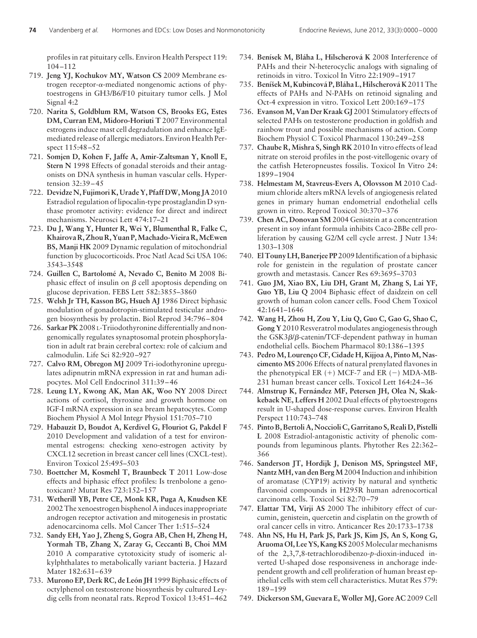profiles in rat pituitary cells. Environ Health Perspect 119: 104 –112

- 719. **Jeng YJ, Kochukov MY, Watson CS** 2009 Membrane estrogen receptor- $\alpha$ -mediated nongenomic actions of phytoestrogens in GH3/B6/F10 pituitary tumor cells. J Mol Signal 4:2
- 720. **Narita S, Goldblum RM, Watson CS, Brooks EG, Estes DM, Curran EM, Midoro-Horiuti T** 2007 Environmental estrogens induce mast cell degradulation and enhance IgEmediated release of allergic mediators. Environ Health Perspect 115:48 –52
- 721. **Somjen D, Kohen F, Jaffe A, Amir-Zaltsman Y, Knoll E, Stern N** 1998 Effects of gonadal steroids and their antagonists on DNA synthesis in human vascular cells. Hypertension 32:39 – 45
- 722. **Devidze N, Fujimori K, Urade Y, Pfaff DW,Mong JA** 2010 Estradiol regulation of lipocalin-type prostaglandin D synthase promoter activity: evidence for direct and indirect mechanisms. Neurosci Lett 474:17–21
- 723. **Du J, Wang Y, Hunter R, Wei Y, Blumenthal R, Falke C, Khairova R, Zhou R, Yuan P,Machado-Vieira R,McEwen BS, Manji HK** 2009 Dynamic regulation of mitochondrial function by glucocorticoids. Proc Natl Acad Sci USA 106: 3543–3548
- 724. **Guillen C, Bartolome´ A, Nevado C, Benito M** 2008 Biphasic effect of insulin on  $\beta$  cell apoptosis depending on glucose deprivation. FEBS Lett 582:3855–3860
- 725. **Welsh Jr TH, Kasson BG, Hsueh AJ** 1986 Direct biphasic modulation of gonadotropin-stimulated testicular androgen biosynthesis by prolactin. Biol Reprod 34:796 – 804
- 726. **Sarkar PK** 2008 L-Triiodothyronine differentially and nongenomically regulates synaptosomal protein phosphorylation in adult rat brain cerebral cortex: role of calcium and calmodulin. Life Sci 82:920 –927
- 727. **Calvo RM, Obregon MJ** 2009 Tri-iodothyronine upregulates adipnutrin mRNA expression in rat and human adipocytes. Mol Cell Endocrinol 311:39 – 46
- 728. **Leung LY, Kwong AK, Man AK, Woo NY** 2008 Direct actions of cortisol, thyroxine and growth hormone on IGF-I mRNA expression in sea bream hepatocytes. Comp Biochem Physiol A Mol Integr Physiol 151:705–710
- 729. **Habauzit D, Boudot A, Kerdivel G, Flouriot G, Pakdel F** 2010 Development and validation of a test for environmental estrogens: checking xeno-estrogen activity by CXCL12 secretion in breast cancer cell lines (CXCL-test). Environ Toxicol 25:495–503
- 730. **Boettcher M, Kosmehl T, Braunbeck T** 2011 Low-dose effects and biphasic effect profiles: Is trenbolone a genotoxicant? Mutat Res 723:152–157
- 731. **Wetherill YB, Petre CE, Monk KR, Puga A, Knudsen KE** 2002 The xenoestrogen bisphenol A induces inappropriate androgen receptor activation and mitogenesis in prostatic adenocarcinoma cells. Mol Cancer Ther 1:515–524
- 732. **Sandy EH, Yao J, Zheng S, Gogra AB, Chen H, Zheng H, Yormah TB, Zhang X, Zaray G, Ceccanti B, Choi MM** 2010 A comparative cytotoxicity study of isomeric alkylphthalates to metabolically variant bacteria. J Hazard Mater 182:631-639
- 733. Murono EP, Derk RC, de León JH 1999 Biphasic effects of octylphenol on testosterone biosynthesis by cultured Leydig cells from neonatal rats. Reprod Toxicol 13:451-462
- 734. Benísek M, Bláha L, Hilscherová K 2008 Interference of PAHs and their N-heterocyclic analogs with signaling of retinoids in vitro. Toxicol In Vitro 22:1909 –1917
- 735. Beníšek M, Kubincová P, Bláha L, Hilscherová K 2011 The effects of PAHs and N-PAHs on retinoid signaling and Oct-4 expression in vitro. Toxicol Lett 200:169 –175
- 736. **Evanson M, Van Der Kraak GJ** 2001 Stimulatory effects of selected PAHs on testosterone production in goldfish and rainbow trout and possible mechanisms of action. Comp Biochem Physiol C Toxicol Pharmacol 130:249 –258
- 737. **Chaube R, Mishra S, Singh RK** 2010 In vitro effects of lead nitrate on steroid profiles in the post-vitellogenic ovary of the catfish Heteropneustes fossilis. Toxicol In Vitro 24: 1899 –1904
- 738. **Helmestam M, Stavreus-Evers A, Olovsson M** 2010 Cadmium chloride alters mRNA levels of angiogenesis related genes in primary human endometrial endothelial cells grown in vitro. Reprod Toxicol 30:370 –376
- 739. **Chen AC, Donovan SM** 2004 Genistein at a concentration present in soy infant formula inhibits Caco-2BBe cell proliferation by causing G2/M cell cycle arrest. J Nutr 134: 1303–1308
- 740. **El Touny LH, Banerjee PP** 2009 Identification of a biphasic role for genistein in the regulation of prostate cancer growth and metastasis. Cancer Res 69:3695–3703
- 741. **Guo JM, Xiao BX, Liu DH, Grant M, Zhang S, Lai YF, Guo YB, Liu Q** 2004 Biphasic effect of daidzein on cell growth of human colon cancer cells. Food Chem Toxicol 42:1641–1646
- 742. **Wang H, Zhou H, Zou Y, Liu Q, Guo C, Gao G, Shao C, Gong Y** 2010 Resveratrol modulates angiogenesis through the  $GSK3\beta/\beta$ -catenin/TCF-dependent pathway in human endothelial cells. Biochem Pharmacol 80:1386 –1395
- 743. Pedro M, Lourenço CF, Cidade H, Kijjoa A, Pinto M, Nas**cimento MS** 2006 Effects of natural prenylated flavones in the phenotypical ER  $(+)$  MCF-7 and ER  $(-)$  MDA-MB-231 human breast cancer cells. Toxicol Lett 164:24 –36
- 744. Almstrup K, Fernández MF, Petersen JH, Olea N, Skak**kebaek NE, Leffers H** 2002 Dual effects of phytoestrogens result in U-shaped dose-response curves. Environ Health Perspect 110:743–748
- 745. **Pinto B, Bertoli A, Noccioli C, Garritano S, Reali D, Pistelli L** 2008 Estradiol-antagonistic activity of phenolic compounds from leguminous plants. Phytother Res 22:362– 366
- 746. **Sanderson JT, Hordijk J, Denison MS, Springsteel MF, NantzMH, van den BergM**2004 Induction and inhibition of aromatase (CYP19) activity by natural and synthetic flavonoid compounds in H295R human adrenocortical carcinoma cells. Toxicol Sci 82:70 –79
- 747. **Elattar TM, Virji AS** 2000 The inhibitory effect of curcumin, genistein, quercetin and cisplatin on the growth of oral cancer cells in vitro. Anticancer Res 20:1733–1738
- 748. **Ahn NS, Hu H, Park JS, Park JS, Kim JS, An S, Kong G, Aruoma OI, Lee YS, Kang KS** 2005Molecular mechanisms of the 2,3,7,8-tetrachlorodibenzo-*p*-dioxin-induced inverted U-shaped dose responsiveness in anchorage independent growth and cell proliferation of human breast epithelial cells with stem cell characteristics. Mutat Res 579: 189 –199
- 749. **Dickerson SM, Guevara E, Woller MJ, Gore AC** 2009 Cell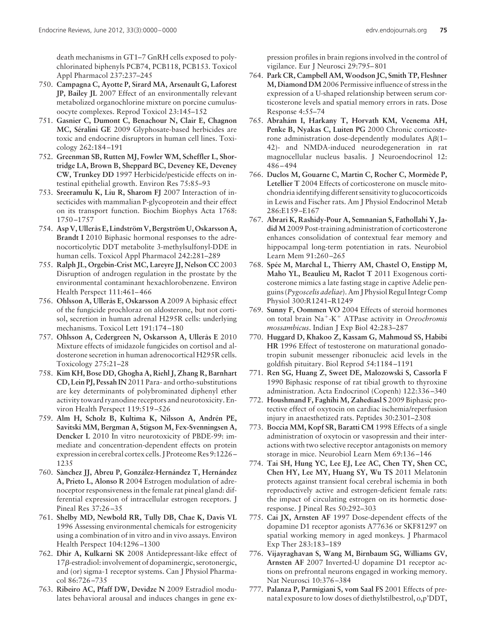death mechanisms in GT1–7 GnRH cells exposed to polychlorinated biphenyls PCB74, PCB118, PCB153. Toxicol Appl Pharmacol 237:237–245

- 750. **Campagna C, Ayotte P, Sirard MA, Arsenault G, Laforest JP, Bailey JL** 2007 Effect of an environmentally relevant metabolized organochlorine mixture on porcine cumulusoocyte complexes. Reprod Toxicol 23:145–152
- 751. **Gasnier C, Dumont C, Benachour N, Clair E, Chagnon** MC, Séralini GE 2009 Glyphosate-based herbicides are toxic and endocrine disruptors in human cell lines. Toxicology 262:184 –191
- 752. **Greenman SB, Rutten MJ, Fowler WM, Scheffler L, Shortridge LA, Brown B, Sheppard BC, Deveney KE, Deveney CW, Trunkey DD** 1997 Herbicide/pesticide effects on intestinal epithelial growth. Environ Res 75:85–93
- 753. **Sreeramulu K, Liu R, Sharom FJ** 2007 Interaction of insecticides with mammalian P-glycoprotein and their effect on its transport function. Biochim Biophys Acta 1768: 1750 –1757
- 754. Asp V, Ullerås E, Lindström V, Bergström U, Oskarsson A, **Brandt I** 2010 Biphasic hormonal responses to the adrenocorticolytic DDT metabolite 3-methylsulfonyl-DDE in human cells. Toxicol Appl Pharmacol 242:281–289
- 755. **Ralph JL, Orgebin-Crist MC, Lareyre JJ, Nelson CC** 2003 Disruption of androgen regulation in the prostate by the environmental contaminant hexachlorobenzene. Environ Health Perspect 111:461– 466
- 756. **Ohlsson A, Ullerås E, Oskarsson A** 2009 A biphasic effect of the fungicide prochloraz on aldosterone, but not cortisol, secretion in human adrenal H295R cells: underlying mechanisms. Toxicol Lett 191:174 –180
- 757. **Ohlsson A, Cedergreen N, Oskarsson A, Ullerås E** 2010 Mixture effects of imidazole fungicides on cortisol and aldosterone secretion in human adrenocortical H295R cells. Toxicology 275:21–28
- 758. **Kim KH, Bose DD, Ghogha A, Riehl J, Zhang R, Barnhart CD, Lein PJ, Pessah IN** 2011 Para- and ortho-substitutions are key determinants of polybrominated diphenyl ether activity toward ryanodine receptors and neurotoxicity. Environ Health Perspect 119:519 –526
- 759. Alm H, Scholz B, Kultima K, Nilsson A, Andrén PE, **Savitski MM, Bergman A, Stigson M, Fex-Svenningsen A, Dencker L** 2010 In vitro neurotoxicity of PBDE-99: immediate and concentration-dependent effects on protein expression in cerebral cortex cells. J Proteome Res 9:1226 – 1235
- 760. **Sa`nchez JJ, Abreu P, Gonza´lez-Herna´ndez T, Herna´ndez A, Prieto L, Alonso R** 2004 Estrogen modulation of adrenoceptor responsiveness in the female rat pineal gland: differential expression of intracellular estrogen receptors. J Pineal Res 37:26 –35
- 761. **Shelby MD, Newbold RR, Tully DB, Chae K, Davis VL** 1996 Assessing environmental chemicals for estrogenicity using a combination of in vitro and in vivo assays. Environ Health Perspect 104:1296 –1300
- 762. **Dhir A, Kulkarni SK** 2008 Antidepressant-like effect of  $17\beta$ -estradiol: involvement of dopaminergic, serotonergic, and (or) sigma-1 receptor systems. Can J Physiol Pharmacol 86:726 –735
- 763. **Ribeiro AC, Pfaff DW, Devidze N** 2009 Estradiol modulates behavioral arousal and induces changes in gene ex-

pression profiles in brain regions involved in the control of vigilance. Eur J Neurosci 29:795– 801

- 764. **Park CR, Campbell AM, Woodson JC, Smith TP, Fleshner M, Diamond DM**2006 Permissive influence of stress in the expression of a U-shaped relationship between serum corticosterone levels and spatial memory errors in rats. Dose Response 4:55–74
- 765. **Abraha´m I, Harkany T, Horvath KM, Veenema AH, Penke B, Nyakas C, Luiten PG** 2000 Chronic corticosterone administration dose-dependently modulates  $A\beta(1-$ 42)- and NMDA-induced neurodegeneration in rat magnocellular nucleus basalis. J Neuroendocrinol 12: 486 – 494
- 766. **Duclos M, Gouarne C, Martin C, Rocher C, Morme`de P, Letellier T** 2004 Effects of corticosterone on muscle mitochondria identifying different sensitivity to glucocorticoids in Lewis and Fischer rats. Am J Physiol Endocrinol Metab 286:E159 –E167
- 767. **Abrari K, Rashidy-Pour A, Semnanian S, Fathollahi Y, Jadid M** 2009 Post-training administration of corticosterone enhances consolidation of contextual fear memory and hippocampal long-term potentiation in rats. Neurobiol Learn Mem 91:260 –265
- 768. Spée M, Marchal L, Thierry AM, Chastel O, Enstipp M, **Maho YL, Beaulieu M, Raclot T** 2011 Exogenous corticosterone mimics a late fasting stage in captive Adelie penguins (*Pygoscelis adeliae*). Am J Physiol Regul Integr Comp Physiol 300:R1241–R1249
- 769. **Sunny F, Oommen VO** 2004 Effects of steroid hormones on total brain Na<sup>+</sup>-K<sup>+</sup> ATPase activity in Oreochromis *mossambicus*. Indian J Exp Biol 42:283–287
- 770. **Huggard D, Khakoo Z, Kassam G, Mahmoud SS, Habibi HR** 1996 Effect of testosterone on maturational gonadotropin subunit messenger ribonucleic acid levels in the goldfish pituitary. Biol Reprod 54:1184 –1191
- 771. **Ren SG, Huang Z, Sweet DE, Malozowski S, Cassorla F** 1990 Biphasic response of rat tibial growth to thyroxine administration. Acta Endocrinol (Copenh) 122:336 –340
- 772. **Houshmand F, Faghihi M, Zahediasl S** 2009 Biphasic protective effect of oxytocin on cardiac ischemia/reperfusion injury in anaesthetized rats. Peptides 30:2301–2308
- 773. **Boccia MM, Kopf SR, Baratti CM** 1998 Effects of a single administration of oxytocin or vasopressin and their interactions with two selective receptor antagonists on memory storage in mice. Neurobiol Learn Mem 69:136 –146
- 774. **Tai SH, Hung YC, Lee EJ, Lee AC, Chen TY, Shen CC, Chen HY, Lee MY, Huang SY, Wu TS** 2011 Melatonin protects against transient focal cerebral ischemia in both reproductively active and estrogen-deficient female rats: the impact of circulating estrogen on its hormetic doseresponse. J Pineal Res 50:292–303
- 775. **Cai JX, Arnsten AF** 1997 Dose-dependent effects of the dopamine D1 receptor agonists A77636 or SKF81297 on spatial working memory in aged monkeys. J Pharmacol Exp Ther 283:183–189
- 776. **Vijayraghavan S, Wang M, Birnbaum SG, Williams GV, Arnsten AF** 2007 Inverted-U dopamine D1 receptor actions on prefrontal neurons engaged in working memory. Nat Neurosci 10:376 –384
- 777. **Palanza P, Parmigiani S, vom Saal FS** 2001 Effects of prenatal exposure to low doses of diethylstilbestrol, o,p'DDT,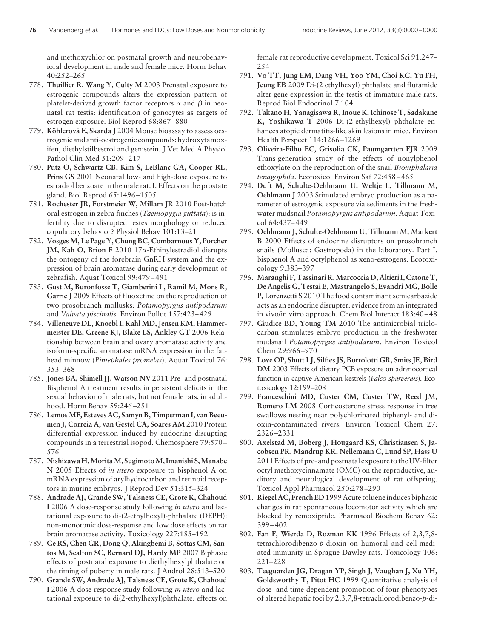and methoxychlor on postnatal growth and neurobehavioral development in male and female mice. Horm Behav 40:252–265

- 778. **Thuillier R, Wang Y, Culty M** 2003 Prenatal exposure to estrogenic compounds alters the expression pattern of platelet-derived growth factor receptors  $\alpha$  and  $\beta$  in neonatal rat testis: identification of gonocytes as targets of estrogen exposure. Biol Reprod 68:867– 880
- 779. Köhlerová E, Skarda J 2004 Mouse bioassay to assess oestrogenic and anti-oestrogenic compounds: hydroxytamoxifen, diethylstilbestrol and genistein. J Vet Med A Physiol Pathol Clin Med 51:209 –217
- 780. **Putz O, Schwartz CB, Kim S, LeBlanc GA, Cooper RL, Prins GS** 2001 Neonatal low- and high-dose exposure to estradiol benzoate in the male rat. I. Effects on the prostate gland. Biol Reprod 65:1496 –1505
- 781. **Rochester JR, Forstmeier W, Millam JR** 2010 Post-hatch oral estrogen in zebra finches (*Taeniopygia guttata*): is infertility due to disrupted testes morphology or reduced copulatory behavior? Physiol Behav 101:13–21
- 782. **Vosges M, Le Page Y, Chung BC, Combarnous Y, Porcher JM, Kah O, Brion F** 2010  $17\alpha$ -Ethinylestradiol disrupts the ontogeny of the forebrain GnRH system and the expression of brain aromatase during early development of zebrafish. Aquat Toxicol 99:479 – 491
- 783. **Gust M, Buronfosse T, Giamberini L, Ramil M, Mons R, Garric J** 2009 Effects of fluoxetine on the reproduction of two prosobranch mollusks: *Potamopyrgus antipodarum* and *Valvata piscinalis*. Environ Pollut 157:423– 429
- 784. **Villeneuve DL, Knoebl I, Kahl MD, Jensen KM, Hammermeister DE, Greene KJ, Blake LS, Ankley GT** 2006 Relationship between brain and ovary aromatase activity and isoform-specific aromatase mRNA expression in the fathead minnow (*Pimephales promelas*). Aquat Toxicol 76: 353–368
- 785. **Jones BA, Shimell JJ, Watson NV** 2011 Pre- and postnatal Bisphenol A treatment results in persistent deficits in the sexual behavior of male rats, but not female rats, in adulthood. Horm Behav 59:246 –251
- 786. **Lemos MF, Esteves AC, Samyn B, Timperman I, van Beeumen J, Correia A, van Gestel CA, Soares AM** 2010 Protein differential expression induced by endocrine disrupting compounds in a terrestrial isopod. Chemosphere 79:570 – 576
- 787. **Nishizawa H,MoritaM, SugimotoM, Imanishi S,Manabe N** 2005 Effects of *in utero* exposure to bisphenol A on mRNA expression of arylhydrocarbon and retinoid receptors in murine embryos. J Reprod Dev 51:315–324
- 788. **Andrade AJ, Grande SW, Talsness CE, Grote K, Chahoud I** 2006 A dose-response study following *in utero* and lactational exposure to di-(2-ethylhexyl)-phthalate (DEPH): non-monotonic dose-response and low dose effects on rat brain aromatase activity. Toxicology 227:185–192
- 789. **Ge RS, Chen GR, Dong Q, Akingbemi B, Sottas CM, Santos M, Sealfon SC, Bernard DJ, Hardy MP** 2007 Biphasic effects of postnatal exposure to diethylhexylphthalate on the timing of puberty in male rats. J Androl 28:513–520
- 790. **Grande SW, Andrade AJ, Talsness CE, Grote K, Chahoud I** 2006 A dose-response study following *in utero* and lactational exposure to di(2-ethylhexyl)phthalate: effects on

female rat reproductive development. Toxicol Sci 91:247– 254

- 791. **Vo TT, Jung EM, Dang VH, Yoo YM, Choi KC, Yu FH, Jeung EB** 2009 Di-(2 ethylhexyl) phthalate and flutamide alter gene expression in the testis of immature male rats. Reprod Biol Endocrinol 7:104
- 792. **Takano H, Yanagisawa R, Inoue K, Ichinose T, Sadakane K, Yoshikawa T** 2006 Di-(2-ethylhexyl) phthalate enhances atopic dermatitis-like skin lesions in mice. Environ Health Perspect 114:1266 –1269
- 793. **Oliveira-Filho EC, Grisolia CK, Paumgartten FJR** 2009 Trans-generation study of the effects of nonylphenol ethoxylate on the reproduction of the snail *Biomphalaria tenagophila*. Ecotoxicol Environ Saf 72:458 – 465
- 794. **Duft M, Schulte-Oehlmann U, Weltje L, Tillmann M, Oehlmann J** 2003 Stimulated embryo production as a parameter of estrogenic exposure via sediments in the freshwater mudsnail *Potamopyrgus antipodarum*. Aquat Toxicol 64:437– 449
- 795. **Oehlmann J, Schulte-Oehlmann U, Tillmann M, Markert B** 2000 Effects of endocrine disruptors on prosobranch snails (Mollusca: Gastropoda) in the laboratory. Part I. bisphenol A and octylphenol as xeno-estrogens. Ecotoxicology 9:383–397
- 796. **Maranghi F, Tassinari R,Marcoccia D, Altieri I, Catone T, De Angelis G, Testai E, Mastrangelo S, Evandri MG, Bolle P, Lorenzetti S** 2010 The food contaminant semicarbazide acts as an endocrine disrupter: evidence from an integrated in vivo/in vitro approach. Chem Biol Interact 183:40 – 48
- 797. **Giudice BD, Young TM** 2010 The antimicrobial triclocarban stimulates embryo production in the freshwater mudsnail *Potamopyrgus antipodarum*. Environ Toxicol Chem 29:966 –970
- 798. **Love OP, Shutt LJ, Silfies JS, Bortolotti GR, Smits JE, Bird DM** 2003 Effects of dietary PCB exposure on adrenocortical function in captive American kestrels (*Falco sparverius*). Ecotoxicology 12:199–208
- 799. **Franceschini MD, Custer CM, Custer TW, Reed JM, Romero LM** 2008 Corticosterone stress response in tree swallows nesting near polychlorinated biphenyl- and dioxin-contaminated rivers. Environ Toxicol Chem 27: 2326 –2331
- 800. **Axelstad M, Boberg J, Hougaard KS, Christiansen S, Jacobsen PR, Mandrup KR, Nellemann C, Lund SP, Hass U** 2011 Effects of pre- and postnatal exposure to the UV-filter octyl methoxycinnamate (OMC) on the reproductive, auditory and neurological development of rat offspring. Toxicol Appl Pharmacol 250:278 –290
- 801. **Riegel AC, French ED**1999 Acute toluene induces biphasic changes in rat spontaneous locomotor activity which are blocked by remoxipride. Pharmacol Biochem Behav 62:  $399 - 402$
- 802. **Fan F, Wierda D, Rozman KK** 1996 Effects of 2,3,7,8 tetrachlorodibenzo-*p*-dioxin on humoral and cell-mediated immunity in Sprague-Dawley rats. Toxicology 106: 221–228
- 803. **Teeguarden JG, Dragan YP, Singh J, Vaughan J, Xu YH, Goldsworthy T, Pitot HC** 1999 Quantitative analysis of dose- and time-dependent promotion of four phenotypes of altered hepatic foci by 2,3,7,8-tetrachlorodibenzo-*p*-di-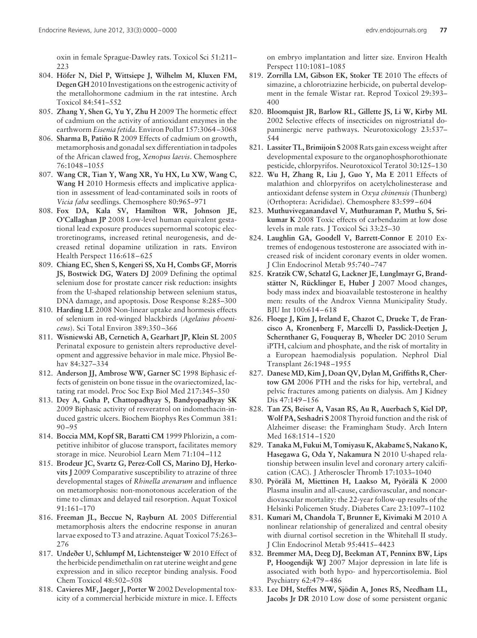oxin in female Sprague-Dawley rats. Toxicol Sci 51:211– 223

- 804. Höfer N, Diel P, Wittsiepe J, Wilhelm M, Kluxen FM, **Degen GH** 2010 Investigations on the estrogenic activity of the metallohormone cadmium in the rat intestine. Arch Toxicol 84:541–552
- 805. **Zhang Y, Shen G, Yu Y, Zhu H** 2009 The hormetic effect of cadmium on the activity of antioxidant enzymes in the earthworm *Eisenia fetida*. Environ Pollut 157:3064 –3068
- 806. **Sharma B, Patiño R** 2009 Effects of cadmium on growth, metamorphosis and gonadal sex differentiation in tadpoles of the African clawed frog, *Xenopus laevis*. Chemosphere 76:1048 –1055
- 807. **Wang CR, Tian Y, Wang XR, Yu HX, Lu XW, Wang C, Wang H** 2010 Hormesis effects and implicative application in assessment of lead-contaminated soils in roots of *Vicia faba* seedlings. Chemosphere 80:965–971
- 808. **Fox DA, Kala SV, Hamilton WR, Johnson JE, O'Callaghan JP** 2008 Low-level human equivalent gestational lead exposure produces supernormal scotopic electroretinograms, increased retinal neurogenesis, and decreased retinal dopamine utilization in rats. Environ Health Perspect 116:618 – 625
- 809. **Chiang EC, Shen S, Kengeri SS, Xu H, Combs GF, Morris JS, Bostwick DG, Waters DJ** 2009 Defining the optimal selenium dose for prostate cancer risk reduction: insights from the U-shaped relationship between selenium status, DNA damage, and apoptosis. Dose Response 8:285–300
- 810. **Harding LE** 2008 Non-linear uptake and hormesis effects of selenium in red-winged blackbirds (*Agelaius phoeniceus*). Sci Total Environ 389:350 –366
- 811. **Wisniewski AB, Cernetich A, Gearhart JP, Klein SL** 2005 Perinatal exposure to genistein alters reproductive development and aggressive behavior in male mice. Physiol Behav 84:327–334
- 812. **Anderson JJ, Ambrose WW, Garner SC** 1998 Biphasic effects of genistein on bone tissue in the ovariectomized, lactating rat model. Proc Soc Exp Biol Med 217:345–350
- 813. **Dey A, Guha P, Chattopadhyay S, Bandyopadhyay SK** 2009 Biphasic activity of resveratrol on indomethacin-induced gastric ulcers. Biochem Biophys Res Commun 381: 90 –95
- 814. **Boccia MM, Kopf SR, Baratti CM** 1999 Phlorizin, a competitive inhibitor of glucose transport, facilitates memory storage in mice. Neurobiol Learn Mem 71:104 –112
- 815. **Brodeur JC, Svartz G, Perez-Coll CS, Marino DJ, Herkovits J** 2009 Comparative susceptibility to atrazine of three developmental stages of *Rhinella arenarum* and influence on metamorphosis: non-monotonous acceleration of the time to climax and delayed tail resorption. Aquat Toxicol 91:161–170
- 816. **Freeman JL, Beccue N, Rayburn AL** 2005 Differential metamorphosis alters the endocrine response in anuran larvae exposed to T3 and atrazine. Aquat Toxicol 75:263– 276
- 817. **Undeðer U, Schlumpf M, Lichtensteiger W** 2010 Effect of the herbicide pendimethalin on rat uterine weight and gene expression and in silico receptor binding analysis. Food Chem Toxicol 48:502–508
- 818. **Cavieres MF, Jaeger J, Porter W** 2002 Developmental toxicity of a commercial herbicide mixture in mice. I. Effects

on embryo implantation and litter size. Environ Health Perspect 110:1081–1085

- 819. **Zorrilla LM, Gibson EK, Stoker TE** 2010 The effects of simazine, a chlorotriazine herbicide, on pubertal development in the female Wistar rat. Reprod Toxicol 29:393– 400
- 820. **Bloomquist JR, Barlow RL, Gillette JS, Li W, Kirby ML** 2002 Selective effects of insecticides on nigrostriatal dopaminergic nerve pathways. Neurotoxicology 23:537– 544
- 821. **Lassiter TL, Brimijoin S** 2008 Rats gain excess weight after developmental exposure to the organophosphorothionate pesticide, chlorpyrifos. Neurotoxicol Teratol 30:125–130
- 822. **Wu H, Zhang R, Liu J, Guo Y, Ma E** 2011 Effects of malathion and chlorpyrifos on acetylcholinesterase and antioxidant defense system in *Oxya chinensis* (Thunberg) (Orthoptera: Acrididae). Chemosphere 83:599 – 604
- 823. **Muthuviveganandavel V, Muthuraman P, Muthu S, Srikumar K** 2008 Toxic effects of carbendazim at low dose levels in male rats. J Toxicol Sci 33:25–30
- 824. **Laughlin GA, Goodell V, Barrett-Connor E** 2010 Extremes of endogenous testosterone are associated with increased risk of incident coronary events in older women. J Clin Endocrinol Metab 95:740 –747
- 825. **Kratzik CW, Schatzl G, Lackner JE, Lunglmayr G, Brand**stätter N, Rücklinger E, Huber J 2007 Mood changes, body mass index and bioavailable testosterone in healthy men: results of the Androx Vienna Municipality Study. BJU Int 100:614 – 618
- 826. **Floege J, Kim J, Ireland E, Chazot C, Drueke T, de Francisco A, Kronenberg F, Marcelli D, Passlick-Deetjen J, Schernthaner G, Fouqueray B, Wheeler DC** 2010 Serum iPTH, calcium and phosphate, and the risk of mortality in a European haemodialysis population. Nephrol Dial Transplant 26:1948 –1955
- 827. **Danese MD, Kim J, Doan QV, Dylan M, Griffiths R, Chertow GM** 2006 PTH and the risks for hip, vertebral, and pelvic fractures among patients on dialysis. Am J Kidney Dis 47:149 –156
- 828. **Tan ZS, Beiser A, Vasan RS, Au R, Auerbach S, Kiel DP, Wolf PA, Seshadri S** 2008 Thyroid function and the risk of Alzheimer disease: the Framingham Study. Arch Intern Med 168:1514 –1520
- 829. **TanakaM, FukuiM, Tomiyasu K, Akabame S, Nakano K, Hasegawa G, Oda Y, Nakamura N** 2010 U-shaped relationship between insulin level and coronary artery calcification (CAC). J Atheroscler Thromb 17:1033–1040
- 830. Pyörälä M, Miettinen H, Laakso M, Pyörälä K 2000 Plasma insulin and all-cause, cardiovascular, and noncardiovascular mortality: the 22-year follow-up results of the Helsinki Policemen Study. Diabetes Care 23:1097–1102
- 831. **Kumari M, Chandola T, Brunner E, Kivimaki M** 2010 A nonlinear relationship of generalized and central obesity with diurnal cortisol secretion in the Whitehall II study. J Clin Endocrinol Metab 95:4415– 4423
- 832. **Bremmer MA, Deeg DJ, Beekman AT, Penninx BW, Lips P, Hoogendijk WJ** 2007 Major depression in late life is associated with both hypo- and hypercortisolemia. Biol Psychiatry 62:479 – 486
- 833. Lee DH, Steffes MW, Sjödin A, Jones RS, Needham LL, **Jacobs Jr DR** 2010 Low dose of some persistent organic